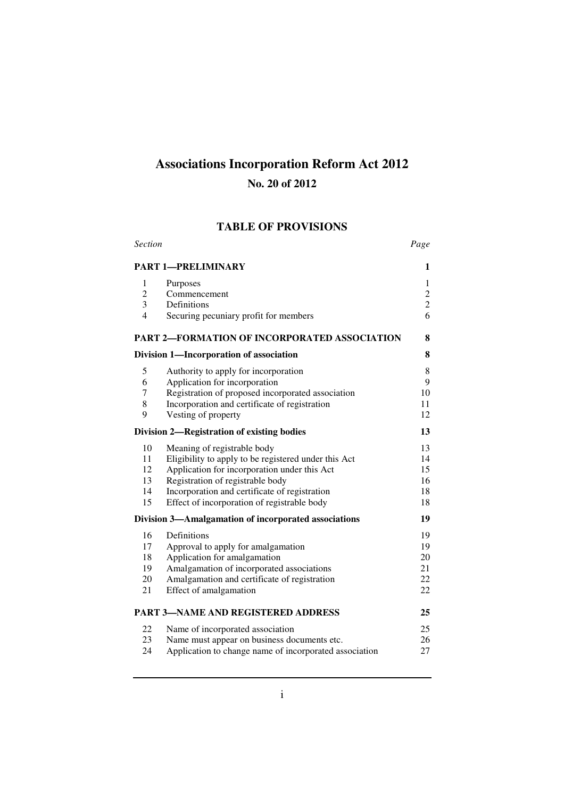# **Associations Incorporation Reform Act 2012**

## **No. 20 of 2012**

## **TABLE OF PROVISIONS**

| <b>Section</b> |                                                        | Page           |
|----------------|--------------------------------------------------------|----------------|
|                | <b>PART 1-PRELIMINARY</b>                              | 1              |
| 1              | Purposes                                               | 1              |
| $\overline{c}$ | Commencement                                           | $\mathbf{2}$   |
| 3              | Definitions                                            | $\overline{c}$ |
| $\overline{4}$ | Securing pecuniary profit for members                  | 6              |
|                | <b>PART 2-FORMATION OF INCORPORATED ASSOCIATION</b>    | 8              |
|                | Division 1—Incorporation of association                | 8              |
| 5              | Authority to apply for incorporation                   | 8              |
| 6              | Application for incorporation                          | 9              |
| $\tau$         | Registration of proposed incorporated association      | 10             |
| 8              | Incorporation and certificate of registration          | 11             |
| 9              | Vesting of property                                    | 12             |
|                | Division 2-Registration of existing bodies             | 13             |
| 10             | Meaning of registrable body                            | 13             |
| 11             | Eligibility to apply to be registered under this Act   | 14             |
| 12             | Application for incorporation under this Act           | 15             |
| 13             | Registration of registrable body                       | 16             |
| 14             | Incorporation and certificate of registration          | 18             |
| 15             | Effect of incorporation of registrable body            | 18             |
|                | Division 3-Amalgamation of incorporated associations   | 19             |
| 16             | Definitions                                            | 19             |
| 17             | Approval to apply for amalgamation                     | 19             |
| 18             | Application for amalgamation                           | 20             |
| 19             | Amalgamation of incorporated associations              | 21             |
| 20             | Amalgamation and certificate of registration           | 22             |
| 21             | Effect of amalgamation                                 | 22             |
|                | <b>PART 3-NAME AND REGISTERED ADDRESS</b>              | 25             |
| 22             | Name of incorporated association                       | 25             |
| 23             | Name must appear on business documents etc.            | 26             |
| 24             | Application to change name of incorporated association | 27             |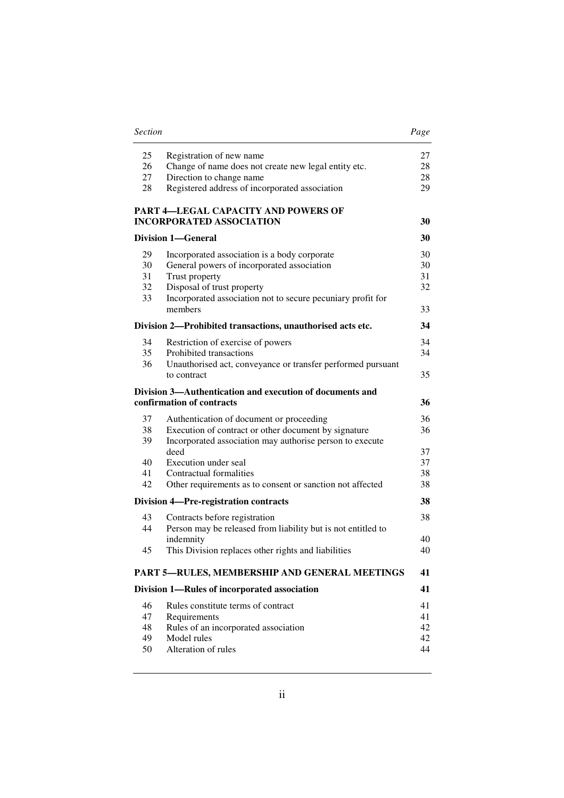| 25 | Registration of new name                                     | 27 |
|----|--------------------------------------------------------------|----|
| 26 | Change of name does not create new legal entity etc.         | 28 |
| 27 | Direction to change name                                     | 28 |
| 28 | Registered address of incorporated association               | 29 |
|    | PART 4-LEGAL CAPACITY AND POWERS OF                          |    |
|    | <b>INCORPORATED ASSOCIATION</b>                              | 30 |
|    | <b>Division 1-General</b>                                    | 30 |
| 29 | Incorporated association is a body corporate                 | 30 |
| 30 | General powers of incorporated association                   | 30 |
| 31 | Trust property                                               | 31 |
| 32 | Disposal of trust property                                   | 32 |
| 33 | Incorporated association not to secure pecuniary profit for  |    |
|    | members                                                      | 33 |
|    | Division 2—Prohibited transactions, unauthorised acts etc.   | 34 |
| 34 | Restriction of exercise of powers                            | 34 |
| 35 | Prohibited transactions                                      | 34 |
| 36 | Unauthorised act, conveyance or transfer performed pursuant  |    |
|    | to contract                                                  | 35 |
|    | Division 3-Authentication and execution of documents and     |    |
|    | confirmation of contracts                                    | 36 |
| 37 | Authentication of document or proceeding                     | 36 |
| 38 | Execution of contract or other document by signature         | 36 |
| 39 | Incorporated association may authorise person to execute     |    |
|    | deed                                                         | 37 |
| 40 | Execution under seal                                         | 37 |
| 41 | Contractual formalities                                      | 38 |
| 42 | Other requirements as to consent or sanction not affected    | 38 |
|    | Division 4-Pre-registration contracts                        | 38 |
| 43 | Contracts before registration                                | 38 |
| 44 | Person may be released from liability but is not entitled to |    |
|    | indemnity                                                    | 40 |
| 45 | This Division replaces other rights and liabilities          | 40 |
|    |                                                              |    |
|    | PART 5-RULES, MEMBERSHIP AND GENERAL MEETINGS                | 41 |
|    | Division 1-Rules of incorporated association                 | 41 |
| 46 | Rules constitute terms of contract                           | 41 |
| 47 | Requirements                                                 | 41 |
| 48 | Rules of an incorporated association                         | 42 |
| 49 | Model rules                                                  | 42 |
| 50 | Alteration of rules                                          | 44 |

#### *Section Page*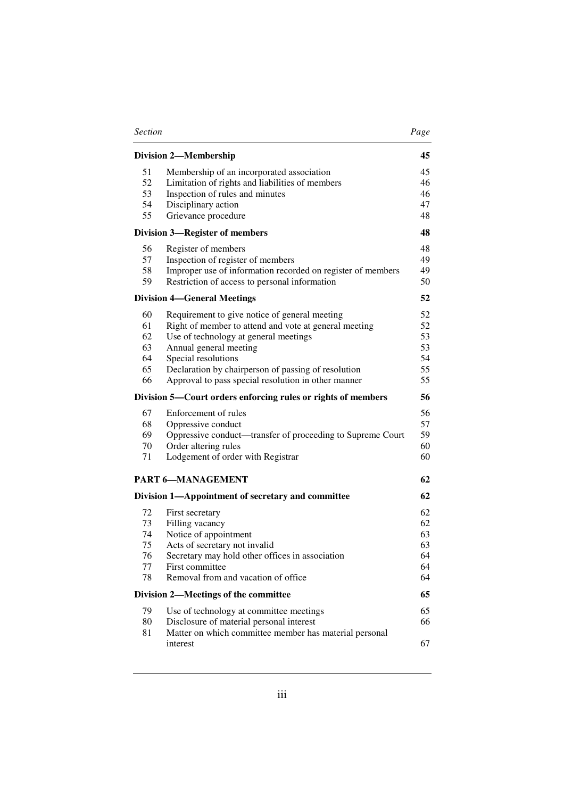| <b>Section</b> | Page |
|----------------|------|
|----------------|------|

| ٠ |
|---|
|---|

|                                        | <b>Division 2-Membership</b>                                                                                                                                                                                                                                                                                   | 45                                     |
|----------------------------------------|----------------------------------------------------------------------------------------------------------------------------------------------------------------------------------------------------------------------------------------------------------------------------------------------------------------|----------------------------------------|
| 51<br>52<br>53<br>54<br>55             | Membership of an incorporated association<br>Limitation of rights and liabilities of members<br>Inspection of rules and minutes<br>Disciplinary action<br>Grievance procedure                                                                                                                                  | 45<br>46<br>46<br>47<br>48             |
|                                        | <b>Division 3-Register of members</b>                                                                                                                                                                                                                                                                          | 48                                     |
| 56<br>57<br>58<br>59                   | Register of members<br>Inspection of register of members<br>Improper use of information recorded on register of members<br>Restriction of access to personal information                                                                                                                                       | 48<br>49<br>49<br>50                   |
|                                        | <b>Division 4—General Meetings</b>                                                                                                                                                                                                                                                                             | 52                                     |
| 60<br>61<br>62<br>63<br>64<br>65<br>66 | Requirement to give notice of general meeting<br>Right of member to attend and vote at general meeting<br>Use of technology at general meetings<br>Annual general meeting<br>Special resolutions<br>Declaration by chairperson of passing of resolution<br>Approval to pass special resolution in other manner | 52<br>52<br>53<br>53<br>54<br>55<br>55 |
|                                        | Division 5—Court orders enforcing rules or rights of members                                                                                                                                                                                                                                                   | 56                                     |
| 67<br>68<br>69<br>70<br>71             | Enforcement of rules<br>Oppressive conduct<br>Oppressive conduct—transfer of proceeding to Supreme Court<br>Order altering rules<br>Lodgement of order with Registrar                                                                                                                                          | 56<br>57<br>59<br>60<br>60             |
|                                        | <b>PART 6-MANAGEMENT</b>                                                                                                                                                                                                                                                                                       | 62                                     |
|                                        | Division 1-Appointment of secretary and committee                                                                                                                                                                                                                                                              | 62                                     |
| 72<br>73<br>74<br>75<br>76<br>77<br>78 | First secretary<br>Filling vacancy<br>Notice of appointment<br>Acts of secretary not invalid<br>Secretary may hold other offices in association<br>First committee<br>Removal from and vacation of office                                                                                                      | 62<br>62<br>63<br>63<br>64<br>64<br>64 |
|                                        | Division 2-Meetings of the committee                                                                                                                                                                                                                                                                           | 65                                     |
| 79<br>80<br>81                         | Use of technology at committee meetings<br>Disclosure of material personal interest<br>Matter on which committee member has material personal                                                                                                                                                                  | 65<br>66                               |
|                                        | interest                                                                                                                                                                                                                                                                                                       | 67                                     |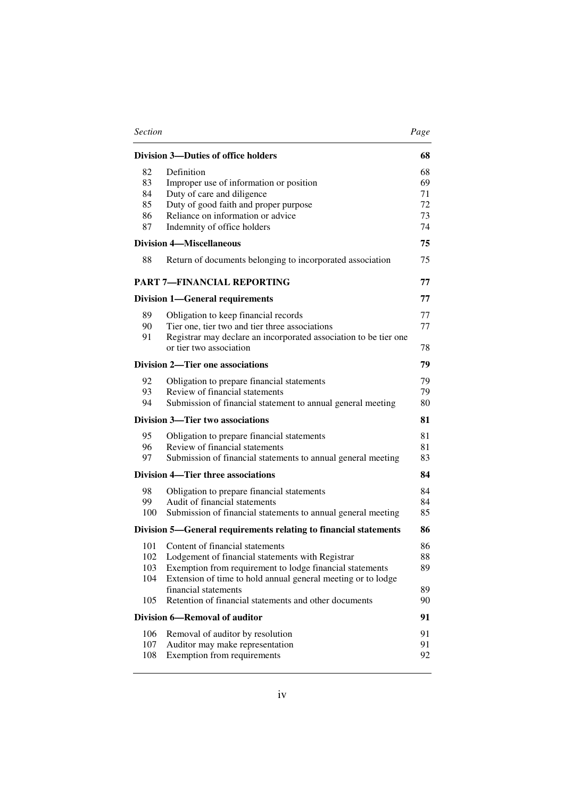| <b>Section</b> |                                                                                             | Page |
|----------------|---------------------------------------------------------------------------------------------|------|
|                | Division 3-Duties of office holders                                                         | 68   |
| 82             | Definition                                                                                  | 68   |
| 83             | Improper use of information or position                                                     | 69   |
| 84             | Duty of care and diligence                                                                  | 71   |
| 85             | Duty of good faith and proper purpose                                                       | 72   |
| 86             | Reliance on information or advice                                                           | 73   |
| 87             | Indemnity of office holders                                                                 | 74   |
|                | <b>Division 4-Miscellaneous</b>                                                             | 75   |
| 88             | Return of documents belonging to incorporated association                                   | 75   |
|                | <b>PART 7-FINANCIAL REPORTING</b>                                                           | 77   |
|                | <b>Division 1—General requirements</b>                                                      | 77   |
| 89             | Obligation to keep financial records                                                        | 77   |
| 90             | Tier one, tier two and tier three associations                                              | 77   |
| 91             | Registrar may declare an incorporated association to be tier one<br>or tier two association | 78   |
|                | <b>Division 2—Tier one associations</b>                                                     | 79   |
| 92             | Obligation to prepare financial statements                                                  | 79   |
| 93             | Review of financial statements                                                              | 79   |
| 94             | Submission of financial statement to annual general meeting                                 | 80   |
|                | Division 3—Tier two associations                                                            | 81   |
| 95             | Obligation to prepare financial statements                                                  | 81   |
| 96             | Review of financial statements                                                              | 81   |
| 97             | Submission of financial statements to annual general meeting                                | 83   |
|                | Division 4—Tier three associations                                                          | 84   |
| 98             | Obligation to prepare financial statements                                                  | 84   |
| 99             | Audit of financial statements                                                               | 84   |
| 100            | Submission of financial statements to annual general meeting                                | 85   |
|                | Division 5—General requirements relating to financial statements                            | 86   |
| 101            | Content of financial statements                                                             | 86   |
| 102            | Lodgement of financial statements with Registrar                                            | 88   |
| 103            | Exemption from requirement to lodge financial statements                                    | 89   |
| 104            | Extension of time to hold annual general meeting or to lodge                                |      |
|                | financial statements                                                                        | 89   |
| 105            | Retention of financial statements and other documents                                       | 90   |
|                | Division 6-Removal of auditor                                                               | 91   |
| 106            | Removal of auditor by resolution                                                            | 91   |
| 107            | Auditor may make representation                                                             | 91   |
| 108            | Exemption from requirements                                                                 | 92   |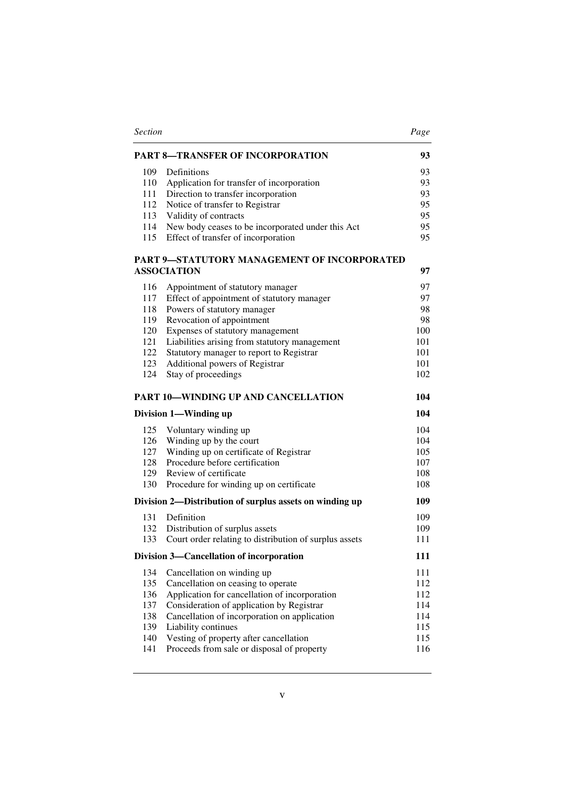| <b>PART 8-TRANSFER OF INCORPORATION</b><br>109<br>Definitions<br>110<br>Application for transfer of incorporation<br>111<br>Direction to transfer incorporation<br>112<br>Notice of transfer to Registrar<br>113<br>Validity of contracts<br>114<br>New body ceases to be incorporated under this Act<br>Effect of transfer of incorporation<br>115<br>PART 9-STATUTORY MANAGEMENT OF INCORPORATED<br><b>ASSOCIATION</b><br>116<br>Appointment of statutory manager<br>117<br>Effect of appointment of statutory manager<br>Powers of statutory manager<br>118<br>Revocation of appointment<br>119<br>120<br>Expenses of statutory management<br>Liabilities arising from statutory management<br>121 |     |
|-------------------------------------------------------------------------------------------------------------------------------------------------------------------------------------------------------------------------------------------------------------------------------------------------------------------------------------------------------------------------------------------------------------------------------------------------------------------------------------------------------------------------------------------------------------------------------------------------------------------------------------------------------------------------------------------------------|-----|
|                                                                                                                                                                                                                                                                                                                                                                                                                                                                                                                                                                                                                                                                                                       | 93  |
|                                                                                                                                                                                                                                                                                                                                                                                                                                                                                                                                                                                                                                                                                                       | 93  |
|                                                                                                                                                                                                                                                                                                                                                                                                                                                                                                                                                                                                                                                                                                       | 93  |
|                                                                                                                                                                                                                                                                                                                                                                                                                                                                                                                                                                                                                                                                                                       | 93  |
|                                                                                                                                                                                                                                                                                                                                                                                                                                                                                                                                                                                                                                                                                                       | 95  |
|                                                                                                                                                                                                                                                                                                                                                                                                                                                                                                                                                                                                                                                                                                       | 95  |
|                                                                                                                                                                                                                                                                                                                                                                                                                                                                                                                                                                                                                                                                                                       | 95  |
|                                                                                                                                                                                                                                                                                                                                                                                                                                                                                                                                                                                                                                                                                                       | 95  |
|                                                                                                                                                                                                                                                                                                                                                                                                                                                                                                                                                                                                                                                                                                       | 97  |
|                                                                                                                                                                                                                                                                                                                                                                                                                                                                                                                                                                                                                                                                                                       |     |
|                                                                                                                                                                                                                                                                                                                                                                                                                                                                                                                                                                                                                                                                                                       | 97  |
|                                                                                                                                                                                                                                                                                                                                                                                                                                                                                                                                                                                                                                                                                                       | 97  |
|                                                                                                                                                                                                                                                                                                                                                                                                                                                                                                                                                                                                                                                                                                       | 98  |
|                                                                                                                                                                                                                                                                                                                                                                                                                                                                                                                                                                                                                                                                                                       | 98  |
|                                                                                                                                                                                                                                                                                                                                                                                                                                                                                                                                                                                                                                                                                                       | 100 |
|                                                                                                                                                                                                                                                                                                                                                                                                                                                                                                                                                                                                                                                                                                       | 101 |
| 122<br>Statutory manager to report to Registrar                                                                                                                                                                                                                                                                                                                                                                                                                                                                                                                                                                                                                                                       | 101 |
| 123<br>Additional powers of Registrar                                                                                                                                                                                                                                                                                                                                                                                                                                                                                                                                                                                                                                                                 | 101 |
| 124<br>Stay of proceedings                                                                                                                                                                                                                                                                                                                                                                                                                                                                                                                                                                                                                                                                            | 102 |
| <b>PART 10-WINDING UP AND CANCELLATION</b>                                                                                                                                                                                                                                                                                                                                                                                                                                                                                                                                                                                                                                                            | 104 |
| Division 1—Winding up                                                                                                                                                                                                                                                                                                                                                                                                                                                                                                                                                                                                                                                                                 | 104 |
| 125<br>Voluntary winding up                                                                                                                                                                                                                                                                                                                                                                                                                                                                                                                                                                                                                                                                           | 104 |
| Winding up by the court<br>126                                                                                                                                                                                                                                                                                                                                                                                                                                                                                                                                                                                                                                                                        | 104 |
| 127<br>Winding up on certificate of Registrar                                                                                                                                                                                                                                                                                                                                                                                                                                                                                                                                                                                                                                                         | 105 |
| Procedure before certification<br>128                                                                                                                                                                                                                                                                                                                                                                                                                                                                                                                                                                                                                                                                 | 107 |
| 129 Review of certificate                                                                                                                                                                                                                                                                                                                                                                                                                                                                                                                                                                                                                                                                             | 108 |
| 130<br>Procedure for winding up on certificate                                                                                                                                                                                                                                                                                                                                                                                                                                                                                                                                                                                                                                                        | 108 |
| Division 2—Distribution of surplus assets on winding up                                                                                                                                                                                                                                                                                                                                                                                                                                                                                                                                                                                                                                               | 109 |
| 131<br>Definition                                                                                                                                                                                                                                                                                                                                                                                                                                                                                                                                                                                                                                                                                     | 109 |
| 132<br>Distribution of surplus assets                                                                                                                                                                                                                                                                                                                                                                                                                                                                                                                                                                                                                                                                 | 109 |
| Court order relating to distribution of surplus assets<br>133                                                                                                                                                                                                                                                                                                                                                                                                                                                                                                                                                                                                                                         | 111 |
| Division 3—Cancellation of incorporation                                                                                                                                                                                                                                                                                                                                                                                                                                                                                                                                                                                                                                                              | 111 |
| 134<br>Cancellation on winding up                                                                                                                                                                                                                                                                                                                                                                                                                                                                                                                                                                                                                                                                     | 111 |
| 135<br>Cancellation on ceasing to operate                                                                                                                                                                                                                                                                                                                                                                                                                                                                                                                                                                                                                                                             | 112 |
| 136<br>Application for cancellation of incorporation                                                                                                                                                                                                                                                                                                                                                                                                                                                                                                                                                                                                                                                  | 112 |
| 137<br>Consideration of application by Registrar                                                                                                                                                                                                                                                                                                                                                                                                                                                                                                                                                                                                                                                      | 114 |
| 138<br>Cancellation of incorporation on application                                                                                                                                                                                                                                                                                                                                                                                                                                                                                                                                                                                                                                                   | 114 |
| 139<br>Liability continues                                                                                                                                                                                                                                                                                                                                                                                                                                                                                                                                                                                                                                                                            | 115 |
| 140<br>Vesting of property after cancellation                                                                                                                                                                                                                                                                                                                                                                                                                                                                                                                                                                                                                                                         | 115 |
| Proceeds from sale or disposal of property<br>141                                                                                                                                                                                                                                                                                                                                                                                                                                                                                                                                                                                                                                                     | 116 |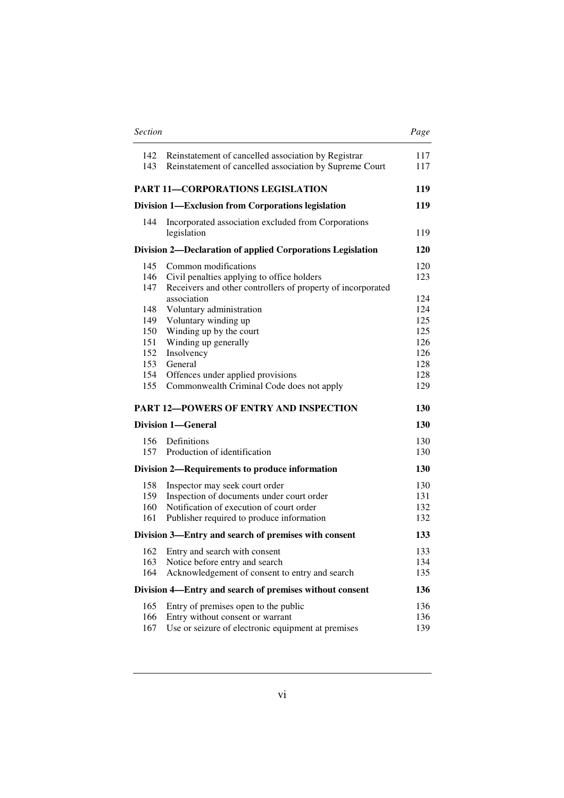| <b>Section</b>           |                                                                                                                                                                      | Page                     |
|--------------------------|----------------------------------------------------------------------------------------------------------------------------------------------------------------------|--------------------------|
| 142<br>143               | Reinstatement of cancelled association by Registrar<br>Reinstatement of cancelled association by Supreme Court                                                       | 117<br>117               |
|                          | <b>PART 11-CORPORATIONS LEGISLATION</b>                                                                                                                              | 119                      |
|                          | Division 1-Exclusion from Corporations legislation                                                                                                                   | 119                      |
| 144                      | Incorporated association excluded from Corporations<br>legislation                                                                                                   | 119                      |
|                          | Division 2—Declaration of applied Corporations Legislation                                                                                                           | <b>120</b>               |
| 145<br>146<br>147        | Common modifications<br>Civil penalties applying to office holders<br>Receivers and other controllers of property of incorporated                                    | 120<br>123               |
| 148<br>149               | association<br>Voluntary administration<br>Voluntary winding up                                                                                                      | 124<br>124<br>125        |
| 150<br>151<br>152        | Winding up by the court<br>Winding up generally<br>Insolvency                                                                                                        | 125<br>126<br>126        |
| 153<br>154<br>155        | General<br>Offences under applied provisions<br>Commonwealth Criminal Code does not apply                                                                            | 128<br>128<br>129        |
|                          | <b>PART 12-POWERS OF ENTRY AND INSPECTION</b>                                                                                                                        | 130                      |
|                          | <b>Division 1-General</b>                                                                                                                                            | 130                      |
| 156<br>157               | Definitions<br>Production of identification                                                                                                                          | 130<br>130               |
|                          | Division 2—Requirements to produce information                                                                                                                       | 130                      |
| 158<br>159<br>160<br>161 | Inspector may seek court order<br>Inspection of documents under court order<br>Notification of execution of court order<br>Publisher required to produce information | 130<br>131<br>132<br>132 |
|                          | Division 3—Entry and search of premises with consent                                                                                                                 | 133                      |
| 162<br>163<br>164        | Entry and search with consent<br>Notice before entry and search<br>Acknowledgement of consent to entry and search                                                    | 133<br>134<br>135        |
|                          | Division 4—Entry and search of premises without consent                                                                                                              | 136                      |
| 165<br>166<br>167        | Entry of premises open to the public<br>Entry without consent or warrant<br>Use or seizure of electronic equipment at premises                                       | 136<br>136<br>139        |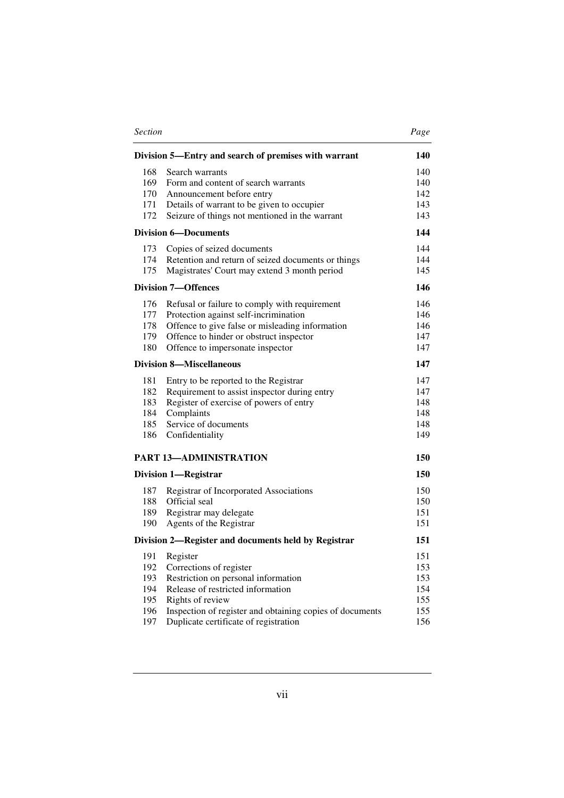| <b>Section</b> |                                                                                                   | Page       |
|----------------|---------------------------------------------------------------------------------------------------|------------|
|                | Division 5—Entry and search of premises with warrant                                              | 140        |
| 168            | Search warrants                                                                                   | 140        |
| 169            | Form and content of search warrants                                                               | 140        |
| 170            | Announcement before entry                                                                         | 142        |
| 171            | Details of warrant to be given to occupier                                                        | 143        |
| 172            | Seizure of things not mentioned in the warrant                                                    | 143        |
|                | <b>Division 6-Documents</b>                                                                       | 144        |
| 173            | Copies of seized documents                                                                        | 144        |
| 174            | Retention and return of seized documents or things                                                | 144        |
| 175            | Magistrates' Court may extend 3 month period                                                      | 145        |
|                | <b>Division 7-Offences</b>                                                                        | 146        |
| 176            | Refusal or failure to comply with requirement                                                     | 146        |
| 177            | Protection against self-incrimination                                                             | 146        |
| 178            | Offence to give false or misleading information                                                   | 146        |
| 179            | Offence to hinder or obstruct inspector                                                           | 147        |
| 180            | Offence to impersonate inspector                                                                  | 147        |
|                | Division 8—Miscellaneous                                                                          | 147        |
| 181            | Entry to be reported to the Registrar                                                             | 147        |
| 182            | Requirement to assist inspector during entry                                                      | 147        |
| 183            | Register of exercise of powers of entry                                                           | 148        |
| 184            | Complaints                                                                                        | 148        |
| 185<br>186     | Service of documents                                                                              | 148<br>149 |
|                | Confidentiality                                                                                   |            |
|                | <b>PART 13-ADMINISTRATION</b>                                                                     | 150        |
|                | <b>Division 1-Registrar</b>                                                                       | 150        |
| 187            | Registrar of Incorporated Associations                                                            | 150        |
| 188            | Official seal                                                                                     | 150        |
| 189            | Registrar may delegate                                                                            | 151        |
| 190            | Agents of the Registrar                                                                           | 151        |
|                | Division 2—Register and documents held by Registrar                                               | 151        |
| 191            | Register                                                                                          | 151        |
| 192            | Corrections of register                                                                           | 153        |
| 193            | Restriction on personal information                                                               | 153        |
| 194            | Release of restricted information                                                                 | 154        |
| 195            | Rights of review                                                                                  | 155        |
| 196<br>197     | Inspection of register and obtaining copies of documents<br>Duplicate certificate of registration | 155<br>156 |
|                |                                                                                                   |            |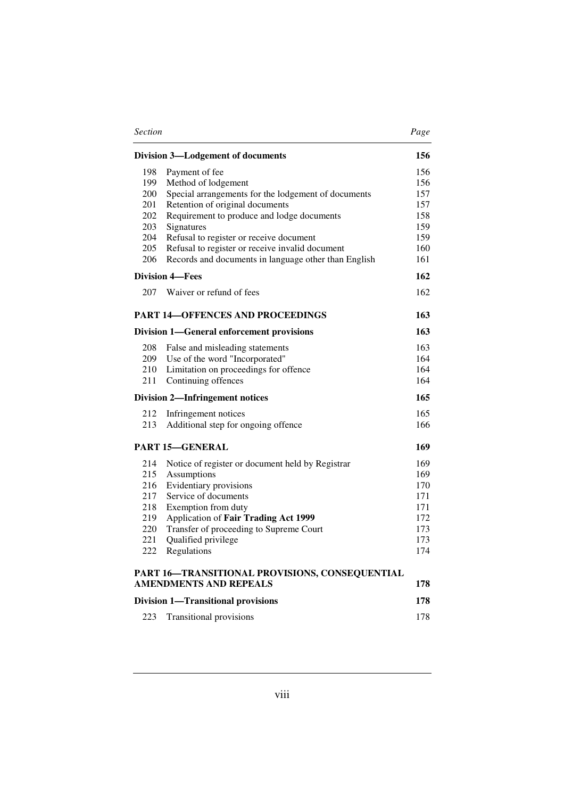| <b>Section</b> |                                                      | Page |
|----------------|------------------------------------------------------|------|
|                | <b>Division 3-Lodgement of documents</b>             | 156  |
| 198            | Payment of fee                                       | 156  |
| 199            | Method of lodgement                                  | 156  |
| 200            | Special arrangements for the lodgement of documents  | 157  |
| 201            | Retention of original documents                      | 157  |
| 202            | Requirement to produce and lodge documents           | 158  |
| 203            | Signatures                                           | 159  |
| 204            | Refusal to register or receive document              | 159  |
| 205            | Refusal to register or receive invalid document      | 160  |
| 206            | Records and documents in language other than English | 161  |
|                | <b>Division 4-Fees</b>                               | 162  |
| 207            | Waiver or refund of fees                             | 162  |
|                | <b>PART 14-OFFENCES AND PROCEEDINGS</b>              | 163  |
|                | <b>Division 1—General enforcement provisions</b>     | 163  |
| 208            | False and misleading statements                      | 163  |
| 209            | Use of the word "Incorporated"                       | 164  |
| 210            | Limitation on proceedings for offence                | 164  |
| 211            | Continuing offences                                  | 164  |
|                | <b>Division 2-Infringement notices</b>               | 165  |
| 212            | Infringement notices                                 | 165  |
| 213            | Additional step for ongoing offence                  | 166  |
|                | <b>PART 15-GENERAL</b>                               | 169  |
| 214            | Notice of register or document held by Registrar     | 169  |
| 215            | Assumptions                                          | 169  |
| 216            | Evidentiary provisions                               | 170  |
| 217            | Service of documents                                 | 171  |
| 218            | Exemption from duty                                  | 171  |
| 219            | Application of Fair Trading Act 1999                 | 172  |
| 220            | Transfer of proceeding to Supreme Court              | 173  |
| 221            | Qualified privilege                                  | 173  |
| 222            | Regulations                                          | 174  |
|                | PART 16-TRANSITIONAL PROVISIONS, CONSEQUENTIAL       |      |
|                | <b>AMENDMENTS AND REPEALS</b>                        | 178  |
|                | <b>Division 1-Transitional provisions</b>            | 178  |
| 223            | <b>Transitional provisions</b>                       | 178  |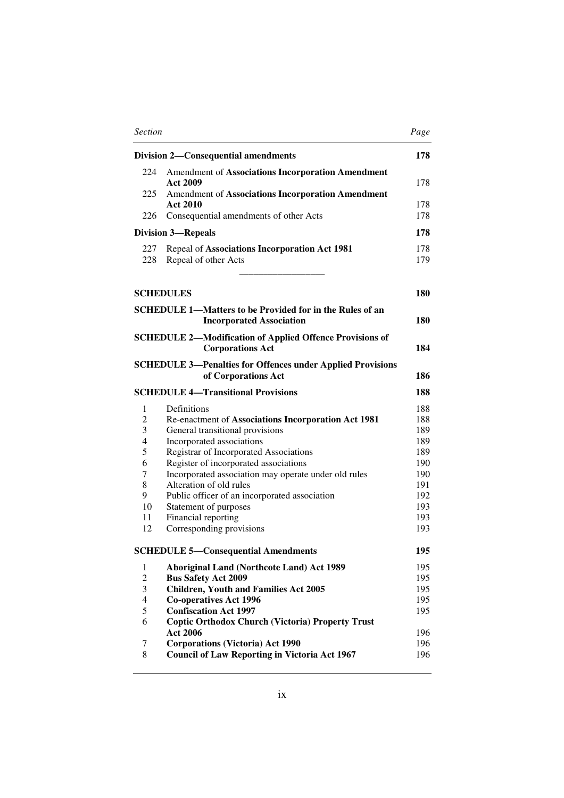| <b>Section</b> |                                                                                                    | Page       |
|----------------|----------------------------------------------------------------------------------------------------|------------|
|                | <b>Division 2—Consequential amendments</b>                                                         | 178        |
| 224            | Amendment of Associations Incorporation Amendment<br><b>Act 2009</b>                               | 178        |
| 225            | Amendment of Associations Incorporation Amendment                                                  |            |
|                | <b>Act 2010</b>                                                                                    | 178        |
| 226            | Consequential amendments of other Acts                                                             | 178        |
|                | <b>Division 3-Repeals</b>                                                                          | 178        |
| 227            | Repeal of Associations Incorporation Act 1981                                                      | 178        |
| 228            | Repeal of other Acts                                                                               | 179        |
|                | <b>SCHEDULES</b>                                                                                   | 180        |
|                | <b>SCHEDULE 1—Matters to be Provided for in the Rules of an</b><br><b>Incorporated Association</b> | 180        |
|                | <b>SCHEDULE 2-Modification of Applied Offence Provisions of</b><br><b>Corporations Act</b>         | 184        |
|                | <b>SCHEDULE 3—Penalties for Offences under Applied Provisions</b><br>of Corporations Act           | 186        |
|                | <b>SCHEDULE 4-Transitional Provisions</b>                                                          | 188        |
| 1              | Definitions                                                                                        | 188        |
| 2              | Re-enactment of Associations Incorporation Act 1981                                                | 188        |
| 3              | General transitional provisions                                                                    | 189        |
| $\overline{4}$ | Incorporated associations                                                                          | 189        |
| 5<br>6         | Registrar of Incorporated Associations                                                             | 189        |
| 7              | Register of incorporated associations<br>Incorporated association may operate under old rules      | 190<br>190 |
| 8              | Alteration of old rules                                                                            | 191        |
| 9              | Public officer of an incorporated association                                                      | 192        |
| 10             | Statement of purposes                                                                              | 193        |
| 11             | Financial reporting                                                                                | 193        |
| 12             | Corresponding provisions                                                                           | 193        |
|                | <b>SCHEDULE 5-Consequential Amendments</b>                                                         | 195        |
| 1              | <b>Aboriginal Land (Northcote Land) Act 1989</b>                                                   | 195        |
| $\overline{c}$ | <b>Bus Safety Act 2009</b>                                                                         | 195        |
| 3              | <b>Children, Youth and Families Act 2005</b>                                                       | 195        |
| $\overline{4}$ | <b>Co-operatives Act 1996</b>                                                                      | 195        |
| 5<br>6         | <b>Confiscation Act 1997</b><br><b>Coptic Orthodox Church (Victoria) Property Trust</b>            | 195        |
|                | <b>Act 2006</b>                                                                                    | 196        |
| 7              | <b>Corporations (Victoria) Act 1990</b>                                                            | 196        |
| 8              | <b>Council of Law Reporting in Victoria Act 1967</b>                                               | 196        |
|                |                                                                                                    |            |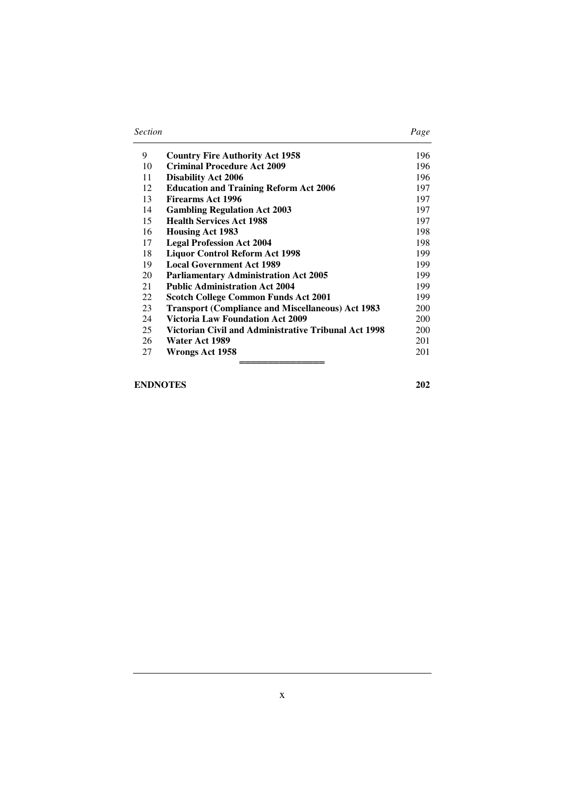| <b>Section</b> | Page |
|----------------|------|
|----------------|------|

| 9  | <b>Country Fire Authority Act 1958</b>                   | 196        |
|----|----------------------------------------------------------|------------|
| 10 | <b>Criminal Procedure Act 2009</b>                       | 196        |
| 11 | <b>Disability Act 2006</b>                               | 196        |
| 12 | <b>Education and Training Reform Act 2006</b>            | 197        |
| 13 | Firearms Act 1996                                        | 197        |
| 14 | <b>Gambling Regulation Act 2003</b>                      | 197        |
| 15 | <b>Health Services Act 1988</b>                          | 197        |
| 16 | <b>Housing Act 1983</b>                                  | 198        |
| 17 | <b>Legal Profession Act 2004</b>                         | 198        |
| 18 | <b>Liquor Control Reform Act 1998</b>                    | 199        |
| 19 | <b>Local Government Act 1989</b>                         | 199        |
| 20 | <b>Parliamentary Administration Act 2005</b>             | 199        |
| 21 | <b>Public Administration Act 2004</b>                    | 199        |
| 22 | <b>Scotch College Common Funds Act 2001</b>              | 199        |
| 23 | <b>Transport (Compliance and Miscellaneous) Act 1983</b> | <b>200</b> |
| 24 | <b>Victoria Law Foundation Act 2009</b>                  | <b>200</b> |
| 25 | Victorian Civil and Administrative Tribunal Act 1998     | 200        |
| 26 | Water Act 1989                                           | 201        |
| 27 | Wrongs Act 1958                                          | 201        |
|    |                                                          |            |

## **ENDNOTES 202**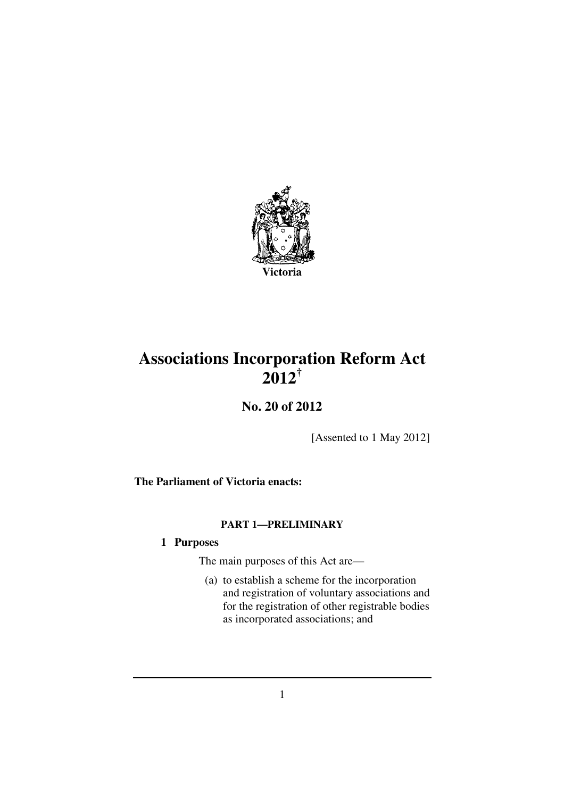

## **Associations Incorporation Reform Act 2012†**

**No. 20 of 2012** 

[Assented to 1 May 2012]

**The Parliament of Victoria enacts:** 

## **PART 1—PRELIMINARY**

## **1 Purposes**

The main purposes of this Act are—

 (a) to establish a scheme for the incorporation and registration of voluntary associations and for the registration of other registrable bodies as incorporated associations; and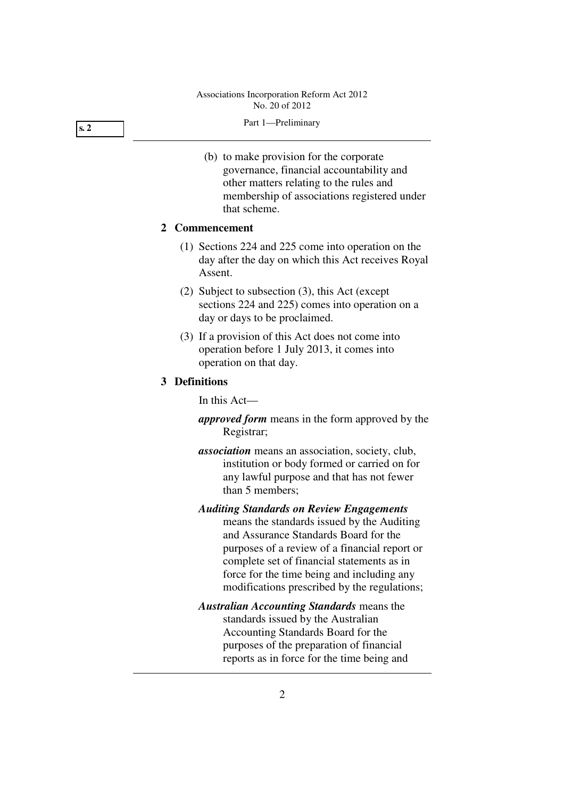#### **s. 2**

- Part 1—Preliminary
- (b) to make provision for the corporate governance, financial accountability and other matters relating to the rules and membership of associations registered under that scheme.

## **2 Commencement**

- (1) Sections 224 and 225 come into operation on the day after the day on which this Act receives Royal Assent.
- (2) Subject to subsection (3), this Act (except sections 224 and 225) comes into operation on a day or days to be proclaimed.
- (3) If a provision of this Act does not come into operation before 1 July 2013, it comes into operation on that day.

## **3 Definitions**

In this Act—

- *approved form* means in the form approved by the Registrar;
- *association* means an association, society, club, institution or body formed or carried on for any lawful purpose and that has not fewer than 5 members;

*Auditing Standards on Review Engagements* means the standards issued by the Auditing and Assurance Standards Board for the purposes of a review of a financial report or complete set of financial statements as in force for the time being and including any modifications prescribed by the regulations;

## *Australian Accounting Standards* means the standards issued by the Australian Accounting Standards Board for the purposes of the preparation of financial reports as in force for the time being and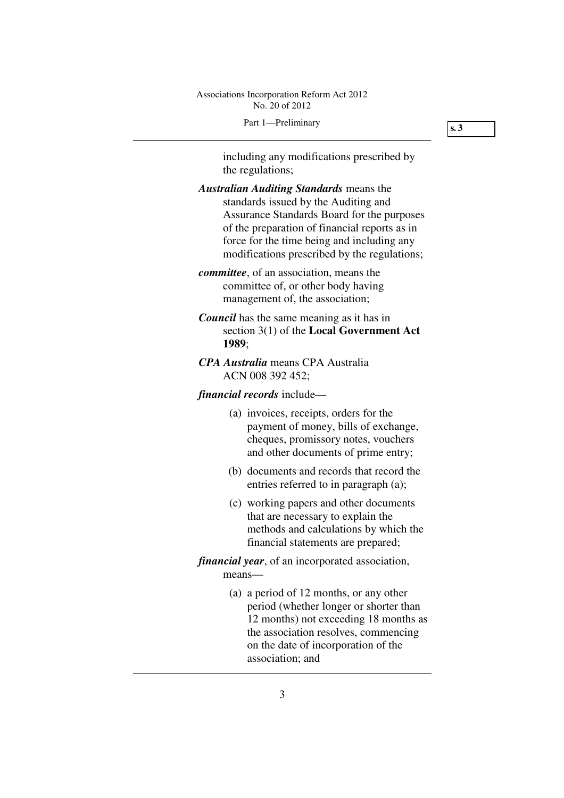#### Part 1—Preliminary

**s. 3** 

including any modifications prescribed by the regulations;

- *Australian Auditing Standards* means the standards issued by the Auditing and Assurance Standards Board for the purposes of the preparation of financial reports as in force for the time being and including any modifications prescribed by the regulations;
- *committee*, of an association, means the committee of, or other body having management of, the association;
- *Council* has the same meaning as it has in section 3(1) of the **Local Government Act 1989**;
- *CPA Australia* means CPA Australia ACN 008 392 452;

## *financial records* include—

- (a) invoices, receipts, orders for the payment of money, bills of exchange, cheques, promissory notes, vouchers and other documents of prime entry;
- (b) documents and records that record the entries referred to in paragraph (a);
- (c) working papers and other documents that are necessary to explain the methods and calculations by which the financial statements are prepared;
- *financial year*, of an incorporated association, means—
	- (a) a period of 12 months, or any other period (whether longer or shorter than 12 months) not exceeding 18 months as the association resolves, commencing on the date of incorporation of the association; and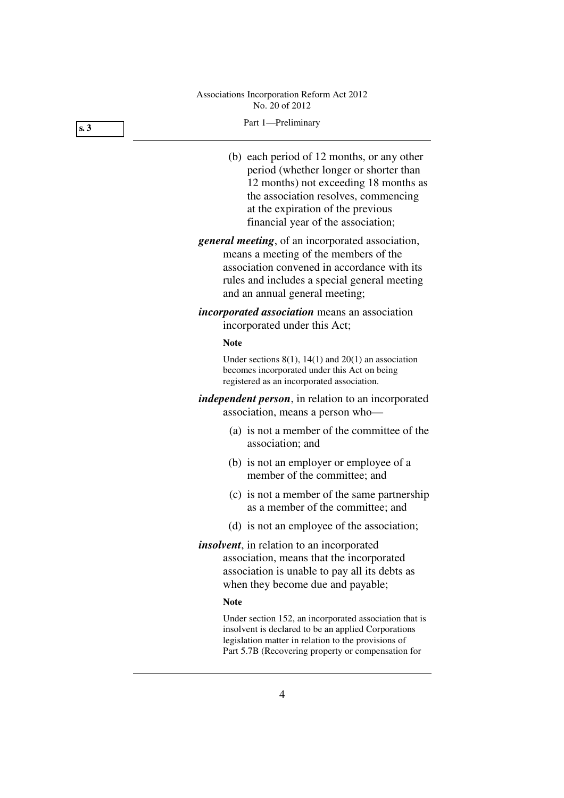#### **s. 3**

#### Part 1—Preliminary

- (b) each period of 12 months, or any other period (whether longer or shorter than 12 months) not exceeding 18 months as the association resolves, commencing at the expiration of the previous financial year of the association;
- *general meeting*, of an incorporated association, means a meeting of the members of the association convened in accordance with its rules and includes a special general meeting and an annual general meeting;
- *incorporated association* means an association incorporated under this Act;

#### **Note**

Under sections  $8(1)$ ,  $14(1)$  and  $20(1)$  an association becomes incorporated under this Act on being registered as an incorporated association.

*independent person*, in relation to an incorporated association, means a person who—

- (a) is not a member of the committee of the association; and
- (b) is not an employer or employee of a member of the committee; and
- (c) is not a member of the same partnership as a member of the committee; and
- (d) is not an employee of the association;
- *insolvent*, in relation to an incorporated association, means that the incorporated association is unable to pay all its debts as when they become due and payable;

#### **Note**

Under section 152, an incorporated association that is insolvent is declared to be an applied Corporations legislation matter in relation to the provisions of Part 5.7B (Recovering property or compensation for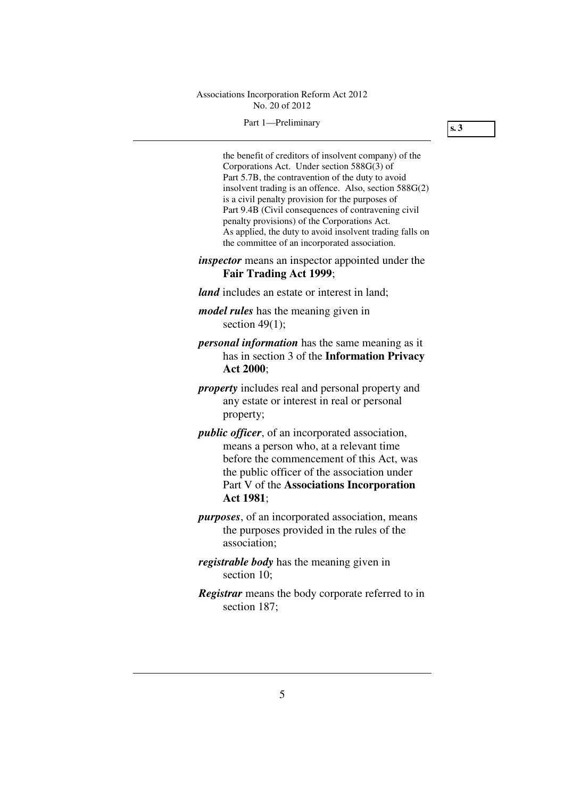#### Part 1—Preliminary

**s. 3** 

the benefit of creditors of insolvent company) of the Corporations Act. Under section 588G(3) of Part 5.7B, the contravention of the duty to avoid insolvent trading is an offence. Also, section 588G(2) is a civil penalty provision for the purposes of Part 9.4B (Civil consequences of contravening civil penalty provisions) of the Corporations Act. As applied, the duty to avoid insolvent trading falls on the committee of an incorporated association.

### *inspector* means an inspector appointed under the **Fair Trading Act 1999**;

- *land* includes an estate or interest in land;
- *model rules* has the meaning given in section 49(1):
- *personal information* has the same meaning as it has in section 3 of the **Information Privacy Act 2000**;
- *property* includes real and personal property and any estate or interest in real or personal property;
- *public officer*, of an incorporated association, means a person who, at a relevant time before the commencement of this Act, was the public officer of the association under Part V of the **Associations Incorporation Act 1981**;
- *purposes*, of an incorporated association, means the purposes provided in the rules of the association;
- *registrable body* has the meaning given in section 10:
- *Registrar* means the body corporate referred to in section 187;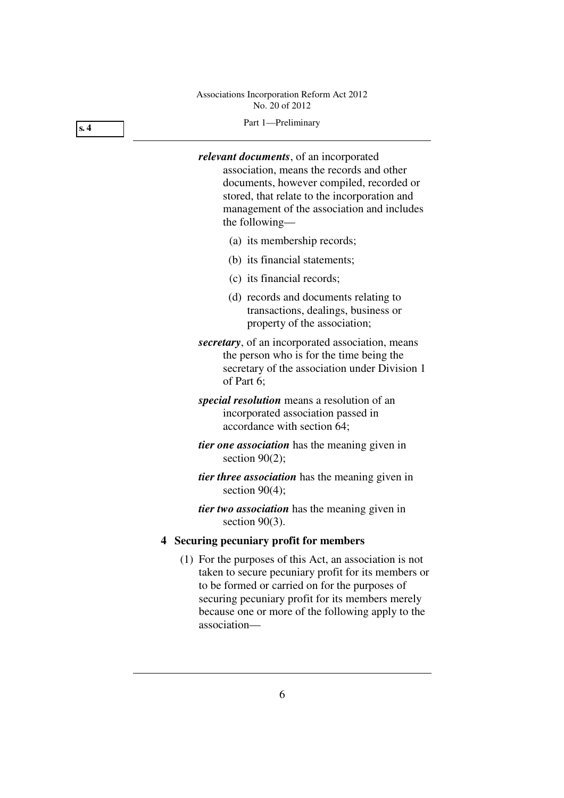## Part 1—Preliminary

*relevant documents*, of an incorporated association, means the records and other documents, however compiled, recorded or stored, that relate to the incorporation and management of the association and includes the following—

- (a) its membership records;
- (b) its financial statements;
- (c) its financial records;
- (d) records and documents relating to transactions, dealings, business or property of the association;
- *secretary*, of an incorporated association, means the person who is for the time being the secretary of the association under Division 1 of Part 6;
- *special resolution* means a resolution of an incorporated association passed in accordance with section 64;
- *tier one association* has the meaning given in section 90(2);
- *tier three association* has the meaning given in section  $90(4)$ ;
- *tier two association* has the meaning given in section 90(3).

## **4 Securing pecuniary profit for members**

 (1) For the purposes of this Act, an association is not taken to secure pecuniary profit for its members or to be formed or carried on for the purposes of securing pecuniary profit for its members merely because one or more of the following apply to the association—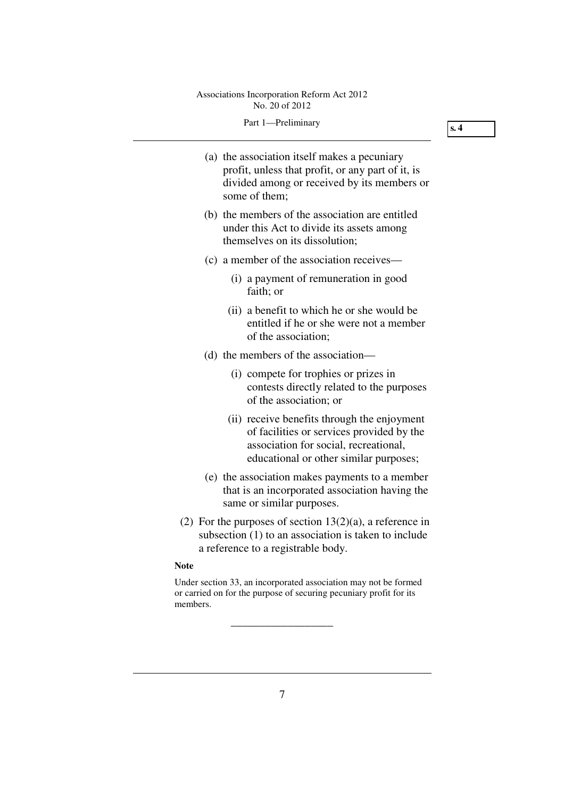#### Part 1—Preliminary

**s. 4** 

| (a) the association itself makes a pecuniary      |
|---------------------------------------------------|
| profit, unless that profit, or any part of it, is |
| divided among or received by its members or       |
| some of them;                                     |
|                                                   |

- (b) the members of the association are entitled under this Act to divide its assets among themselves on its dissolution;
- (c) a member of the association receives—
	- (i) a payment of remuneration in good faith; or
	- (ii) a benefit to which he or she would be entitled if he or she were not a member of the association;
- (d) the members of the association—
	- (i) compete for trophies or prizes in contests directly related to the purposes of the association; or
	- (ii) receive benefits through the enjoyment of facilities or services provided by the association for social, recreational, educational or other similar purposes;
- (e) the association makes payments to a member that is an incorporated association having the same or similar purposes.
- (2) For the purposes of section  $13(2)(a)$ , a reference in subsection (1) to an association is taken to include a reference to a registrable body.

#### **Note**

Under section 33, an incorporated association may not be formed or carried on for the purpose of securing pecuniary profit for its members.

\_\_\_\_\_\_\_\_\_\_\_\_\_\_\_\_\_\_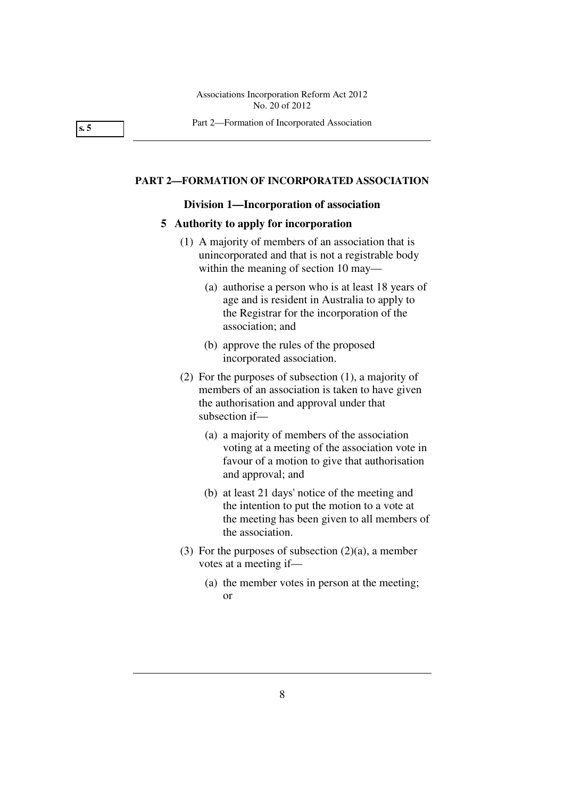**s. 5** 

#### **PART 2—FORMATION OF INCORPORATED ASSOCIATION**

#### **Division 1—Incorporation of association**

#### **5 Authority to apply for incorporation**

- (1) A majority of members of an association that is unincorporated and that is not a registrable body within the meaning of section 10 may—
	- (a) authorise a person who is at least 18 years of age and is resident in Australia to apply to the Registrar for the incorporation of the association; and
	- (b) approve the rules of the proposed incorporated association.
- (2) For the purposes of subsection (1), a majority of members of an association is taken to have given the authorisation and approval under that subsection if—
	- (a) a majority of members of the association voting at a meeting of the association vote in favour of a motion to give that authorisation and approval; and
	- (b) at least 21 days' notice of the meeting and the intention to put the motion to a vote at the meeting has been given to all members of the association.
- (3) For the purposes of subsection  $(2)(a)$ , a member votes at a meeting if—
	- (a) the member votes in person at the meeting; or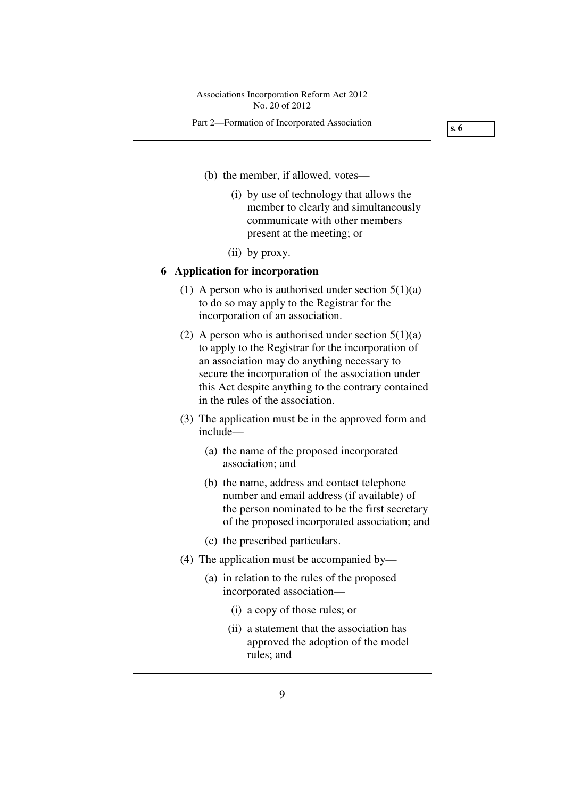#### Part 2—Formation of Incorporated Association

**s. 6** 

- (b) the member, if allowed, votes—
	- (i) by use of technology that allows the member to clearly and simultaneously communicate with other members present at the meeting; or
	- (ii) by proxy.

#### **6 Application for incorporation**

- (1) A person who is authorised under section  $5(1)(a)$ to do so may apply to the Registrar for the incorporation of an association.
- (2) A person who is authorised under section  $5(1)(a)$ to apply to the Registrar for the incorporation of an association may do anything necessary to secure the incorporation of the association under this Act despite anything to the contrary contained in the rules of the association.
- (3) The application must be in the approved form and include—
	- (a) the name of the proposed incorporated association; and
	- (b) the name, address and contact telephone number and email address (if available) of the person nominated to be the first secretary of the proposed incorporated association; and
	- (c) the prescribed particulars.
- (4) The application must be accompanied by—
	- (a) in relation to the rules of the proposed incorporated association—
		- (i) a copy of those rules; or
		- (ii) a statement that the association has approved the adoption of the model rules; and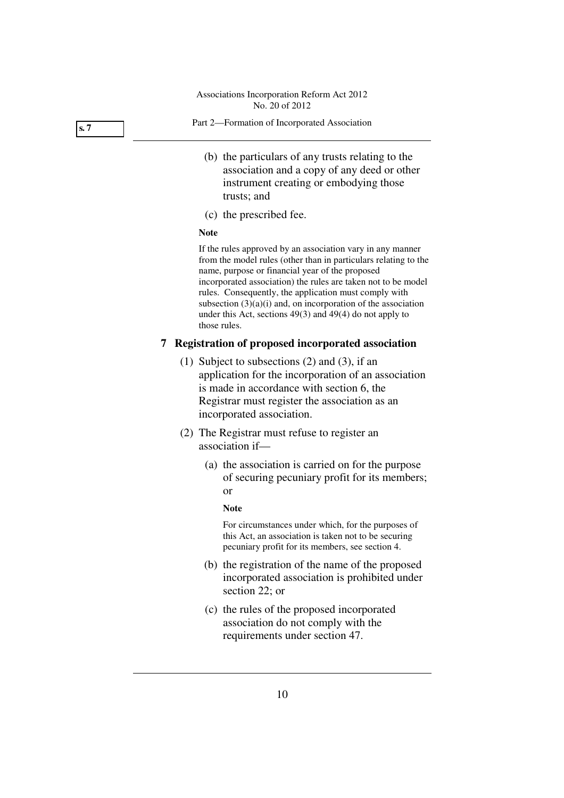**s. 7** 

- Part 2—Formation of Incorporated Association
	- (b) the particulars of any trusts relating to the association and a copy of any deed or other instrument creating or embodying those trusts; and
	- (c) the prescribed fee.

#### **Note**

If the rules approved by an association vary in any manner from the model rules (other than in particulars relating to the name, purpose or financial year of the proposed incorporated association) the rules are taken not to be model rules. Consequently, the application must comply with subsection  $(3)(a)(i)$  and, on incorporation of the association under this Act, sections 49(3) and 49(4) do not apply to those rules.

## **7 Registration of proposed incorporated association**

- (1) Subject to subsections (2) and (3), if an application for the incorporation of an association is made in accordance with section 6, the Registrar must register the association as an incorporated association.
- (2) The Registrar must refuse to register an association if—
	- (a) the association is carried on for the purpose of securing pecuniary profit for its members; or

#### **Note**

For circumstances under which, for the purposes of this Act, an association is taken not to be securing pecuniary profit for its members, see section 4.

- (b) the registration of the name of the proposed incorporated association is prohibited under section 22; or
- (c) the rules of the proposed incorporated association do not comply with the requirements under section 47.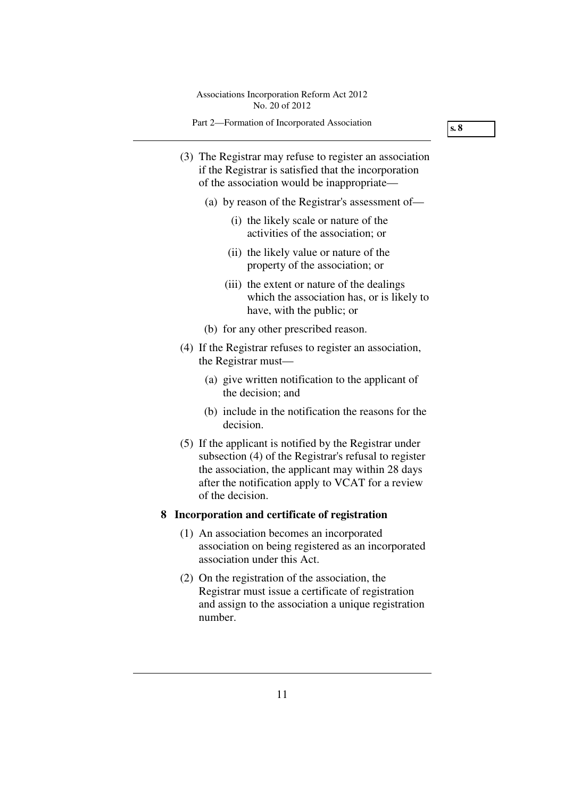Part 2—Formation of Incorporated Association

**s. 8** 

- (3) The Registrar may refuse to register an association if the Registrar is satisfied that the incorporation of the association would be inappropriate—
	- (a) by reason of the Registrar's assessment of—
		- (i) the likely scale or nature of the activities of the association; or
		- (ii) the likely value or nature of the property of the association; or
		- (iii) the extent or nature of the dealings which the association has, or is likely to have, with the public; or
	- (b) for any other prescribed reason.
- (4) If the Registrar refuses to register an association, the Registrar must—
	- (a) give written notification to the applicant of the decision; and
	- (b) include in the notification the reasons for the decision.
- (5) If the applicant is notified by the Registrar under subsection (4) of the Registrar's refusal to register the association, the applicant may within 28 days after the notification apply to VCAT for a review of the decision.

## **8 Incorporation and certificate of registration**

- (1) An association becomes an incorporated association on being registered as an incorporated association under this Act.
- (2) On the registration of the association, the Registrar must issue a certificate of registration and assign to the association a unique registration number.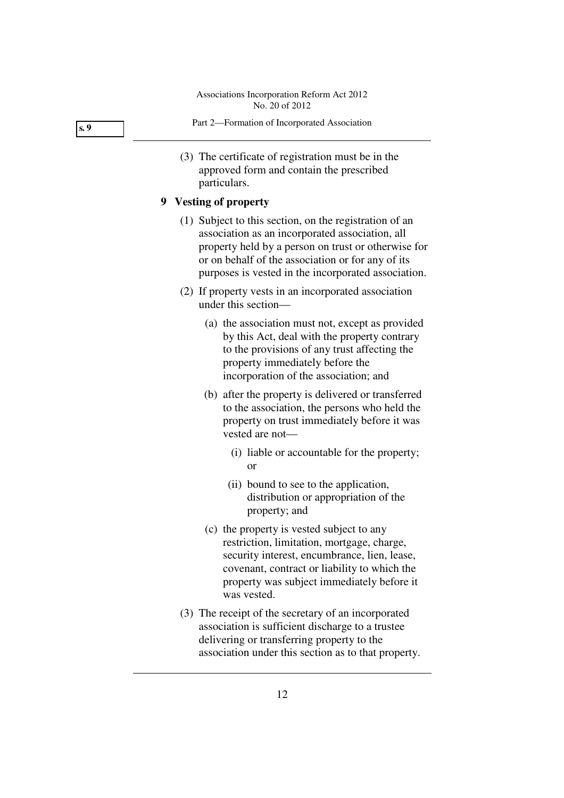**s. 9** 

- Part 2—Formation of Incorporated Association
- (3) The certificate of registration must be in the approved form and contain the prescribed particulars.

## **9 Vesting of property**

- (1) Subject to this section, on the registration of an association as an incorporated association, all property held by a person on trust or otherwise for or on behalf of the association or for any of its purposes is vested in the incorporated association.
- (2) If property vests in an incorporated association under this section—
	- (a) the association must not, except as provided by this Act, deal with the property contrary to the provisions of any trust affecting the property immediately before the incorporation of the association; and
	- (b) after the property is delivered or transferred to the association, the persons who held the property on trust immediately before it was vested are not—
		- (i) liable or accountable for the property; or
		- (ii) bound to see to the application, distribution or appropriation of the property; and
	- (c) the property is vested subject to any restriction, limitation, mortgage, charge, security interest, encumbrance, lien, lease, covenant, contract or liability to which the property was subject immediately before it was vested.
- (3) The receipt of the secretary of an incorporated association is sufficient discharge to a trustee delivering or transferring property to the association under this section as to that property.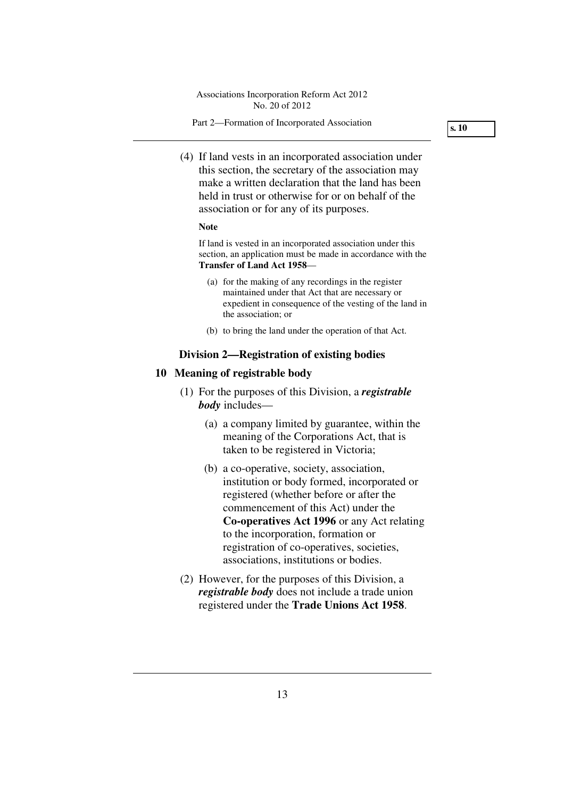Part 2—Formation of Incorporated Association

**s. 10** 

 (4) If land vests in an incorporated association under this section, the secretary of the association may make a written declaration that the land has been held in trust or otherwise for or on behalf of the association or for any of its purposes.

#### **Note**

If land is vested in an incorporated association under this section, an application must be made in accordance with the **Transfer of Land Act 1958**—

- (a) for the making of any recordings in the register maintained under that Act that are necessary or expedient in consequence of the vesting of the land in the association; or
- (b) to bring the land under the operation of that Act.

## **Division 2—Registration of existing bodies**

#### **10 Meaning of registrable body**

- (1) For the purposes of this Division, a *registrable body* includes—
	- (a) a company limited by guarantee, within the meaning of the Corporations Act, that is taken to be registered in Victoria;
	- (b) a co-operative, society, association, institution or body formed, incorporated or registered (whether before or after the commencement of this Act) under the **Co-operatives Act 1996** or any Act relating to the incorporation, formation or registration of co-operatives, societies, associations, institutions or bodies.
- (2) However, for the purposes of this Division, a *registrable body* does not include a trade union registered under the **Trade Unions Act 1958**.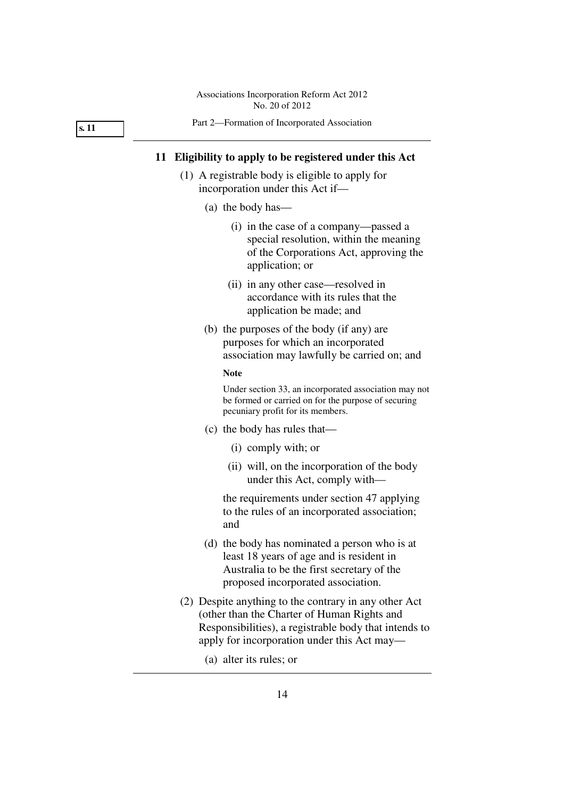**s. 11** 

#### Part 2—Formation of Incorporated Association

#### **11 Eligibility to apply to be registered under this Act**

- (1) A registrable body is eligible to apply for incorporation under this Act if—
	- (a) the body has—
		- (i) in the case of a company—passed a special resolution, within the meaning of the Corporations Act, approving the application; or
		- (ii) in any other case—resolved in accordance with its rules that the application be made; and
	- (b) the purposes of the body (if any) are purposes for which an incorporated association may lawfully be carried on; and

#### **Note**

Under section 33, an incorporated association may not be formed or carried on for the purpose of securing pecuniary profit for its members.

- (c) the body has rules that—
	- (i) comply with; or
	- (ii) will, on the incorporation of the body under this Act, comply with—

the requirements under section 47 applying to the rules of an incorporated association; and

- (d) the body has nominated a person who is at least 18 years of age and is resident in Australia to be the first secretary of the proposed incorporated association.
- (2) Despite anything to the contrary in any other Act (other than the Charter of Human Rights and Responsibilities), a registrable body that intends to apply for incorporation under this Act may—
	- (a) alter its rules; or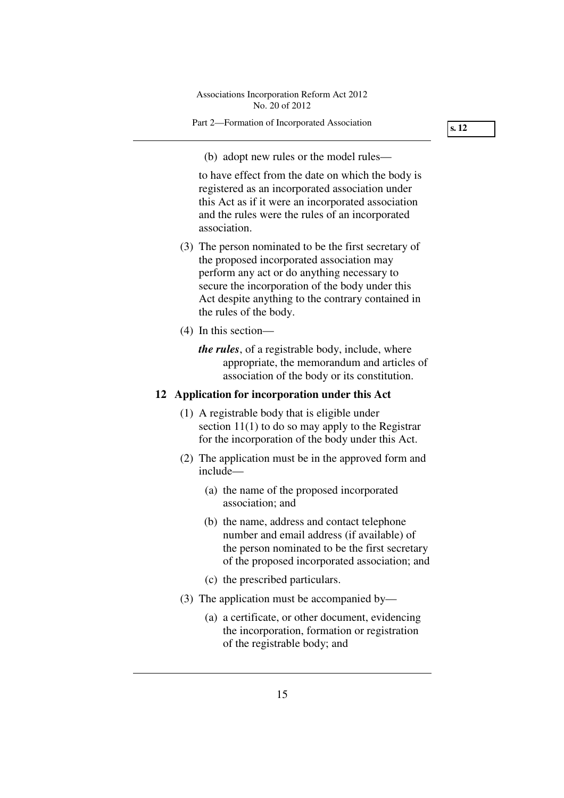(b) adopt new rules or the model rules—

to have effect from the date on which the body is registered as an incorporated association under this Act as if it were an incorporated association and the rules were the rules of an incorporated association.

- (3) The person nominated to be the first secretary of the proposed incorporated association may perform any act or do anything necessary to secure the incorporation of the body under this Act despite anything to the contrary contained in the rules of the body.
- (4) In this section
	- *the rules*, of a registrable body, include, where appropriate, the memorandum and articles of association of the body or its constitution.

## **12 Application for incorporation under this Act**

- (1) A registrable body that is eligible under section 11(1) to do so may apply to the Registrar for the incorporation of the body under this Act.
- (2) The application must be in the approved form and include—
	- (a) the name of the proposed incorporated association; and
	- (b) the name, address and contact telephone number and email address (if available) of the person nominated to be the first secretary of the proposed incorporated association; and
	- (c) the prescribed particulars.
- (3) The application must be accompanied by—
	- (a) a certificate, or other document, evidencing the incorporation, formation or registration of the registrable body; and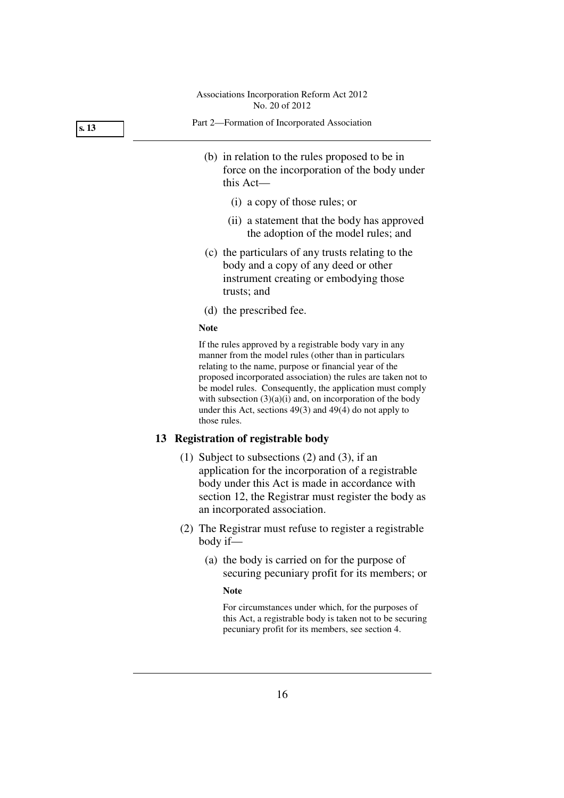**s. 13** 

- Part 2—Formation of Incorporated Association
	- (b) in relation to the rules proposed to be in force on the incorporation of the body under this Act—
		- (i) a copy of those rules; or
		- (ii) a statement that the body has approved the adoption of the model rules; and
	- (c) the particulars of any trusts relating to the body and a copy of any deed or other instrument creating or embodying those trusts; and
	- (d) the prescribed fee.

#### **Note**

If the rules approved by a registrable body vary in any manner from the model rules (other than in particulars relating to the name, purpose or financial year of the proposed incorporated association) the rules are taken not to be model rules. Consequently, the application must comply with subsection  $(3)(a)(i)$  and, on incorporation of the body under this Act, sections  $49(3)$  and  $49(4)$  do not apply to those rules.

## **13 Registration of registrable body**

- (1) Subject to subsections (2) and (3), if an application for the incorporation of a registrable body under this Act is made in accordance with section 12, the Registrar must register the body as an incorporated association.
- (2) The Registrar must refuse to register a registrable body if—
	- (a) the body is carried on for the purpose of securing pecuniary profit for its members; or

#### **Note**

For circumstances under which, for the purposes of this Act, a registrable body is taken not to be securing pecuniary profit for its members, see section 4.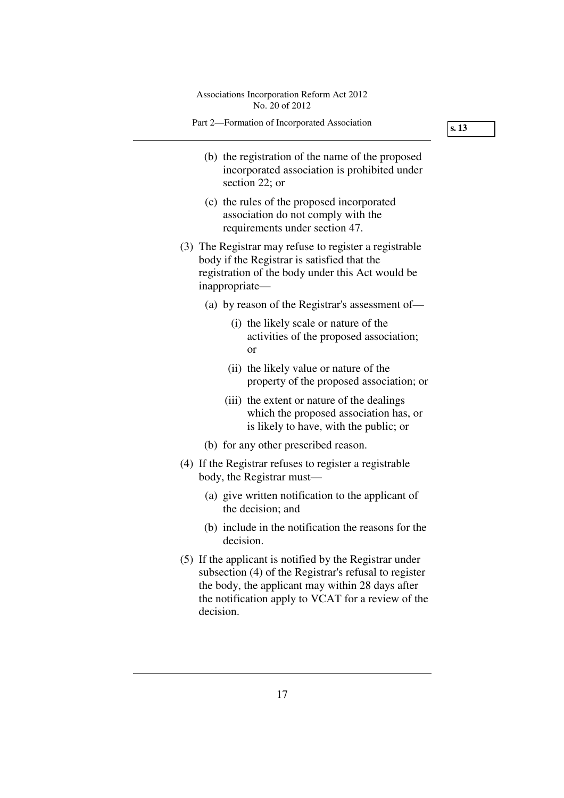| Associations Incorporation Reform Act 2012<br>No. 20 of 2012                                                                                                                                                               |
|----------------------------------------------------------------------------------------------------------------------------------------------------------------------------------------------------------------------------|
| Part 2-Formation of Incorporated Association                                                                                                                                                                               |
| (b) the registration of the name of the proposed<br>incorporated association is prohibited under<br>section 22; or                                                                                                         |
| (c) the rules of the proposed incorporated<br>association do not comply with the<br>requirements under section 47.                                                                                                         |
| (3) The Registrar may refuse to register a registrable<br>body if the Registrar is satisfied that the<br>registration of the body under this Act would be<br>inappropriate-                                                |
| (a) by reason of the Registrar's assessment of—                                                                                                                                                                            |
| (i) the likely scale or nature of the<br>activities of the proposed association;<br>or                                                                                                                                     |
| (ii) the likely value or nature of the<br>property of the proposed association; or                                                                                                                                         |
| (iii) the extent or nature of the dealings<br>which the proposed association has, or<br>is likely to have, with the public; or                                                                                             |
| (b) for any other prescribed reason.                                                                                                                                                                                       |
| (4) If the Registrar refuses to register a registrable<br>body, the Registrar must—                                                                                                                                        |
| (a) give written notification to the applicant of<br>the decision; and                                                                                                                                                     |
| (b) include in the notification the reasons for the<br>decision.                                                                                                                                                           |
| (5) If the applicant is notified by the Registrar under<br>subsection (4) of the Registrar's refusal to register<br>the body, the applicant may within 28 days after<br>the notification apply to VCAT for a review of the |

decision.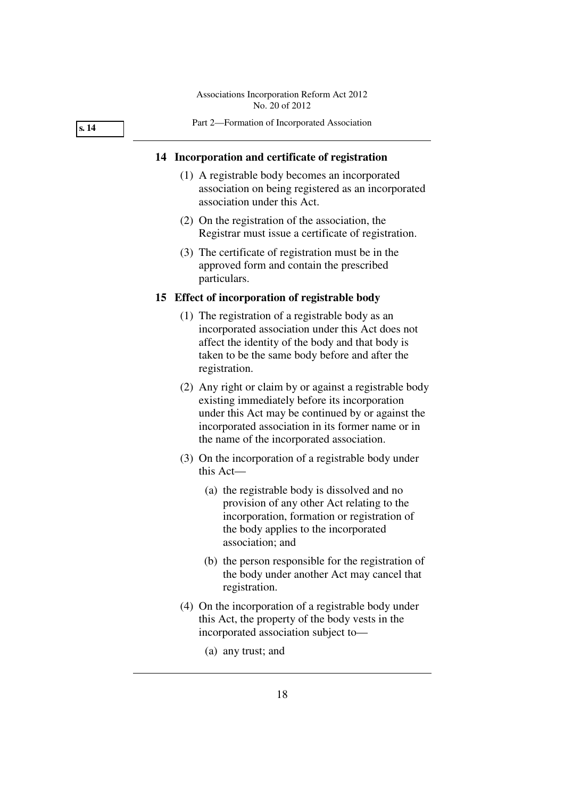Part 2—Formation of Incorporated Association

#### **s. 14**

## **14 Incorporation and certificate of registration**

- (1) A registrable body becomes an incorporated association on being registered as an incorporated association under this Act.
- (2) On the registration of the association, the Registrar must issue a certificate of registration.
- (3) The certificate of registration must be in the approved form and contain the prescribed particulars.

#### **15 Effect of incorporation of registrable body**

- (1) The registration of a registrable body as an incorporated association under this Act does not affect the identity of the body and that body is taken to be the same body before and after the registration.
- (2) Any right or claim by or against a registrable body existing immediately before its incorporation under this Act may be continued by or against the incorporated association in its former name or in the name of the incorporated association.
- (3) On the incorporation of a registrable body under this Act—
	- (a) the registrable body is dissolved and no provision of any other Act relating to the incorporation, formation or registration of the body applies to the incorporated association; and
	- (b) the person responsible for the registration of the body under another Act may cancel that registration.
- (4) On the incorporation of a registrable body under this Act, the property of the body vests in the incorporated association subject to—
	- (a) any trust; and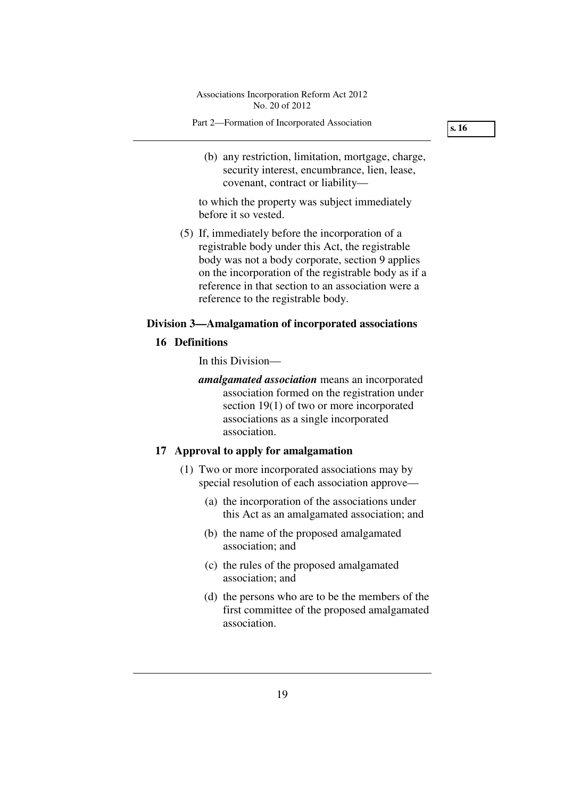Part 2—Formation of Incorporated Association

**s. 16** 

 (b) any restriction, limitation, mortgage, charge, security interest, encumbrance, lien, lease, covenant, contract or liability—

to which the property was subject immediately before it so vested.

 (5) If, immediately before the incorporation of a registrable body under this Act, the registrable body was not a body corporate, section 9 applies on the incorporation of the registrable body as if a reference in that section to an association were a reference to the registrable body.

## **Division 3—Amalgamation of incorporated associations**

#### **16 Definitions**

In this Division—

*amalgamated association* means an incorporated association formed on the registration under section 19(1) of two or more incorporated associations as a single incorporated association.

## **17 Approval to apply for amalgamation**

- (1) Two or more incorporated associations may by special resolution of each association approve—
	- (a) the incorporation of the associations under this Act as an amalgamated association; and
	- (b) the name of the proposed amalgamated association; and
	- (c) the rules of the proposed amalgamated association; and
	- (d) the persons who are to be the members of the first committee of the proposed amalgamated association.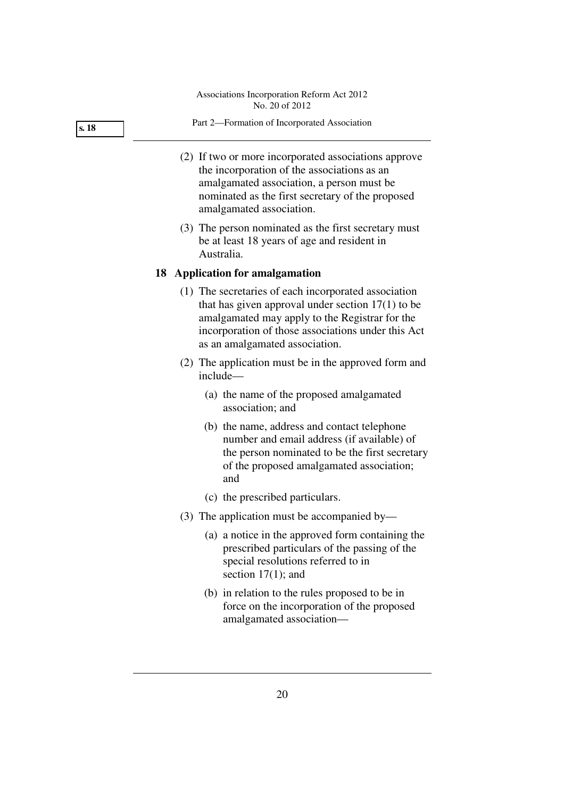#### **s. 18**

#### Part 2—Formation of Incorporated Association

- (2) If two or more incorporated associations approve the incorporation of the associations as an amalgamated association, a person must be nominated as the first secretary of the proposed amalgamated association.
- (3) The person nominated as the first secretary must be at least 18 years of age and resident in Australia.

#### **18 Application for amalgamation**

- (1) The secretaries of each incorporated association that has given approval under section  $17(1)$  to be amalgamated may apply to the Registrar for the incorporation of those associations under this Act as an amalgamated association.
- (2) The application must be in the approved form and include—
	- (a) the name of the proposed amalgamated association; and
	- (b) the name, address and contact telephone number and email address (if available) of the person nominated to be the first secretary of the proposed amalgamated association; and
	- (c) the prescribed particulars.
- (3) The application must be accompanied by—
	- (a) a notice in the approved form containing the prescribed particulars of the passing of the special resolutions referred to in section 17(1); and
	- (b) in relation to the rules proposed to be in force on the incorporation of the proposed amalgamated association—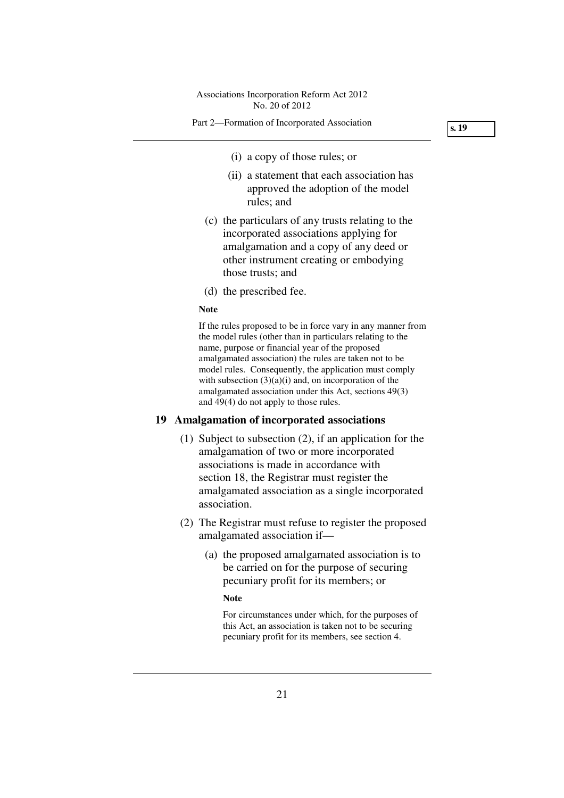#### Part 2—Formation of Incorporated Association

**s. 19** 

- (i) a copy of those rules; or
- (ii) a statement that each association has approved the adoption of the model rules; and
- (c) the particulars of any trusts relating to the incorporated associations applying for amalgamation and a copy of any deed or other instrument creating or embodying those trusts; and
- (d) the prescribed fee.

#### **Note**

If the rules proposed to be in force vary in any manner from the model rules (other than in particulars relating to the name, purpose or financial year of the proposed amalgamated association) the rules are taken not to be model rules. Consequently, the application must comply with subsection  $(3)(a)(i)$  and, on incorporation of the amalgamated association under this Act, sections 49(3) and 49(4) do not apply to those rules.

## **19 Amalgamation of incorporated associations**

- (1) Subject to subsection (2), if an application for the amalgamation of two or more incorporated associations is made in accordance with section 18, the Registrar must register the amalgamated association as a single incorporated association.
- (2) The Registrar must refuse to register the proposed amalgamated association if—
	- (a) the proposed amalgamated association is to be carried on for the purpose of securing pecuniary profit for its members; or

#### **Note**

For circumstances under which, for the purposes of this Act, an association is taken not to be securing pecuniary profit for its members, see section 4.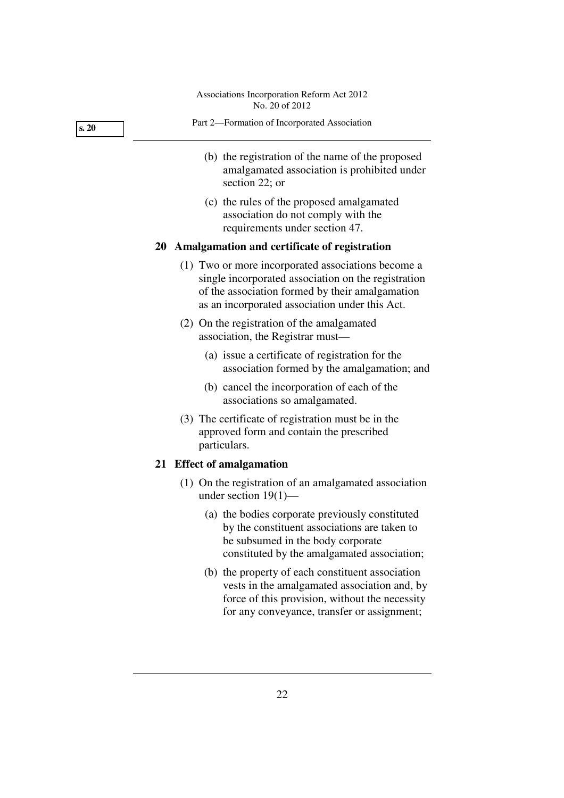| s. 20 | Part 2-Formation of Incorporated Association                                                                      |
|-------|-------------------------------------------------------------------------------------------------------------------|
|       | (b) the registration of the name of the proposed<br>amalgamated association is prohibited under<br>section 22; or |
|       | (c) the rules of the proposed amalgamated<br>association do not comply with the<br>requirements under section 47. |
|       |                                                                                                                   |

## **20 Amalgamation and certificate of registration**

- (1) Two or more incorporated associations become a single incorporated association on the registration of the association formed by their amalgamation as an incorporated association under this Act.
- (2) On the registration of the amalgamated association, the Registrar must—
	- (a) issue a certificate of registration for the association formed by the amalgamation; and
	- (b) cancel the incorporation of each of the associations so amalgamated.
- (3) The certificate of registration must be in the approved form and contain the prescribed particulars.

## **21 Effect of amalgamation**

- (1) On the registration of an amalgamated association under section 19(1)—
	- (a) the bodies corporate previously constituted by the constituent associations are taken to be subsumed in the body corporate constituted by the amalgamated association;
	- (b) the property of each constituent association vests in the amalgamated association and, by force of this provision, without the necessity for any conveyance, transfer or assignment;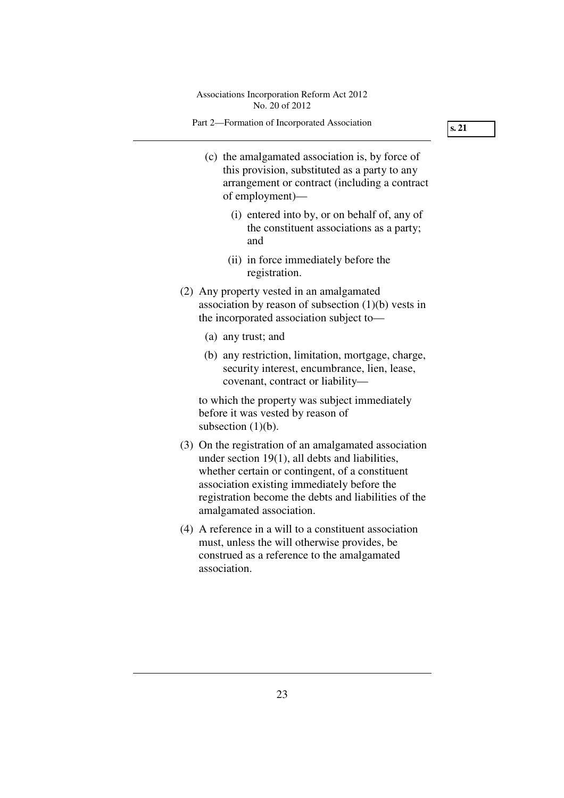Part 2—Formation of Incorporated Association

- (c) the amalgamated association is, by force of this provision, substituted as a party to any arrangement or contract (including a contract of employment)—
	- (i) entered into by, or on behalf of, any of the constituent associations as a party; and
	- (ii) in force immediately before the registration.
- (2) Any property vested in an amalgamated association by reason of subsection (1)(b) vests in the incorporated association subject to—
	- (a) any trust; and
	- (b) any restriction, limitation, mortgage, charge, security interest, encumbrance, lien, lease, covenant, contract or liability—

to which the property was subject immediately before it was vested by reason of subsection  $(1)(b)$ .

- (3) On the registration of an amalgamated association under section 19(1), all debts and liabilities, whether certain or contingent, of a constituent association existing immediately before the registration become the debts and liabilities of the amalgamated association.
- (4) A reference in a will to a constituent association must, unless the will otherwise provides, be construed as a reference to the amalgamated association.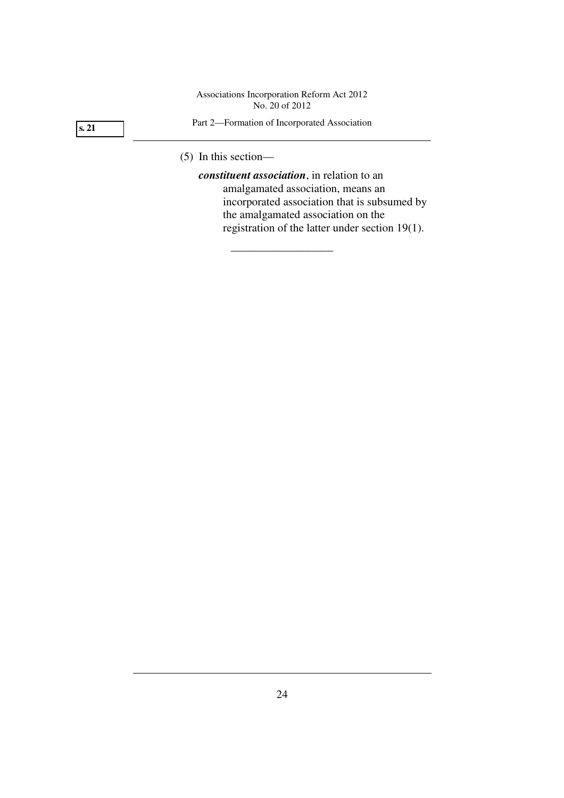## **s. 21**

#### Part 2—Formation of Incorporated Association

\_\_\_\_\_\_\_\_\_\_\_\_\_\_\_\_\_\_

(5) In this section—

*constituent association*, in relation to an amalgamated association, means an incorporated association that is subsumed by the amalgamated association on the registration of the latter under section 19(1).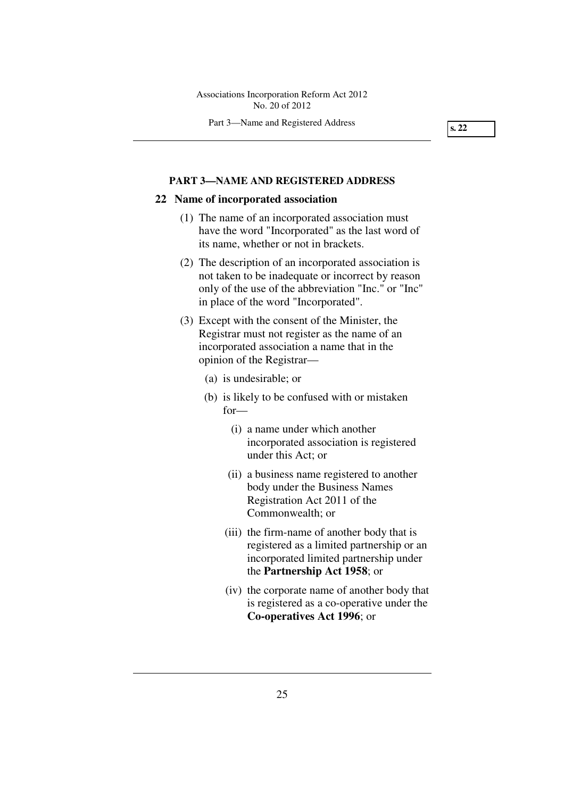Part 3—Name and Registered Address

**s. 22** 

#### **PART 3—NAME AND REGISTERED ADDRESS**

#### **22 Name of incorporated association**

- (1) The name of an incorporated association must have the word "Incorporated" as the last word of its name, whether or not in brackets.
- (2) The description of an incorporated association is not taken to be inadequate or incorrect by reason only of the use of the abbreviation "Inc." or "Inc" in place of the word "Incorporated".
- (3) Except with the consent of the Minister, the Registrar must not register as the name of an incorporated association a name that in the opinion of the Registrar—
	- (a) is undesirable; or
	- (b) is likely to be confused with or mistaken for—
		- (i) a name under which another incorporated association is registered under this Act; or
		- (ii) a business name registered to another body under the Business Names Registration Act 2011 of the Commonwealth; or
		- (iii) the firm-name of another body that is registered as a limited partnership or an incorporated limited partnership under the **Partnership Act 1958**; or
		- (iv) the corporate name of another body that is registered as a co-operative under the **Co-operatives Act 1996**; or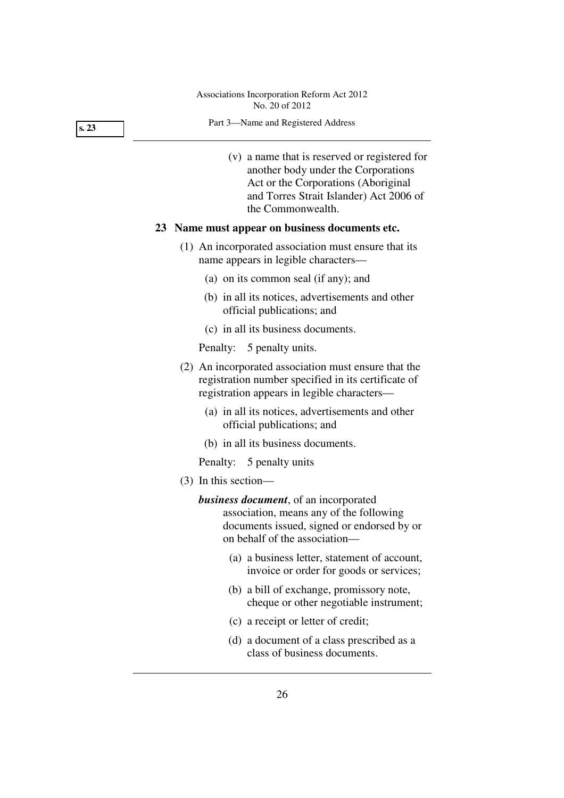#### Part 3—Name and Registered Address

 (v) a name that is reserved or registered for another body under the Corporations Act or the Corporations (Aboriginal and Torres Strait Islander) Act 2006 of the Commonwealth.

#### **23 Name must appear on business documents etc.**

- (1) An incorporated association must ensure that its name appears in legible characters—
	- (a) on its common seal (if any); and
	- (b) in all its notices, advertisements and other official publications; and
	- (c) in all its business documents.

Penalty: 5 penalty units.

- (2) An incorporated association must ensure that the registration number specified in its certificate of registration appears in legible characters—
	- (a) in all its notices, advertisements and other official publications; and
	- (b) in all its business documents.

Penalty: 5 penalty units

(3) In this section—

*business document*, of an incorporated association, means any of the following documents issued, signed or endorsed by or on behalf of the association—

- (a) a business letter, statement of account, invoice or order for goods or services;
- (b) a bill of exchange, promissory note, cheque or other negotiable instrument;
- (c) a receipt or letter of credit;
- (d) a document of a class prescribed as a class of business documents.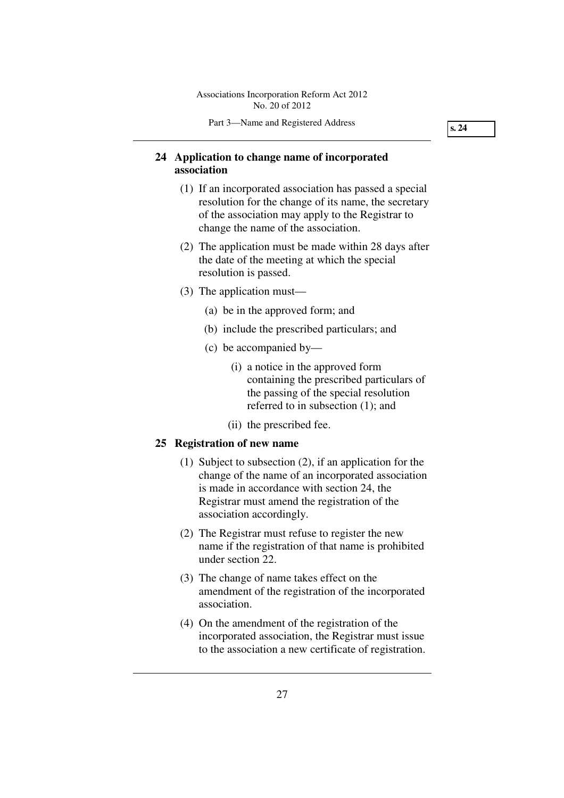**s. 24** 

## **24 Application to change name of incorporated association**

- (1) If an incorporated association has passed a special resolution for the change of its name, the secretary of the association may apply to the Registrar to change the name of the association.
- (2) The application must be made within 28 days after the date of the meeting at which the special resolution is passed.
- (3) The application must—
	- (a) be in the approved form; and
	- (b) include the prescribed particulars; and
	- (c) be accompanied by—
		- (i) a notice in the approved form containing the prescribed particulars of the passing of the special resolution referred to in subsection (1); and
		- (ii) the prescribed fee.

## **25 Registration of new name**

- (1) Subject to subsection (2), if an application for the change of the name of an incorporated association is made in accordance with section 24, the Registrar must amend the registration of the association accordingly.
- (2) The Registrar must refuse to register the new name if the registration of that name is prohibited under section 22.
- (3) The change of name takes effect on the amendment of the registration of the incorporated association.
- (4) On the amendment of the registration of the incorporated association, the Registrar must issue to the association a new certificate of registration.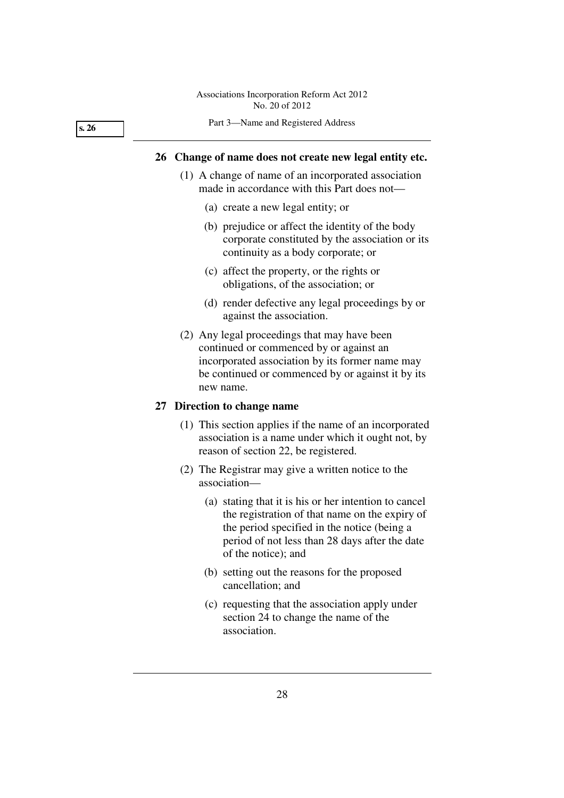**s. 26** 

#### Part 3—Name and Registered Address

### **26 Change of name does not create new legal entity etc.**

- (1) A change of name of an incorporated association made in accordance with this Part does not—
	- (a) create a new legal entity; or
	- (b) prejudice or affect the identity of the body corporate constituted by the association or its continuity as a body corporate; or
	- (c) affect the property, or the rights or obligations, of the association; or
	- (d) render defective any legal proceedings by or against the association.
- (2) Any legal proceedings that may have been continued or commenced by or against an incorporated association by its former name may be continued or commenced by or against it by its new name.

### **27 Direction to change name**

- (1) This section applies if the name of an incorporated association is a name under which it ought not, by reason of section 22, be registered.
- (2) The Registrar may give a written notice to the association—
	- (a) stating that it is his or her intention to cancel the registration of that name on the expiry of the period specified in the notice (being a period of not less than 28 days after the date of the notice); and
	- (b) setting out the reasons for the proposed cancellation; and
	- (c) requesting that the association apply under section 24 to change the name of the association.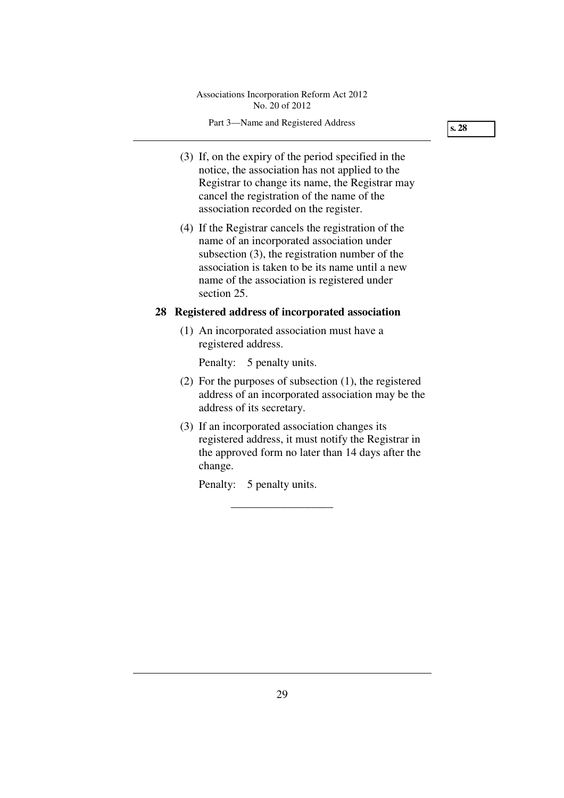- (3) If, on the expiry of the period specified in the notice, the association has not applied to the Registrar to change its name, the Registrar may cancel the registration of the name of the association recorded on the register.
- (4) If the Registrar cancels the registration of the name of an incorporated association under subsection (3), the registration number of the association is taken to be its name until a new name of the association is registered under section 25.

## **28 Registered address of incorporated association**

 (1) An incorporated association must have a registered address.

Penalty: 5 penalty units.

- (2) For the purposes of subsection (1), the registered address of an incorporated association may be the address of its secretary.
- (3) If an incorporated association changes its registered address, it must notify the Registrar in the approved form no later than 14 days after the change.

\_\_\_\_\_\_\_\_\_\_\_\_\_\_\_\_\_\_

Penalty: 5 penalty units.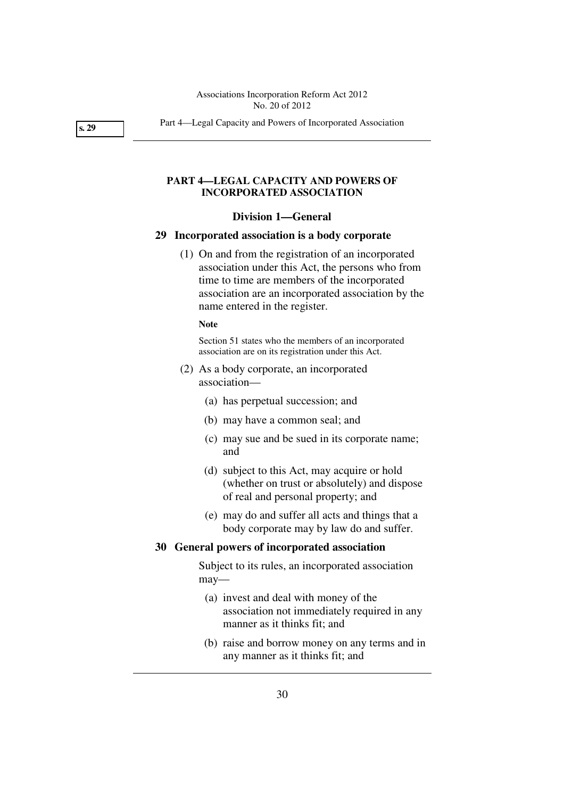**s. 29** 

Part 4—Legal Capacity and Powers of Incorporated Association

## **PART 4—LEGAL CAPACITY AND POWERS OF INCORPORATED ASSOCIATION**

#### **Division 1—General**

## **29 Incorporated association is a body corporate**

 (1) On and from the registration of an incorporated association under this Act, the persons who from time to time are members of the incorporated association are an incorporated association by the name entered in the register.

#### **Note**

Section 51 states who the members of an incorporated association are on its registration under this Act.

- (2) As a body corporate, an incorporated association—
	- (a) has perpetual succession; and
	- (b) may have a common seal; and
	- (c) may sue and be sued in its corporate name; and
	- (d) subject to this Act, may acquire or hold (whether on trust or absolutely) and dispose of real and personal property; and
	- (e) may do and suffer all acts and things that a body corporate may by law do and suffer.

## **30 General powers of incorporated association**

Subject to its rules, an incorporated association may—

- (a) invest and deal with money of the association not immediately required in any manner as it thinks fit; and
- (b) raise and borrow money on any terms and in any manner as it thinks fit; and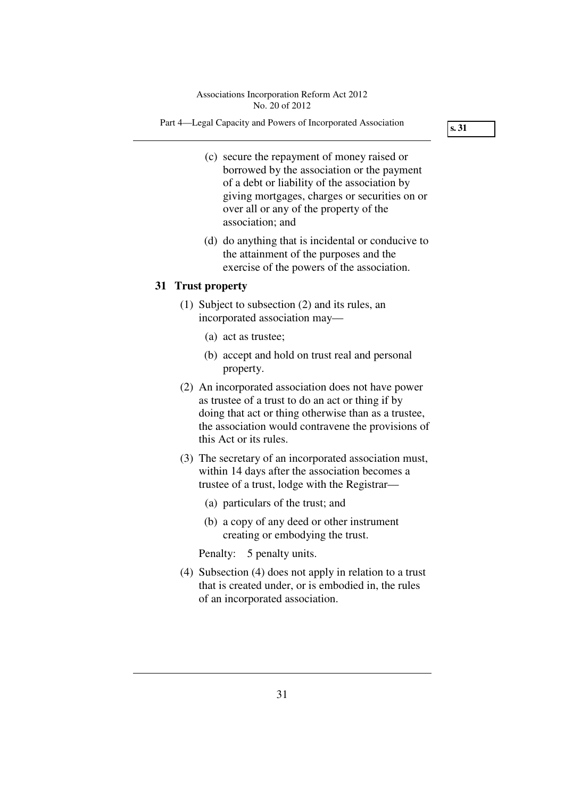Part 4—Legal Capacity and Powers of Incorporated Association

**s. 31** 

- (c) secure the repayment of money raised or borrowed by the association or the payment of a debt or liability of the association by giving mortgages, charges or securities on or over all or any of the property of the association; and
- (d) do anything that is incidental or conducive to the attainment of the purposes and the exercise of the powers of the association.

## **31 Trust property**

- (1) Subject to subsection (2) and its rules, an incorporated association may—
	- (a) act as trustee;
	- (b) accept and hold on trust real and personal property.
- (2) An incorporated association does not have power as trustee of a trust to do an act or thing if by doing that act or thing otherwise than as a trustee, the association would contravene the provisions of this Act or its rules.
- (3) The secretary of an incorporated association must, within 14 days after the association becomes a trustee of a trust, lodge with the Registrar—
	- (a) particulars of the trust; and
	- (b) a copy of any deed or other instrument creating or embodying the trust.

Penalty: 5 penalty units.

 (4) Subsection (4) does not apply in relation to a trust that is created under, or is embodied in, the rules of an incorporated association.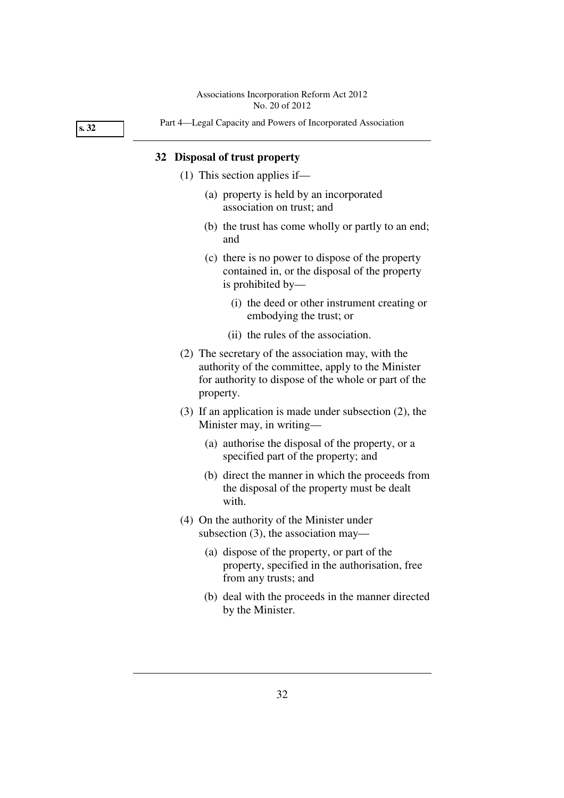**s. 32** 

## Part 4—Legal Capacity and Powers of Incorporated Association

## **32 Disposal of trust property**

- (1) This section applies if—
	- (a) property is held by an incorporated association on trust; and
	- (b) the trust has come wholly or partly to an end; and
	- (c) there is no power to dispose of the property contained in, or the disposal of the property is prohibited by—
		- (i) the deed or other instrument creating or embodying the trust; or
		- (ii) the rules of the association.
- (2) The secretary of the association may, with the authority of the committee, apply to the Minister for authority to dispose of the whole or part of the property.
- (3) If an application is made under subsection (2), the Minister may, in writing—
	- (a) authorise the disposal of the property, or a specified part of the property; and
	- (b) direct the manner in which the proceeds from the disposal of the property must be dealt with.
- (4) On the authority of the Minister under subsection (3), the association may—
	- (a) dispose of the property, or part of the property, specified in the authorisation, free from any trusts; and
	- (b) deal with the proceeds in the manner directed by the Minister.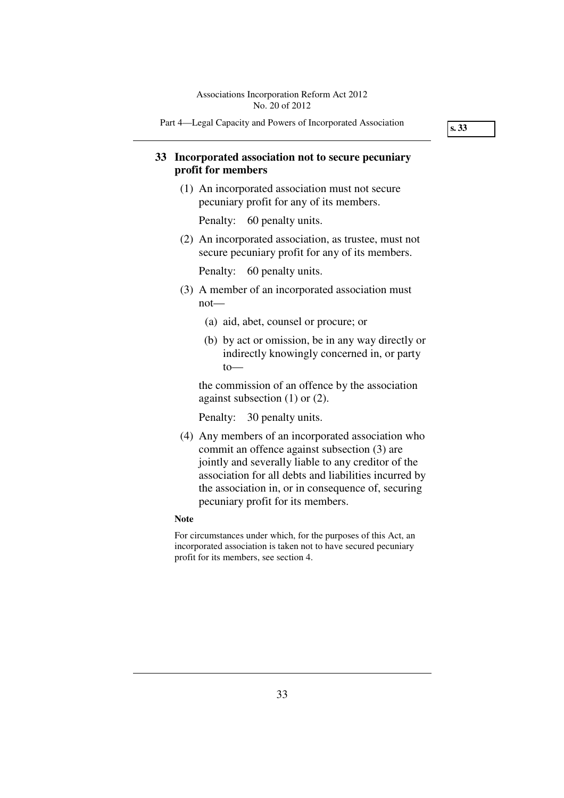Part 4—Legal Capacity and Powers of Incorporated Association

**s. 33** 

# **33 Incorporated association not to secure pecuniary profit for members**

 (1) An incorporated association must not secure pecuniary profit for any of its members.

Penalty: 60 penalty units.

 (2) An incorporated association, as trustee, must not secure pecuniary profit for any of its members.

Penalty: 60 penalty units.

- (3) A member of an incorporated association must not—
	- (a) aid, abet, counsel or procure; or
	- (b) by act or omission, be in any way directly or indirectly knowingly concerned in, or party to—

the commission of an offence by the association against subsection (1) or (2).

Penalty: 30 penalty units.

 (4) Any members of an incorporated association who commit an offence against subsection (3) are jointly and severally liable to any creditor of the association for all debts and liabilities incurred by the association in, or in consequence of, securing pecuniary profit for its members.

#### **Note**

For circumstances under which, for the purposes of this Act, an incorporated association is taken not to have secured pecuniary profit for its members, see section 4.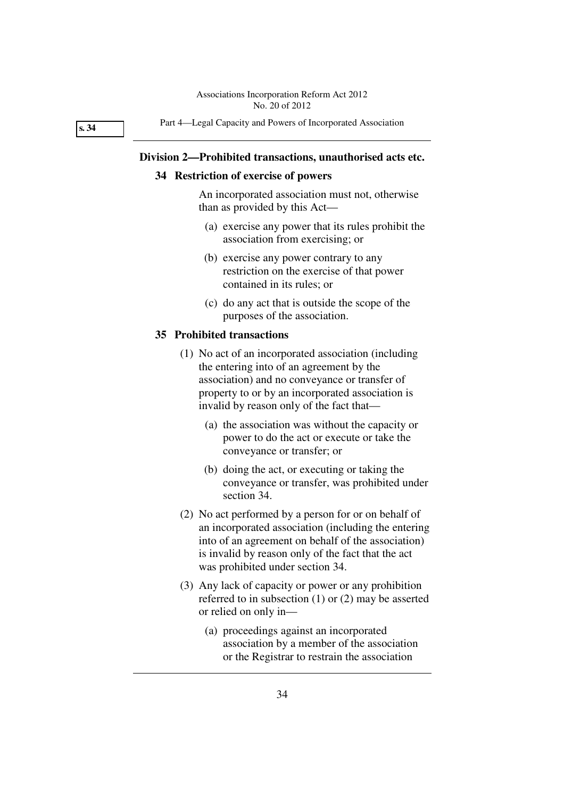**s. 34** 

Part 4—Legal Capacity and Powers of Incorporated Association

### **Division 2—Prohibited transactions, unauthorised acts etc.**

## **34 Restriction of exercise of powers**

An incorporated association must not, otherwise than as provided by this Act—

- (a) exercise any power that its rules prohibit the association from exercising; or
- (b) exercise any power contrary to any restriction on the exercise of that power contained in its rules; or
- (c) do any act that is outside the scope of the purposes of the association.

#### **35 Prohibited transactions**

- (1) No act of an incorporated association (including the entering into of an agreement by the association) and no conveyance or transfer of property to or by an incorporated association is invalid by reason only of the fact that—
	- (a) the association was without the capacity or power to do the act or execute or take the conveyance or transfer; or
	- (b) doing the act, or executing or taking the conveyance or transfer, was prohibited under section 34.
- (2) No act performed by a person for or on behalf of an incorporated association (including the entering into of an agreement on behalf of the association) is invalid by reason only of the fact that the act was prohibited under section 34.
- (3) Any lack of capacity or power or any prohibition referred to in subsection (1) or (2) may be asserted or relied on only in—
	- (a) proceedings against an incorporated association by a member of the association or the Registrar to restrain the association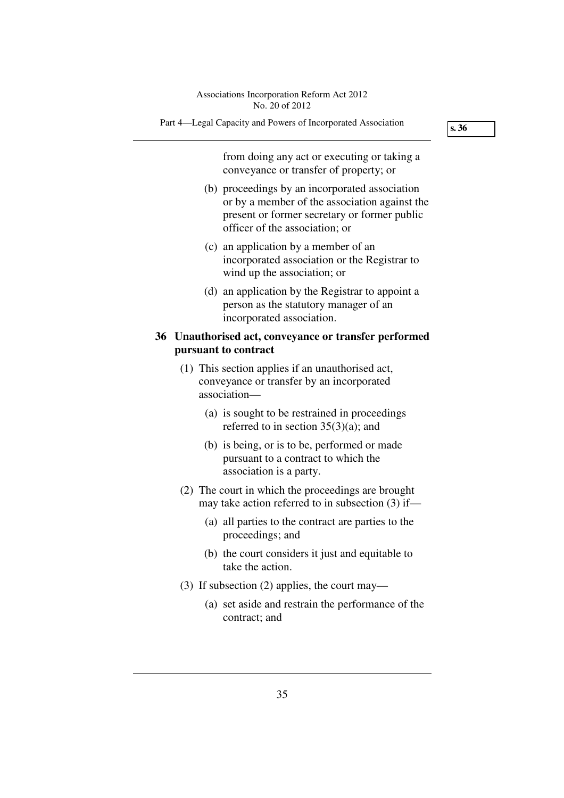**s. 36** 

Part 4—Legal Capacity and Powers of Incorporated Association

from doing any act or executing or taking a conveyance or transfer of property; or

- (b) proceedings by an incorporated association or by a member of the association against the present or former secretary or former public officer of the association; or
- (c) an application by a member of an incorporated association or the Registrar to wind up the association; or
- (d) an application by the Registrar to appoint a person as the statutory manager of an incorporated association.

## **36 Unauthorised act, conveyance or transfer performed pursuant to contract**

- (1) This section applies if an unauthorised act, conveyance or transfer by an incorporated association—
	- (a) is sought to be restrained in proceedings referred to in section 35(3)(a); and
	- (b) is being, or is to be, performed or made pursuant to a contract to which the association is a party.
- (2) The court in which the proceedings are brought may take action referred to in subsection (3) if—
	- (a) all parties to the contract are parties to the proceedings; and
	- (b) the court considers it just and equitable to take the action.
- (3) If subsection (2) applies, the court may—
	- (a) set aside and restrain the performance of the contract; and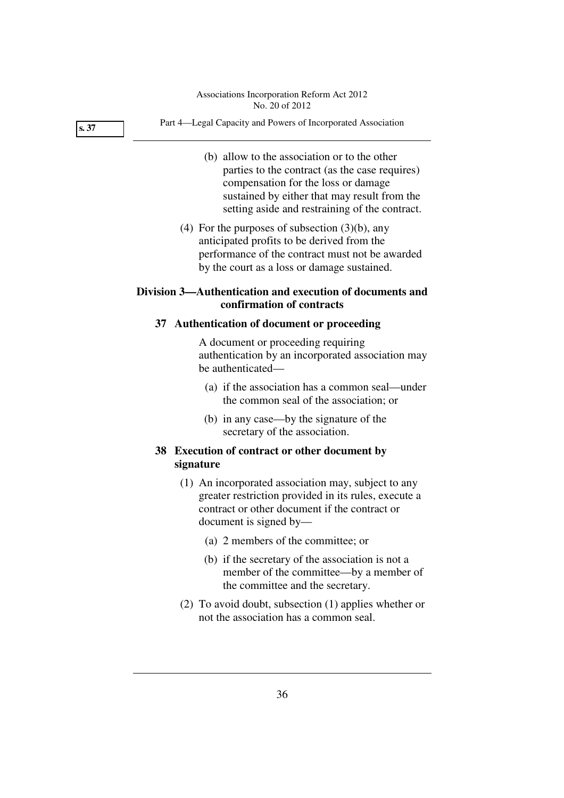|      | Associations Incorporation Reform Act 2012<br>No. 20 of 2012                                                                                                                                                                            |
|------|-----------------------------------------------------------------------------------------------------------------------------------------------------------------------------------------------------------------------------------------|
| s.37 | Part 4-Legal Capacity and Powers of Incorporated Association                                                                                                                                                                            |
|      | (b) allow to the association or to the other<br>parties to the contract (as the case requires)<br>compensation for the loss or damage<br>sustained by either that may result from the<br>setting aside and restraining of the contract. |
|      | (4) For the purposes of subsection $(3)(b)$ , any<br>anticipated profits to be derived from the<br>performance of the contract must not be awarded<br>by the court as a loss or damage sustained.                                       |
|      | Division 3—Authentication and execution of documents and<br>confirmation of contracts                                                                                                                                                   |
|      | 37 Authentication of document or proceeding                                                                                                                                                                                             |
|      | A document or proceeding requiring<br>authentication by an incorporated association may<br>be authenticated-                                                                                                                            |
|      | (a) if the association has a common seal—under<br>the common seal of the association; or                                                                                                                                                |
|      | (b) in any case—by the signature of the<br>secretary of the association.                                                                                                                                                                |
|      | 38 Execution of contract or other document by<br>signature                                                                                                                                                                              |
|      | (1) An incorporated association may, subject to any<br>greater restriction provided in its rules, execute a<br>contract or other document if the contract or<br>document is signed by—                                                  |
|      | (a) 2 members of the committee; or                                                                                                                                                                                                      |
|      | (b) if the secretary of the association is not a<br>member of the committee—by a member of<br>the committee and the secretary.                                                                                                          |
|      | $(2)$ To avoid doubt, subsection $(1)$ applies whether or                                                                                                                                                                               |

not the association has a common seal.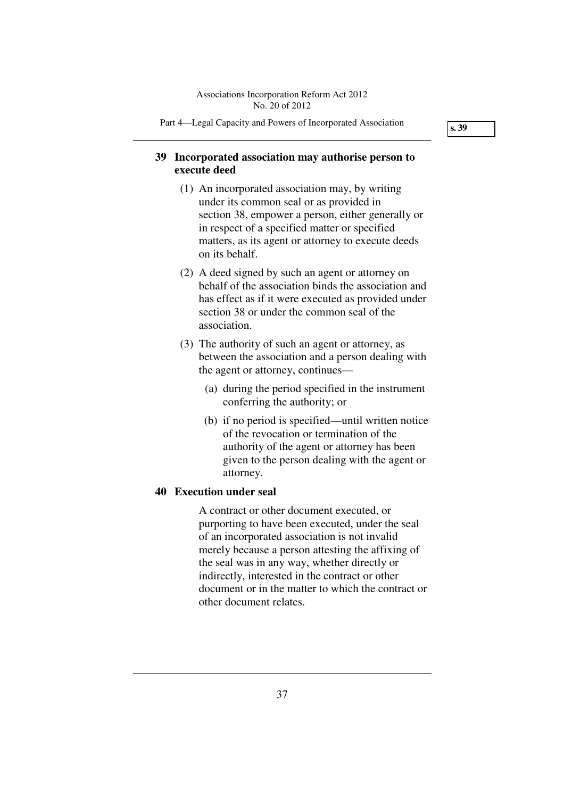Part 4—Legal Capacity and Powers of Incorporated Association

**s. 39** 

## **39 Incorporated association may authorise person to execute deed**

- (1) An incorporated association may, by writing under its common seal or as provided in section 38, empower a person, either generally or in respect of a specified matter or specified matters, as its agent or attorney to execute deeds on its behalf.
- (2) A deed signed by such an agent or attorney on behalf of the association binds the association and has effect as if it were executed as provided under section 38 or under the common seal of the association.
- (3) The authority of such an agent or attorney, as between the association and a person dealing with the agent or attorney, continues—
	- (a) during the period specified in the instrument conferring the authority; or
	- (b) if no period is specified—until written notice of the revocation or termination of the authority of the agent or attorney has been given to the person dealing with the agent or attorney.

## **40 Execution under seal**

A contract or other document executed, or purporting to have been executed, under the seal of an incorporated association is not invalid merely because a person attesting the affixing of the seal was in any way, whether directly or indirectly, interested in the contract or other document or in the matter to which the contract or other document relates.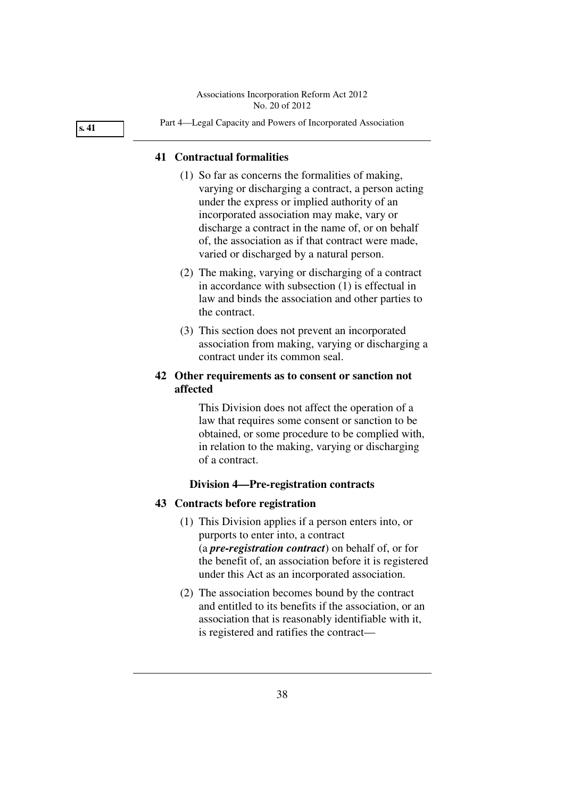**s. 41** 

#### Part 4—Legal Capacity and Powers of Incorporated Association

## **41 Contractual formalities**

- (1) So far as concerns the formalities of making, varying or discharging a contract, a person acting under the express or implied authority of an incorporated association may make, vary or discharge a contract in the name of, or on behalf of, the association as if that contract were made, varied or discharged by a natural person.
- (2) The making, varying or discharging of a contract in accordance with subsection (1) is effectual in law and binds the association and other parties to the contract.
- (3) This section does not prevent an incorporated association from making, varying or discharging a contract under its common seal.

## **42 Other requirements as to consent or sanction not affected**

This Division does not affect the operation of a law that requires some consent or sanction to be obtained, or some procedure to be complied with, in relation to the making, varying or discharging of a contract.

## **Division 4—Pre-registration contracts**

## **43 Contracts before registration**

- (1) This Division applies if a person enters into, or purports to enter into, a contract (a *pre-registration contract*) on behalf of, or for the benefit of, an association before it is registered under this Act as an incorporated association.
- (2) The association becomes bound by the contract and entitled to its benefits if the association, or an association that is reasonably identifiable with it, is registered and ratifies the contract—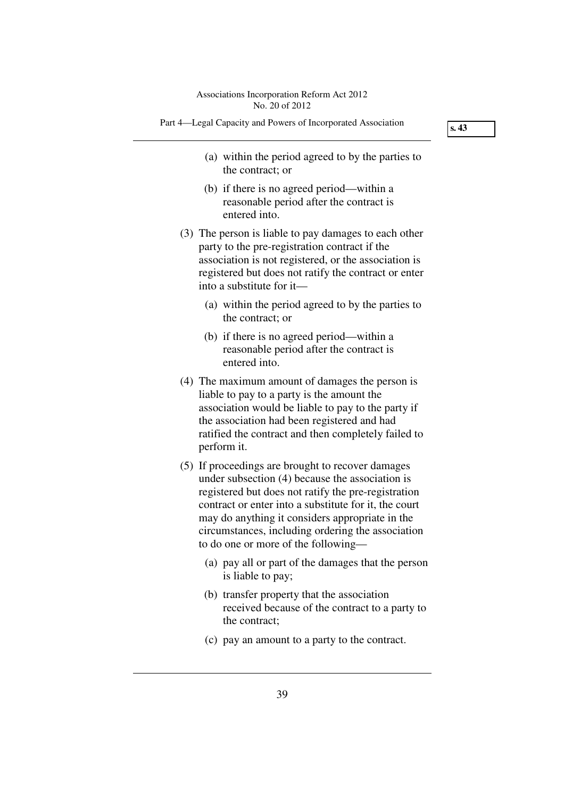- Part 4—Legal Capacity and Powers of Incorporated Association
	- (a) within the period agreed to by the parties to the contract; or
	- (b) if there is no agreed period—within a reasonable period after the contract is entered into.
	- (3) The person is liable to pay damages to each other party to the pre-registration contract if the association is not registered, or the association is registered but does not ratify the contract or enter into a substitute for it—
		- (a) within the period agreed to by the parties to the contract; or
		- (b) if there is no agreed period—within a reasonable period after the contract is entered into.
	- (4) The maximum amount of damages the person is liable to pay to a party is the amount the association would be liable to pay to the party if the association had been registered and had ratified the contract and then completely failed to perform it.
	- (5) If proceedings are brought to recover damages under subsection (4) because the association is registered but does not ratify the pre-registration contract or enter into a substitute for it, the court may do anything it considers appropriate in the circumstances, including ordering the association to do one or more of the following—
		- (a) pay all or part of the damages that the person is liable to pay;
		- (b) transfer property that the association received because of the contract to a party to the contract;
		- (c) pay an amount to a party to the contract.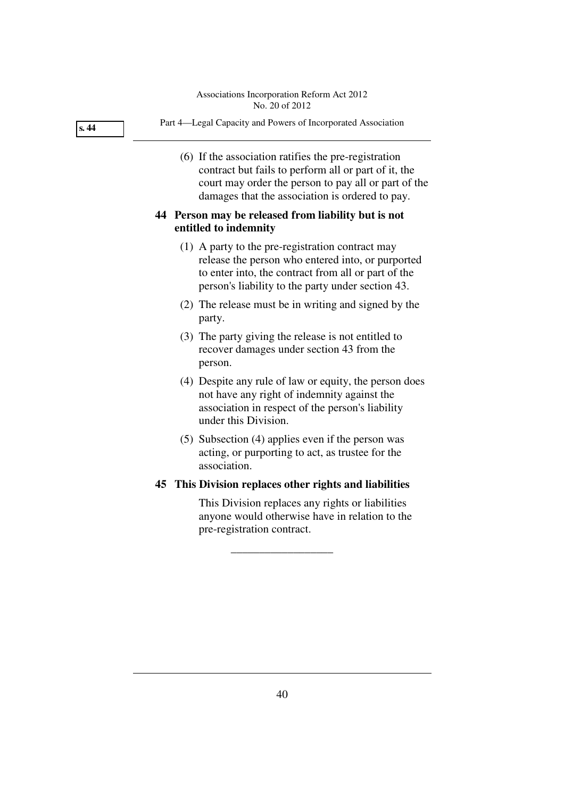| s.44 | Part 4—Legal Capacity and Powers of Incorporated Association                                                                                                                                                            |
|------|-------------------------------------------------------------------------------------------------------------------------------------------------------------------------------------------------------------------------|
|      | (6) If the association ratifies the pre-registration<br>contract but fails to perform all or part of it, the<br>court may order the person to pay all or part of the<br>damages that the association is ordered to pay. |
|      | 44 Person may be released from liability but is not<br>entitled to indemnity                                                                                                                                            |
|      | (1) A party to the pre-registration contract may                                                                                                                                                                        |

- release the person who entered into, or purported to enter into, the contract from all or part of the person's liability to the party under section 43.
- (2) The release must be in writing and signed by the party.
- (3) The party giving the release is not entitled to recover damages under section 43 from the person.
- (4) Despite any rule of law or equity, the person does not have any right of indemnity against the association in respect of the person's liability under this Division.
- (5) Subsection (4) applies even if the person was acting, or purporting to act, as trustee for the association.

# **45 This Division replaces other rights and liabilities**

\_\_\_\_\_\_\_\_\_\_\_\_\_\_\_\_\_\_

This Division replaces any rights or liabilities anyone would otherwise have in relation to the pre-registration contract.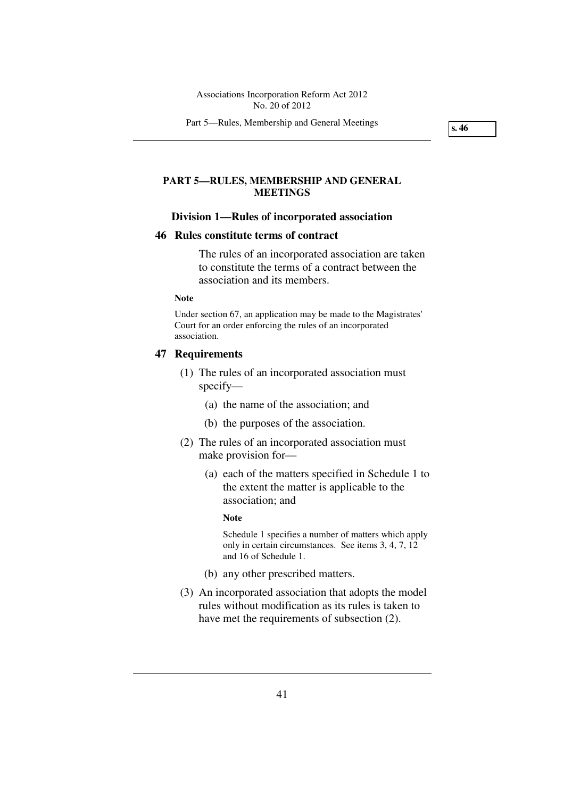Part 5—Rules, Membership and General Meetings

**s. 46** 

## **PART 5—RULES, MEMBERSHIP AND GENERAL MEETINGS**

#### **Division 1—Rules of incorporated association**

### **46 Rules constitute terms of contract**

The rules of an incorporated association are taken to constitute the terms of a contract between the association and its members.

### **Note**

Under section 67, an application may be made to the Magistrates' Court for an order enforcing the rules of an incorporated association.

#### **47 Requirements**

- (1) The rules of an incorporated association must specify—
	- (a) the name of the association; and
	- (b) the purposes of the association.
- (2) The rules of an incorporated association must make provision for—
	- (a) each of the matters specified in Schedule 1 to the extent the matter is applicable to the association; and

#### **Note**

Schedule 1 specifies a number of matters which apply only in certain circumstances. See items 3, 4, 7, 12 and 16 of Schedule 1.

- (b) any other prescribed matters.
- (3) An incorporated association that adopts the model rules without modification as its rules is taken to have met the requirements of subsection (2).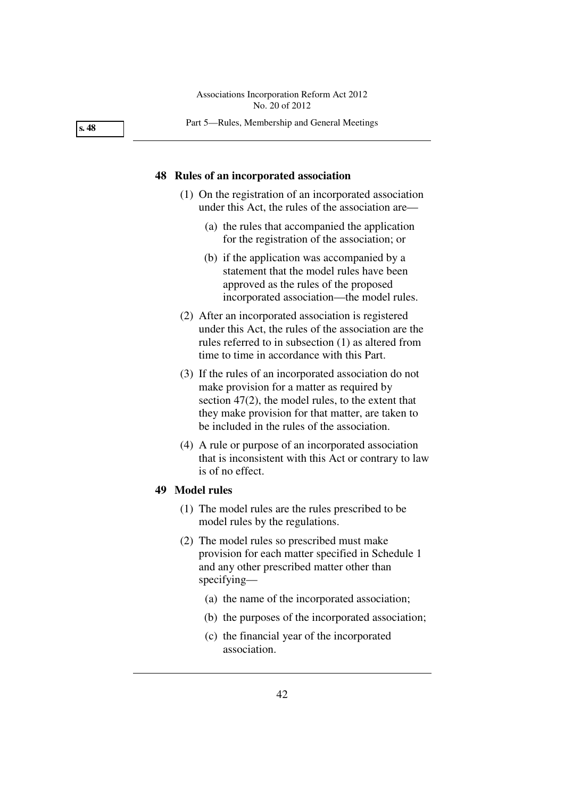Part 5—Rules, Membership and General Meetings

## **48 Rules of an incorporated association**

- (1) On the registration of an incorporated association under this Act, the rules of the association are—
	- (a) the rules that accompanied the application for the registration of the association; or
	- (b) if the application was accompanied by a statement that the model rules have been approved as the rules of the proposed incorporated association—the model rules.
- (2) After an incorporated association is registered under this Act, the rules of the association are the rules referred to in subsection (1) as altered from time to time in accordance with this Part.
- (3) If the rules of an incorporated association do not make provision for a matter as required by section 47(2), the model rules, to the extent that they make provision for that matter, are taken to be included in the rules of the association.
- (4) A rule or purpose of an incorporated association that is inconsistent with this Act or contrary to law is of no effect.

## **49 Model rules**

- (1) The model rules are the rules prescribed to be model rules by the regulations.
- (2) The model rules so prescribed must make provision for each matter specified in Schedule 1 and any other prescribed matter other than specifying—
	- (a) the name of the incorporated association;
	- (b) the purposes of the incorporated association;
	- (c) the financial year of the incorporated association.

**s. 48**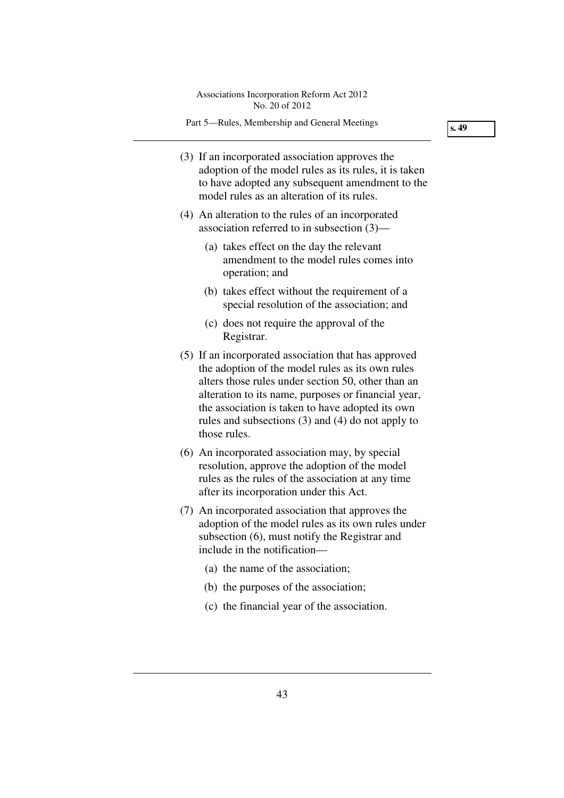Part 5—Rules, Membership and General Meetings

- (3) If an incorporated association approves the adoption of the model rules as its rules, it is taken to have adopted any subsequent amendment to the model rules as an alteration of its rules.
- (4) An alteration to the rules of an incorporated association referred to in subsection (3)—
	- (a) takes effect on the day the relevant amendment to the model rules comes into operation; and
	- (b) takes effect without the requirement of a special resolution of the association; and
	- (c) does not require the approval of the Registrar.
- (5) If an incorporated association that has approved the adoption of the model rules as its own rules alters those rules under section 50, other than an alteration to its name, purposes or financial year, the association is taken to have adopted its own rules and subsections (3) and (4) do not apply to those rules.
- (6) An incorporated association may, by special resolution, approve the adoption of the model rules as the rules of the association at any time after its incorporation under this Act.
- (7) An incorporated association that approves the adoption of the model rules as its own rules under subsection (6), must notify the Registrar and include in the notification—
	- (a) the name of the association;
	- (b) the purposes of the association;
	- (c) the financial year of the association.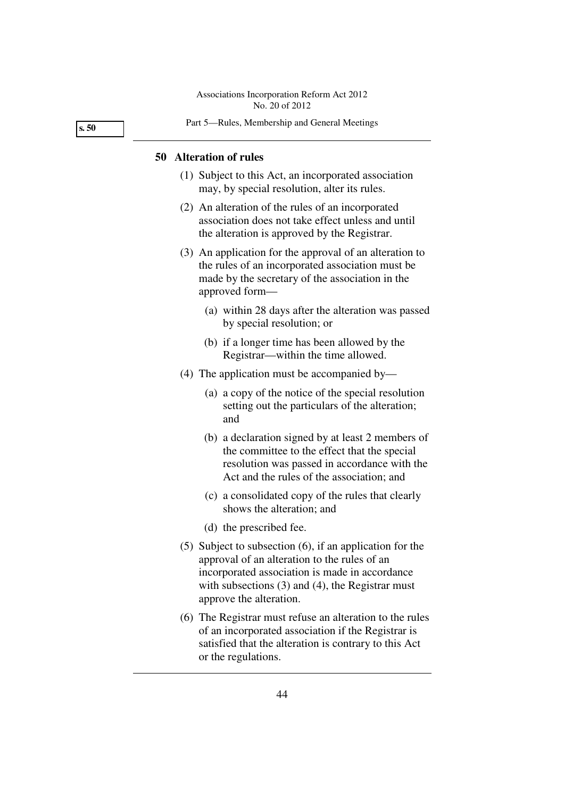**s. 50** 

#### Part 5—Rules, Membership and General Meetings

#### **50 Alteration of rules**

- (1) Subject to this Act, an incorporated association may, by special resolution, alter its rules.
- (2) An alteration of the rules of an incorporated association does not take effect unless and until the alteration is approved by the Registrar.
- (3) An application for the approval of an alteration to the rules of an incorporated association must be made by the secretary of the association in the approved form—
	- (a) within 28 days after the alteration was passed by special resolution; or
	- (b) if a longer time has been allowed by the Registrar—within the time allowed.
- (4) The application must be accompanied by—
	- (a) a copy of the notice of the special resolution setting out the particulars of the alteration; and
	- (b) a declaration signed by at least 2 members of the committee to the effect that the special resolution was passed in accordance with the Act and the rules of the association; and
	- (c) a consolidated copy of the rules that clearly shows the alteration; and
	- (d) the prescribed fee.
- (5) Subject to subsection (6), if an application for the approval of an alteration to the rules of an incorporated association is made in accordance with subsections (3) and (4), the Registrar must approve the alteration.
- (6) The Registrar must refuse an alteration to the rules of an incorporated association if the Registrar is satisfied that the alteration is contrary to this Act or the regulations.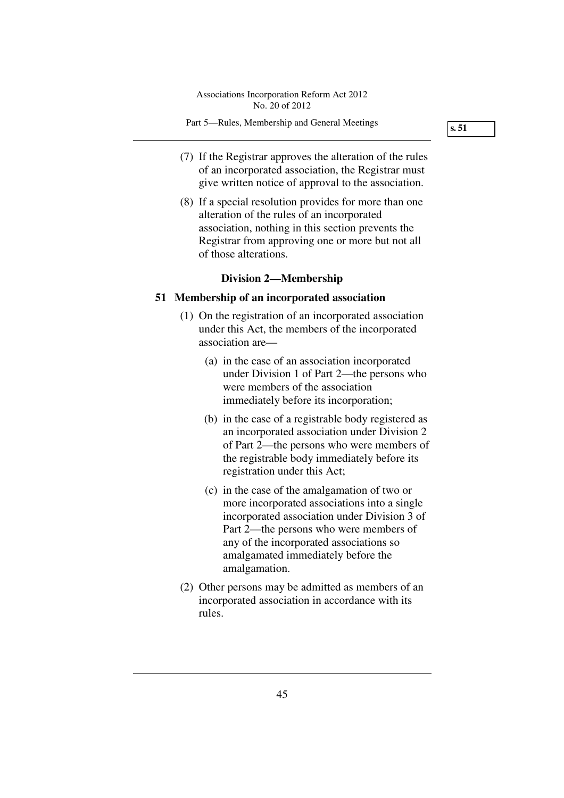**s. 51** 

- (7) If the Registrar approves the alteration of the rules of an incorporated association, the Registrar must give written notice of approval to the association.
- (8) If a special resolution provides for more than one alteration of the rules of an incorporated association, nothing in this section prevents the Registrar from approving one or more but not all of those alterations.

## **Division 2—Membership**

### **51 Membership of an incorporated association**

- (1) On the registration of an incorporated association under this Act, the members of the incorporated association are—
	- (a) in the case of an association incorporated under Division 1 of Part 2—the persons who were members of the association immediately before its incorporation;
	- (b) in the case of a registrable body registered as an incorporated association under Division 2 of Part 2—the persons who were members of the registrable body immediately before its registration under this Act;
	- (c) in the case of the amalgamation of two or more incorporated associations into a single incorporated association under Division 3 of Part 2—the persons who were members of any of the incorporated associations so amalgamated immediately before the amalgamation.
- (2) Other persons may be admitted as members of an incorporated association in accordance with its rules.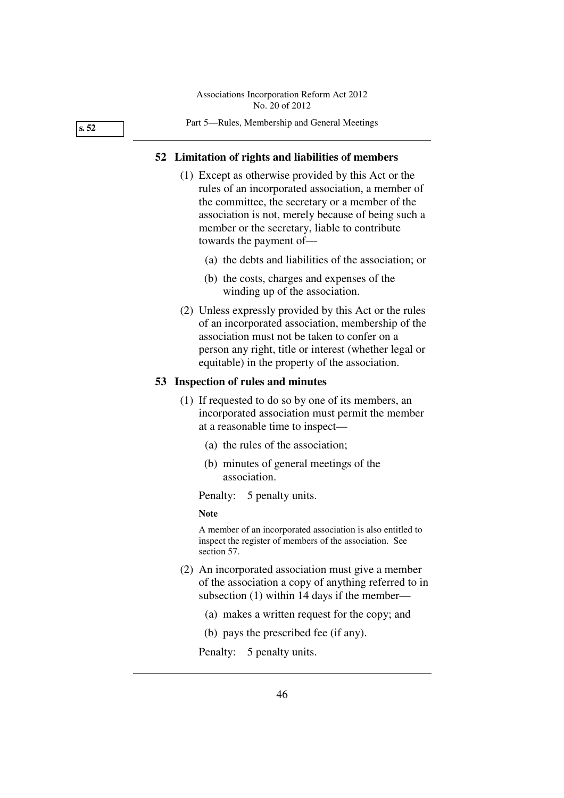**s. 52** 

#### Part 5—Rules, Membership and General Meetings

### **52 Limitation of rights and liabilities of members**

- (1) Except as otherwise provided by this Act or the rules of an incorporated association, a member of the committee, the secretary or a member of the association is not, merely because of being such a member or the secretary, liable to contribute towards the payment of—
	- (a) the debts and liabilities of the association; or
	- (b) the costs, charges and expenses of the winding up of the association.
- (2) Unless expressly provided by this Act or the rules of an incorporated association, membership of the association must not be taken to confer on a person any right, title or interest (whether legal or equitable) in the property of the association.

## **53 Inspection of rules and minutes**

- (1) If requested to do so by one of its members, an incorporated association must permit the member at a reasonable time to inspect—
	- (a) the rules of the association;
	- (b) minutes of general meetings of the association.

Penalty: 5 penalty units.

#### **Note**

A member of an incorporated association is also entitled to inspect the register of members of the association. See section 57.

- (2) An incorporated association must give a member of the association a copy of anything referred to in subsection (1) within 14 days if the member—
	- (a) makes a written request for the copy; and
	- (b) pays the prescribed fee (if any).

Penalty: 5 penalty units.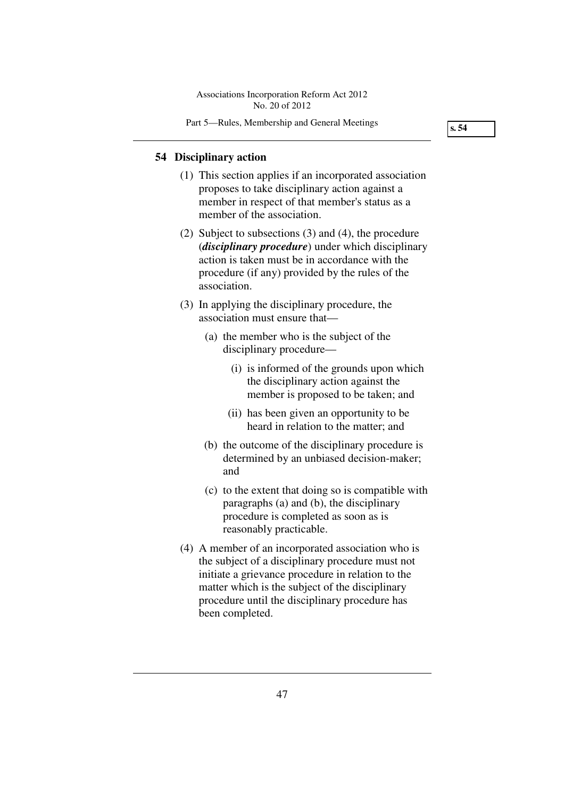Part 5—Rules, Membership and General Meetings

**s. 54** 

### **54 Disciplinary action**

- (1) This section applies if an incorporated association proposes to take disciplinary action against a member in respect of that member's status as a member of the association.
- (2) Subject to subsections (3) and (4), the procedure (*disciplinary procedure*) under which disciplinary action is taken must be in accordance with the procedure (if any) provided by the rules of the association.
- (3) In applying the disciplinary procedure, the association must ensure that—
	- (a) the member who is the subject of the disciplinary procedure—
		- (i) is informed of the grounds upon which the disciplinary action against the member is proposed to be taken; and
		- (ii) has been given an opportunity to be heard in relation to the matter; and
	- (b) the outcome of the disciplinary procedure is determined by an unbiased decision-maker; and
	- (c) to the extent that doing so is compatible with paragraphs (a) and (b), the disciplinary procedure is completed as soon as is reasonably practicable.
- (4) A member of an incorporated association who is the subject of a disciplinary procedure must not initiate a grievance procedure in relation to the matter which is the subject of the disciplinary procedure until the disciplinary procedure has been completed.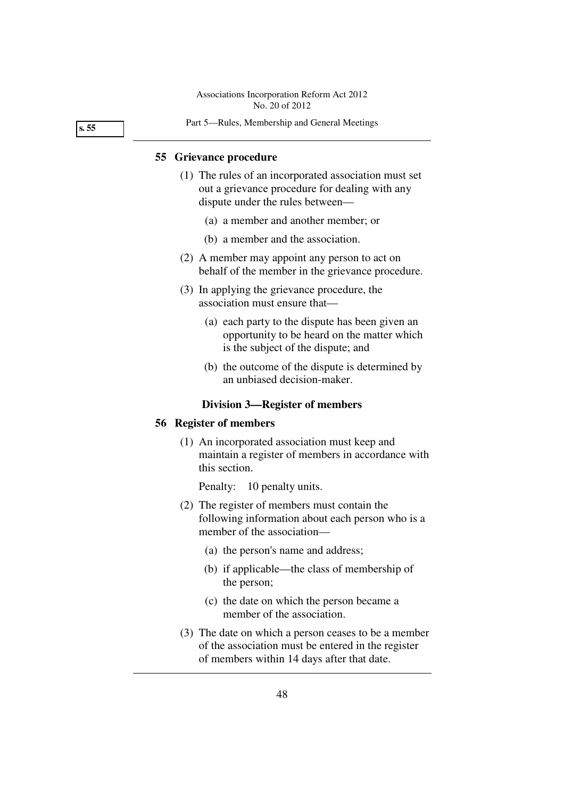**s. 55** 

#### Part 5—Rules, Membership and General Meetings

#### **55 Grievance procedure**

- (1) The rules of an incorporated association must set out a grievance procedure for dealing with any dispute under the rules between—
	- (a) a member and another member; or
	- (b) a member and the association.
- (2) A member may appoint any person to act on behalf of the member in the grievance procedure.
- (3) In applying the grievance procedure, the association must ensure that—
	- (a) each party to the dispute has been given an opportunity to be heard on the matter which is the subject of the dispute; and
	- (b) the outcome of the dispute is determined by an unbiased decision-maker.

### **Division 3—Register of members**

## **56 Register of members**

 (1) An incorporated association must keep and maintain a register of members in accordance with this section.

Penalty: 10 penalty units.

- (2) The register of members must contain the following information about each person who is a member of the association—
	- (a) the person's name and address;
	- (b) if applicable—the class of membership of the person;
	- (c) the date on which the person became a member of the association.
- (3) The date on which a person ceases to be a member of the association must be entered in the register of members within 14 days after that date.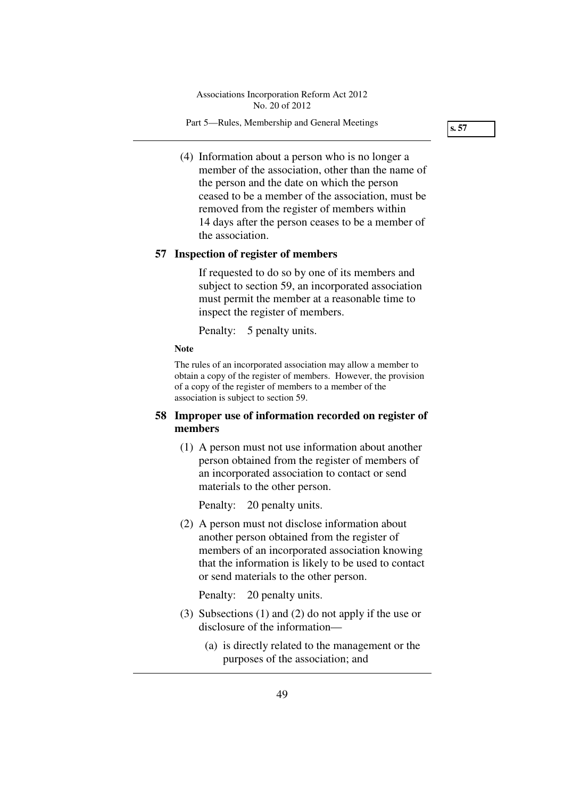Part 5—Rules, Membership and General Meetings

**s. 57** 

 (4) Information about a person who is no longer a member of the association, other than the name of the person and the date on which the person ceased to be a member of the association, must be removed from the register of members within 14 days after the person ceases to be a member of the association.

## **57 Inspection of register of members**

If requested to do so by one of its members and subject to section 59, an incorporated association must permit the member at a reasonable time to inspect the register of members.

Penalty: 5 penalty units.

**Note** 

The rules of an incorporated association may allow a member to obtain a copy of the register of members. However, the provision of a copy of the register of members to a member of the association is subject to section 59.

## **58 Improper use of information recorded on register of members**

 (1) A person must not use information about another person obtained from the register of members of an incorporated association to contact or send materials to the other person.

Penalty: 20 penalty units.

 (2) A person must not disclose information about another person obtained from the register of members of an incorporated association knowing that the information is likely to be used to contact or send materials to the other person.

Penalty: 20 penalty units.

- (3) Subsections (1) and (2) do not apply if the use or disclosure of the information—
	- (a) is directly related to the management or the purposes of the association; and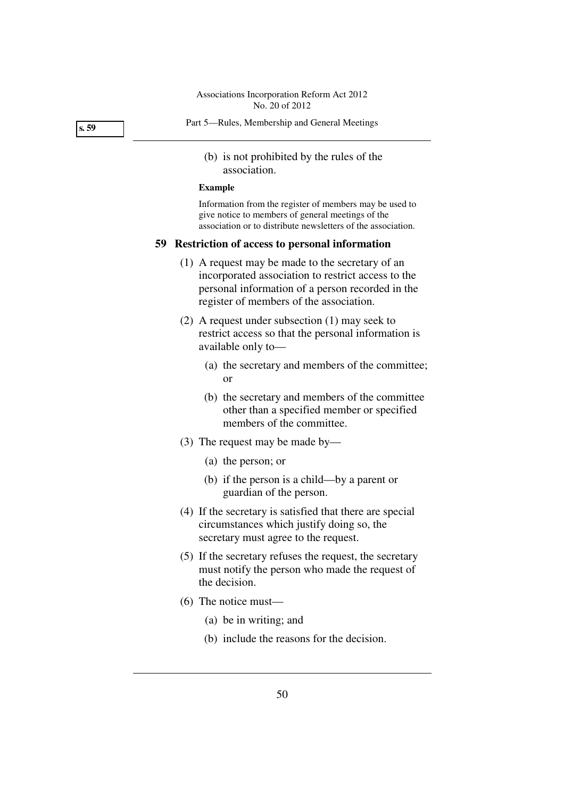**s. 59** 

- Part 5—Rules, Membership and General Meetings
	- (b) is not prohibited by the rules of the association.

#### **Example**

Information from the register of members may be used to give notice to members of general meetings of the association or to distribute newsletters of the association.

## **59 Restriction of access to personal information**

- (1) A request may be made to the secretary of an incorporated association to restrict access to the personal information of a person recorded in the register of members of the association.
- (2) A request under subsection (1) may seek to restrict access so that the personal information is available only to—
	- (a) the secretary and members of the committee; or
	- (b) the secretary and members of the committee other than a specified member or specified members of the committee.
- (3) The request may be made by—
	- (a) the person; or
	- (b) if the person is a child—by a parent or guardian of the person.
- (4) If the secretary is satisfied that there are special circumstances which justify doing so, the secretary must agree to the request.
- (5) If the secretary refuses the request, the secretary must notify the person who made the request of the decision.
- (6) The notice must—
	- (a) be in writing; and
	- (b) include the reasons for the decision.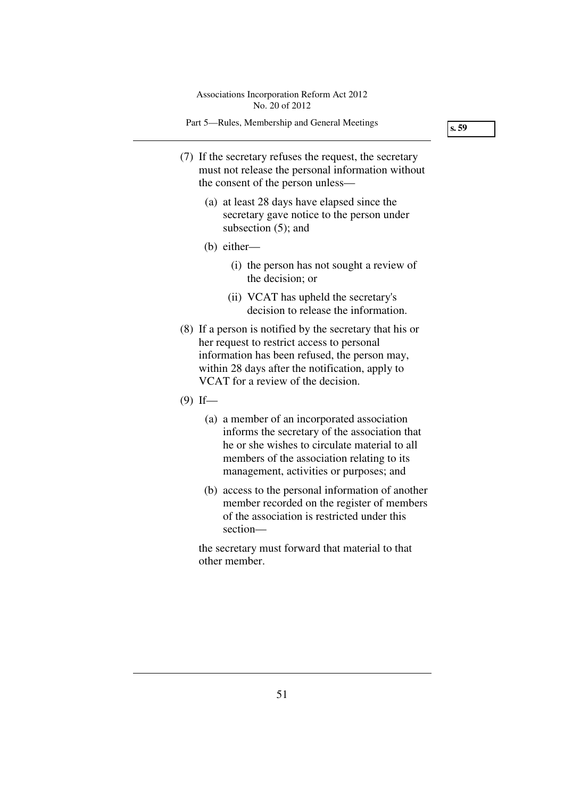Part 5—Rules, Membership and General Meetings

**s. 59** 

- (7) If the secretary refuses the request, the secretary must not release the personal information without the consent of the person unless—
	- (a) at least 28 days have elapsed since the secretary gave notice to the person under subsection  $(5)$ ; and
	- (b) either—
		- (i) the person has not sought a review of the decision; or
		- (ii) VCAT has upheld the secretary's decision to release the information.
- (8) If a person is notified by the secretary that his or her request to restrict access to personal information has been refused, the person may, within 28 days after the notification, apply to VCAT for a review of the decision.
- $(9)$  If—
	- (a) a member of an incorporated association informs the secretary of the association that he or she wishes to circulate material to all members of the association relating to its management, activities or purposes; and
	- (b) access to the personal information of another member recorded on the register of members of the association is restricted under this section—

the secretary must forward that material to that other member.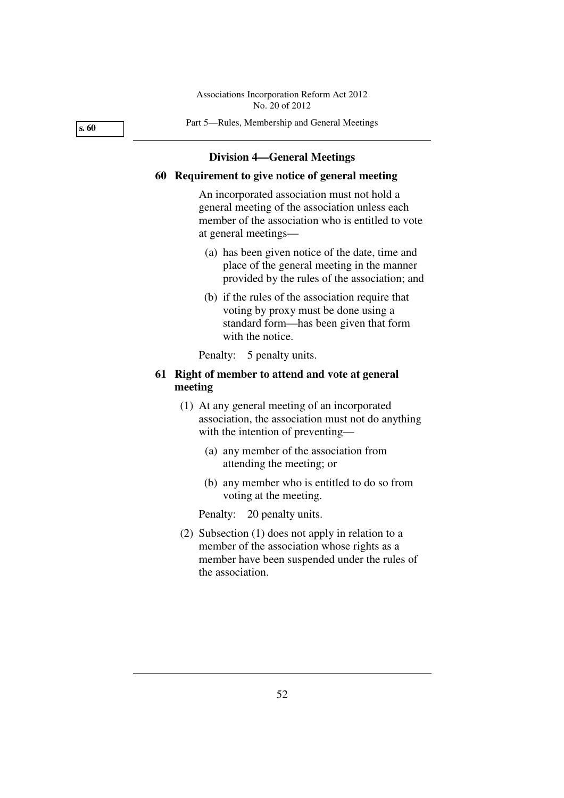**s. 60** 

#### Part 5—Rules, Membership and General Meetings

#### **Division 4—General Meetings**

## **60 Requirement to give notice of general meeting**

An incorporated association must not hold a general meeting of the association unless each member of the association who is entitled to vote at general meetings—

- (a) has been given notice of the date, time and place of the general meeting in the manner provided by the rules of the association; and
- (b) if the rules of the association require that voting by proxy must be done using a standard form—has been given that form with the notice.

Penalty: 5 penalty units.

## **61 Right of member to attend and vote at general meeting**

- (1) At any general meeting of an incorporated association, the association must not do anything with the intention of preventing—
	- (a) any member of the association from attending the meeting; or
	- (b) any member who is entitled to do so from voting at the meeting.

Penalty: 20 penalty units.

 (2) Subsection (1) does not apply in relation to a member of the association whose rights as a member have been suspended under the rules of the association.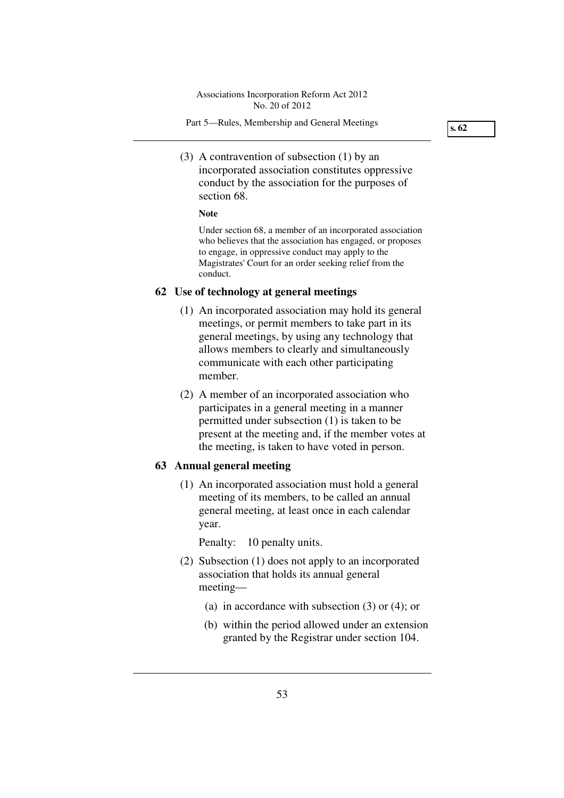**s. 62** 

 (3) A contravention of subsection (1) by an incorporated association constitutes oppressive conduct by the association for the purposes of section 68.

#### **Note**

Under section 68, a member of an incorporated association who believes that the association has engaged, or proposes to engage, in oppressive conduct may apply to the Magistrates' Court for an order seeking relief from the conduct.

## **62 Use of technology at general meetings**

- (1) An incorporated association may hold its general meetings, or permit members to take part in its general meetings, by using any technology that allows members to clearly and simultaneously communicate with each other participating member.
- (2) A member of an incorporated association who participates in a general meeting in a manner permitted under subsection (1) is taken to be present at the meeting and, if the member votes at the meeting, is taken to have voted in person.

## **63 Annual general meeting**

 (1) An incorporated association must hold a general meeting of its members, to be called an annual general meeting, at least once in each calendar year.

Penalty: 10 penalty units.

- (2) Subsection (1) does not apply to an incorporated association that holds its annual general meeting—
	- (a) in accordance with subsection (3) or (4); or
	- (b) within the period allowed under an extension granted by the Registrar under section 104.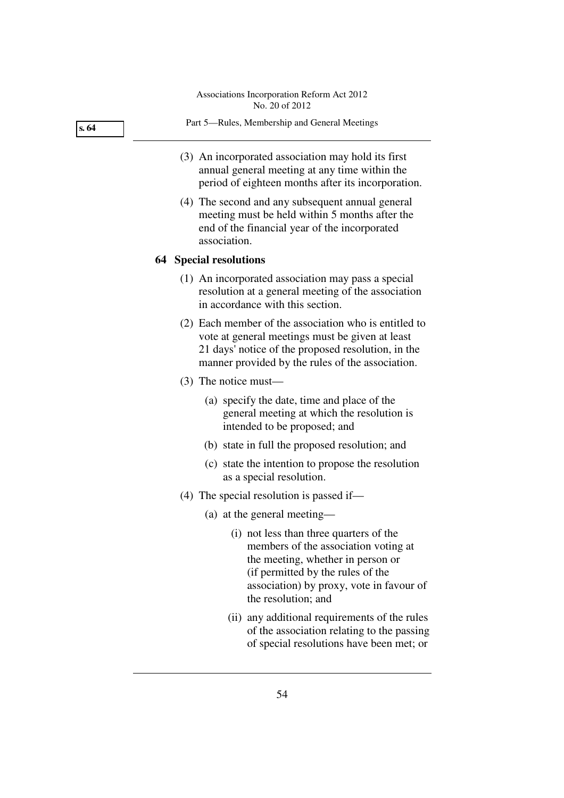**s. 64** 

- Part 5—Rules, Membership and General Meetings
- (3) An incorporated association may hold its first annual general meeting at any time within the period of eighteen months after its incorporation.
- (4) The second and any subsequent annual general meeting must be held within 5 months after the end of the financial year of the incorporated association.

#### **64 Special resolutions**

- (1) An incorporated association may pass a special resolution at a general meeting of the association in accordance with this section.
- (2) Each member of the association who is entitled to vote at general meetings must be given at least 21 days' notice of the proposed resolution, in the manner provided by the rules of the association.
- (3) The notice must—
	- (a) specify the date, time and place of the general meeting at which the resolution is intended to be proposed; and
	- (b) state in full the proposed resolution; and
	- (c) state the intention to propose the resolution as a special resolution.
- (4) The special resolution is passed if—
	- (a) at the general meeting—
		- (i) not less than three quarters of the members of the association voting at the meeting, whether in person or (if permitted by the rules of the association) by proxy, vote in favour of the resolution; and
		- (ii) any additional requirements of the rules of the association relating to the passing of special resolutions have been met; or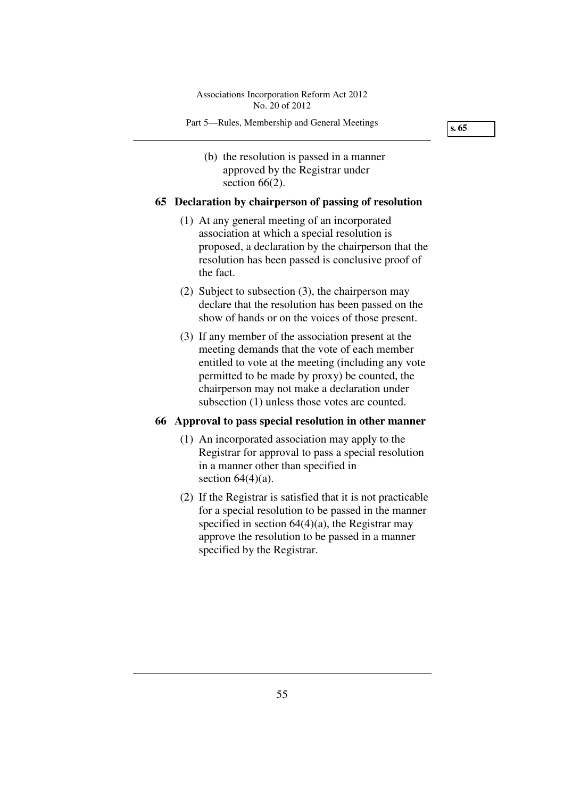(b) the resolution is passed in a manner approved by the Registrar under section 66(2).

## **65 Declaration by chairperson of passing of resolution**

- (1) At any general meeting of an incorporated association at which a special resolution is proposed, a declaration by the chairperson that the resolution has been passed is conclusive proof of the fact.
- (2) Subject to subsection (3), the chairperson may declare that the resolution has been passed on the show of hands or on the voices of those present.
- (3) If any member of the association present at the meeting demands that the vote of each member entitled to vote at the meeting (including any vote permitted to be made by proxy) be counted, the chairperson may not make a declaration under subsection (1) unless those votes are counted.

## **66 Approval to pass special resolution in other manner**

- (1) An incorporated association may apply to the Registrar for approval to pass a special resolution in a manner other than specified in section  $64(4)(a)$ .
- (2) If the Registrar is satisfied that it is not practicable for a special resolution to be passed in the manner specified in section  $64(4)(a)$ , the Registrar may approve the resolution to be passed in a manner specified by the Registrar.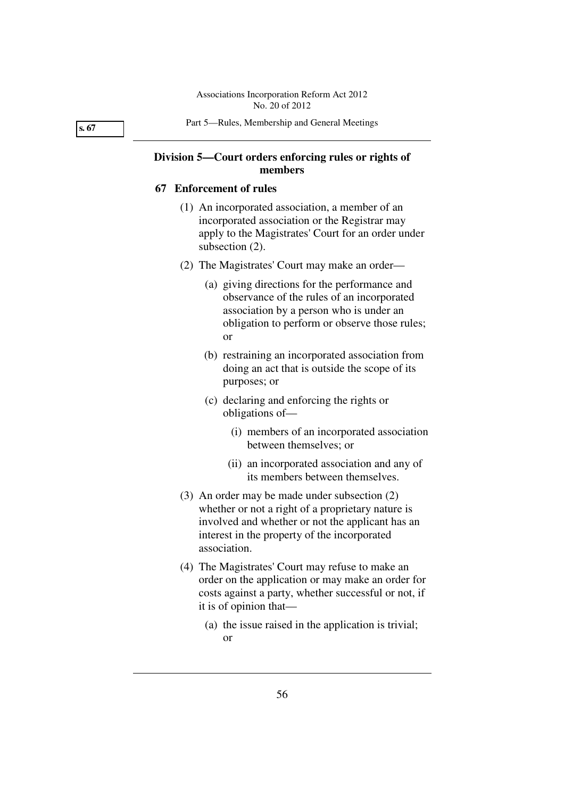**s. 67** 

#### Part 5—Rules, Membership and General Meetings

## **Division 5—Court orders enforcing rules or rights of members**

#### **67 Enforcement of rules**

- (1) An incorporated association, a member of an incorporated association or the Registrar may apply to the Magistrates' Court for an order under subsection (2).
- (2) The Magistrates' Court may make an order—
	- (a) giving directions for the performance and observance of the rules of an incorporated association by a person who is under an obligation to perform or observe those rules; or
	- (b) restraining an incorporated association from doing an act that is outside the scope of its purposes; or
	- (c) declaring and enforcing the rights or obligations of—
		- (i) members of an incorporated association between themselves; or
		- (ii) an incorporated association and any of its members between themselves.
- (3) An order may be made under subsection (2) whether or not a right of a proprietary nature is involved and whether or not the applicant has an interest in the property of the incorporated association.
- (4) The Magistrates' Court may refuse to make an order on the application or may make an order for costs against a party, whether successful or not, if it is of opinion that—
	- (a) the issue raised in the application is trivial; or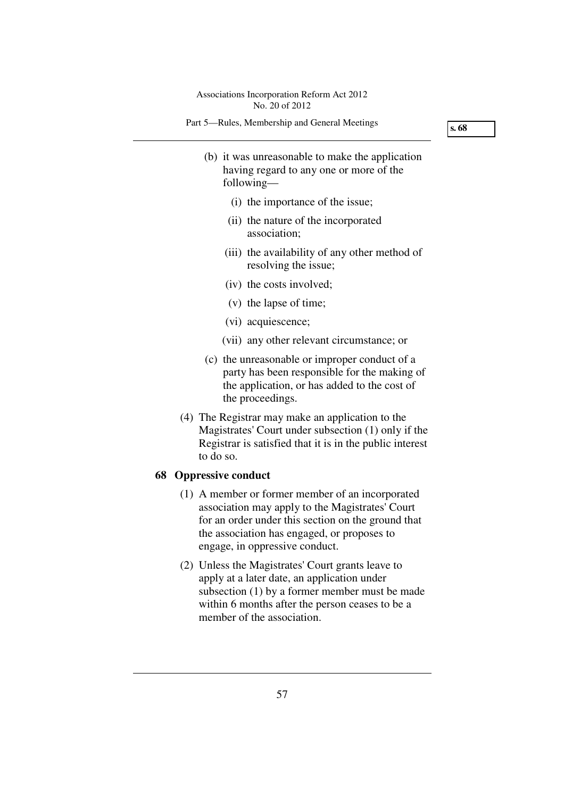Part 5—Rules, Membership and General Meetings

**s. 68** 

- (b) it was unreasonable to make the application having regard to any one or more of the following—
	- (i) the importance of the issue;
	- (ii) the nature of the incorporated association;
	- (iii) the availability of any other method of resolving the issue;
	- (iv) the costs involved;
	- (v) the lapse of time;
	- (vi) acquiescence;
	- (vii) any other relevant circumstance; or
- (c) the unreasonable or improper conduct of a party has been responsible for the making of the application, or has added to the cost of the proceedings.
- (4) The Registrar may make an application to the Magistrates' Court under subsection (1) only if the Registrar is satisfied that it is in the public interest to do so.

## **68 Oppressive conduct**

- (1) A member or former member of an incorporated association may apply to the Magistrates' Court for an order under this section on the ground that the association has engaged, or proposes to engage, in oppressive conduct.
- (2) Unless the Magistrates' Court grants leave to apply at a later date, an application under subsection (1) by a former member must be made within 6 months after the person ceases to be a member of the association.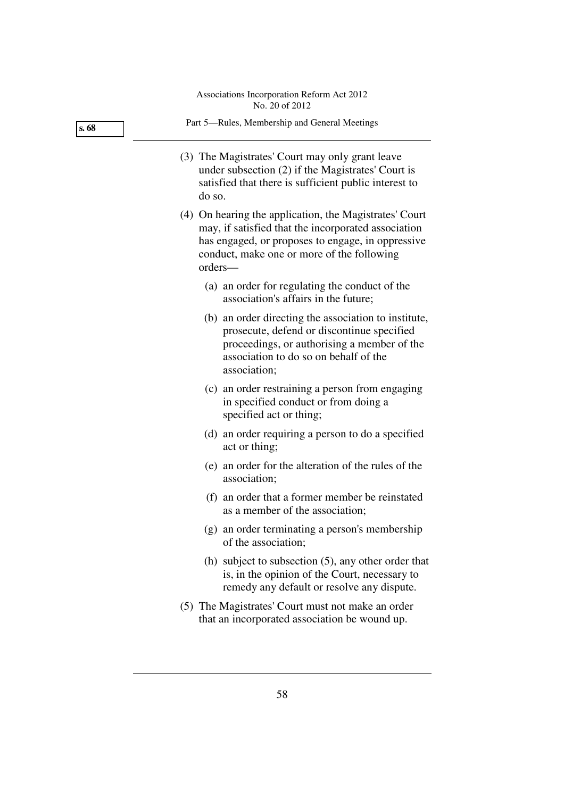| s. 68 | Part 5—Rules, Membership and General Meetings                                                                                                                                                                               |
|-------|-----------------------------------------------------------------------------------------------------------------------------------------------------------------------------------------------------------------------------|
|       | (3) The Magistrates' Court may only grant leave<br>under subsection $(2)$ if the Magistrates' Court is<br>satisfied that there is sufficient public interest to<br>do so.                                                   |
|       | (4) On hearing the application, the Magistrates' Court<br>may, if satisfied that the incorporated association<br>has engaged, or proposes to engage, in oppressive<br>conduct, make one or more of the following<br>orders- |
|       | (a) an order for regulating the conduct of the<br>association's affairs in the future;                                                                                                                                      |
|       | (b) an order directing the association to institute,<br>prosecute, defend or discontinue specified<br>proceedings, or authorising a member of the<br>association to do so on behalf of the<br>association;                  |
|       | (c) an order restraining a person from engaging<br>in specified conduct or from doing a<br>specified act or thing;                                                                                                          |
|       | (d) an order requiring a person to do a specified<br>act or thing;                                                                                                                                                          |
|       | (e) an order for the alteration of the rules of the<br>association;                                                                                                                                                         |
|       | (f) an order that a former member be reinstated<br>as a member of the association;                                                                                                                                          |

- (g) an order terminating a person's membership of the association;
- (h) subject to subsection (5), any other order that is, in the opinion of the Court, necessary to remedy any default or resolve any dispute.
- (5) The Magistrates' Court must not make an order that an incorporated association be wound up.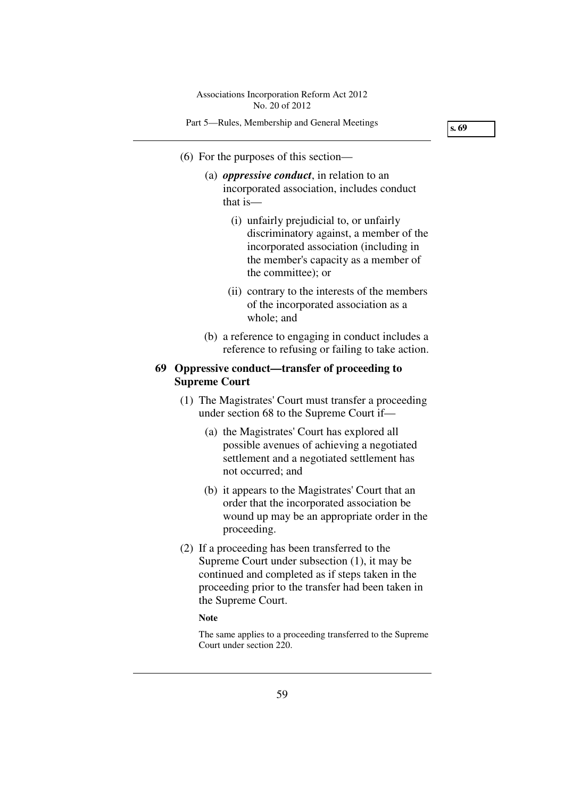Part 5—Rules, Membership and General Meetings

**s. 69** 

- (6) For the purposes of this section—
	- (a) *oppressive conduct*, in relation to an incorporated association, includes conduct that is—
		- (i) unfairly prejudicial to, or unfairly discriminatory against, a member of the incorporated association (including in the member's capacity as a member of the committee); or
		- (ii) contrary to the interests of the members of the incorporated association as a whole; and
	- (b) a reference to engaging in conduct includes a reference to refusing or failing to take action.

# **69 Oppressive conduct—transfer of proceeding to Supreme Court**

- (1) The Magistrates' Court must transfer a proceeding under section 68 to the Supreme Court if—
	- (a) the Magistrates' Court has explored all possible avenues of achieving a negotiated settlement and a negotiated settlement has not occurred; and
	- (b) it appears to the Magistrates' Court that an order that the incorporated association be wound up may be an appropriate order in the proceeding.
- (2) If a proceeding has been transferred to the Supreme Court under subsection (1), it may be continued and completed as if steps taken in the proceeding prior to the transfer had been taken in the Supreme Court.

#### **Note**

The same applies to a proceeding transferred to the Supreme Court under section 220.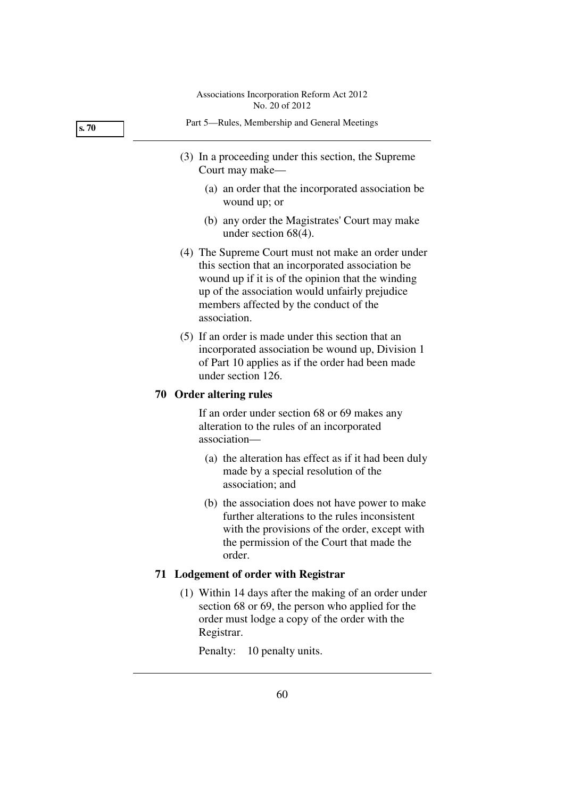| Part 5—Rules, Membership and General Meetings                          |
|------------------------------------------------------------------------|
| (3) In a proceeding under this section, the Supreme<br>Court may make— |
|                                                                        |

- (a) an order that the incorporated association be wound up; or
- (b) any order the Magistrates' Court may make under section 68(4).
- (4) The Supreme Court must not make an order under this section that an incorporated association be wound up if it is of the opinion that the winding up of the association would unfairly prejudice members affected by the conduct of the association.
- (5) If an order is made under this section that an incorporated association be wound up, Division 1 of Part 10 applies as if the order had been made under section 126.

## **70 Order altering rules**

If an order under section 68 or 69 makes any alteration to the rules of an incorporated association—

- (a) the alteration has effect as if it had been duly made by a special resolution of the association; and
- (b) the association does not have power to make further alterations to the rules inconsistent with the provisions of the order, except with the permission of the Court that made the order.

# **71 Lodgement of order with Registrar**

 (1) Within 14 days after the making of an order under section 68 or 69, the person who applied for the order must lodge a copy of the order with the Registrar.

Penalty: 10 penalty units.

**s. 70**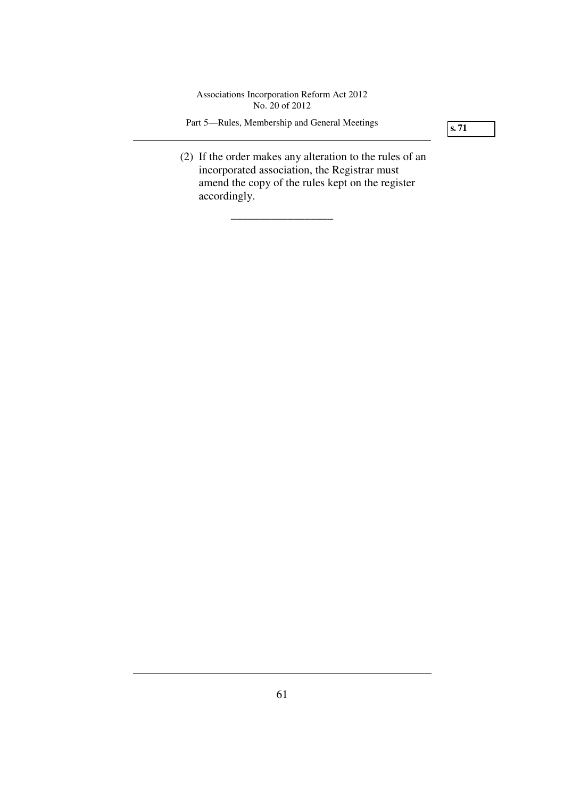Part 5—Rules, Membership and General Meetings

\_\_\_\_\_\_\_\_\_\_\_\_\_\_\_\_\_\_

**s. 71** 

 (2) If the order makes any alteration to the rules of an incorporated association, the Registrar must amend the copy of the rules kept on the register accordingly.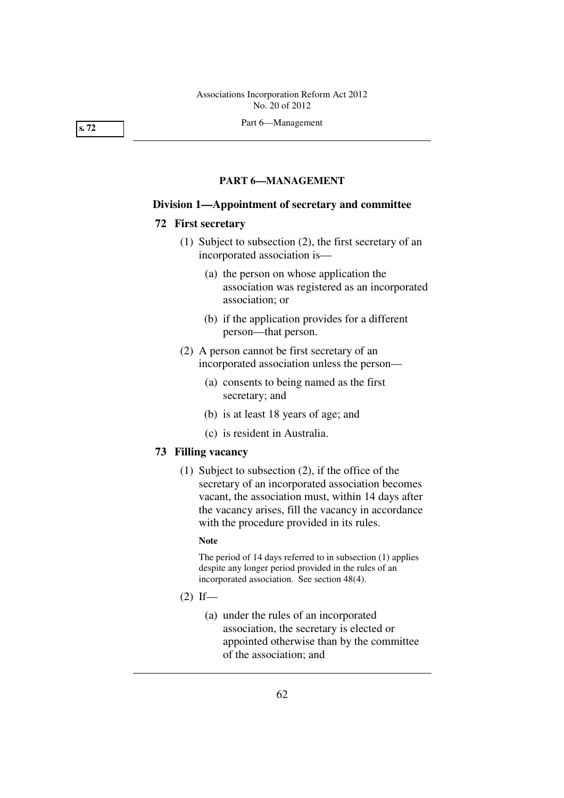Part 6—Management

# **PART 6—MANAGEMENT**

#### **Division 1—Appointment of secretary and committee**

## **72 First secretary**

- (1) Subject to subsection (2), the first secretary of an incorporated association is—
	- (a) the person on whose application the association was registered as an incorporated association; or
	- (b) if the application provides for a different person—that person.
- (2) A person cannot be first secretary of an incorporated association unless the person—
	- (a) consents to being named as the first secretary; and
	- (b) is at least 18 years of age; and
	- (c) is resident in Australia.

## **73 Filling vacancy**

 (1) Subject to subsection (2), if the office of the secretary of an incorporated association becomes vacant, the association must, within 14 days after the vacancy arises, fill the vacancy in accordance with the procedure provided in its rules.

#### **Note**

The period of 14 days referred to in subsection (1) applies despite any longer period provided in the rules of an incorporated association. See section 48(4).

- $(2)$  If—
	- (a) under the rules of an incorporated association, the secretary is elected or appointed otherwise than by the committee of the association; and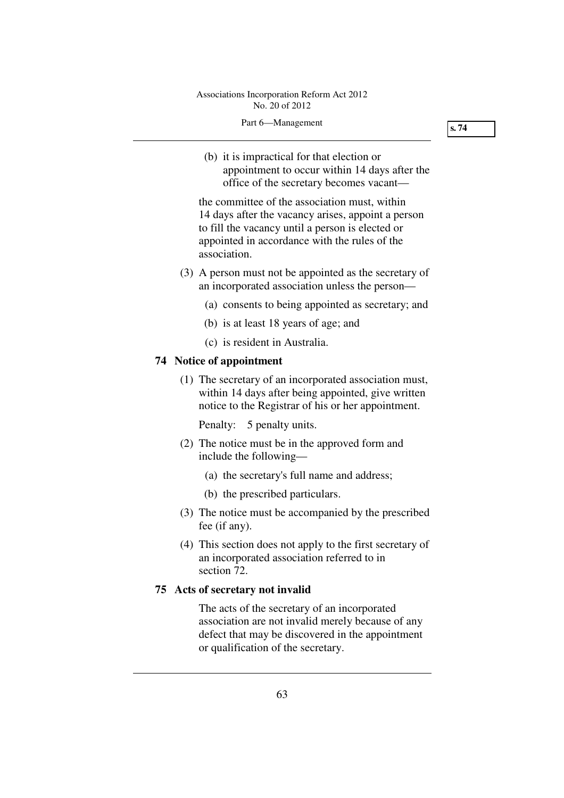(b) it is impractical for that election or appointment to occur within 14 days after the office of the secretary becomes vacant—

the committee of the association must, within 14 days after the vacancy arises, appoint a person to fill the vacancy until a person is elected or appointed in accordance with the rules of the association.

- (3) A person must not be appointed as the secretary of an incorporated association unless the person—
	- (a) consents to being appointed as secretary; and
	- (b) is at least 18 years of age; and
	- (c) is resident in Australia.

### **74 Notice of appointment**

 (1) The secretary of an incorporated association must, within 14 days after being appointed, give written notice to the Registrar of his or her appointment.

Penalty: 5 penalty units.

- (2) The notice must be in the approved form and include the following—
	- (a) the secretary's full name and address;
	- (b) the prescribed particulars.
- (3) The notice must be accompanied by the prescribed fee (if any).
- (4) This section does not apply to the first secretary of an incorporated association referred to in section 72.

# **75 Acts of secretary not invalid**

The acts of the secretary of an incorporated association are not invalid merely because of any defect that may be discovered in the appointment or qualification of the secretary.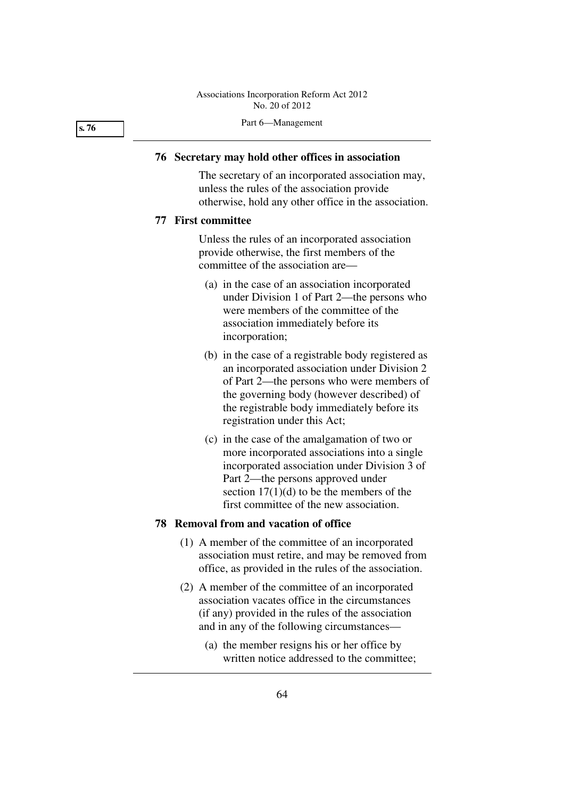### **76 Secretary may hold other offices in association**

The secretary of an incorporated association may, unless the rules of the association provide otherwise, hold any other office in the association.

### **77 First committee**

Unless the rules of an incorporated association provide otherwise, the first members of the committee of the association are—

- (a) in the case of an association incorporated under Division 1 of Part 2—the persons who were members of the committee of the association immediately before its incorporation;
- (b) in the case of a registrable body registered as an incorporated association under Division 2 of Part 2—the persons who were members of the governing body (however described) of the registrable body immediately before its registration under this Act;
- (c) in the case of the amalgamation of two or more incorporated associations into a single incorporated association under Division 3 of Part 2—the persons approved under section  $17(1)(d)$  to be the members of the first committee of the new association.

## **78 Removal from and vacation of office**

- (1) A member of the committee of an incorporated association must retire, and may be removed from office, as provided in the rules of the association.
- (2) A member of the committee of an incorporated association vacates office in the circumstances (if any) provided in the rules of the association and in any of the following circumstances—
	- (a) the member resigns his or her office by written notice addressed to the committee;

**s. 76**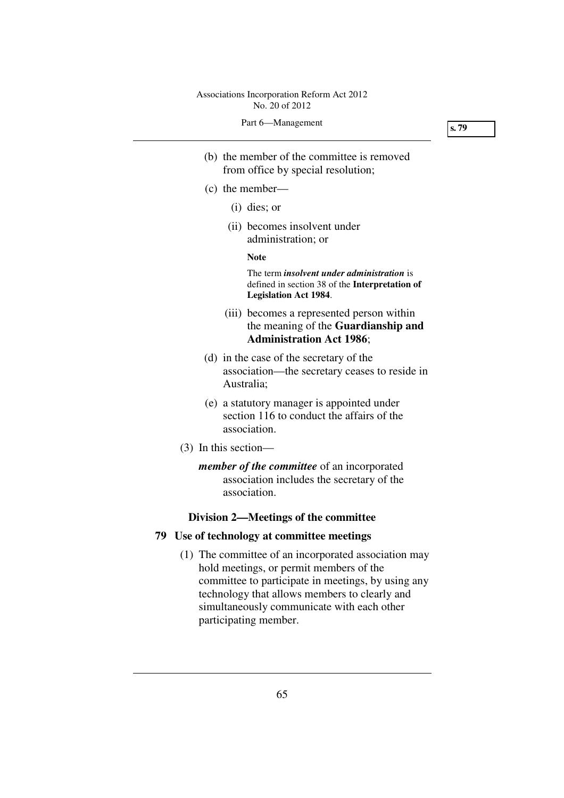**s. 79** 

- (b) the member of the committee is removed from office by special resolution;
- (c) the member—
	- (i) dies; or
	- (ii) becomes insolvent under administration; or

**Note** 

The term *insolvent under administration* is defined in section 38 of the **Interpretation of Legislation Act 1984**.

- (iii) becomes a represented person within the meaning of the **Guardianship and Administration Act 1986**;
- (d) in the case of the secretary of the association—the secretary ceases to reside in Australia;
- (e) a statutory manager is appointed under section 116 to conduct the affairs of the association.
- (3) In this section
	- *member of the committee* of an incorporated association includes the secretary of the association.

### **Division 2—Meetings of the committee**

### **79 Use of technology at committee meetings**

 (1) The committee of an incorporated association may hold meetings, or permit members of the committee to participate in meetings, by using any technology that allows members to clearly and simultaneously communicate with each other participating member.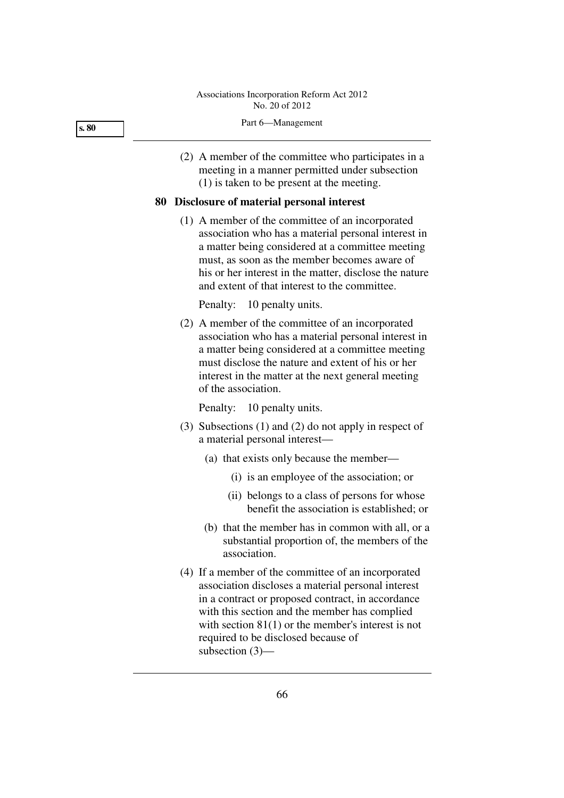#### Part 6—Management

 (2) A member of the committee who participates in a meeting in a manner permitted under subsection (1) is taken to be present at the meeting.

### **80 Disclosure of material personal interest**

 (1) A member of the committee of an incorporated association who has a material personal interest in a matter being considered at a committee meeting must, as soon as the member becomes aware of his or her interest in the matter, disclose the nature and extent of that interest to the committee.

Penalty: 10 penalty units.

 (2) A member of the committee of an incorporated association who has a material personal interest in a matter being considered at a committee meeting must disclose the nature and extent of his or her interest in the matter at the next general meeting of the association.

Penalty: 10 penalty units.

- (3) Subsections (1) and (2) do not apply in respect of a material personal interest—
	- (a) that exists only because the member—
		- (i) is an employee of the association; or
		- (ii) belongs to a class of persons for whose benefit the association is established; or
	- (b) that the member has in common with all, or a substantial proportion of, the members of the association.
- (4) If a member of the committee of an incorporated association discloses a material personal interest in a contract or proposed contract, in accordance with this section and the member has complied with section 81(1) or the member's interest is not required to be disclosed because of subsection (3)—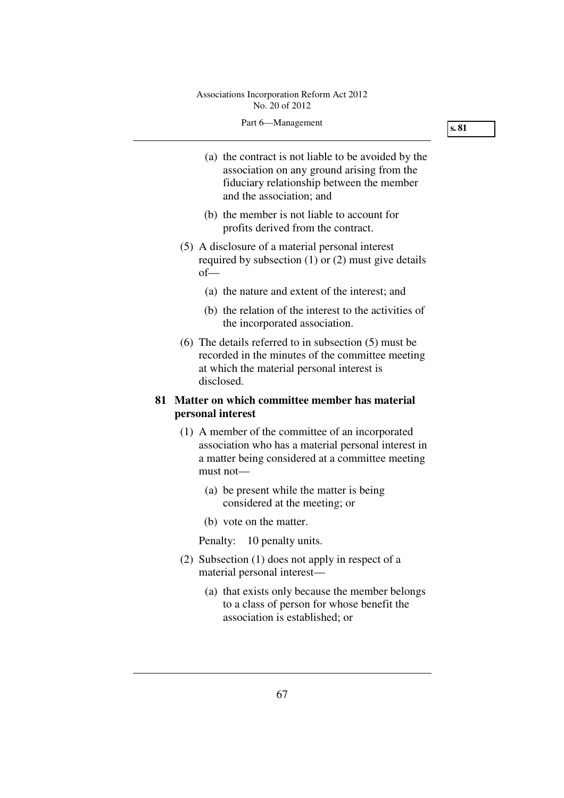- (a) the contract is not liable to be avoided by the association on any ground arising from the fiduciary relationship between the member and the association; and
- (b) the member is not liable to account for profits derived from the contract.
- (5) A disclosure of a material personal interest required by subsection (1) or (2) must give details of—
	- (a) the nature and extent of the interest; and
	- (b) the relation of the interest to the activities of the incorporated association.
- (6) The details referred to in subsection (5) must be recorded in the minutes of the committee meeting at which the material personal interest is disclosed.

# **81 Matter on which committee member has material personal interest**

- (1) A member of the committee of an incorporated association who has a material personal interest in a matter being considered at a committee meeting must not—
	- (a) be present while the matter is being considered at the meeting; or
	- (b) vote on the matter.

Penalty: 10 penalty units.

- (2) Subsection (1) does not apply in respect of a material personal interest—
	- (a) that exists only because the member belongs to a class of person for whose benefit the association is established; or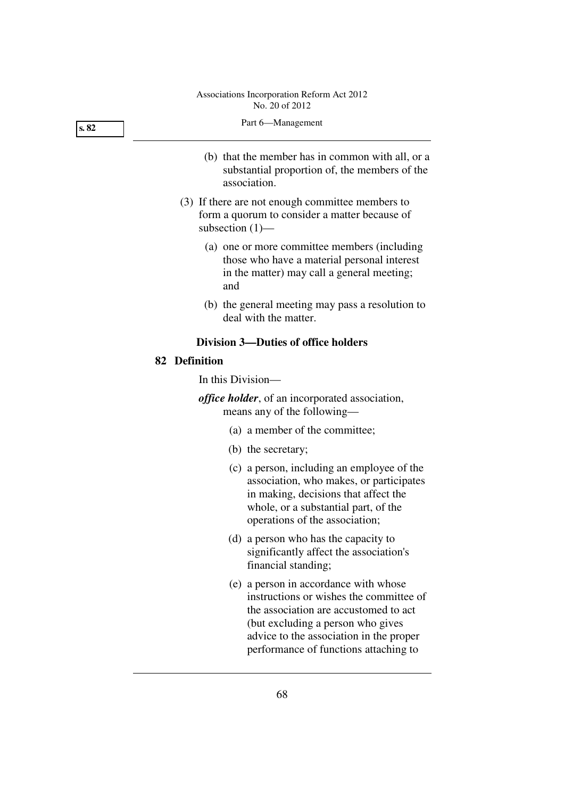| s.82 | Part 6-Management                                                                                                                                |
|------|--------------------------------------------------------------------------------------------------------------------------------------------------|
|      | (b) that the member has in common with all, or a<br>substantial proportion of, the members of the<br>association.                                |
|      | (3) If there are not enough committee members to<br>form a quorum to consider a matter because of<br>subsection $(1)$ —                          |
|      | (a) one or more committee members (including<br>those who have a material personal interest<br>in the matter) may call a general meeting;<br>and |
|      | (b) the general meeting may pass a resolution to<br>deal with the matter.                                                                        |
|      | <b>Division 3-Duties of office holders</b>                                                                                                       |
|      | 82 Definition                                                                                                                                    |
|      | In this Division—                                                                                                                                |
|      | <i>office holder</i> , of an incorporated association,<br>means any of the following-                                                            |
|      | (a) a member of the committee;                                                                                                                   |
|      | (b) the secretary;                                                                                                                               |
|      | (c) a person, including an employee of the<br>association, who makes, or participates                                                            |

- in making, decisions that affect the whole, or a substantial part, of the operations of the association;
- (d) a person who has the capacity to significantly affect the association's financial standing;
	- (e) a person in accordance with whose instructions or wishes the committee of the association are accustomed to act (but excluding a person who gives advice to the association in the proper performance of functions attaching to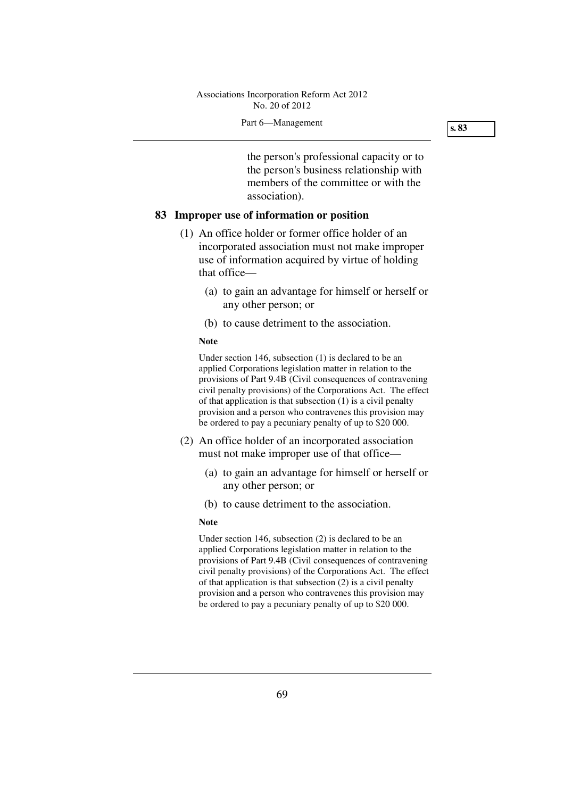the person's professional capacity or to the person's business relationship with members of the committee or with the association).

# **83 Improper use of information or position**

- (1) An office holder or former office holder of an incorporated association must not make improper use of information acquired by virtue of holding that office—
	- (a) to gain an advantage for himself or herself or any other person; or
	- (b) to cause detriment to the association.

#### **Note**

Under section 146, subsection (1) is declared to be an applied Corporations legislation matter in relation to the provisions of Part 9.4B (Civil consequences of contravening civil penalty provisions) of the Corporations Act. The effect of that application is that subsection (1) is a civil penalty provision and a person who contravenes this provision may be ordered to pay a pecuniary penalty of up to \$20 000.

- (2) An office holder of an incorporated association must not make improper use of that office—
	- (a) to gain an advantage for himself or herself or any other person; or
	- (b) to cause detriment to the association.

#### **Note**

Under section 146, subsection (2) is declared to be an applied Corporations legislation matter in relation to the provisions of Part 9.4B (Civil consequences of contravening civil penalty provisions) of the Corporations Act. The effect of that application is that subsection (2) is a civil penalty provision and a person who contravenes this provision may be ordered to pay a pecuniary penalty of up to \$20 000.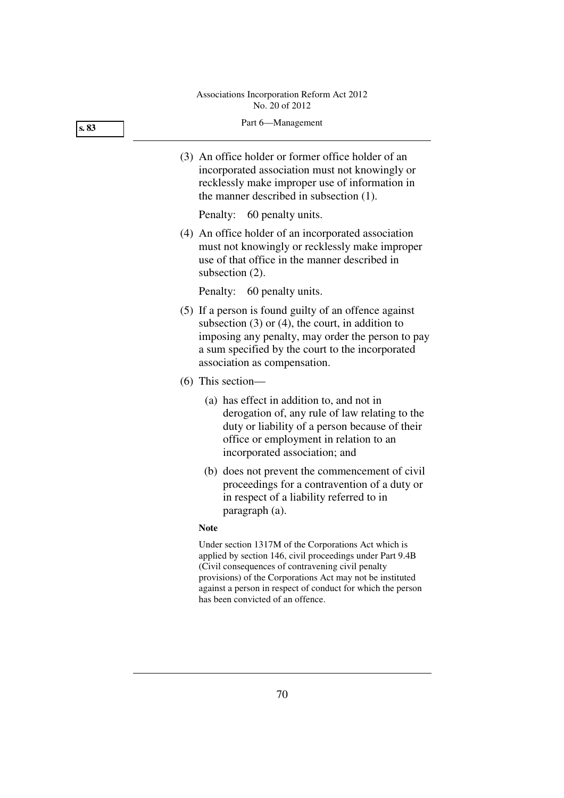# Part 6—Management (3) An office holder or former office holder of an incorporated association must not knowingly or recklessly make improper use of information in the manner described in subsection (1). Penalty: 60 penalty units. (4) An office holder of an incorporated association must not knowingly or recklessly make improper use of that office in the manner described in **s. 83**

Penalty: 60 penalty units.

subsection (2).

- (5) If a person is found guilty of an offence against subsection  $(3)$  or  $(4)$ , the court, in addition to imposing any penalty, may order the person to pay a sum specified by the court to the incorporated association as compensation.
- (6) This section—
	- (a) has effect in addition to, and not in derogation of, any rule of law relating to the duty or liability of a person because of their office or employment in relation to an incorporated association; and
	- (b) does not prevent the commencement of civil proceedings for a contravention of a duty or in respect of a liability referred to in paragraph (a).

### **Note**

Under section 1317M of the Corporations Act which is applied by section 146, civil proceedings under Part 9.4B (Civil consequences of contravening civil penalty provisions) of the Corporations Act may not be instituted against a person in respect of conduct for which the person has been convicted of an offence.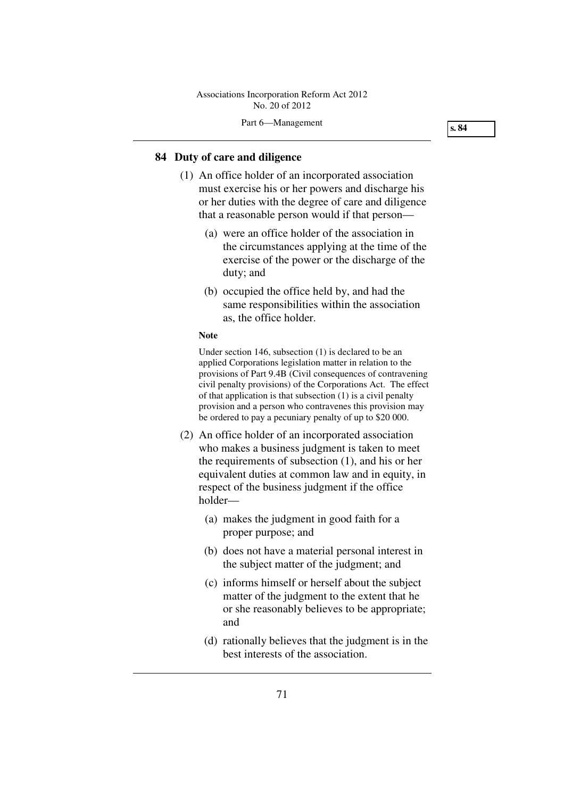**s. 84** 

### **84 Duty of care and diligence**

- (1) An office holder of an incorporated association must exercise his or her powers and discharge his or her duties with the degree of care and diligence that a reasonable person would if that person—
	- (a) were an office holder of the association in the circumstances applying at the time of the exercise of the power or the discharge of the duty; and
	- (b) occupied the office held by, and had the same responsibilities within the association as, the office holder.

#### **Note**

Under section 146, subsection (1) is declared to be an applied Corporations legislation matter in relation to the provisions of Part 9.4B (Civil consequences of contravening civil penalty provisions) of the Corporations Act. The effect of that application is that subsection (1) is a civil penalty provision and a person who contravenes this provision may be ordered to pay a pecuniary penalty of up to \$20 000.

- (2) An office holder of an incorporated association who makes a business judgment is taken to meet the requirements of subsection (1), and his or her equivalent duties at common law and in equity, in respect of the business judgment if the office holder—
	- (a) makes the judgment in good faith for a proper purpose; and
	- (b) does not have a material personal interest in the subject matter of the judgment; and
	- (c) informs himself or herself about the subject matter of the judgment to the extent that he or she reasonably believes to be appropriate; and
	- (d) rationally believes that the judgment is in the best interests of the association.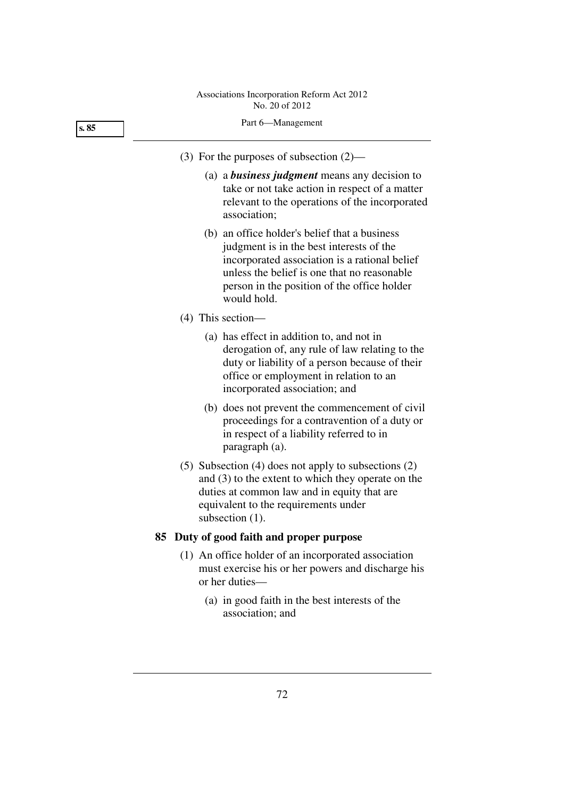# Part 6—Management (3) For the purposes of subsection (2)— (a) a *business judgment* means any decision to take or not take action in respect of a matter relevant to the operations of the incorporated association; **s. 85**

- (b) an office holder's belief that a business judgment is in the best interests of the incorporated association is a rational belief unless the belief is one that no reasonable person in the position of the office holder would hold.
- (4) This section—
	- (a) has effect in addition to, and not in derogation of, any rule of law relating to the duty or liability of a person because of their office or employment in relation to an incorporated association; and
	- (b) does not prevent the commencement of civil proceedings for a contravention of a duty or in respect of a liability referred to in paragraph (a).
- (5) Subsection (4) does not apply to subsections (2) and (3) to the extent to which they operate on the duties at common law and in equity that are equivalent to the requirements under subsection  $(1)$ .

# **85 Duty of good faith and proper purpose**

- (1) An office holder of an incorporated association must exercise his or her powers and discharge his or her duties—
	- (a) in good faith in the best interests of the association; and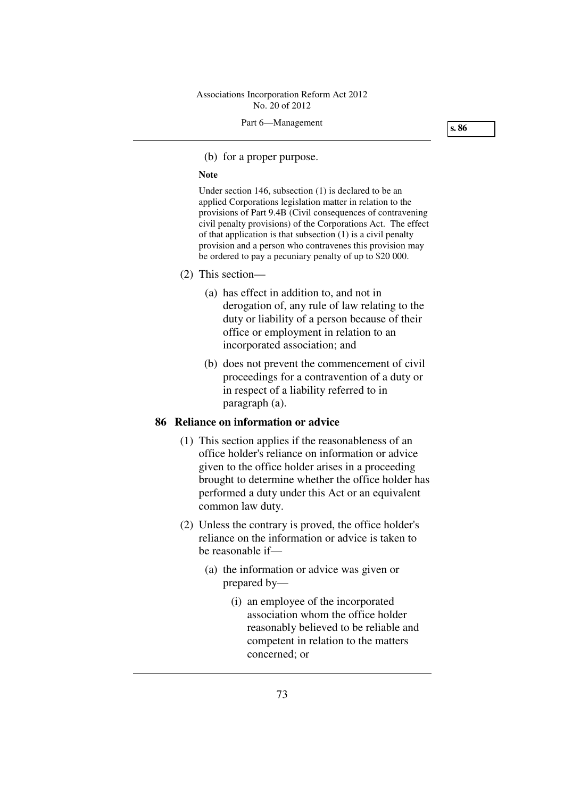**s. 86** 

(b) for a proper purpose.

#### **Note**

Under section 146, subsection (1) is declared to be an applied Corporations legislation matter in relation to the provisions of Part 9.4B (Civil consequences of contravening civil penalty provisions) of the Corporations Act. The effect of that application is that subsection (1) is a civil penalty provision and a person who contravenes this provision may be ordered to pay a pecuniary penalty of up to \$20 000.

- (2) This section—
	- (a) has effect in addition to, and not in derogation of, any rule of law relating to the duty or liability of a person because of their office or employment in relation to an incorporated association; and
	- (b) does not prevent the commencement of civil proceedings for a contravention of a duty or in respect of a liability referred to in paragraph (a).

### **86 Reliance on information or advice**

- (1) This section applies if the reasonableness of an office holder's reliance on information or advice given to the office holder arises in a proceeding brought to determine whether the office holder has performed a duty under this Act or an equivalent common law duty.
- (2) Unless the contrary is proved, the office holder's reliance on the information or advice is taken to be reasonable if—
	- (a) the information or advice was given or prepared by—
		- (i) an employee of the incorporated association whom the office holder reasonably believed to be reliable and competent in relation to the matters concerned; or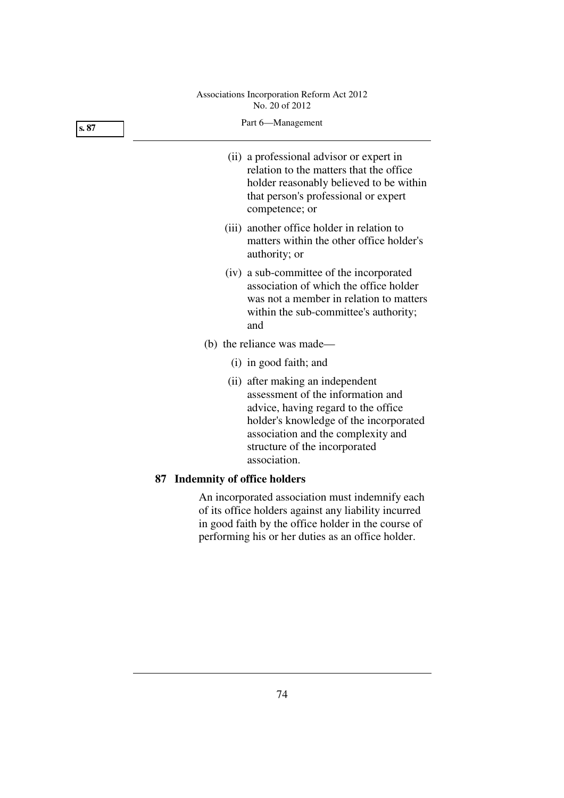| s. 87 | Part 6-Management                                                                                                                                                                                                                             |  |  |  |  |
|-------|-----------------------------------------------------------------------------------------------------------------------------------------------------------------------------------------------------------------------------------------------|--|--|--|--|
|       | (ii) a professional advisor or expert in<br>relation to the matters that the office<br>holder reasonably believed to be within<br>that person's professional or expert<br>competence; or                                                      |  |  |  |  |
|       | (iii) another office holder in relation to<br>matters within the other office holder's<br>authority; or                                                                                                                                       |  |  |  |  |
|       | (iv) a sub-committee of the incorporated<br>association of which the office holder<br>was not a member in relation to matters<br>within the sub-committee's authority;<br>and                                                                 |  |  |  |  |
|       | (b) the reliance was made—                                                                                                                                                                                                                    |  |  |  |  |
|       | (i) in good faith; and                                                                                                                                                                                                                        |  |  |  |  |
|       | (ii) after making an independent<br>assessment of the information and<br>advice, having regard to the office<br>holder's knowledge of the incorporated<br>association and the complexity and<br>structure of the incorporated<br>association. |  |  |  |  |
|       | 87 Indemnity of office holders                                                                                                                                                                                                                |  |  |  |  |
|       | An incorporated association must indemnify each<br>of its office holders against any liability incurred                                                                                                                                       |  |  |  |  |

in good faith by the office holder in the course of performing his or her duties as an office holder.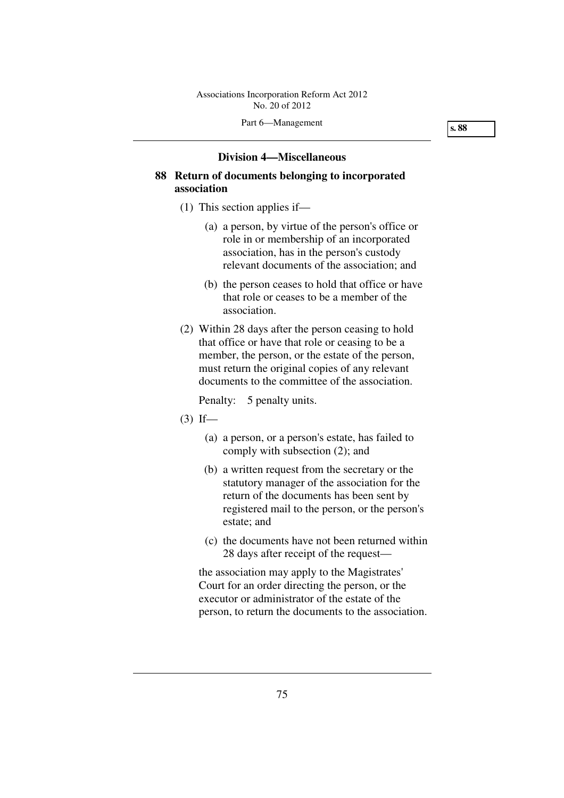### **Division 4—Miscellaneous**

# **88 Return of documents belonging to incorporated association**

- (1) This section applies if—
	- (a) a person, by virtue of the person's office or role in or membership of an incorporated association, has in the person's custody relevant documents of the association; and
	- (b) the person ceases to hold that office or have that role or ceases to be a member of the association.
- (2) Within 28 days after the person ceasing to hold that office or have that role or ceasing to be a member, the person, or the estate of the person, must return the original copies of any relevant documents to the committee of the association.

Penalty: 5 penalty units.

- $(3)$  If—
	- (a) a person, or a person's estate, has failed to comply with subsection (2); and
	- (b) a written request from the secretary or the statutory manager of the association for the return of the documents has been sent by registered mail to the person, or the person's estate; and
	- (c) the documents have not been returned within 28 days after receipt of the request—

the association may apply to the Magistrates' Court for an order directing the person, or the executor or administrator of the estate of the person, to return the documents to the association.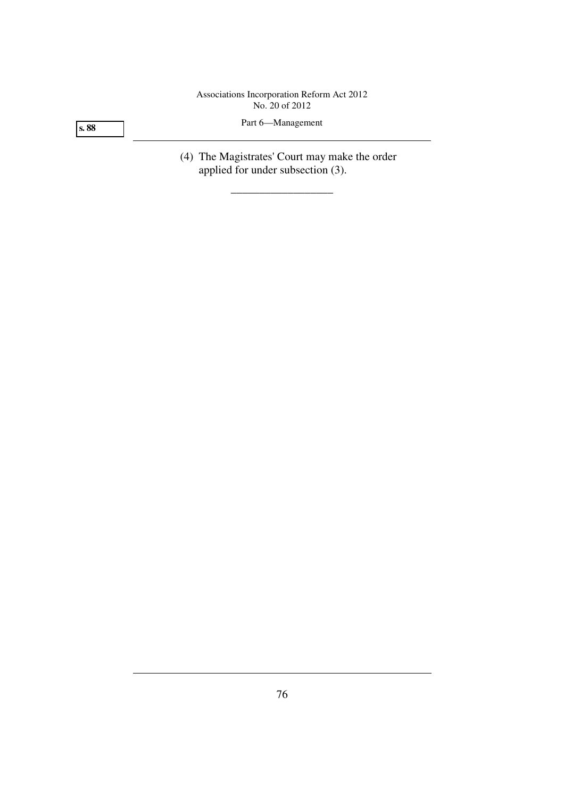**s. 88** 

Part 6—Management

 (4) The Magistrates' Court may make the order applied for under subsection (3).

\_\_\_\_\_\_\_\_\_\_\_\_\_\_\_\_\_\_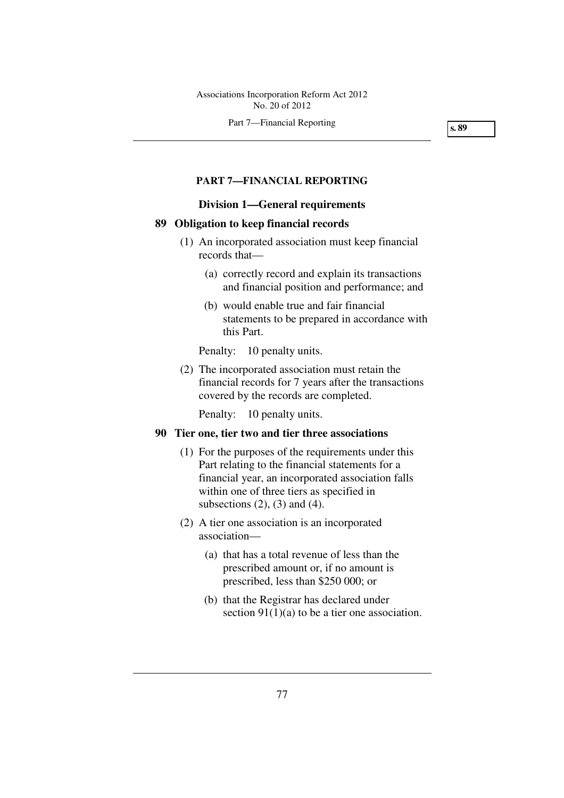#### Part 7—Financial Reporting

**s. 89** 

### **PART 7—FINANCIAL REPORTING**

### **Division 1—General requirements**

### **89 Obligation to keep financial records**

- (1) An incorporated association must keep financial records that—
	- (a) correctly record and explain its transactions and financial position and performance; and
	- (b) would enable true and fair financial statements to be prepared in accordance with this Part.

Penalty: 10 penalty units.

 (2) The incorporated association must retain the financial records for 7 years after the transactions covered by the records are completed.

Penalty: 10 penalty units.

### **90 Tier one, tier two and tier three associations**

- (1) For the purposes of the requirements under this Part relating to the financial statements for a financial year, an incorporated association falls within one of three tiers as specified in subsections  $(2)$ ,  $(3)$  and  $(4)$ .
- (2) A tier one association is an incorporated association—
	- (a) that has a total revenue of less than the prescribed amount or, if no amount is prescribed, less than \$250 000; or
	- (b) that the Registrar has declared under section  $91(1)(a)$  to be a tier one association.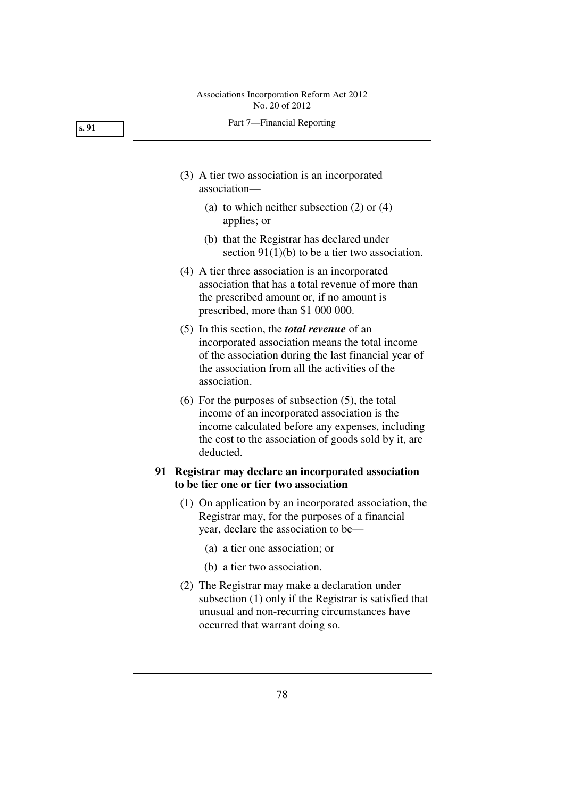#### Part 7—Financial Reporting

- (3) A tier two association is an incorporated association—
	- (a) to which neither subsection (2) or (4) applies; or
	- (b) that the Registrar has declared under section 91(1)(b) to be a tier two association.
- (4) A tier three association is an incorporated association that has a total revenue of more than the prescribed amount or, if no amount is prescribed, more than \$1 000 000.
- (5) In this section, the *total revenue* of an incorporated association means the total income of the association during the last financial year of the association from all the activities of the association.
- (6) For the purposes of subsection (5), the total income of an incorporated association is the income calculated before any expenses, including the cost to the association of goods sold by it, are deducted.

# **91 Registrar may declare an incorporated association to be tier one or tier two association**

- (1) On application by an incorporated association, the Registrar may, for the purposes of a financial year, declare the association to be—
	- (a) a tier one association; or
	- (b) a tier two association.
- (2) The Registrar may make a declaration under subsection (1) only if the Registrar is satisfied that unusual and non-recurring circumstances have occurred that warrant doing so.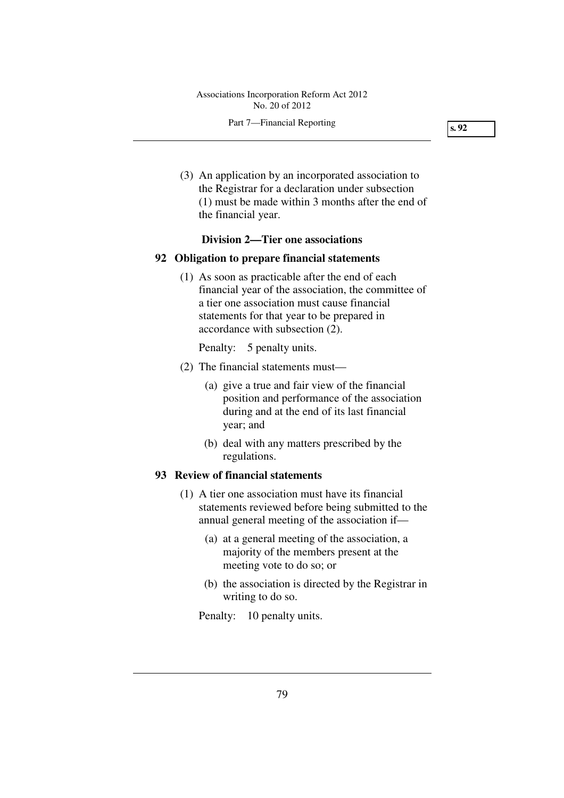### Part 7—Financial Reporting

**s. 92** 

 (3) An application by an incorporated association to the Registrar for a declaration under subsection (1) must be made within 3 months after the end of the financial year.

### **Division 2—Tier one associations**

### **92 Obligation to prepare financial statements**

 (1) As soon as practicable after the end of each financial year of the association, the committee of a tier one association must cause financial statements for that year to be prepared in accordance with subsection (2).

Penalty: 5 penalty units.

- (2) The financial statements must—
	- (a) give a true and fair view of the financial position and performance of the association during and at the end of its last financial year; and
	- (b) deal with any matters prescribed by the regulations.

### **93 Review of financial statements**

- (1) A tier one association must have its financial statements reviewed before being submitted to the annual general meeting of the association if—
	- (a) at a general meeting of the association, a majority of the members present at the meeting vote to do so; or
	- (b) the association is directed by the Registrar in writing to do so.

Penalty: 10 penalty units.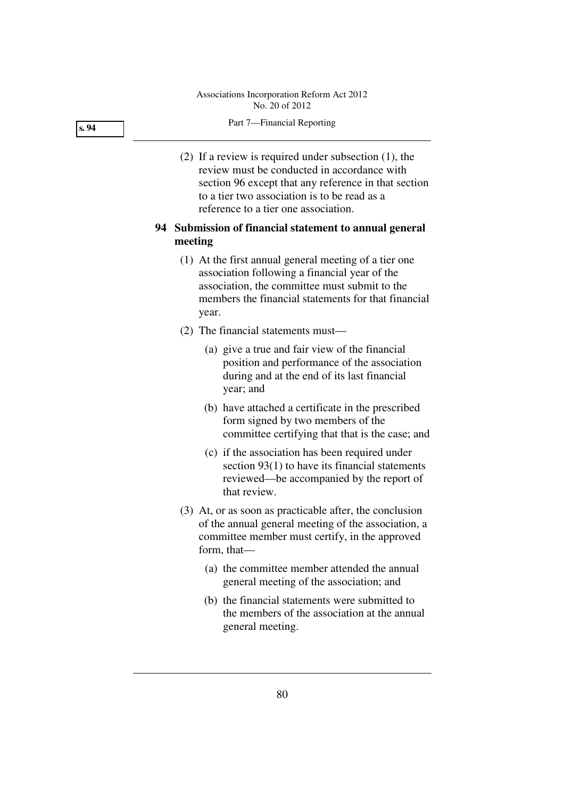#### Part 7—Financial Reporting

 (2) If a review is required under subsection (1), the review must be conducted in accordance with section 96 except that any reference in that section to a tier two association is to be read as a reference to a tier one association.

# **94 Submission of financial statement to annual general meeting**

- (1) At the first annual general meeting of a tier one association following a financial year of the association, the committee must submit to the members the financial statements for that financial year.
- (2) The financial statements must—
	- (a) give a true and fair view of the financial position and performance of the association during and at the end of its last financial year; and
	- (b) have attached a certificate in the prescribed form signed by two members of the committee certifying that that is the case; and
	- (c) if the association has been required under section 93(1) to have its financial statements reviewed—be accompanied by the report of that review.
- (3) At, or as soon as practicable after, the conclusion of the annual general meeting of the association, a committee member must certify, in the approved form, that—
	- (a) the committee member attended the annual general meeting of the association; and
	- (b) the financial statements were submitted to the members of the association at the annual general meeting.

#### **s. 94**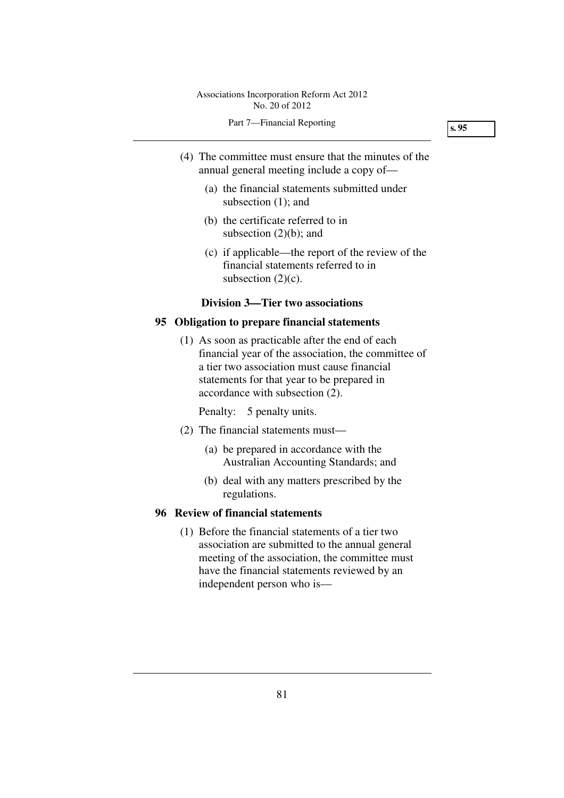- (4) The committee must ensure that the minutes of the annual general meeting include a copy of—
	- (a) the financial statements submitted under subsection (1); and
	- (b) the certificate referred to in subsection (2)(b); and
	- (c) if applicable—the report of the review of the financial statements referred to in subsection  $(2)(c)$ .

#### **Division 3—Tier two associations**

### **95 Obligation to prepare financial statements**

 (1) As soon as practicable after the end of each financial year of the association, the committee of a tier two association must cause financial statements for that year to be prepared in accordance with subsection (2).

Penalty: 5 penalty units.

- (2) The financial statements must—
	- (a) be prepared in accordance with the Australian Accounting Standards; and
	- (b) deal with any matters prescribed by the regulations.

# **96 Review of financial statements**

 (1) Before the financial statements of a tier two association are submitted to the annual general meeting of the association, the committee must have the financial statements reviewed by an independent person who is—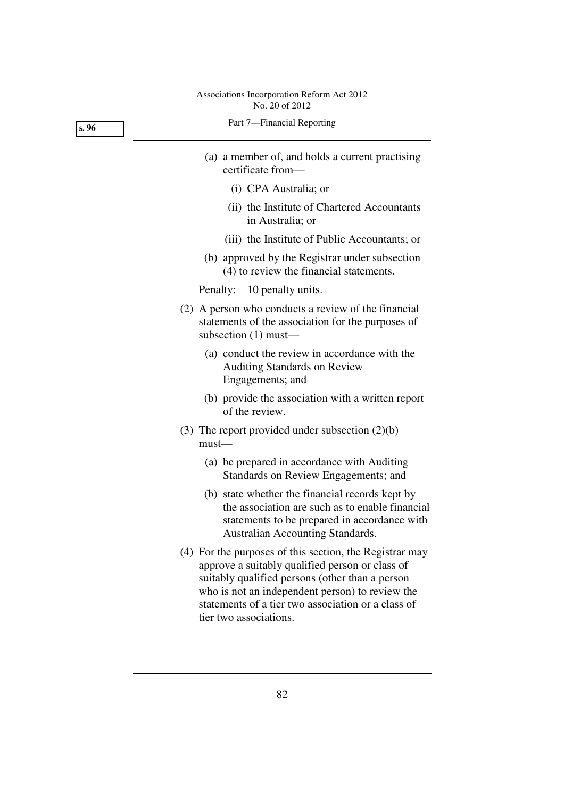Part 7—Financial Reporting

- (a) a member of, and holds a current practising certificate from—
	- (i) CPA Australia; or
	- (ii) the Institute of Chartered Accountants in Australia; or
	- (iii) the Institute of Public Accountants; or
- (b) approved by the Registrar under subsection (4) to review the financial statements.

Penalty: 10 penalty units.

- (2) A person who conducts a review of the financial statements of the association for the purposes of subsection (1) must—
	- (a) conduct the review in accordance with the Auditing Standards on Review Engagements; and
	- (b) provide the association with a written report of the review.
- (3) The report provided under subsection (2)(b) must—
	- (a) be prepared in accordance with Auditing Standards on Review Engagements; and
	- (b) state whether the financial records kept by the association are such as to enable financial statements to be prepared in accordance with Australian Accounting Standards.
- (4) For the purposes of this section, the Registrar may approve a suitably qualified person or class of suitably qualified persons (other than a person who is not an independent person) to review the statements of a tier two association or a class of tier two associations.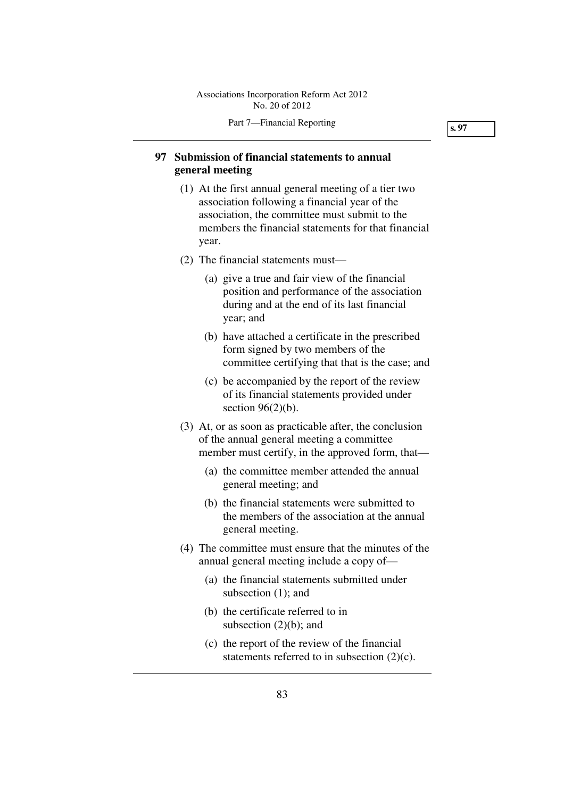# **97 Submission of financial statements to annual general meeting**

- (1) At the first annual general meeting of a tier two association following a financial year of the association, the committee must submit to the members the financial statements for that financial year.
- (2) The financial statements must—
	- (a) give a true and fair view of the financial position and performance of the association during and at the end of its last financial year; and
	- (b) have attached a certificate in the prescribed form signed by two members of the committee certifying that that is the case; and
	- (c) be accompanied by the report of the review of its financial statements provided under section  $96(2)(b)$ .
- (3) At, or as soon as practicable after, the conclusion of the annual general meeting a committee member must certify, in the approved form, that—
	- (a) the committee member attended the annual general meeting; and
	- (b) the financial statements were submitted to the members of the association at the annual general meeting.
- (4) The committee must ensure that the minutes of the annual general meeting include a copy of—
	- (a) the financial statements submitted under subsection (1); and
	- (b) the certificate referred to in subsection (2)(b); and
	- (c) the report of the review of the financial statements referred to in subsection (2)(c).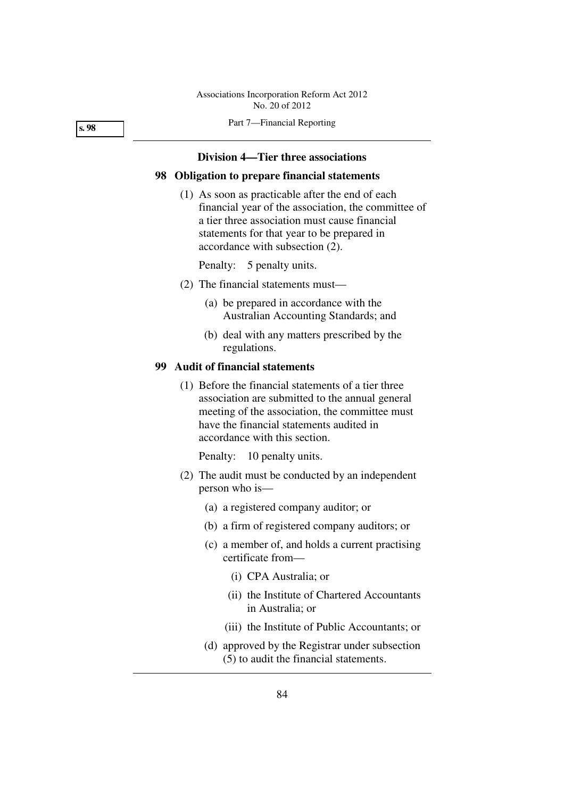Part 7—Financial Reporting

### **Division 4—Tier three associations**

### **98 Obligation to prepare financial statements**

 (1) As soon as practicable after the end of each financial year of the association, the committee of a tier three association must cause financial statements for that year to be prepared in accordance with subsection (2).

Penalty: 5 penalty units.

- (2) The financial statements must—
	- (a) be prepared in accordance with the Australian Accounting Standards; and
	- (b) deal with any matters prescribed by the regulations.

### **99 Audit of financial statements**

 (1) Before the financial statements of a tier three association are submitted to the annual general meeting of the association, the committee must have the financial statements audited in accordance with this section.

Penalty: 10 penalty units.

- (2) The audit must be conducted by an independent person who is—
	- (a) a registered company auditor; or
	- (b) a firm of registered company auditors; or
	- (c) a member of, and holds a current practising certificate from—
		- (i) CPA Australia; or
		- (ii) the Institute of Chartered Accountants in Australia; or
		- (iii) the Institute of Public Accountants; or
	- (d) approved by the Registrar under subsection (5) to audit the financial statements.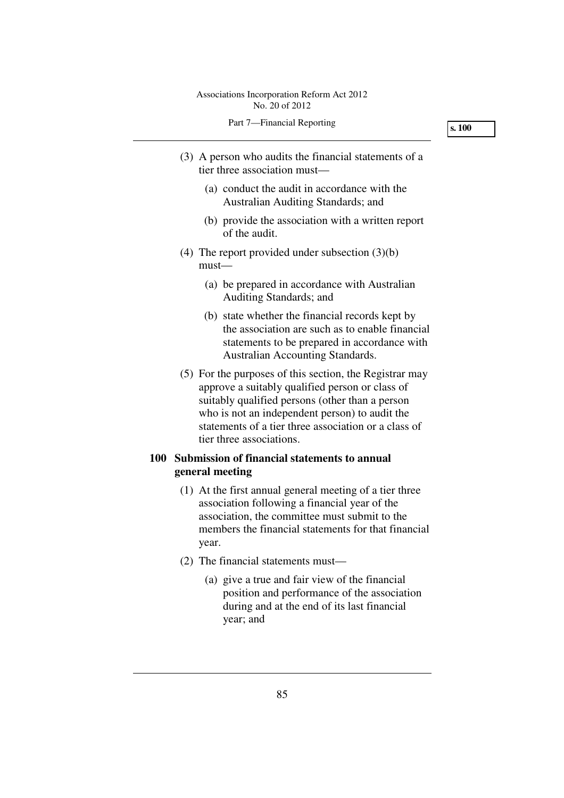- (3) A person who audits the financial statements of a tier three association must—
	- (a) conduct the audit in accordance with the Australian Auditing Standards; and
	- (b) provide the association with a written report of the audit.
- (4) The report provided under subsection (3)(b) must—
	- (a) be prepared in accordance with Australian Auditing Standards; and
	- (b) state whether the financial records kept by the association are such as to enable financial statements to be prepared in accordance with Australian Accounting Standards.
- (5) For the purposes of this section, the Registrar may approve a suitably qualified person or class of suitably qualified persons (other than a person who is not an independent person) to audit the statements of a tier three association or a class of tier three associations.

# **100 Submission of financial statements to annual general meeting**

- (1) At the first annual general meeting of a tier three association following a financial year of the association, the committee must submit to the members the financial statements for that financial year.
- (2) The financial statements must—
	- (a) give a true and fair view of the financial position and performance of the association during and at the end of its last financial year; and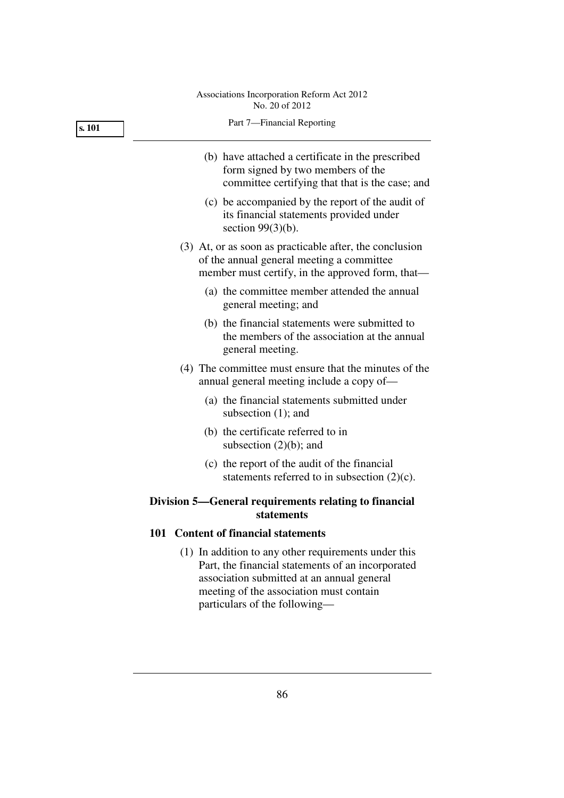| Part 7-Financial Reporting                                                                                                                                                                                                          |  |  |  |  |
|-------------------------------------------------------------------------------------------------------------------------------------------------------------------------------------------------------------------------------------|--|--|--|--|
| (b) have attached a certificate in the prescribed<br>form signed by two members of the<br>committee certifying that that is the case; and                                                                                           |  |  |  |  |
| (c) be accompanied by the report of the audit of<br>its financial statements provided under<br>section $99(3)(b)$ .                                                                                                                 |  |  |  |  |
| (3) At, or as soon as practicable after, the conclusion<br>of the annual general meeting a committee<br>member must certify, in the approved form, that—                                                                            |  |  |  |  |
| (a) the committee member attended the annual<br>general meeting; and                                                                                                                                                                |  |  |  |  |
| (b) the financial statements were submitted to<br>the members of the association at the annual<br>general meeting.                                                                                                                  |  |  |  |  |
| (4) The committee must ensure that the minutes of the<br>annual general meeting include a copy of—                                                                                                                                  |  |  |  |  |
| (a) the financial statements submitted under<br>subsection $(1)$ ; and                                                                                                                                                              |  |  |  |  |
| (b) the certificate referred to in<br>subsection $(2)(b)$ ; and                                                                                                                                                                     |  |  |  |  |
| (c) the report of the audit of the financial<br>statements referred to in subsection $(2)(c)$ .                                                                                                                                     |  |  |  |  |
| Division 5—General requirements relating to financial<br>statements                                                                                                                                                                 |  |  |  |  |
| 101 Content of financial statements                                                                                                                                                                                                 |  |  |  |  |
| (1) In addition to any other requirements under this<br>Part, the financial statements of an incorporated<br>association submitted at an annual general<br>meeting of the association must contain<br>particulars of the following- |  |  |  |  |
|                                                                                                                                                                                                                                     |  |  |  |  |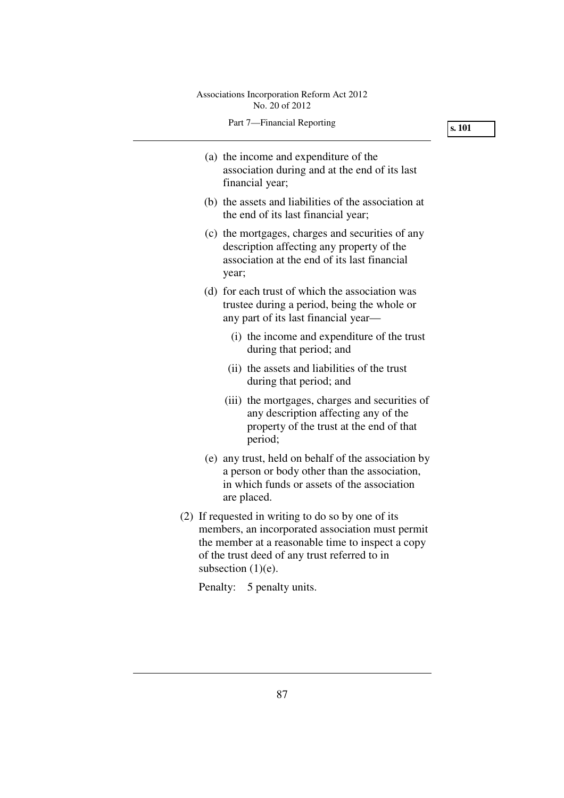| Associations Incorporation Reform Act 2012<br>No. 20 of 2012                                                                                                                                                                          |        |
|---------------------------------------------------------------------------------------------------------------------------------------------------------------------------------------------------------------------------------------|--------|
| Part 7-Financial Reporting                                                                                                                                                                                                            | s. 101 |
| (a) the income and expenditure of the<br>association during and at the end of its last<br>financial year;                                                                                                                             |        |
| (b) the assets and liabilities of the association at<br>the end of its last financial year;                                                                                                                                           |        |
| (c) the mortgages, charges and securities of any<br>description affecting any property of the<br>association at the end of its last financial<br>year;                                                                                |        |
| (d) for each trust of which the association was<br>trustee during a period, being the whole or<br>any part of its last financial year—                                                                                                |        |
| (i) the income and expenditure of the trust<br>during that period; and                                                                                                                                                                |        |
| (ii) the assets and liabilities of the trust<br>during that period; and                                                                                                                                                               |        |
| (iii) the mortgages, charges and securities of<br>any description affecting any of the<br>property of the trust at the end of that<br>period;                                                                                         |        |
| (e) any trust, held on behalf of the association by<br>a person or body other than the association,<br>in which funds or assets of the association<br>are placed.                                                                     |        |
| (2) If requested in writing to do so by one of its<br>members, an incorporated association must permit<br>the member at a reasonable time to inspect a copy<br>of the trust deed of any trust referred to in<br>subsection $(1)(e)$ . |        |

Penalty: 5 penalty units.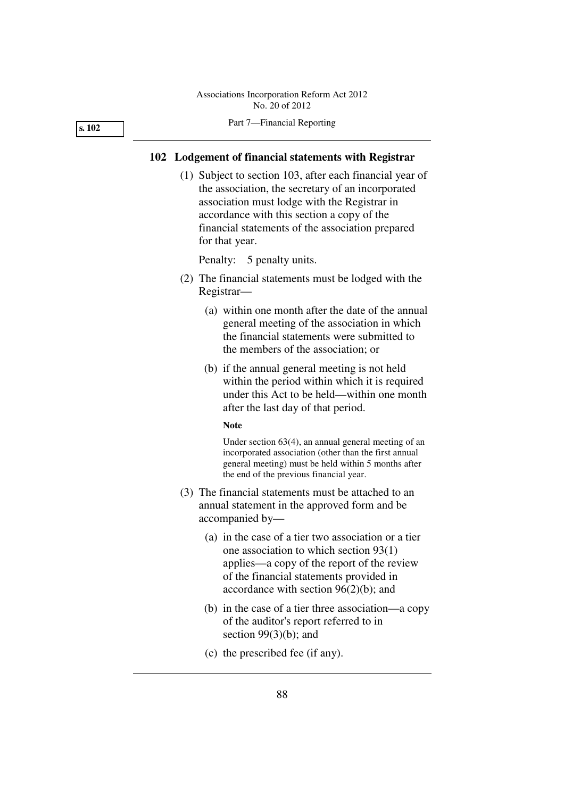#### Part 7—Financial Reporting

### **102 Lodgement of financial statements with Registrar**

 (1) Subject to section 103, after each financial year of the association, the secretary of an incorporated association must lodge with the Registrar in accordance with this section a copy of the financial statements of the association prepared for that year.

Penalty: 5 penalty units.

- (2) The financial statements must be lodged with the Registrar—
	- (a) within one month after the date of the annual general meeting of the association in which the financial statements were submitted to the members of the association; or
	- (b) if the annual general meeting is not held within the period within which it is required under this Act to be held—within one month after the last day of that period.

#### **Note**

Under section 63(4), an annual general meeting of an incorporated association (other than the first annual general meeting) must be held within 5 months after the end of the previous financial year.

- (3) The financial statements must be attached to an annual statement in the approved form and be accompanied by—
	- (a) in the case of a tier two association or a tier one association to which section 93(1) applies—a copy of the report of the review of the financial statements provided in accordance with section 96(2)(b); and
	- (b) in the case of a tier three association—a copy of the auditor's report referred to in section  $99(3)(b)$ ; and
	- (c) the prescribed fee (if any).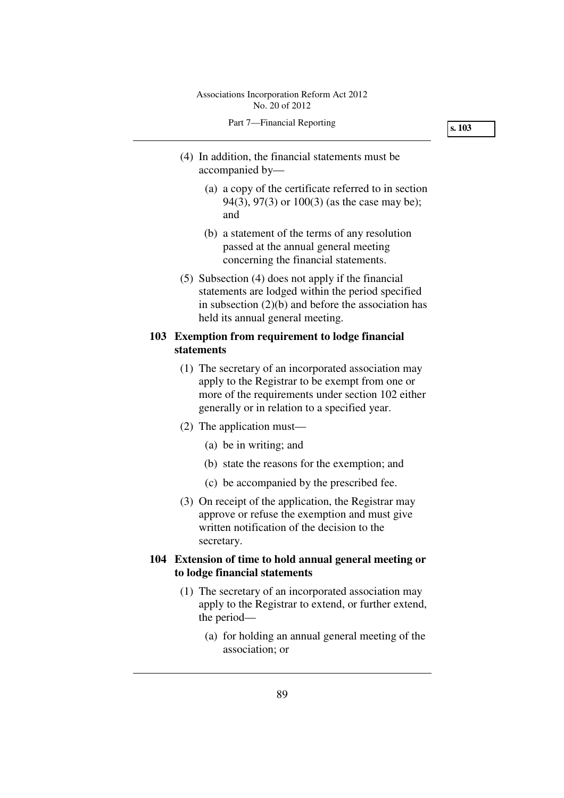- (4) In addition, the financial statements must be accompanied by—
	- (a) a copy of the certificate referred to in section 94(3), 97(3) or 100(3) (as the case may be); and
	- (b) a statement of the terms of any resolution passed at the annual general meeting concerning the financial statements.
- (5) Subsection (4) does not apply if the financial statements are lodged within the period specified in subsection  $(2)(b)$  and before the association has held its annual general meeting.

# **103 Exemption from requirement to lodge financial statements**

- (1) The secretary of an incorporated association may apply to the Registrar to be exempt from one or more of the requirements under section 102 either generally or in relation to a specified year.
- (2) The application must—
	- (a) be in writing; and
	- (b) state the reasons for the exemption; and
	- (c) be accompanied by the prescribed fee.
- (3) On receipt of the application, the Registrar may approve or refuse the exemption and must give written notification of the decision to the secretary.

# **104 Extension of time to hold annual general meeting or to lodge financial statements**

- (1) The secretary of an incorporated association may apply to the Registrar to extend, or further extend, the period—
	- (a) for holding an annual general meeting of the association; or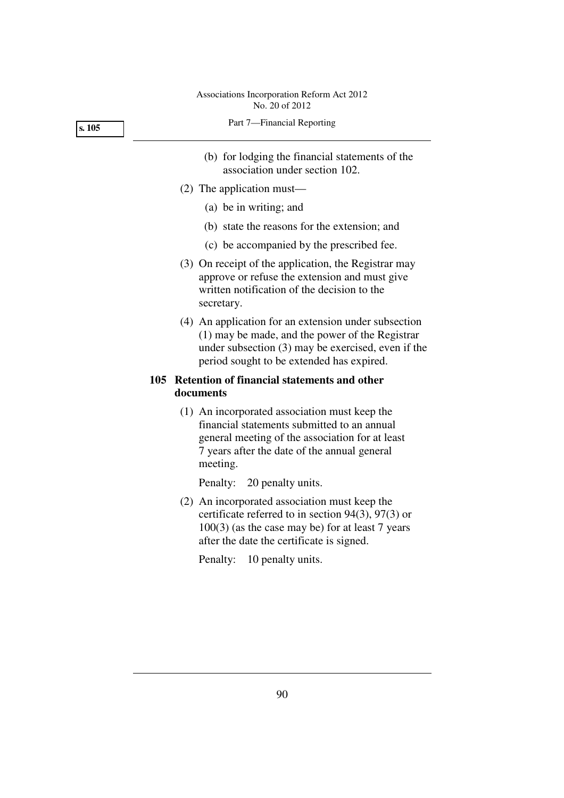|  |  | Part 7-Financial Reporting |  |  |
|--|--|----------------------------|--|--|
|--|--|----------------------------|--|--|

- (b) for lodging the financial statements of the association under section 102.
- (2) The application must—
	- (a) be in writing; and
	- (b) state the reasons for the extension; and
	- (c) be accompanied by the prescribed fee.
- (3) On receipt of the application, the Registrar may approve or refuse the extension and must give written notification of the decision to the secretary.
- (4) An application for an extension under subsection (1) may be made, and the power of the Registrar under subsection (3) may be exercised, even if the period sought to be extended has expired.

# **105 Retention of financial statements and other documents**

 (1) An incorporated association must keep the financial statements submitted to an annual general meeting of the association for at least 7 years after the date of the annual general meeting.

Penalty: 20 penalty units.

 (2) An incorporated association must keep the certificate referred to in section 94(3), 97(3) or 100(3) (as the case may be) for at least 7 years after the date the certificate is signed.

Penalty: 10 penalty units.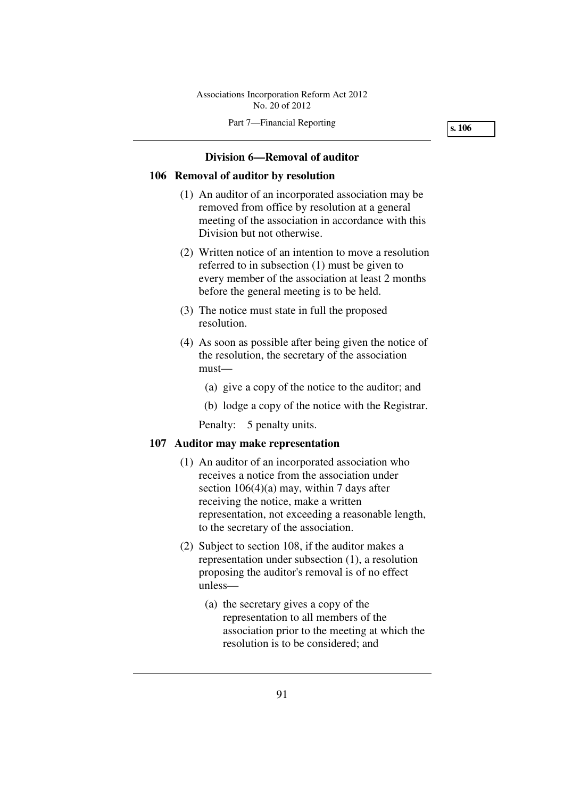# **Division 6—Removal of auditor**

## **106 Removal of auditor by resolution**

- (1) An auditor of an incorporated association may be removed from office by resolution at a general meeting of the association in accordance with this Division but not otherwise.
- (2) Written notice of an intention to move a resolution referred to in subsection (1) must be given to every member of the association at least 2 months before the general meeting is to be held.
- (3) The notice must state in full the proposed resolution.
- (4) As soon as possible after being given the notice of the resolution, the secretary of the association must—
	- (a) give a copy of the notice to the auditor; and
	- (b) lodge a copy of the notice with the Registrar.

Penalty: 5 penalty units.

### **107 Auditor may make representation**

- (1) An auditor of an incorporated association who receives a notice from the association under section 106(4)(a) may, within 7 days after receiving the notice, make a written representation, not exceeding a reasonable length, to the secretary of the association.
- (2) Subject to section 108, if the auditor makes a representation under subsection (1), a resolution proposing the auditor's removal is of no effect unless—
	- (a) the secretary gives a copy of the representation to all members of the association prior to the meeting at which the resolution is to be considered; and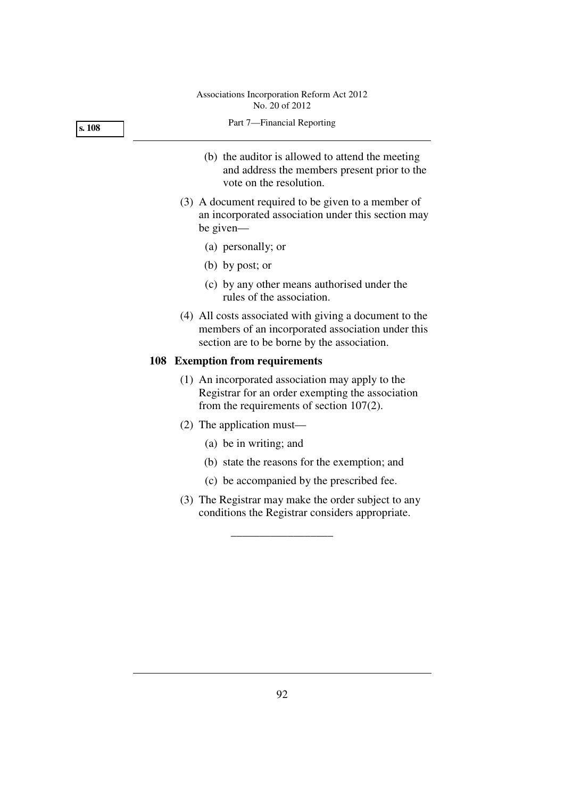| s. 108 | Part 7-Financial Reporting                                                                                                                                 |
|--------|------------------------------------------------------------------------------------------------------------------------------------------------------------|
|        | (b) the auditor is allowed to attend the meeting<br>and address the members present prior to the<br>vote on the resolution.                                |
|        | (3) A document required to be given to a member of<br>an incorporated association under this section may<br>be given—                                      |
|        | (a) personally; or                                                                                                                                         |
|        | (b) by post; or                                                                                                                                            |
|        | (c) by any other means authorised under the<br>rules of the association.                                                                                   |
|        | (4) All costs associated with giving a document to the<br>members of an incorporated association under this<br>section are to be borne by the association. |
|        | 108 Exemption from requirements                                                                                                                            |
|        | (1) An incorporated association may apply to the<br>Registrar for an order exempting the association<br>from the requirements of section $107(2)$ .        |
|        | $(2)$ The application must—                                                                                                                                |
|        | (a) be in writing; and                                                                                                                                     |
|        | (b) state the reasons for the exemption; and                                                                                                               |
|        | (c) be accompanied by the prescribed fee.                                                                                                                  |
|        | (3) The Registrar may make the order subject to any<br>conditions the Registrar considers appropriate.                                                     |
|        |                                                                                                                                                            |
|        |                                                                                                                                                            |
|        |                                                                                                                                                            |
|        |                                                                                                                                                            |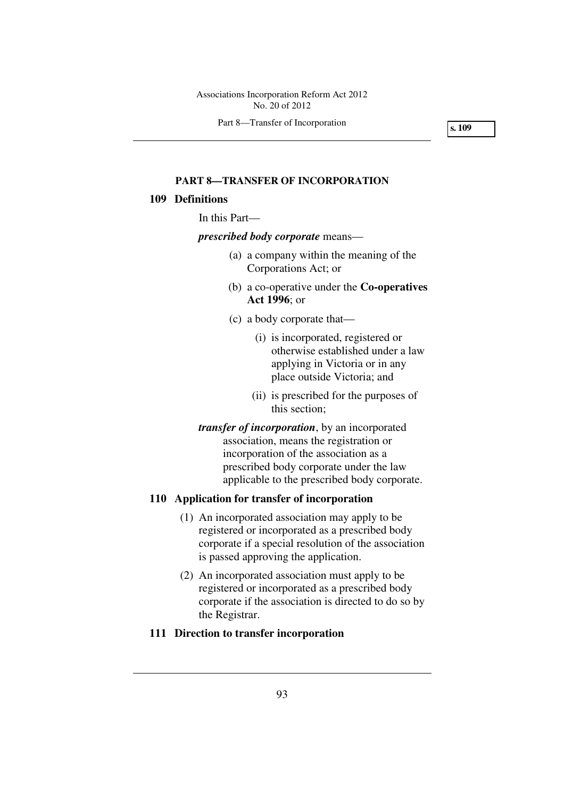Part 8—Transfer of Incorporation

**s. 109** 

### **PART 8—TRANSFER OF INCORPORATION**

### **109 Definitions**

In this Part—

#### *prescribed body corporate* means—

- (a) a company within the meaning of the Corporations Act; or
- (b) a co-operative under the **Co-operatives Act 1996**; or
- (c) a body corporate that—
	- (i) is incorporated, registered or otherwise established under a law applying in Victoria or in any place outside Victoria; and
	- (ii) is prescribed for the purposes of this section;
- *transfer of incorporation*, by an incorporated association, means the registration or incorporation of the association as a prescribed body corporate under the law applicable to the prescribed body corporate.

## **110 Application for transfer of incorporation**

- (1) An incorporated association may apply to be registered or incorporated as a prescribed body corporate if a special resolution of the association is passed approving the application.
- (2) An incorporated association must apply to be registered or incorporated as a prescribed body corporate if the association is directed to do so by the Registrar.

# **111 Direction to transfer incorporation**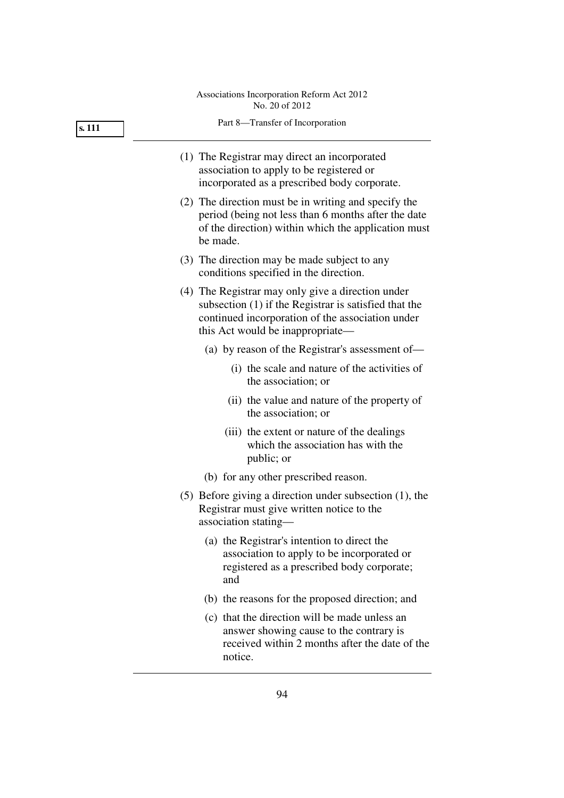|        | No. 20 of 2012                                                                                                                                                                                       |
|--------|------------------------------------------------------------------------------------------------------------------------------------------------------------------------------------------------------|
| s. 111 | Part 8-Transfer of Incorporation                                                                                                                                                                     |
|        | (1) The Registrar may direct an incorporated<br>association to apply to be registered or<br>incorporated as a prescribed body corporate.                                                             |
|        | (2) The direction must be in writing and specify the<br>period (being not less than 6 months after the date<br>of the direction) within which the application must<br>be made.                       |
|        | (3) The direction may be made subject to any<br>conditions specified in the direction.                                                                                                               |
|        | (4) The Registrar may only give a direction under<br>subsection $(1)$ if the Registrar is satisfied that the<br>continued incorporation of the association under<br>this Act would be inappropriate— |
|        | (a) by reason of the Registrar's assessment of—                                                                                                                                                      |
|        | (i) the scale and nature of the activities of<br>the association; or                                                                                                                                 |
|        | (ii) the value and nature of the property of<br>the association; or                                                                                                                                  |
|        | (iii) the extent or nature of the dealings<br>which the association has with the<br>public; or                                                                                                       |
|        | (b) for any other prescribed reason.                                                                                                                                                                 |
|        | $(5)$ Before giving a direction under subsection $(1)$ , the<br>Registrar must give written notice to the<br>association stating-                                                                    |
|        | (a) the Registrar's intention to direct the<br>association to apply to be incorporated or<br>registered as a prescribed body corporate;<br>and                                                       |

- (b) the reasons for the proposed direction; and
- (c) that the direction will be made unless an answer showing cause to the contrary is received within 2 months after the date of the notice.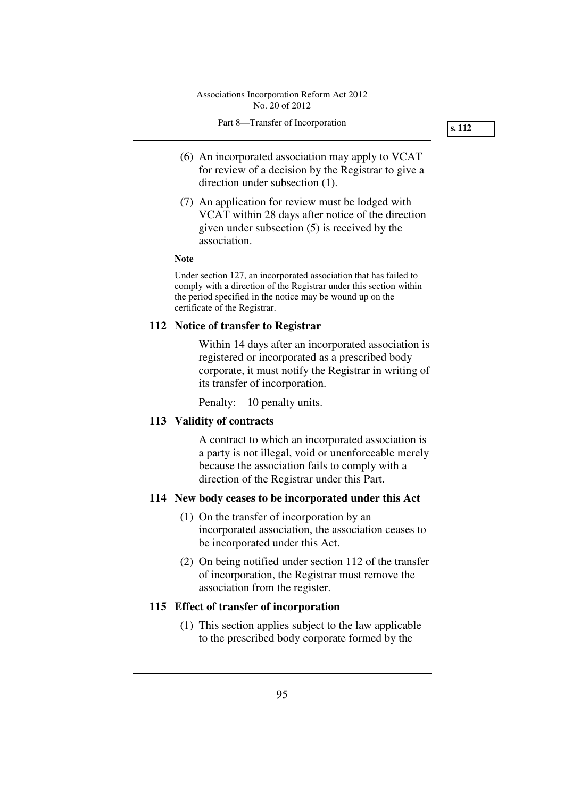- (6) An incorporated association may apply to VCAT for review of a decision by the Registrar to give a direction under subsection (1).
- (7) An application for review must be lodged with VCAT within 28 days after notice of the direction given under subsection (5) is received by the association.

#### **Note**

Under section 127, an incorporated association that has failed to comply with a direction of the Registrar under this section within the period specified in the notice may be wound up on the certificate of the Registrar.

### **112 Notice of transfer to Registrar**

Within 14 days after an incorporated association is registered or incorporated as a prescribed body corporate, it must notify the Registrar in writing of its transfer of incorporation.

Penalty: 10 penalty units.

# **113 Validity of contracts**

A contract to which an incorporated association is a party is not illegal, void or unenforceable merely because the association fails to comply with a direction of the Registrar under this Part.

### **114 New body ceases to be incorporated under this Act**

- (1) On the transfer of incorporation by an incorporated association, the association ceases to be incorporated under this Act.
- (2) On being notified under section 112 of the transfer of incorporation, the Registrar must remove the association from the register.

### **115 Effect of transfer of incorporation**

 (1) This section applies subject to the law applicable to the prescribed body corporate formed by the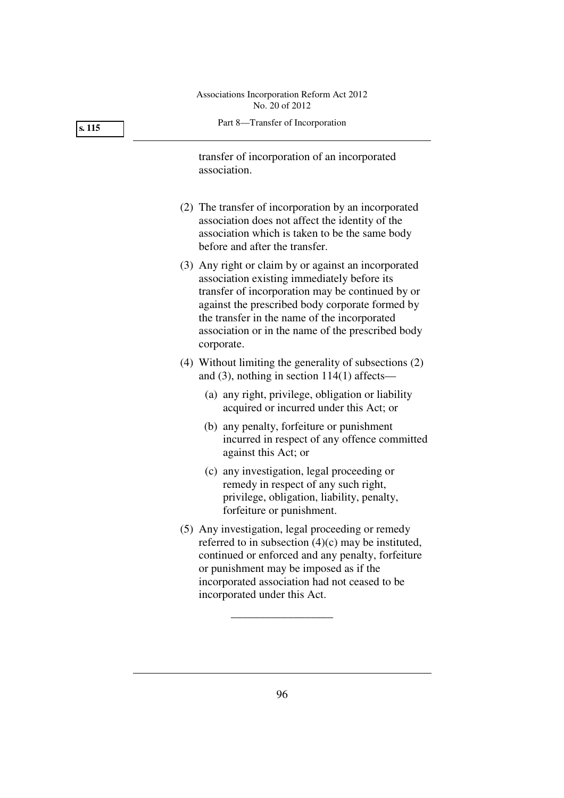| s. 115 | Part 8-Transfer of Incorporation                                                                                                                                                                                                                                                                                              |
|--------|-------------------------------------------------------------------------------------------------------------------------------------------------------------------------------------------------------------------------------------------------------------------------------------------------------------------------------|
|        | transfer of incorporation of an incorporated<br>association.                                                                                                                                                                                                                                                                  |
|        | (2) The transfer of incorporation by an incorporated<br>association does not affect the identity of the<br>association which is taken to be the same body<br>before and after the transfer.                                                                                                                                   |
|        | (3) Any right or claim by or against an incorporated<br>association existing immediately before its<br>transfer of incorporation may be continued by or<br>against the prescribed body corporate formed by<br>the transfer in the name of the incorporated<br>association or in the name of the prescribed body<br>corporate. |
|        | (4) Without limiting the generality of subsections (2)<br>and $(3)$ , nothing in section 114 $(1)$ affects—                                                                                                                                                                                                                   |
|        | (a) any right, privilege, obligation or liability<br>acquired or incurred under this Act; or                                                                                                                                                                                                                                  |
|        | (b) any penalty, forfeiture or punishment<br>incurred in respect of any offence committed<br>against this Act; or                                                                                                                                                                                                             |
|        | (c) any investigation, legal proceeding or<br>remedy in respect of any such right,<br>privilege, obligation, liability, penalty,<br>forfeiture or punishment.                                                                                                                                                                 |
|        | (5) Any investigation, legal proceeding or remedy<br>referred to in subsection $(4)(c)$ may be instituted,<br>continued or enforced and any penalty, forfeiture<br>or punishment may be imposed as if the<br>incorporated association had not ceased to be<br>incorporated under this Act.                                    |

\_\_\_\_\_\_\_\_\_\_\_\_\_\_\_\_\_\_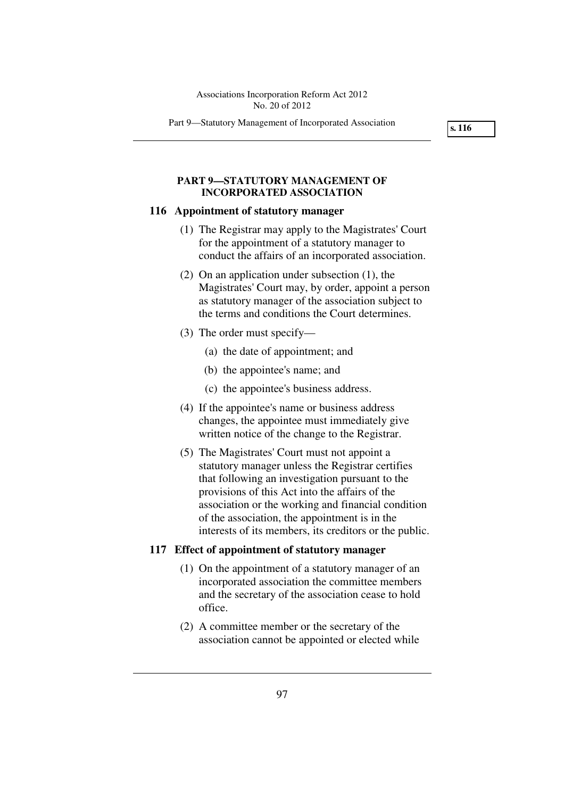Part 9—Statutory Management of Incorporated Association

**s. 116** 

# **PART 9—STATUTORY MANAGEMENT OF INCORPORATED ASSOCIATION**

#### **116 Appointment of statutory manager**

- (1) The Registrar may apply to the Magistrates' Court for the appointment of a statutory manager to conduct the affairs of an incorporated association.
- (2) On an application under subsection (1), the Magistrates' Court may, by order, appoint a person as statutory manager of the association subject to the terms and conditions the Court determines.
- (3) The order must specify—
	- (a) the date of appointment; and
	- (b) the appointee's name; and
	- (c) the appointee's business address.
- (4) If the appointee's name or business address changes, the appointee must immediately give written notice of the change to the Registrar.
- (5) The Magistrates' Court must not appoint a statutory manager unless the Registrar certifies that following an investigation pursuant to the provisions of this Act into the affairs of the association or the working and financial condition of the association, the appointment is in the interests of its members, its creditors or the public.

### **117 Effect of appointment of statutory manager**

- (1) On the appointment of a statutory manager of an incorporated association the committee members and the secretary of the association cease to hold office.
- (2) A committee member or the secretary of the association cannot be appointed or elected while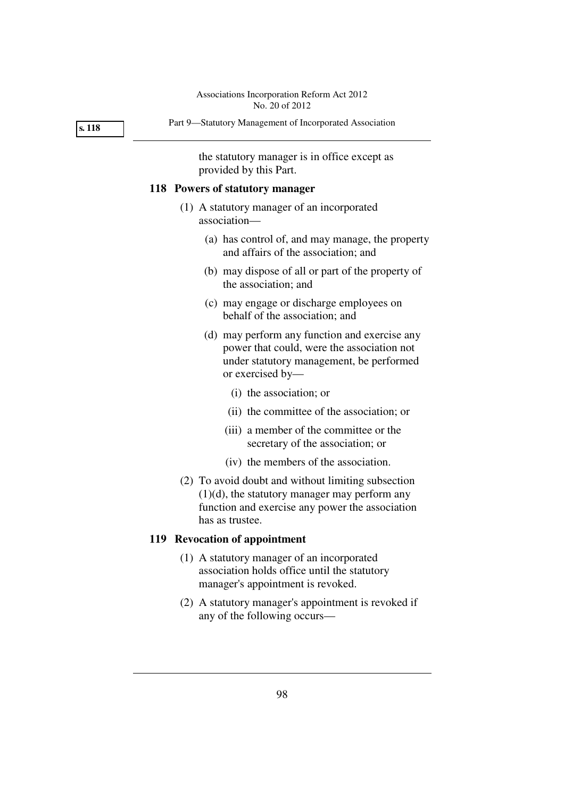#### **s. 118**

the statutory manager is in office except as provided by this Part.

### **118 Powers of statutory manager**

- (1) A statutory manager of an incorporated association—
	- (a) has control of, and may manage, the property and affairs of the association; and
	- (b) may dispose of all or part of the property of the association; and
	- (c) may engage or discharge employees on behalf of the association; and
	- (d) may perform any function and exercise any power that could, were the association not under statutory management, be performed or exercised by—
		- (i) the association; or
		- (ii) the committee of the association; or
		- (iii) a member of the committee or the secretary of the association; or
		- (iv) the members of the association.
- (2) To avoid doubt and without limiting subsection (1)(d), the statutory manager may perform any function and exercise any power the association has as trustee.

# **119 Revocation of appointment**

- (1) A statutory manager of an incorporated association holds office until the statutory manager's appointment is revoked.
- (2) A statutory manager's appointment is revoked if any of the following occurs—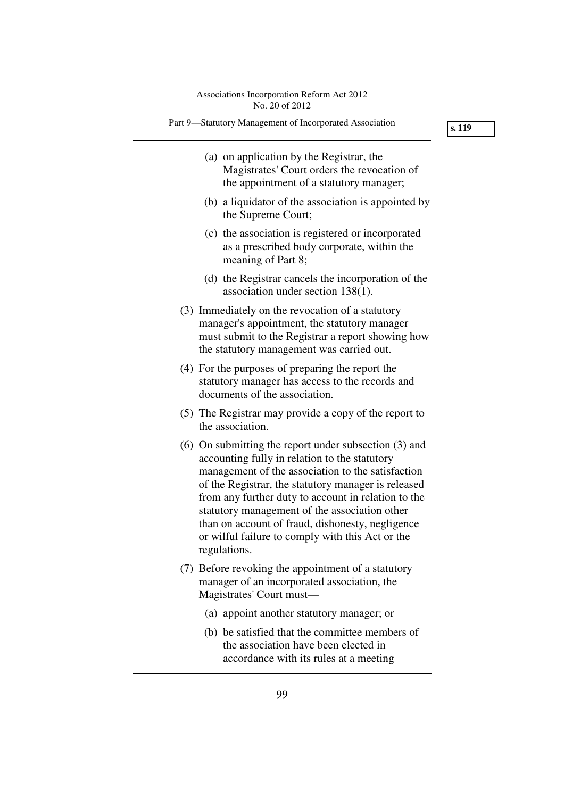Part 9—Statutory Management of Incorporated Association

**s. 119** 

- (a) on application by the Registrar, the Magistrates' Court orders the revocation of the appointment of a statutory manager;
- (b) a liquidator of the association is appointed by the Supreme Court;
- (c) the association is registered or incorporated as a prescribed body corporate, within the meaning of Part 8;
- (d) the Registrar cancels the incorporation of the association under section 138(1).
- (3) Immediately on the revocation of a statutory manager's appointment, the statutory manager must submit to the Registrar a report showing how the statutory management was carried out.
- (4) For the purposes of preparing the report the statutory manager has access to the records and documents of the association.
- (5) The Registrar may provide a copy of the report to the association.
- (6) On submitting the report under subsection (3) and accounting fully in relation to the statutory management of the association to the satisfaction of the Registrar, the statutory manager is released from any further duty to account in relation to the statutory management of the association other than on account of fraud, dishonesty, negligence or wilful failure to comply with this Act or the regulations.
- (7) Before revoking the appointment of a statutory manager of an incorporated association, the Magistrates' Court must—
	- (a) appoint another statutory manager; or
	- (b) be satisfied that the committee members of the association have been elected in accordance with its rules at a meeting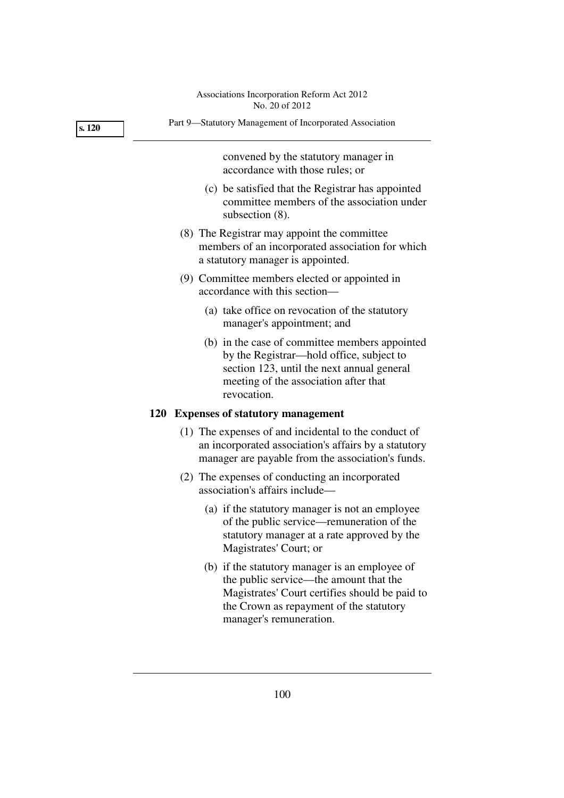|        | Associations Incorporation Reform Act 2012<br>No. 20 of 2012                                                                                                                                                     |
|--------|------------------------------------------------------------------------------------------------------------------------------------------------------------------------------------------------------------------|
| s. 120 | Part 9-Statutory Management of Incorporated Association                                                                                                                                                          |
|        | convened by the statutory manager in<br>accordance with those rules; or                                                                                                                                          |
|        | (c) be satisfied that the Registrar has appointed<br>committee members of the association under<br>subsection (8).                                                                                               |
|        | (8) The Registrar may appoint the committee<br>members of an incorporated association for which<br>a statutory manager is appointed.                                                                             |
|        | (9) Committee members elected or appointed in<br>accordance with this section-                                                                                                                                   |
|        | (a) take office on revocation of the statutory<br>manager's appointment; and                                                                                                                                     |
|        | (b) in the case of committee members appointed<br>by the Registrar—hold office, subject to<br>section 123, until the next annual general<br>meeting of the association after that<br>revocation.                 |
|        | 120 Expenses of statutory management                                                                                                                                                                             |
|        | (1) The expenses of and incidental to the conduct of<br>an incorporated association's affairs by a statutory<br>manager are payable from the association's funds.                                                |
|        | (2) The expenses of conducting an incorporated<br>association's affairs include—                                                                                                                                 |
|        | (a) if the statutory manager is not an employee<br>of the public service—remuneration of the<br>statutory manager at a rate approved by the<br>Magistrates' Court; or                                            |
|        | (b) if the statutory manager is an employee of<br>the public service—the amount that the<br>Magistrates' Court certifies should be paid to<br>the Crown as repayment of the statutory<br>manager's remuneration. |
|        |                                                                                                                                                                                                                  |
|        |                                                                                                                                                                                                                  |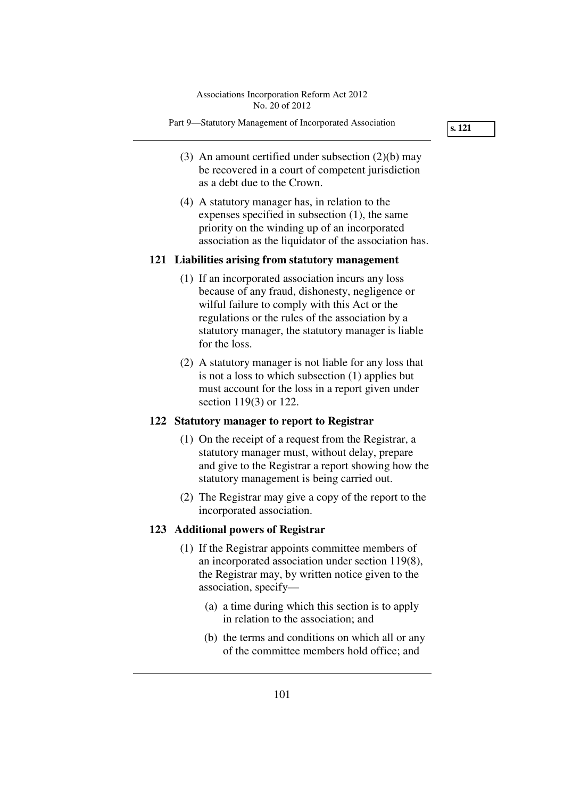Part 9—Statutory Management of Incorporated Association

**s. 121** 

- (3) An amount certified under subsection (2)(b) may be recovered in a court of competent jurisdiction as a debt due to the Crown.
- (4) A statutory manager has, in relation to the expenses specified in subsection (1), the same priority on the winding up of an incorporated association as the liquidator of the association has.

## **121 Liabilities arising from statutory management**

- (1) If an incorporated association incurs any loss because of any fraud, dishonesty, negligence or wilful failure to comply with this Act or the regulations or the rules of the association by a statutory manager, the statutory manager is liable for the loss.
- (2) A statutory manager is not liable for any loss that is not a loss to which subsection (1) applies but must account for the loss in a report given under section 119(3) or 122.

## **122 Statutory manager to report to Registrar**

- (1) On the receipt of a request from the Registrar, a statutory manager must, without delay, prepare and give to the Registrar a report showing how the statutory management is being carried out.
- (2) The Registrar may give a copy of the report to the incorporated association.

## **123 Additional powers of Registrar**

- (1) If the Registrar appoints committee members of an incorporated association under section 119(8), the Registrar may, by written notice given to the association, specify—
	- (a) a time during which this section is to apply in relation to the association; and
	- (b) the terms and conditions on which all or any of the committee members hold office; and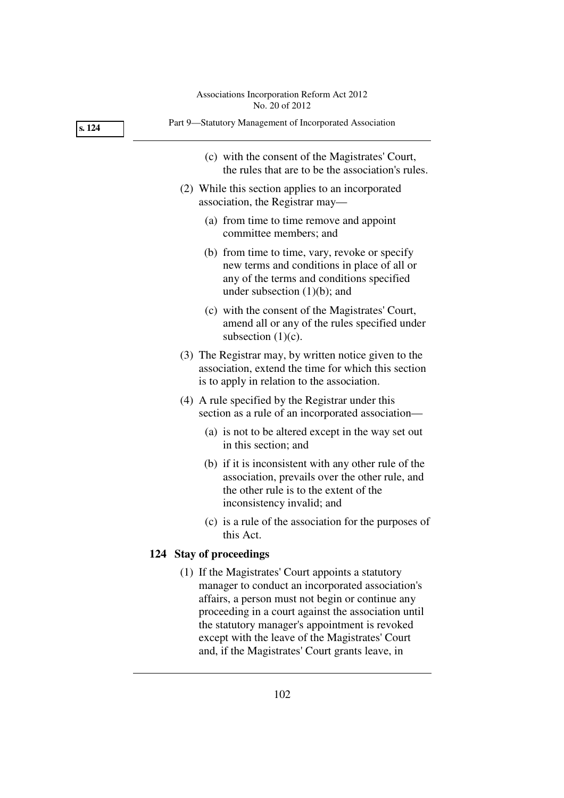| Associations Incorporation Reform Act 2012 |
|--------------------------------------------|
| No. 20 of 2012                             |

| s. 124 | Part 9-Statutory Management of Incorporated Association                                                                                                                                                                                                                                                                                                                   |
|--------|---------------------------------------------------------------------------------------------------------------------------------------------------------------------------------------------------------------------------------------------------------------------------------------------------------------------------------------------------------------------------|
|        | (c) with the consent of the Magistrates' Court,<br>the rules that are to be the association's rules.                                                                                                                                                                                                                                                                      |
|        | (2) While this section applies to an incorporated<br>association, the Registrar may—                                                                                                                                                                                                                                                                                      |
|        | (a) from time to time remove and appoint<br>committee members; and                                                                                                                                                                                                                                                                                                        |
|        | (b) from time to time, vary, revoke or specify<br>new terms and conditions in place of all or<br>any of the terms and conditions specified<br>under subsection $(1)(b)$ ; and                                                                                                                                                                                             |
|        | (c) with the consent of the Magistrates' Court,<br>amend all or any of the rules specified under<br>subsection $(1)(c)$ .                                                                                                                                                                                                                                                 |
|        | (3) The Registrar may, by written notice given to the<br>association, extend the time for which this section<br>is to apply in relation to the association.                                                                                                                                                                                                               |
|        | (4) A rule specified by the Registrar under this<br>section as a rule of an incorporated association—                                                                                                                                                                                                                                                                     |
|        | (a) is not to be altered except in the way set out<br>in this section; and                                                                                                                                                                                                                                                                                                |
|        | (b) if it is inconsistent with any other rule of the<br>association, prevails over the other rule, and<br>the other rule is to the extent of the<br>inconsistency invalid; and                                                                                                                                                                                            |
|        | (c) is a rule of the association for the purposes of<br>this Act.                                                                                                                                                                                                                                                                                                         |
|        | 124 Stay of proceedings                                                                                                                                                                                                                                                                                                                                                   |
|        | (1) If the Magistrates' Court appoints a statutory<br>manager to conduct an incorporated association's<br>affairs, a person must not begin or continue any<br>proceeding in a court against the association until<br>the statutory manager's appointment is revoked<br>except with the leave of the Magistrates' Court<br>and, if the Magistrates' Court grants leave, in |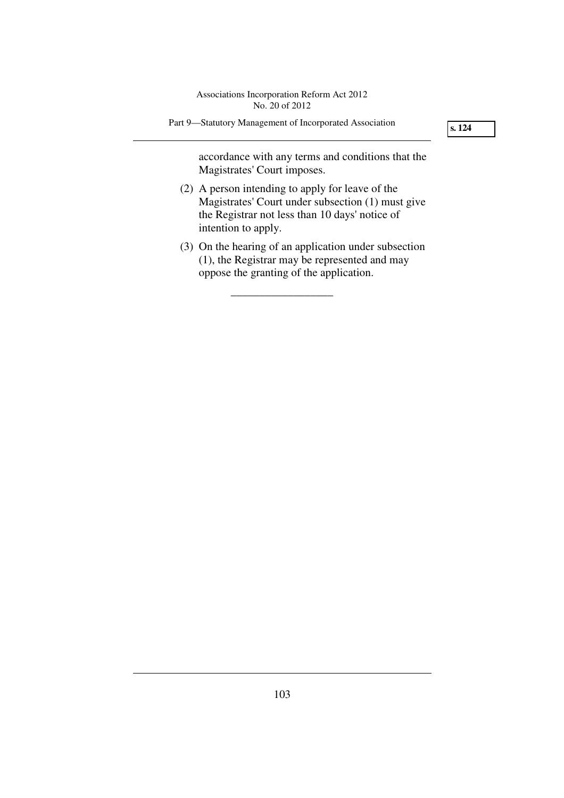Part 9—Statutory Management of Incorporated Association

**s. 124** 

accordance with any terms and conditions that the Magistrates' Court imposes.

- (2) A person intending to apply for leave of the Magistrates' Court under subsection (1) must give the Registrar not less than 10 days' notice of intention to apply.
- (3) On the hearing of an application under subsection (1), the Registrar may be represented and may oppose the granting of the application.

\_\_\_\_\_\_\_\_\_\_\_\_\_\_\_\_\_\_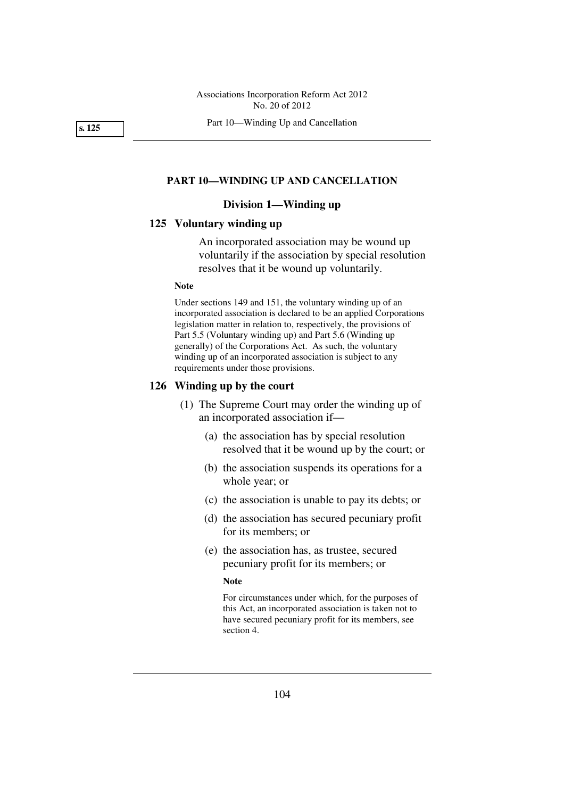Part 10—Winding Up and Cancellation

**s. 125** 

### **PART 10—WINDING UP AND CANCELLATION**

# **Division 1—Winding up**

## **125 Voluntary winding up**

An incorporated association may be wound up voluntarily if the association by special resolution resolves that it be wound up voluntarily.

### **Note**

Under sections 149 and 151, the voluntary winding up of an incorporated association is declared to be an applied Corporations legislation matter in relation to, respectively, the provisions of Part 5.5 (Voluntary winding up) and Part 5.6 (Winding up generally) of the Corporations Act. As such, the voluntary winding up of an incorporated association is subject to any requirements under those provisions.

## **126 Winding up by the court**

- (1) The Supreme Court may order the winding up of an incorporated association if—
	- (a) the association has by special resolution resolved that it be wound up by the court; or
	- (b) the association suspends its operations for a whole year; or
	- (c) the association is unable to pay its debts; or
	- (d) the association has secured pecuniary profit for its members; or
	- (e) the association has, as trustee, secured pecuniary profit for its members; or

### **Note**

For circumstances under which, for the purposes of this Act, an incorporated association is taken not to have secured pecuniary profit for its members, see section 4.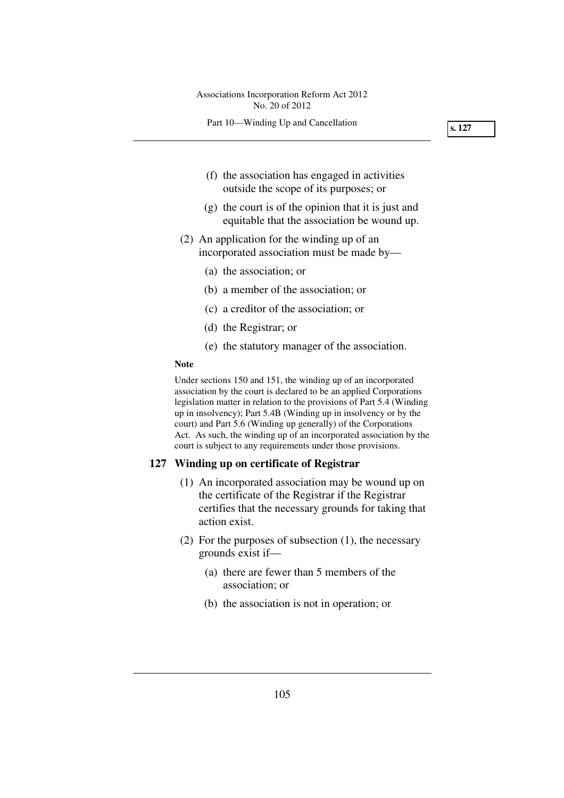**s. 127** 

- (f) the association has engaged in activities outside the scope of its purposes; or
- (g) the court is of the opinion that it is just and equitable that the association be wound up.
- (2) An application for the winding up of an incorporated association must be made by—
	- (a) the association; or
	- (b) a member of the association; or
	- (c) a creditor of the association; or
	- (d) the Registrar; or
	- (e) the statutory manager of the association.

## **Note**

Under sections 150 and 151, the winding up of an incorporated association by the court is declared to be an applied Corporations legislation matter in relation to the provisions of Part 5.4 (Winding up in insolvency); Part 5.4B (Winding up in insolvency or by the court) and Part 5.6 (Winding up generally) of the Corporations Act. As such, the winding up of an incorporated association by the court is subject to any requirements under those provisions.

### **127 Winding up on certificate of Registrar**

- (1) An incorporated association may be wound up on the certificate of the Registrar if the Registrar certifies that the necessary grounds for taking that action exist.
- (2) For the purposes of subsection (1), the necessary grounds exist if—
	- (a) there are fewer than 5 members of the association; or
	- (b) the association is not in operation; or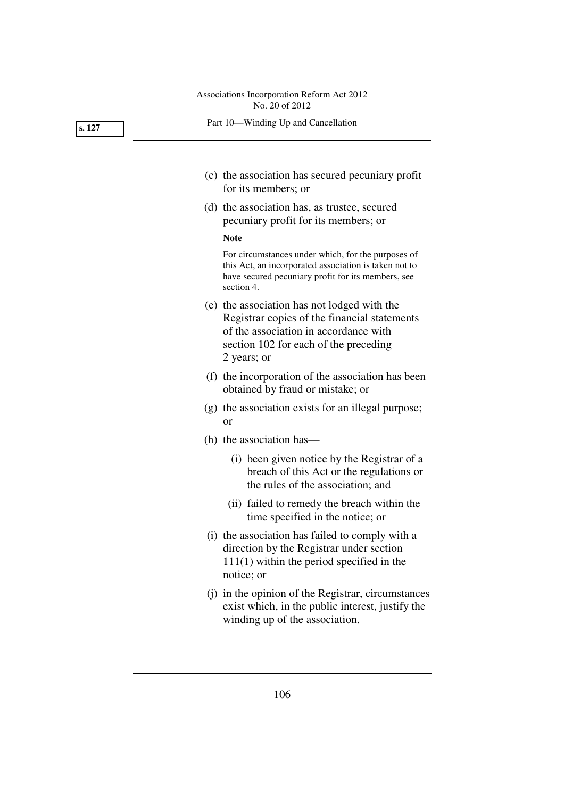Part 10—Winding Up and Cancellation

- (c) the association has secured pecuniary profit for its members; or
- (d) the association has, as trustee, secured pecuniary profit for its members; or

#### **Note**

For circumstances under which, for the purposes of this Act, an incorporated association is taken not to have secured pecuniary profit for its members, see section 4.

- (e) the association has not lodged with the Registrar copies of the financial statements of the association in accordance with section 102 for each of the preceding 2 years; or
- (f) the incorporation of the association has been obtained by fraud or mistake; or
- (g) the association exists for an illegal purpose; or
- (h) the association has—
	- (i) been given notice by the Registrar of a breach of this Act or the regulations or the rules of the association; and
	- (ii) failed to remedy the breach within the time specified in the notice; or
- (i) the association has failed to comply with a direction by the Registrar under section 111(1) within the period specified in the notice; or
- (j) in the opinion of the Registrar, circumstances exist which, in the public interest, justify the winding up of the association.

**s. 127**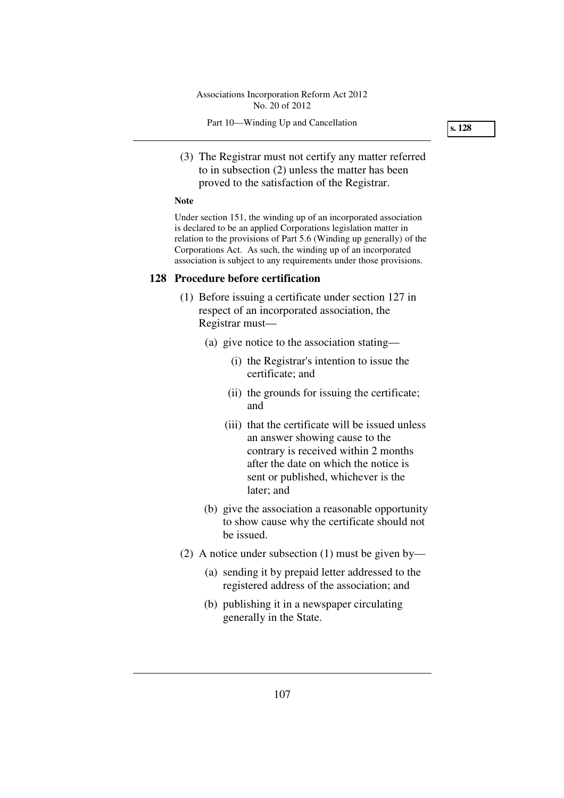(3) The Registrar must not certify any matter referred to in subsection (2) unless the matter has been proved to the satisfaction of the Registrar.

#### **Note**

Under section 151, the winding up of an incorporated association is declared to be an applied Corporations legislation matter in relation to the provisions of Part 5.6 (Winding up generally) of the Corporations Act. As such, the winding up of an incorporated association is subject to any requirements under those provisions.

## **128 Procedure before certification**

- (1) Before issuing a certificate under section 127 in respect of an incorporated association, the Registrar must—
	- (a) give notice to the association stating—
		- (i) the Registrar's intention to issue the certificate; and
		- (ii) the grounds for issuing the certificate; and
		- (iii) that the certificate will be issued unless an answer showing cause to the contrary is received within 2 months after the date on which the notice is sent or published, whichever is the later; and
	- (b) give the association a reasonable opportunity to show cause why the certificate should not be issued.
- (2) A notice under subsection (1) must be given by—
	- (a) sending it by prepaid letter addressed to the registered address of the association; and
	- (b) publishing it in a newspaper circulating generally in the State.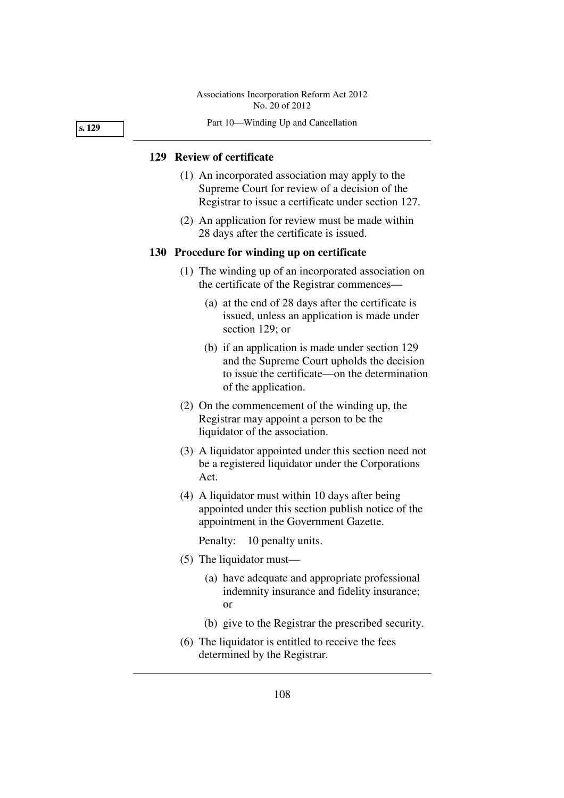Part 10—Winding Up and Cancellation

## **129 Review of certificate**

- (1) An incorporated association may apply to the Supreme Court for review of a decision of the Registrar to issue a certificate under section 127.
- (2) An application for review must be made within 28 days after the certificate is issued.

### **130 Procedure for winding up on certificate**

- (1) The winding up of an incorporated association on the certificate of the Registrar commences—
	- (a) at the end of 28 days after the certificate is issued, unless an application is made under section 129; or
	- (b) if an application is made under section 129 and the Supreme Court upholds the decision to issue the certificate—on the determination of the application.
- (2) On the commencement of the winding up, the Registrar may appoint a person to be the liquidator of the association.
- (3) A liquidator appointed under this section need not be a registered liquidator under the Corporations Act.
- (4) A liquidator must within 10 days after being appointed under this section publish notice of the appointment in the Government Gazette.

Penalty: 10 penalty units.

- (5) The liquidator must—
	- (a) have adequate and appropriate professional indemnity insurance and fidelity insurance; or
	- (b) give to the Registrar the prescribed security.
- (6) The liquidator is entitled to receive the fees determined by the Registrar.

**s. 129**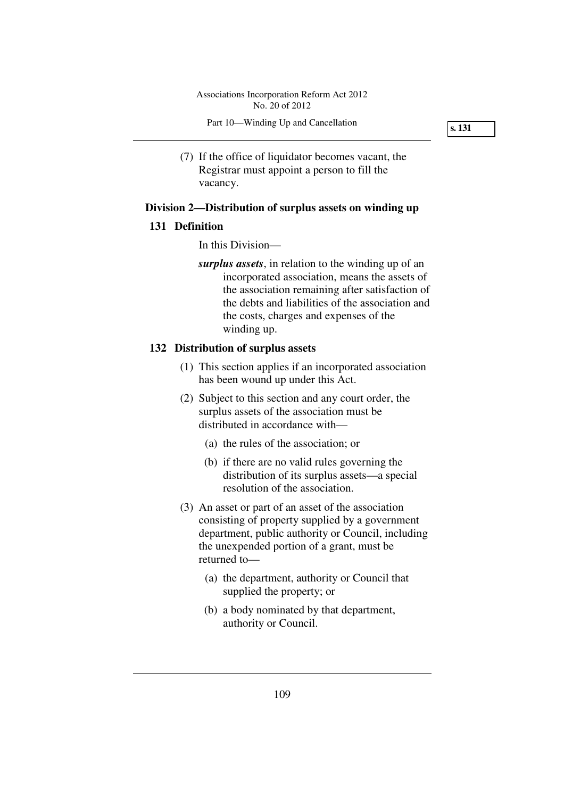Part 10—Winding Up and Cancellation

**s. 131** 

 (7) If the office of liquidator becomes vacant, the Registrar must appoint a person to fill the vacancy.

# **Division 2—Distribution of surplus assets on winding up**

### **131 Definition**

In this Division—

*surplus assets*, in relation to the winding up of an incorporated association, means the assets of the association remaining after satisfaction of the debts and liabilities of the association and the costs, charges and expenses of the winding up.

# **132 Distribution of surplus assets**

- (1) This section applies if an incorporated association has been wound up under this Act.
- (2) Subject to this section and any court order, the surplus assets of the association must be distributed in accordance with—
	- (a) the rules of the association; or
	- (b) if there are no valid rules governing the distribution of its surplus assets—a special resolution of the association.
- (3) An asset or part of an asset of the association consisting of property supplied by a government department, public authority or Council, including the unexpended portion of a grant, must be returned to—
	- (a) the department, authority or Council that supplied the property; or
	- (b) a body nominated by that department, authority or Council.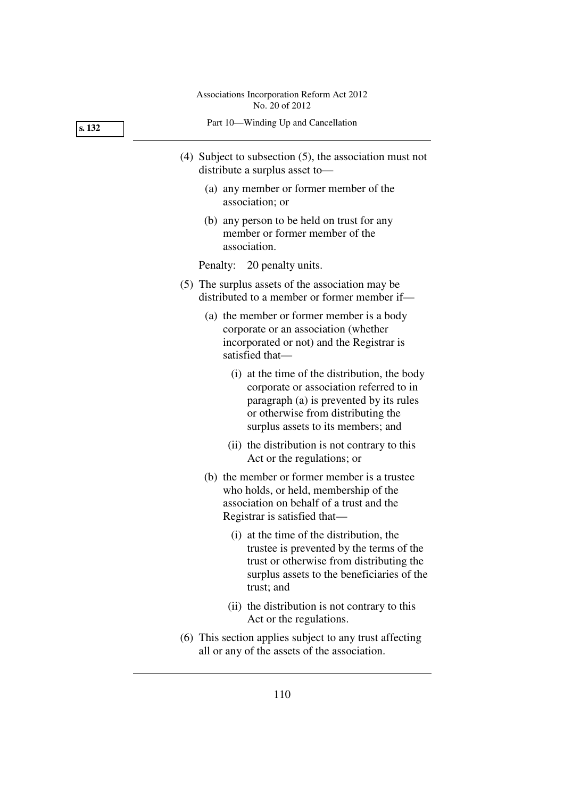**s. 132** 

Part 10—Winding Up and Cancellation

- (4) Subject to subsection (5), the association must not distribute a surplus asset to—
	- (a) any member or former member of the association; or
	- (b) any person to be held on trust for any member or former member of the association.

Penalty: 20 penalty units.

- (5) The surplus assets of the association may be distributed to a member or former member if—
	- (a) the member or former member is a body corporate or an association (whether incorporated or not) and the Registrar is satisfied that—
		- (i) at the time of the distribution, the body corporate or association referred to in paragraph (a) is prevented by its rules or otherwise from distributing the surplus assets to its members; and
		- (ii) the distribution is not contrary to this Act or the regulations; or
	- (b) the member or former member is a trustee who holds, or held, membership of the association on behalf of a trust and the Registrar is satisfied that—
		- (i) at the time of the distribution, the trustee is prevented by the terms of the trust or otherwise from distributing the surplus assets to the beneficiaries of the trust; and
		- (ii) the distribution is not contrary to this Act or the regulations.
- (6) This section applies subject to any trust affecting all or any of the assets of the association.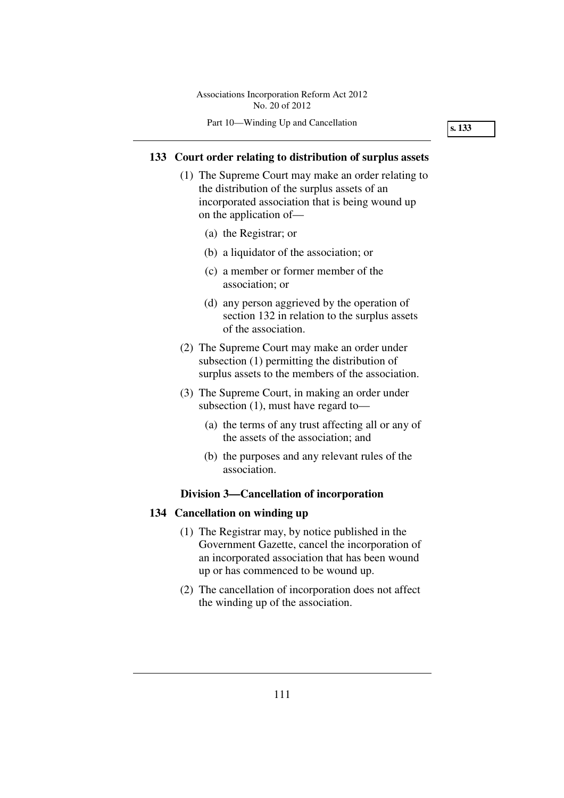Part 10—Winding Up and Cancellation

**s. 133** 

## **133 Court order relating to distribution of surplus assets**

- (1) The Supreme Court may make an order relating to the distribution of the surplus assets of an incorporated association that is being wound up on the application of—
	- (a) the Registrar; or
	- (b) a liquidator of the association; or
	- (c) a member or former member of the association; or
	- (d) any person aggrieved by the operation of section 132 in relation to the surplus assets of the association.
- (2) The Supreme Court may make an order under subsection (1) permitting the distribution of surplus assets to the members of the association.
- (3) The Supreme Court, in making an order under subsection (1), must have regard to—
	- (a) the terms of any trust affecting all or any of the assets of the association; and
	- (b) the purposes and any relevant rules of the association.

# **Division 3—Cancellation of incorporation**

## **134 Cancellation on winding up**

- (1) The Registrar may, by notice published in the Government Gazette, cancel the incorporation of an incorporated association that has been wound up or has commenced to be wound up.
- (2) The cancellation of incorporation does not affect the winding up of the association.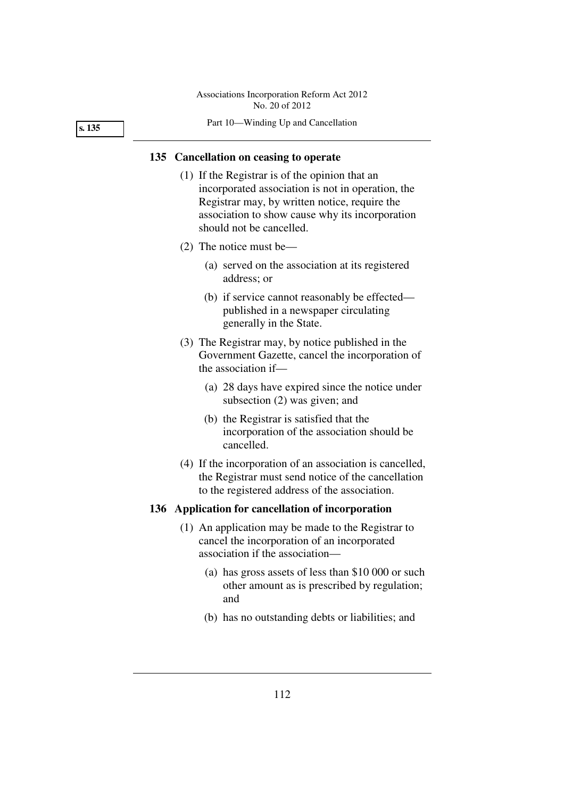Part 10—Winding Up and Cancellation

## **135 Cancellation on ceasing to operate**

- (1) If the Registrar is of the opinion that an incorporated association is not in operation, the Registrar may, by written notice, require the association to show cause why its incorporation should not be cancelled.
- (2) The notice must be—
	- (a) served on the association at its registered address; or
	- (b) if service cannot reasonably be effected published in a newspaper circulating generally in the State.
- (3) The Registrar may, by notice published in the Government Gazette, cancel the incorporation of the association if—
	- (a) 28 days have expired since the notice under subsection (2) was given; and
	- (b) the Registrar is satisfied that the incorporation of the association should be cancelled.
- (4) If the incorporation of an association is cancelled, the Registrar must send notice of the cancellation to the registered address of the association.

### **136 Application for cancellation of incorporation**

- (1) An application may be made to the Registrar to cancel the incorporation of an incorporated association if the association—
	- (a) has gross assets of less than \$10 000 or such other amount as is prescribed by regulation; and
	- (b) has no outstanding debts or liabilities; and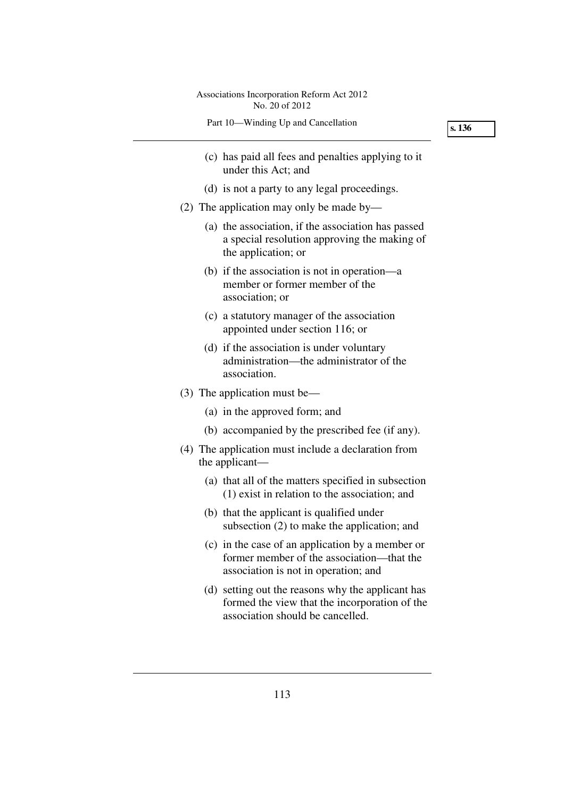| Associations Incorporation Reform Act 2012<br>No. 20 of 2012                                                                           |        |
|----------------------------------------------------------------------------------------------------------------------------------------|--------|
| Part 10-Winding Up and Cancellation                                                                                                    | s. 136 |
| (c) has paid all fees and penalties applying to it<br>under this Act; and                                                              |        |
| (d) is not a party to any legal proceedings.                                                                                           |        |
| (2) The application may only be made by—                                                                                               |        |
| (a) the association, if the association has passed<br>a special resolution approving the making of<br>the application; or              |        |
| (b) if the association is not in operation—a<br>member or former member of the<br>association; or                                      |        |
| (c) a statutory manager of the association<br>appointed under section 116; or                                                          |        |
| (d) if the association is under voluntary<br>administration—the administrator of the<br>association.                                   |        |
| $(3)$ The application must be—                                                                                                         |        |
| (a) in the approved form; and                                                                                                          |        |
| (b) accompanied by the prescribed fee (if any).                                                                                        |        |
| (4) The application must include a declaration from<br>the applicant—                                                                  |        |
| (a) that all of the matters specified in subsection<br>$(1)$ exist in relation to the association; and                                 |        |
| (b) that the applicant is qualified under<br>subsection (2) to make the application; and                                               |        |
| (c) in the case of an application by a member or<br>former member of the association—that the<br>association is not in operation; and  |        |
| (d) setting out the reasons why the applicant has<br>formed the view that the incorporation of the<br>association should be cancelled. |        |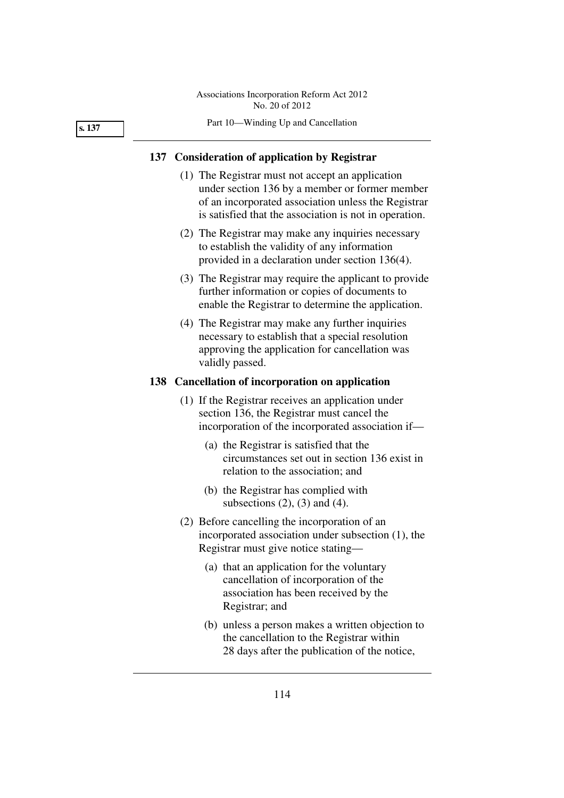#### **s. 137**

#### Part 10—Winding Up and Cancellation

### **137 Consideration of application by Registrar**

- (1) The Registrar must not accept an application under section 136 by a member or former member of an incorporated association unless the Registrar is satisfied that the association is not in operation.
- (2) The Registrar may make any inquiries necessary to establish the validity of any information provided in a declaration under section 136(4).
- (3) The Registrar may require the applicant to provide further information or copies of documents to enable the Registrar to determine the application.
- (4) The Registrar may make any further inquiries necessary to establish that a special resolution approving the application for cancellation was validly passed.

## **138 Cancellation of incorporation on application**

- (1) If the Registrar receives an application under section 136, the Registrar must cancel the incorporation of the incorporated association if—
	- (a) the Registrar is satisfied that the circumstances set out in section 136 exist in relation to the association; and
	- (b) the Registrar has complied with subsections  $(2)$ ,  $(3)$  and  $(4)$ .
- (2) Before cancelling the incorporation of an incorporated association under subsection (1), the Registrar must give notice stating—
	- (a) that an application for the voluntary cancellation of incorporation of the association has been received by the Registrar; and
	- (b) unless a person makes a written objection to the cancellation to the Registrar within 28 days after the publication of the notice,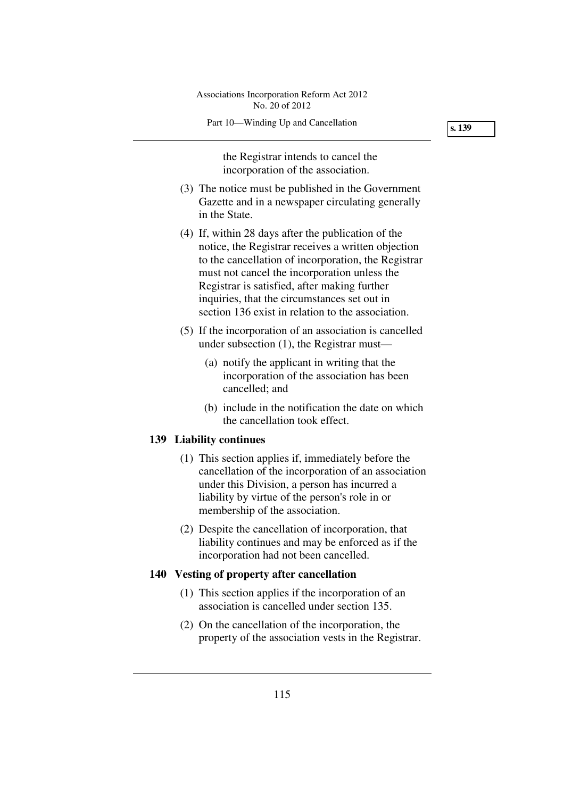Part 10—Winding Up and Cancellation

the Registrar intends to cancel the incorporation of the association.

- (3) The notice must be published in the Government Gazette and in a newspaper circulating generally in the State.
- (4) If, within 28 days after the publication of the notice, the Registrar receives a written objection to the cancellation of incorporation, the Registrar must not cancel the incorporation unless the Registrar is satisfied, after making further inquiries, that the circumstances set out in section 136 exist in relation to the association.
- (5) If the incorporation of an association is cancelled under subsection (1), the Registrar must—
	- (a) notify the applicant in writing that the incorporation of the association has been cancelled; and
	- (b) include in the notification the date on which the cancellation took effect.

# **139 Liability continues**

- (1) This section applies if, immediately before the cancellation of the incorporation of an association under this Division, a person has incurred a liability by virtue of the person's role in or membership of the association.
- (2) Despite the cancellation of incorporation, that liability continues and may be enforced as if the incorporation had not been cancelled.

# **140 Vesting of property after cancellation**

- (1) This section applies if the incorporation of an association is cancelled under section 135.
- (2) On the cancellation of the incorporation, the property of the association vests in the Registrar.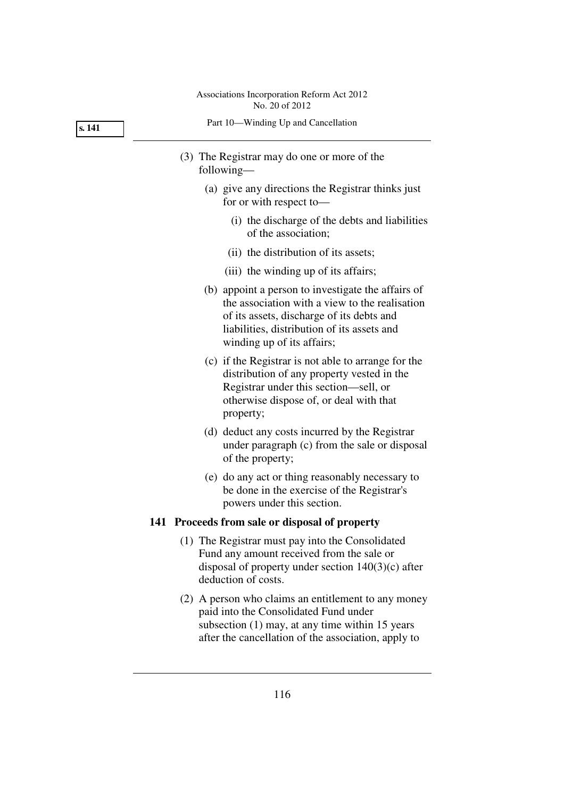**s. 141** 

|  |  |  | Part 10—Winding Up and Cancellation |
|--|--|--|-------------------------------------|
|--|--|--|-------------------------------------|

- (3) The Registrar may do one or more of the following—
	- (a) give any directions the Registrar thinks just for or with respect to—
		- (i) the discharge of the debts and liabilities of the association;
		- (ii) the distribution of its assets;
		- (iii) the winding up of its affairs;
	- (b) appoint a person to investigate the affairs of the association with a view to the realisation of its assets, discharge of its debts and liabilities, distribution of its assets and winding up of its affairs;
	- (c) if the Registrar is not able to arrange for the distribution of any property vested in the Registrar under this section—sell, or otherwise dispose of, or deal with that property;
	- (d) deduct any costs incurred by the Registrar under paragraph (c) from the sale or disposal of the property;
	- (e) do any act or thing reasonably necessary to be done in the exercise of the Registrar's powers under this section.

### **141 Proceeds from sale or disposal of property**

- (1) The Registrar must pay into the Consolidated Fund any amount received from the sale or disposal of property under section 140(3)(c) after deduction of costs.
- (2) A person who claims an entitlement to any money paid into the Consolidated Fund under subsection (1) may, at any time within 15 years after the cancellation of the association, apply to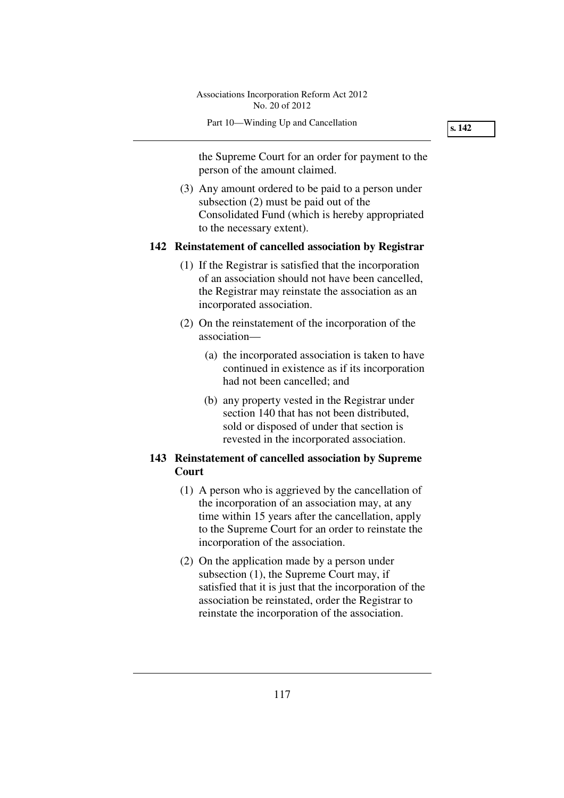Part 10—Winding Up and Cancellation

**s. 142** 

the Supreme Court for an order for payment to the person of the amount claimed.

 (3) Any amount ordered to be paid to a person under subsection (2) must be paid out of the Consolidated Fund (which is hereby appropriated to the necessary extent).

# **142 Reinstatement of cancelled association by Registrar**

- (1) If the Registrar is satisfied that the incorporation of an association should not have been cancelled, the Registrar may reinstate the association as an incorporated association.
- (2) On the reinstatement of the incorporation of the association—
	- (a) the incorporated association is taken to have continued in existence as if its incorporation had not been cancelled; and
	- (b) any property vested in the Registrar under section 140 that has not been distributed, sold or disposed of under that section is revested in the incorporated association.

# **143 Reinstatement of cancelled association by Supreme Court**

- (1) A person who is aggrieved by the cancellation of the incorporation of an association may, at any time within 15 years after the cancellation, apply to the Supreme Court for an order to reinstate the incorporation of the association.
- (2) On the application made by a person under subsection (1), the Supreme Court may, if satisfied that it is just that the incorporation of the association be reinstated, order the Registrar to reinstate the incorporation of the association.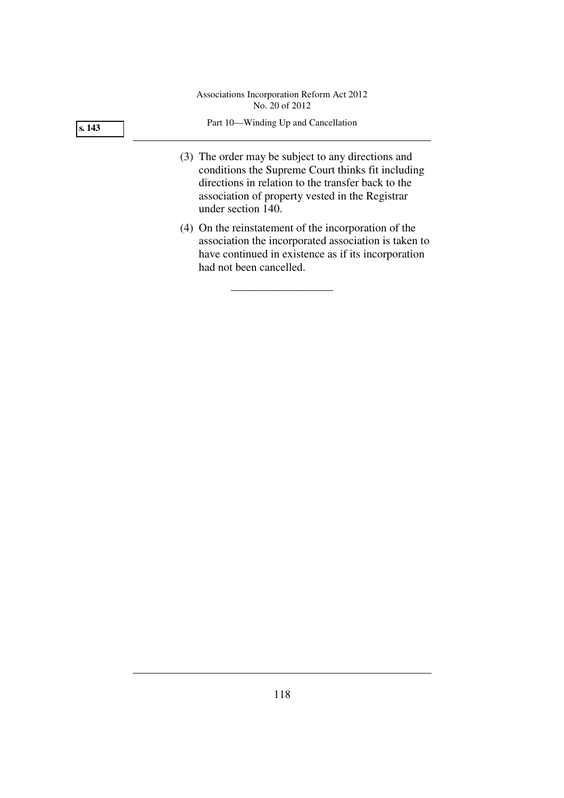**s. 143** 

### Part 10—Winding Up and Cancellation

- (3) The order may be subject to any directions and conditions the Supreme Court thinks fit including directions in relation to the transfer back to the association of property vested in the Registrar under section 140.
- (4) On the reinstatement of the incorporation of the association the incorporated association is taken to have continued in existence as if its incorporation had not been cancelled.

\_\_\_\_\_\_\_\_\_\_\_\_\_\_\_\_\_\_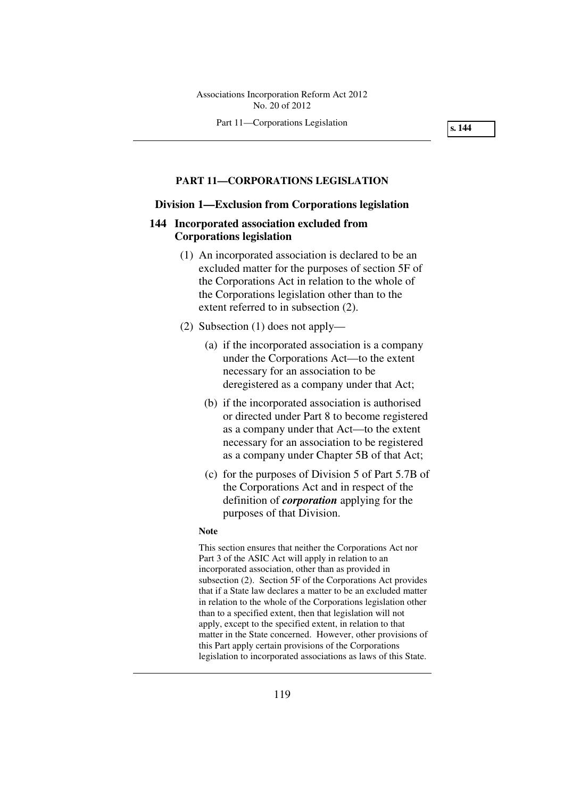Part 11—Corporations Legislation

**s. 144** 

### **PART 11—CORPORATIONS LEGISLATION**

### **Division 1—Exclusion from Corporations legislation**

# **144 Incorporated association excluded from Corporations legislation**

- (1) An incorporated association is declared to be an excluded matter for the purposes of section 5F of the Corporations Act in relation to the whole of the Corporations legislation other than to the extent referred to in subsection (2).
- (2) Subsection (1) does not apply—
	- (a) if the incorporated association is a company under the Corporations Act—to the extent necessary for an association to be deregistered as a company under that Act;
	- (b) if the incorporated association is authorised or directed under Part 8 to become registered as a company under that Act—to the extent necessary for an association to be registered as a company under Chapter 5B of that Act;
	- (c) for the purposes of Division 5 of Part 5.7B of the Corporations Act and in respect of the definition of *corporation* applying for the purposes of that Division.

#### **Note**

This section ensures that neither the Corporations Act nor Part 3 of the ASIC Act will apply in relation to an incorporated association, other than as provided in subsection (2). Section 5F of the Corporations Act provides that if a State law declares a matter to be an excluded matter in relation to the whole of the Corporations legislation other than to a specified extent, then that legislation will not apply, except to the specified extent, in relation to that matter in the State concerned. However, other provisions of this Part apply certain provisions of the Corporations legislation to incorporated associations as laws of this State.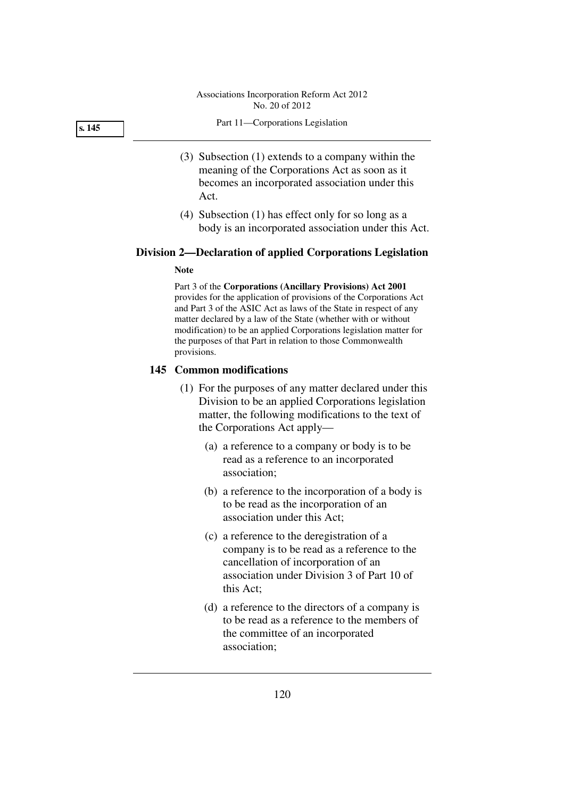#### **s. 145**

#### Part 11—Corporations Legislation

- (3) Subsection (1) extends to a company within the meaning of the Corporations Act as soon as it becomes an incorporated association under this Act.
- (4) Subsection (1) has effect only for so long as a body is an incorporated association under this Act.

### **Division 2—Declaration of applied Corporations Legislation**

#### **Note**

Part 3 of the **Corporations (Ancillary Provisions) Act 2001** provides for the application of provisions of the Corporations Act and Part 3 of the ASIC Act as laws of the State in respect of any matter declared by a law of the State (whether with or without modification) to be an applied Corporations legislation matter for the purposes of that Part in relation to those Commonwealth provisions.

# **145 Common modifications**

- (1) For the purposes of any matter declared under this Division to be an applied Corporations legislation matter, the following modifications to the text of the Corporations Act apply—
	- (a) a reference to a company or body is to be read as a reference to an incorporated association;
	- (b) a reference to the incorporation of a body is to be read as the incorporation of an association under this Act;
	- (c) a reference to the deregistration of a company is to be read as a reference to the cancellation of incorporation of an association under Division 3 of Part 10 of this Act;
	- (d) a reference to the directors of a company is to be read as a reference to the members of the committee of an incorporated association;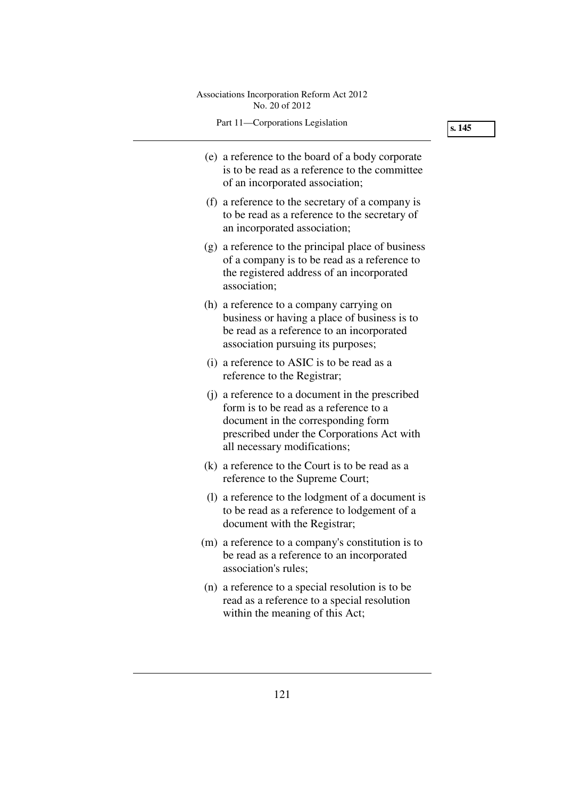| Associations Incorporation Reform Act 2012<br>No. 20 of 2012                                                                                                                                                  |        |
|---------------------------------------------------------------------------------------------------------------------------------------------------------------------------------------------------------------|--------|
| Part 11-Corporations Legislation                                                                                                                                                                              | s. 145 |
| (e) a reference to the board of a body corporate<br>is to be read as a reference to the committee<br>of an incorporated association;                                                                          |        |
| (f) a reference to the secretary of a company is<br>to be read as a reference to the secretary of<br>an incorporated association;                                                                             |        |
| (g) a reference to the principal place of business<br>of a company is to be read as a reference to<br>the registered address of an incorporated<br>association;                                               |        |
| (h) a reference to a company carrying on<br>business or having a place of business is to<br>be read as a reference to an incorporated<br>association pursuing its purposes;                                   |        |
| (i) a reference to ASIC is to be read as a<br>reference to the Registrar;                                                                                                                                     |        |
| (j) a reference to a document in the prescribed<br>form is to be read as a reference to a<br>document in the corresponding form<br>prescribed under the Corporations Act with<br>all necessary modifications; |        |
| (k) a reference to the Court is to be read as a<br>reference to the Supreme Court;                                                                                                                            |        |
| (1) a reference to the lodgment of a document is<br>to be read as a reference to lodgement of a<br>document with the Registrar;                                                                               |        |
| (m) a reference to a company's constitution is to<br>be read as a reference to an incorporated<br>association's rules;                                                                                        |        |
| (n) a reference to a special resolution is to be<br>read as a reference to a special resolution<br>within the meaning of this Act;                                                                            |        |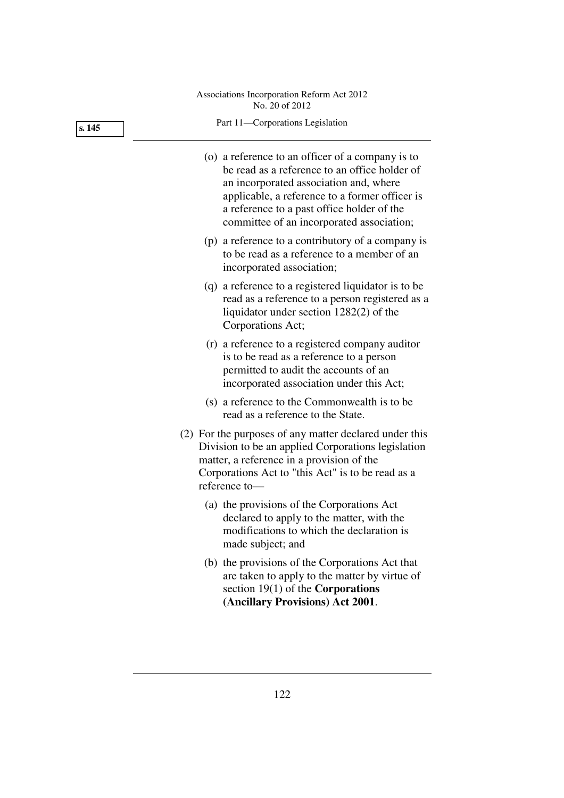| s. 145 | Part 11-Corporations Legislation                                                                                                                                                                                                                                                         |
|--------|------------------------------------------------------------------------------------------------------------------------------------------------------------------------------------------------------------------------------------------------------------------------------------------|
|        | (o) a reference to an officer of a company is to<br>be read as a reference to an office holder of<br>an incorporated association and, where<br>applicable, a reference to a former officer is<br>a reference to a past office holder of the<br>committee of an incorporated association; |
|        | (p) a reference to a contributory of a company is<br>to be read as a reference to a member of an<br>incorporated association;                                                                                                                                                            |
|        | (q) a reference to a registered liquidator is to be<br>read as a reference to a person registered as a<br>liquidator under section $1282(2)$ of the<br>Corporations Act;                                                                                                                 |
|        | (r) a reference to a registered company auditor<br>is to be read as a reference to a person<br>permitted to audit the accounts of an<br>incorporated association under this Act;                                                                                                         |
|        | (s) a reference to the Commonwealth is to be<br>read as a reference to the State.                                                                                                                                                                                                        |
|        | (2) For the purposes of any matter declared under this<br>Division to be an applied Corporations legislation<br>matter, a reference in a provision of the<br>Corporations Act to "this Act" is to be read as a<br>reference to-                                                          |
|        | (a) the provisions of the Corporations Act<br>declared to apply to the matter, with the<br>modifications to which the declaration is<br>made subject; and                                                                                                                                |
|        | (b) the provisions of the Corporations Act that<br>are taken to apply to the matter by virtue of<br>section $19(1)$ of the <b>Corporations</b><br>(Ancillary Provisions) Act 2001.                                                                                                       |
|        |                                                                                                                                                                                                                                                                                          |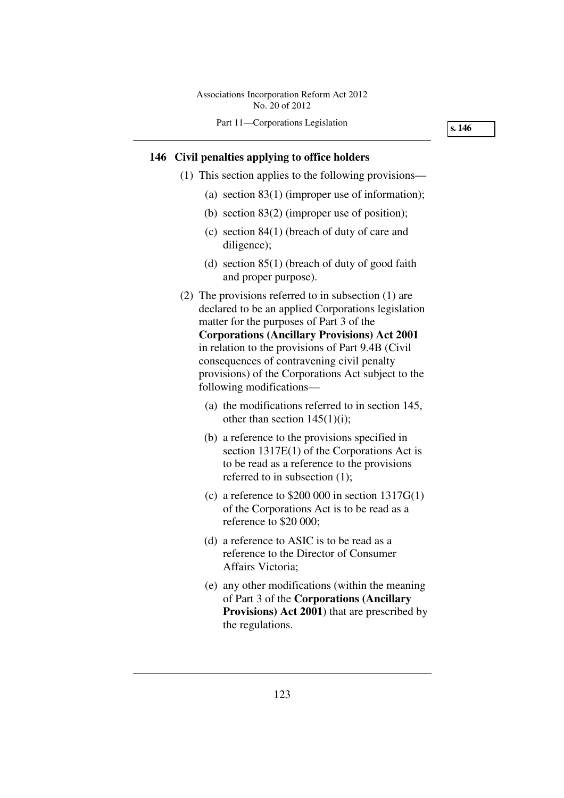**s. 146** 

# **146 Civil penalties applying to office holders**

- (1) This section applies to the following provisions—
	- (a) section 83(1) (improper use of information);
	- (b) section 83(2) (improper use of position);
	- (c) section 84(1) (breach of duty of care and diligence);
	- (d) section 85(1) (breach of duty of good faith and proper purpose).
- (2) The provisions referred to in subsection (1) are declared to be an applied Corporations legislation matter for the purposes of Part 3 of the **Corporations (Ancillary Provisions) Act 2001** in relation to the provisions of Part 9.4B (Civil consequences of contravening civil penalty provisions) of the Corporations Act subject to the following modifications—
	- (a) the modifications referred to in section 145, other than section  $145(1)(i)$ ;
	- (b) a reference to the provisions specified in section 1317E(1) of the Corporations Act is to be read as a reference to the provisions referred to in subsection (1);
	- (c) a reference to  $$200,000$  in section  $1317G(1)$ of the Corporations Act is to be read as a reference to \$20 000;
	- (d) a reference to ASIC is to be read as a reference to the Director of Consumer Affairs Victoria;
	- (e) any other modifications (within the meaning of Part 3 of the **Corporations (Ancillary Provisions) Act 2001**) that are prescribed by the regulations.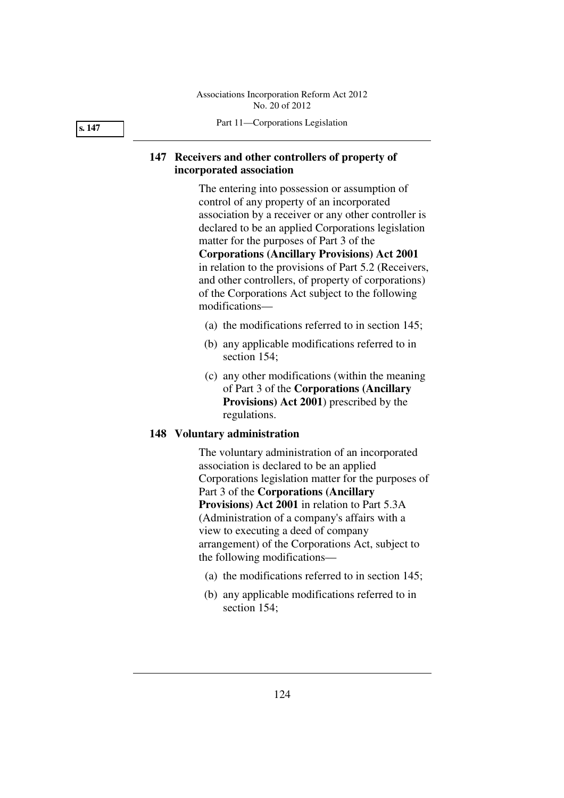Part 11—Corporations Legislation

# **147 Receivers and other controllers of property of incorporated association**

The entering into possession or assumption of control of any property of an incorporated association by a receiver or any other controller is declared to be an applied Corporations legislation matter for the purposes of Part 3 of the **Corporations (Ancillary Provisions) Act 2001** in relation to the provisions of Part 5.2 (Receivers, and other controllers, of property of corporations) of the Corporations Act subject to the following modifications—

- (a) the modifications referred to in section 145;
- (b) any applicable modifications referred to in section 154;
- (c) any other modifications (within the meaning of Part 3 of the **Corporations (Ancillary Provisions) Act 2001**) prescribed by the regulations.

# **148 Voluntary administration**

The voluntary administration of an incorporated association is declared to be an applied Corporations legislation matter for the purposes of Part 3 of the **Corporations (Ancillary Provisions) Act 2001** in relation to Part 5.3A (Administration of a company's affairs with a view to executing a deed of company arrangement) of the Corporations Act, subject to the following modifications—

- (a) the modifications referred to in section 145;
- (b) any applicable modifications referred to in section 154:

**s. 147**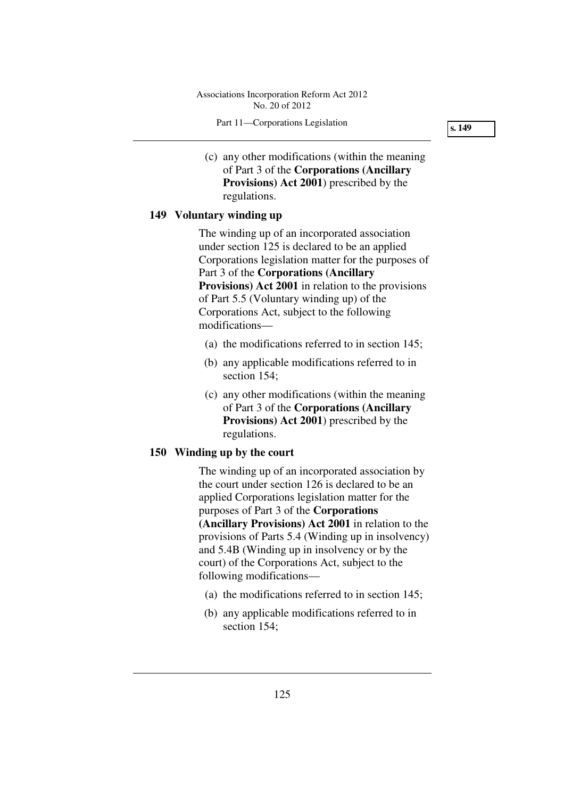Part 11—Corporations Legislation

**s. 149** 

 (c) any other modifications (within the meaning of Part 3 of the **Corporations (Ancillary Provisions) Act 2001**) prescribed by the regulations.

# **149 Voluntary winding up**

The winding up of an incorporated association under section 125 is declared to be an applied Corporations legislation matter for the purposes of Part 3 of the **Corporations (Ancillary Provisions) Act 2001** in relation to the provisions of Part 5.5 (Voluntary winding up) of the Corporations Act, subject to the following modifications—

- (a) the modifications referred to in section 145;
- (b) any applicable modifications referred to in section 154;
- (c) any other modifications (within the meaning of Part 3 of the **Corporations (Ancillary Provisions) Act 2001**) prescribed by the regulations.

# **150 Winding up by the court**

The winding up of an incorporated association by the court under section 126 is declared to be an applied Corporations legislation matter for the purposes of Part 3 of the **Corporations (Ancillary Provisions) Act 2001** in relation to the provisions of Parts 5.4 (Winding up in insolvency) and 5.4B (Winding up in insolvency or by the court) of the Corporations Act, subject to the following modifications—

- (a) the modifications referred to in section 145;
- (b) any applicable modifications referred to in section 154;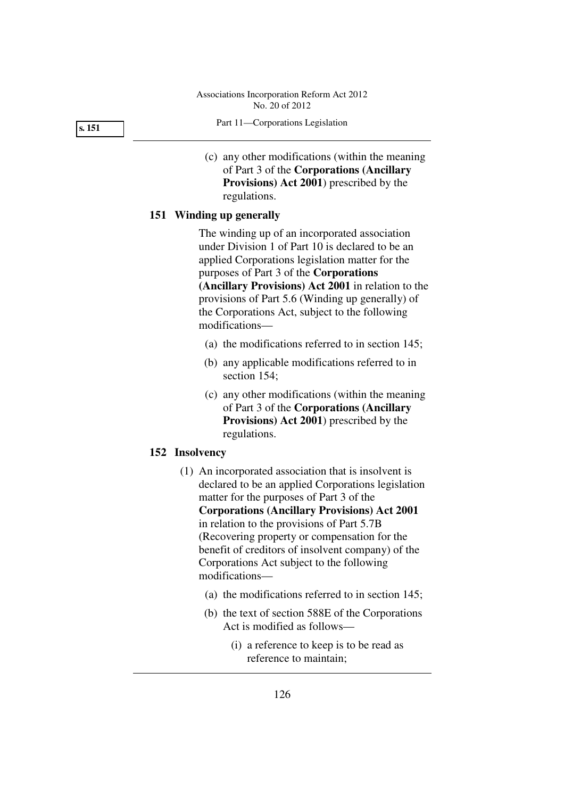Part 11—Corporations Legislation

 (c) any other modifications (within the meaning of Part 3 of the **Corporations (Ancillary Provisions) Act 2001**) prescribed by the regulations.

# **151 Winding up generally**

The winding up of an incorporated association under Division 1 of Part 10 is declared to be an applied Corporations legislation matter for the purposes of Part 3 of the **Corporations (Ancillary Provisions) Act 2001** in relation to the provisions of Part 5.6 (Winding up generally) of the Corporations Act, subject to the following modifications—

- (a) the modifications referred to in section 145;
- (b) any applicable modifications referred to in section 154;
- (c) any other modifications (within the meaning of Part 3 of the **Corporations (Ancillary Provisions) Act 2001**) prescribed by the regulations.

# **152 Insolvency**

- (1) An incorporated association that is insolvent is declared to be an applied Corporations legislation matter for the purposes of Part 3 of the **Corporations (Ancillary Provisions) Act 2001** in relation to the provisions of Part 5.7B (Recovering property or compensation for the benefit of creditors of insolvent company) of the Corporations Act subject to the following modifications—
	- (a) the modifications referred to in section 145;
	- (b) the text of section 588E of the Corporations Act is modified as follows—
		- (i) a reference to keep is to be read as reference to maintain;

**s. 151**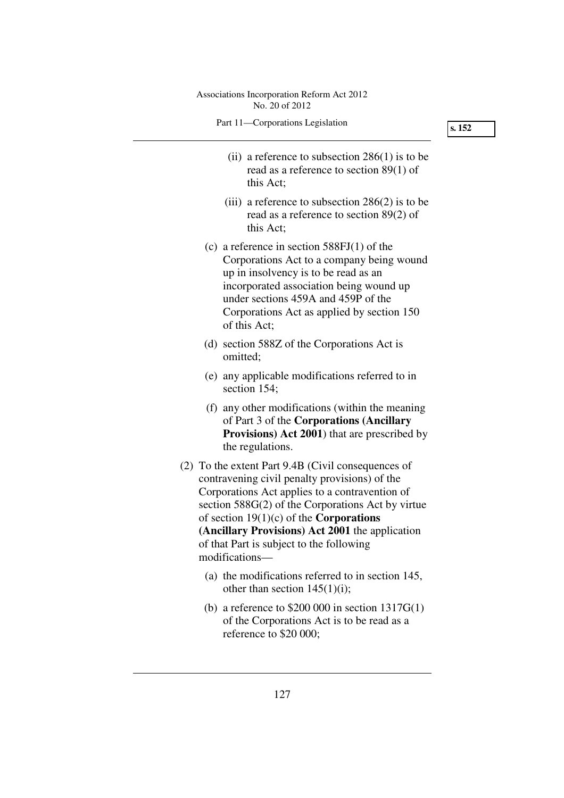| Associations Incorporation Reform Act 2012<br>No. 20 of 2012                                                                                                                                                                                                                                                                                                                      |        |
|-----------------------------------------------------------------------------------------------------------------------------------------------------------------------------------------------------------------------------------------------------------------------------------------------------------------------------------------------------------------------------------|--------|
| Part 11-Corporations Legislation                                                                                                                                                                                                                                                                                                                                                  | s. 152 |
| (ii) a reference to subsection $286(1)$ is to be<br>read as a reference to section $89(1)$ of<br>this Act:                                                                                                                                                                                                                                                                        |        |
| (iii) a reference to subsection $286(2)$ is to be<br>read as a reference to section $89(2)$ of<br>this Act;                                                                                                                                                                                                                                                                       |        |
| (c) a reference in section $588FI(1)$ of the<br>Corporations Act to a company being wound<br>up in insolvency is to be read as an<br>incorporated association being wound up<br>under sections 459A and 459P of the<br>Corporations Act as applied by section 150<br>of this Act;                                                                                                 |        |
| (d) section 588Z of the Corporations Act is<br>omitted;                                                                                                                                                                                                                                                                                                                           |        |
| (e) any applicable modifications referred to in<br>section 154;                                                                                                                                                                                                                                                                                                                   |        |
| (f) any other modifications (within the meaning<br>of Part 3 of the <b>Corporations</b> (Ancillary<br><b>Provisions)</b> Act 2001) that are prescribed by<br>the regulations.                                                                                                                                                                                                     |        |
| (2) To the extent Part 9.4B (Civil consequences of<br>contravening civil penalty provisions) of the<br>Corporations Act applies to a contravention of<br>section $588G(2)$ of the Corporations Act by virtue<br>of section $19(1)(c)$ of the <b>Corporations</b><br>(Ancillary Provisions) Act 2001 the application<br>of that Part is subject to the following<br>modifications- |        |
| (a) the modifications referred to in section 145,<br>other than section $145(1)(i)$ ;                                                                                                                                                                                                                                                                                             |        |
| (b) a reference to $$200 000$ in section $1317G(1)$<br>of the Corporations Act is to be read as a<br>reference to \$20 000;                                                                                                                                                                                                                                                       |        |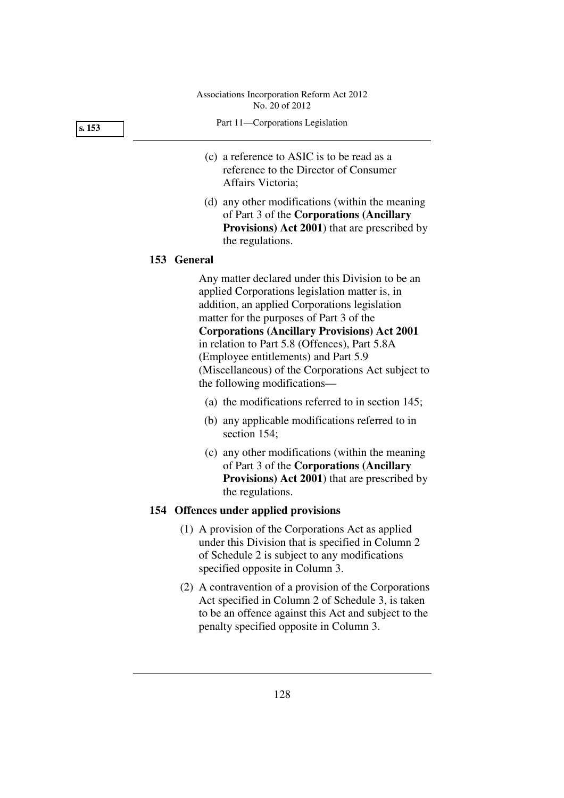**s. 153** 

- Part 11—Corporations Legislation
- (c) a reference to ASIC is to be read as a reference to the Director of Consumer Affairs Victoria;
- (d) any other modifications (within the meaning of Part 3 of the **Corporations (Ancillary Provisions) Act 2001**) that are prescribed by the regulations.

# **153 General**

Any matter declared under this Division to be an applied Corporations legislation matter is, in addition, an applied Corporations legislation matter for the purposes of Part 3 of the **Corporations (Ancillary Provisions) Act 2001** in relation to Part 5.8 (Offences), Part 5.8A (Employee entitlements) and Part 5.9 (Miscellaneous) of the Corporations Act subject to the following modifications—

- (a) the modifications referred to in section 145;
- (b) any applicable modifications referred to in section 154;
- (c) any other modifications (within the meaning of Part 3 of the **Corporations (Ancillary Provisions) Act 2001**) that are prescribed by the regulations.

### **154 Offences under applied provisions**

- (1) A provision of the Corporations Act as applied under this Division that is specified in Column 2 of Schedule 2 is subject to any modifications specified opposite in Column 3.
- (2) A contravention of a provision of the Corporations Act specified in Column 2 of Schedule 3, is taken to be an offence against this Act and subject to the penalty specified opposite in Column 3.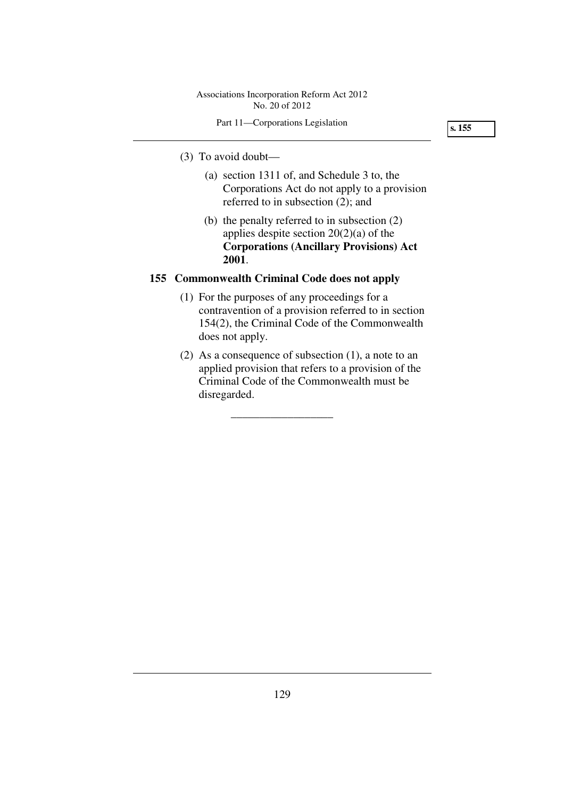# Part 11—Corporations Legislation

**s. 155** 

# (3) To avoid doubt—

- (a) section 1311 of, and Schedule 3 to, the Corporations Act do not apply to a provision referred to in subsection (2); and
- (b) the penalty referred to in subsection (2) applies despite section 20(2)(a) of the **Corporations (Ancillary Provisions) Act 2001**.

# **155 Commonwealth Criminal Code does not apply**

- (1) For the purposes of any proceedings for a contravention of a provision referred to in section 154(2), the Criminal Code of the Commonwealth does not apply.
- (2) As a consequence of subsection (1), a note to an applied provision that refers to a provision of the Criminal Code of the Commonwealth must be disregarded.

\_\_\_\_\_\_\_\_\_\_\_\_\_\_\_\_\_\_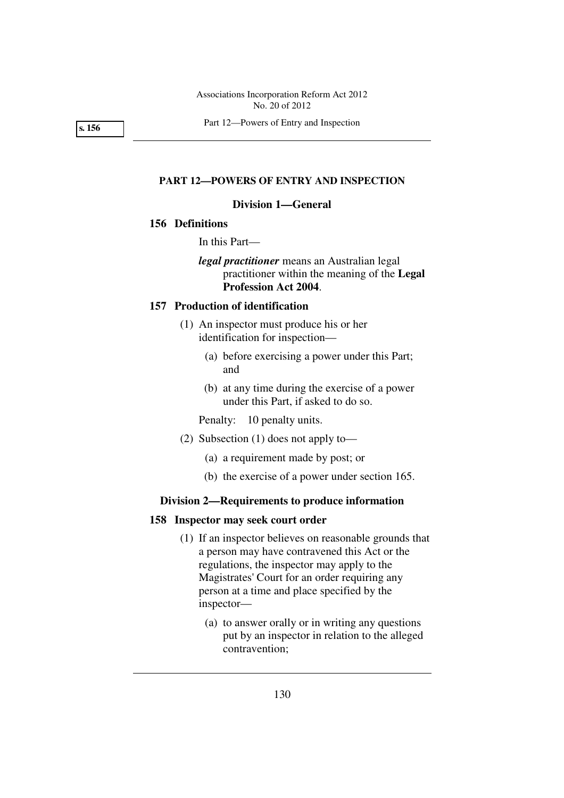Part 12—Powers of Entry and Inspection

**s. 156** 

# **PART 12—POWERS OF ENTRY AND INSPECTION**

# **Division 1—General**

# **156 Definitions**

In this Part—

*legal practitioner* means an Australian legal practitioner within the meaning of the **Legal Profession Act 2004**.

# **157 Production of identification**

- (1) An inspector must produce his or her identification for inspection—
	- (a) before exercising a power under this Part; and
	- (b) at any time during the exercise of a power under this Part, if asked to do so.

Penalty: 10 penalty units.

- (2) Subsection (1) does not apply to—
	- (a) a requirement made by post; or
	- (b) the exercise of a power under section 165.

# **Division 2—Requirements to produce information**

## **158 Inspector may seek court order**

- (1) If an inspector believes on reasonable grounds that a person may have contravened this Act or the regulations, the inspector may apply to the Magistrates' Court for an order requiring any person at a time and place specified by the inspector—
	- (a) to answer orally or in writing any questions put by an inspector in relation to the alleged contravention;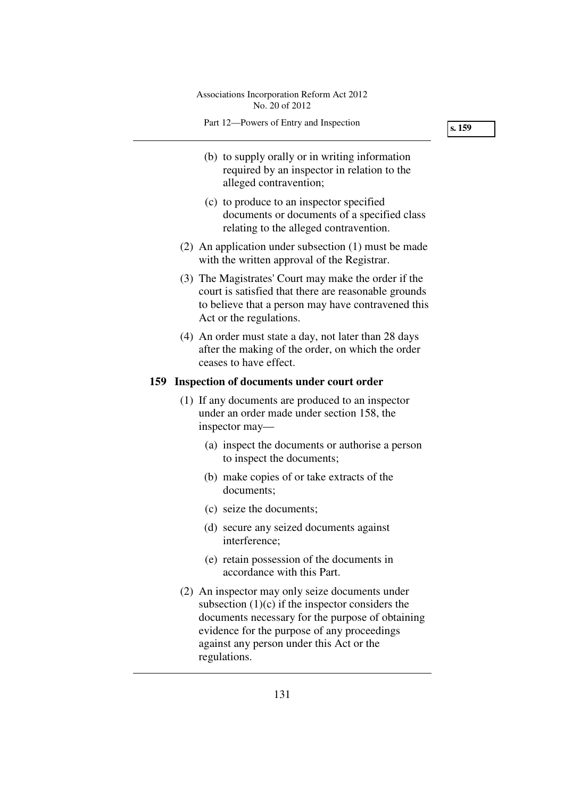- (b) to supply orally or in writing information required by an inspector in relation to the alleged contravention;
- (c) to produce to an inspector specified documents or documents of a specified class relating to the alleged contravention.
- (2) An application under subsection (1) must be made with the written approval of the Registrar.
- (3) The Magistrates' Court may make the order if the court is satisfied that there are reasonable grounds to believe that a person may have contravened this Act or the regulations.
- (4) An order must state a day, not later than 28 days after the making of the order, on which the order ceases to have effect.

# **159 Inspection of documents under court order**

- (1) If any documents are produced to an inspector under an order made under section 158, the inspector may—
	- (a) inspect the documents or authorise a person to inspect the documents;
	- (b) make copies of or take extracts of the documents;
	- (c) seize the documents;
	- (d) secure any seized documents against interference;
	- (e) retain possession of the documents in accordance with this Part.
- (2) An inspector may only seize documents under subsection  $(1)(c)$  if the inspector considers the documents necessary for the purpose of obtaining evidence for the purpose of any proceedings against any person under this Act or the regulations.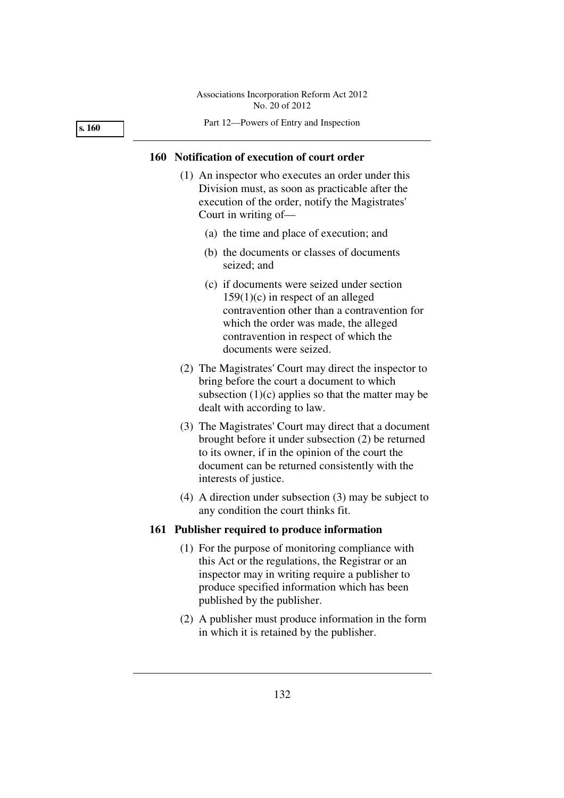**s. 160** 

#### Part 12—Powers of Entry and Inspection

# **160 Notification of execution of court order**

- (1) An inspector who executes an order under this Division must, as soon as practicable after the execution of the order, notify the Magistrates' Court in writing of—
	- (a) the time and place of execution; and
	- (b) the documents or classes of documents seized; and
	- (c) if documents were seized under section 159(1)(c) in respect of an alleged contravention other than a contravention for which the order was made, the alleged contravention in respect of which the documents were seized.
- (2) The Magistrates' Court may direct the inspector to bring before the court a document to which subsection  $(1)(c)$  applies so that the matter may be dealt with according to law.
- (3) The Magistrates' Court may direct that a document brought before it under subsection (2) be returned to its owner, if in the opinion of the court the document can be returned consistently with the interests of justice.
- (4) A direction under subsection (3) may be subject to any condition the court thinks fit.

## **161 Publisher required to produce information**

- (1) For the purpose of monitoring compliance with this Act or the regulations, the Registrar or an inspector may in writing require a publisher to produce specified information which has been published by the publisher.
- (2) A publisher must produce information in the form in which it is retained by the publisher.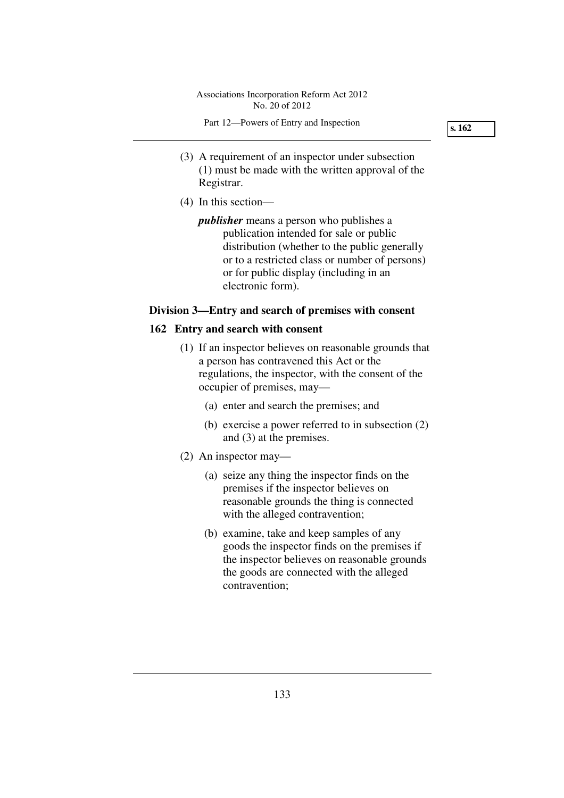- (3) A requirement of an inspector under subsection (1) must be made with the written approval of the Registrar.
- (4) In this section—

*publisher* means a person who publishes a publication intended for sale or public distribution (whether to the public generally or to a restricted class or number of persons) or for public display (including in an electronic form).

# **Division 3—Entry and search of premises with consent**

# **162 Entry and search with consent**

- (1) If an inspector believes on reasonable grounds that a person has contravened this Act or the regulations, the inspector, with the consent of the occupier of premises, may—
	- (a) enter and search the premises; and
	- (b) exercise a power referred to in subsection (2) and (3) at the premises.
- (2) An inspector may—
	- (a) seize any thing the inspector finds on the premises if the inspector believes on reasonable grounds the thing is connected with the alleged contravention;
	- (b) examine, take and keep samples of any goods the inspector finds on the premises if the inspector believes on reasonable grounds the goods are connected with the alleged contravention;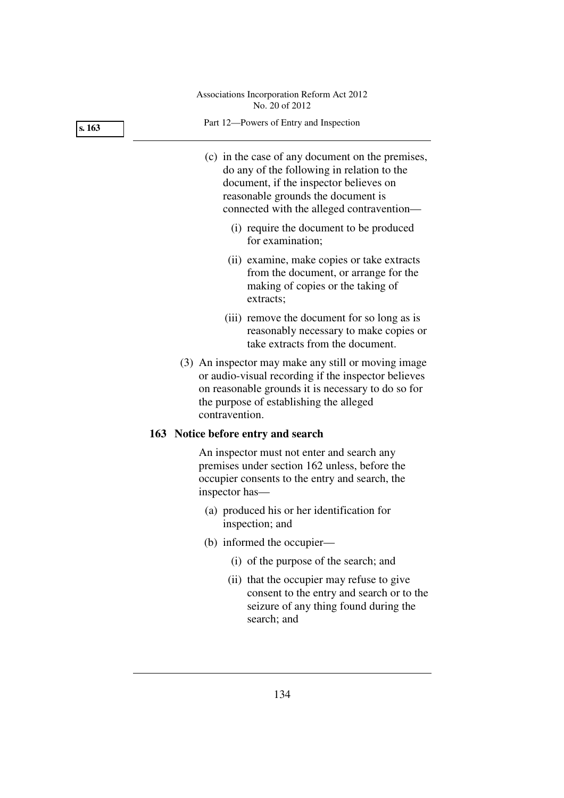**s. 163** 

- (c) in the case of any document on the premises, do any of the following in relation to the document, if the inspector believes on reasonable grounds the document is connected with the alleged contravention—
	- (i) require the document to be produced for examination;
	- (ii) examine, make copies or take extracts from the document, or arrange for the making of copies or the taking of extracts;
	- (iii) remove the document for so long as is reasonably necessary to make copies or take extracts from the document.
- (3) An inspector may make any still or moving image or audio-visual recording if the inspector believes on reasonable grounds it is necessary to do so for the purpose of establishing the alleged contravention.

# **163 Notice before entry and search**

An inspector must not enter and search any premises under section 162 unless, before the occupier consents to the entry and search, the inspector has—

- (a) produced his or her identification for inspection; and
- (b) informed the occupier—
	- (i) of the purpose of the search; and
	- (ii) that the occupier may refuse to give consent to the entry and search or to the seizure of any thing found during the search; and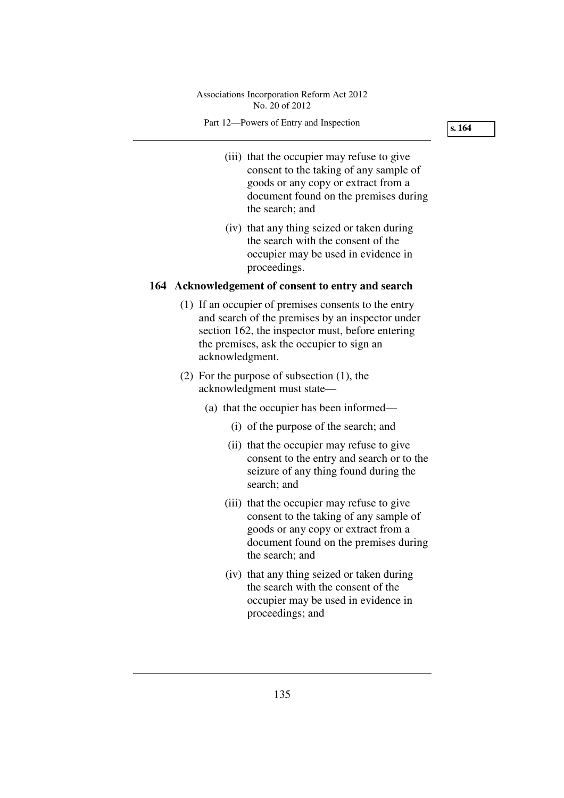#### Part 12—Powers of Entry and Inspection

**s. 164** 

- (iii) that the occupier may refuse to give consent to the taking of any sample of goods or any copy or extract from a document found on the premises during the search; and
- (iv) that any thing seized or taken during the search with the consent of the occupier may be used in evidence in proceedings.

# **164 Acknowledgement of consent to entry and search**

- (1) If an occupier of premises consents to the entry and search of the premises by an inspector under section 162, the inspector must, before entering the premises, ask the occupier to sign an acknowledgment.
- (2) For the purpose of subsection (1), the acknowledgment must state—
	- (a) that the occupier has been informed—
		- (i) of the purpose of the search; and
		- (ii) that the occupier may refuse to give consent to the entry and search or to the seizure of any thing found during the search; and
		- (iii) that the occupier may refuse to give consent to the taking of any sample of goods or any copy or extract from a document found on the premises during the search; and
		- (iv) that any thing seized or taken during the search with the consent of the occupier may be used in evidence in proceedings; and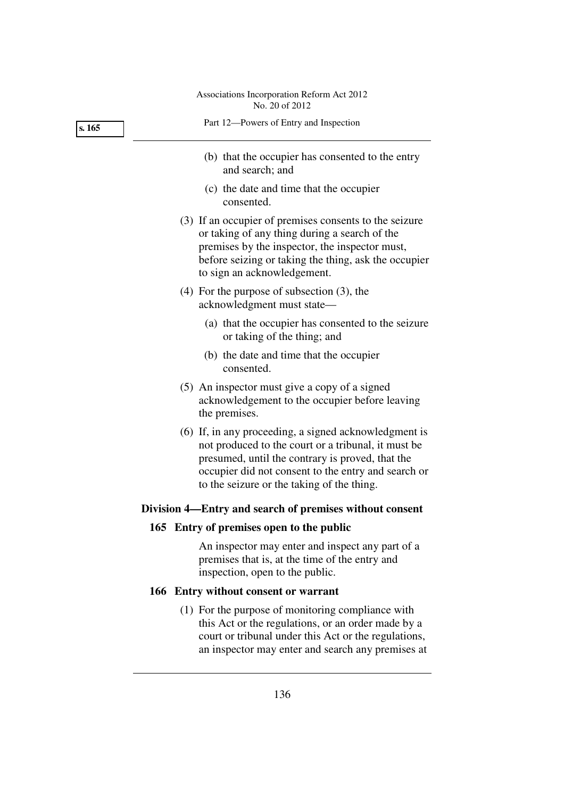| s. 165 | Part 12-Powers of Entry and Inspection                                                                                                                                                                                                                                |
|--------|-----------------------------------------------------------------------------------------------------------------------------------------------------------------------------------------------------------------------------------------------------------------------|
|        | (b) that the occupier has consented to the entry<br>and search; and                                                                                                                                                                                                   |
|        | (c) the date and time that the occupier<br>consented.                                                                                                                                                                                                                 |
|        | (3) If an occupier of premises consents to the seizure<br>or taking of any thing during a search of the<br>premises by the inspector, the inspector must,<br>before seizing or taking the thing, ask the occupier<br>to sign an acknowledgement.                      |
|        | $(4)$ For the purpose of subsection $(3)$ , the<br>acknowledgment must state-                                                                                                                                                                                         |
|        | (a) that the occupier has consented to the seizure<br>or taking of the thing; and                                                                                                                                                                                     |
|        | (b) the date and time that the occupier<br>consented.                                                                                                                                                                                                                 |
|        | (5) An inspector must give a copy of a signed<br>acknowledgement to the occupier before leaving<br>the premises.                                                                                                                                                      |
|        | (6) If, in any proceeding, a signed acknowledgment is<br>not produced to the court or a tribunal, it must be<br>presumed, until the contrary is proved, that the<br>occupier did not consent to the entry and search or<br>to the seizure or the taking of the thing. |
|        | Division 4—Entry and search of premises without consent                                                                                                                                                                                                               |
|        | 165 Entry of premises open to the public                                                                                                                                                                                                                              |
|        | An inspector may enter and inspect any part of a<br>premises that is, at the time of the entry and<br>inspection, open to the public.                                                                                                                                 |
|        | 166 Entry without consent or warrant                                                                                                                                                                                                                                  |
|        | (1) For the purpose of monitoring compliance with<br>this Act or the regulations, or an order made by a<br>court or tribunal under this Act or the regulations,                                                                                                       |

an inspector may enter and search any premises at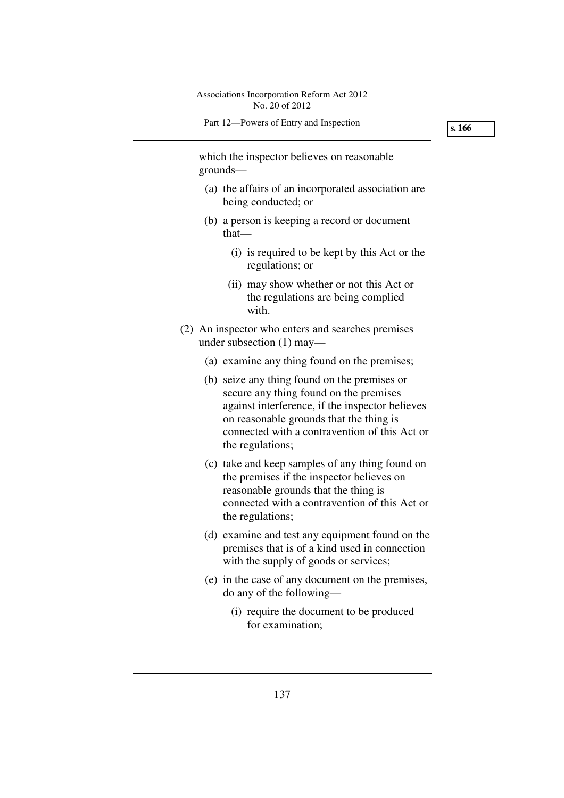which the inspector believes on reasonable grounds—

- (a) the affairs of an incorporated association are being conducted; or
- (b) a person is keeping a record or document that—
	- (i) is required to be kept by this Act or the regulations; or
	- (ii) may show whether or not this Act or the regulations are being complied with.
- (2) An inspector who enters and searches premises under subsection (1) may—
	- (a) examine any thing found on the premises;
	- (b) seize any thing found on the premises or secure any thing found on the premises against interference, if the inspector believes on reasonable grounds that the thing is connected with a contravention of this Act or the regulations;
	- (c) take and keep samples of any thing found on the premises if the inspector believes on reasonable grounds that the thing is connected with a contravention of this Act or the regulations;
	- (d) examine and test any equipment found on the premises that is of a kind used in connection with the supply of goods or services;
	- (e) in the case of any document on the premises, do any of the following—
		- (i) require the document to be produced for examination;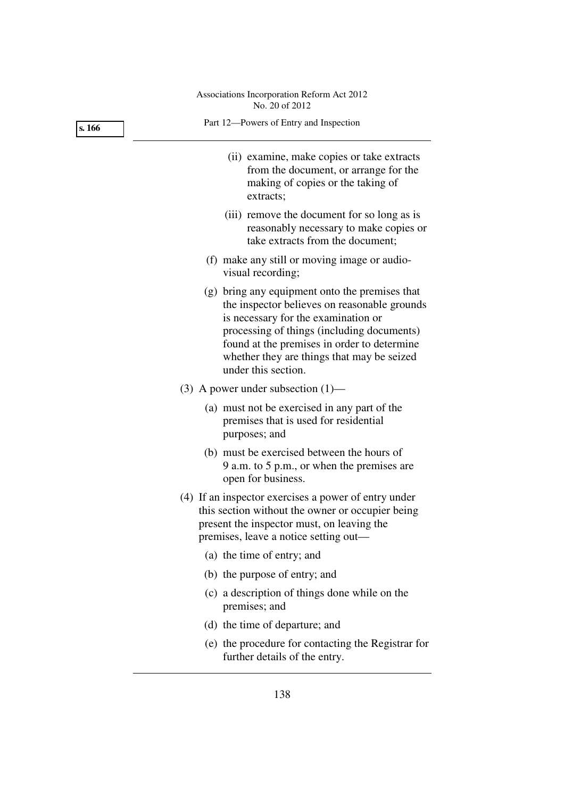| s. 166 | Part 12-Powers of Entry and Inspection                                                                                                                                                                                                                                                                  |
|--------|---------------------------------------------------------------------------------------------------------------------------------------------------------------------------------------------------------------------------------------------------------------------------------------------------------|
|        | (ii) examine, make copies or take extracts<br>from the document, or arrange for the<br>making of copies or the taking of<br>extracts;                                                                                                                                                                   |
|        | (iii) remove the document for so long as is<br>reasonably necessary to make copies or<br>take extracts from the document;                                                                                                                                                                               |
|        | (f) make any still or moving image or audio-<br>visual recording;                                                                                                                                                                                                                                       |
|        | (g) bring any equipment onto the premises that<br>the inspector believes on reasonable grounds<br>is necessary for the examination or<br>processing of things (including documents)<br>found at the premises in order to determine<br>whether they are things that may be seized<br>under this section. |
|        | (3) A power under subsection $(1)$ —                                                                                                                                                                                                                                                                    |
|        | (a) must not be exercised in any part of the<br>premises that is used for residential<br>purposes; and                                                                                                                                                                                                  |
|        | (b) must be exercised between the hours of<br>9 a.m. to 5 p.m., or when the premises are<br>open for business.                                                                                                                                                                                          |
|        | (4) If an inspector exercises a power of entry under<br>this section without the owner or occupier being<br>present the inspector must, on leaving the<br>premises, leave a notice setting out-                                                                                                         |
|        | (a) the time of entry; and                                                                                                                                                                                                                                                                              |
|        | (b) the purpose of entry; and                                                                                                                                                                                                                                                                           |
|        | (c) a description of things done while on the<br>premises; and                                                                                                                                                                                                                                          |
|        | (d) the time of departure; and                                                                                                                                                                                                                                                                          |
|        | (e) the procedure for contacting the Registrar for<br>further details of the entry.                                                                                                                                                                                                                     |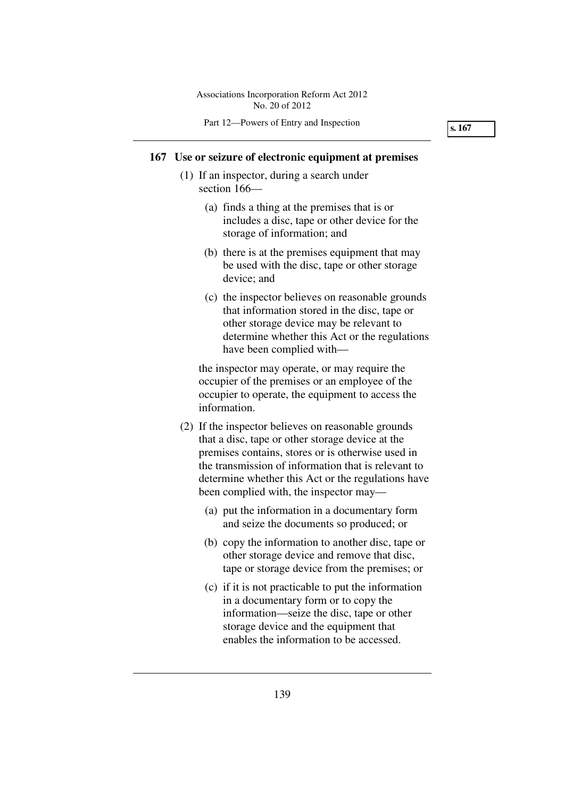# **167 Use or seizure of electronic equipment at premises**

- (1) If an inspector, during a search under section 166—
	- (a) finds a thing at the premises that is or includes a disc, tape or other device for the storage of information; and
	- (b) there is at the premises equipment that may be used with the disc, tape or other storage device; and
	- (c) the inspector believes on reasonable grounds that information stored in the disc, tape or other storage device may be relevant to determine whether this Act or the regulations have been complied with—

the inspector may operate, or may require the occupier of the premises or an employee of the occupier to operate, the equipment to access the information.

- (2) If the inspector believes on reasonable grounds that a disc, tape or other storage device at the premises contains, stores or is otherwise used in the transmission of information that is relevant to determine whether this Act or the regulations have been complied with, the inspector may—
	- (a) put the information in a documentary form and seize the documents so produced; or
	- (b) copy the information to another disc, tape or other storage device and remove that disc, tape or storage device from the premises; or
	- (c) if it is not practicable to put the information in a documentary form or to copy the information—seize the disc, tape or other storage device and the equipment that enables the information to be accessed.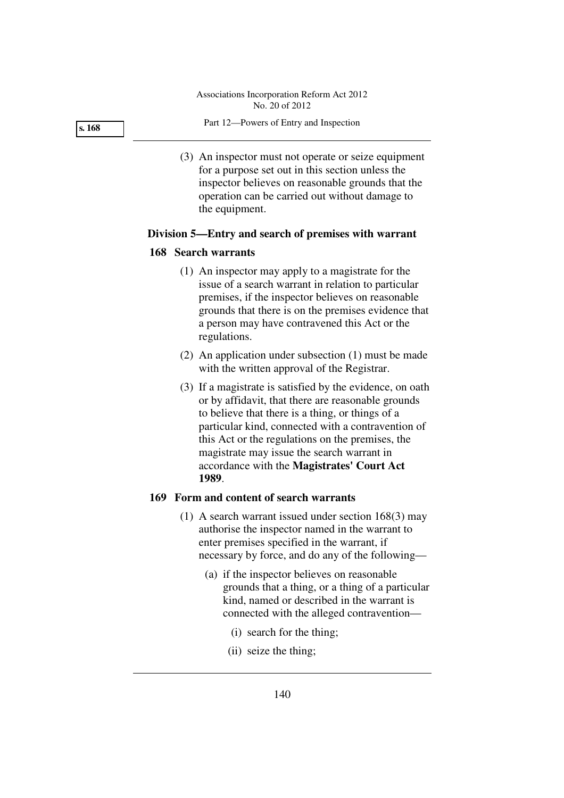Part 12—Powers of Entry and Inspection

 (3) An inspector must not operate or seize equipment for a purpose set out in this section unless the inspector believes on reasonable grounds that the operation can be carried out without damage to the equipment.

# **Division 5—Entry and search of premises with warrant**

#### **168 Search warrants**

- (1) An inspector may apply to a magistrate for the issue of a search warrant in relation to particular premises, if the inspector believes on reasonable grounds that there is on the premises evidence that a person may have contravened this Act or the regulations.
- (2) An application under subsection (1) must be made with the written approval of the Registrar.
- (3) If a magistrate is satisfied by the evidence, on oath or by affidavit, that there are reasonable grounds to believe that there is a thing, or things of a particular kind, connected with a contravention of this Act or the regulations on the premises, the magistrate may issue the search warrant in accordance with the **Magistrates' Court Act 1989**.

# **169 Form and content of search warrants**

- (1) A search warrant issued under section 168(3) may authorise the inspector named in the warrant to enter premises specified in the warrant, if necessary by force, and do any of the following—
	- (a) if the inspector believes on reasonable grounds that a thing, or a thing of a particular kind, named or described in the warrant is connected with the alleged contravention—
		- (i) search for the thing;
		- (ii) seize the thing;

**s. 168**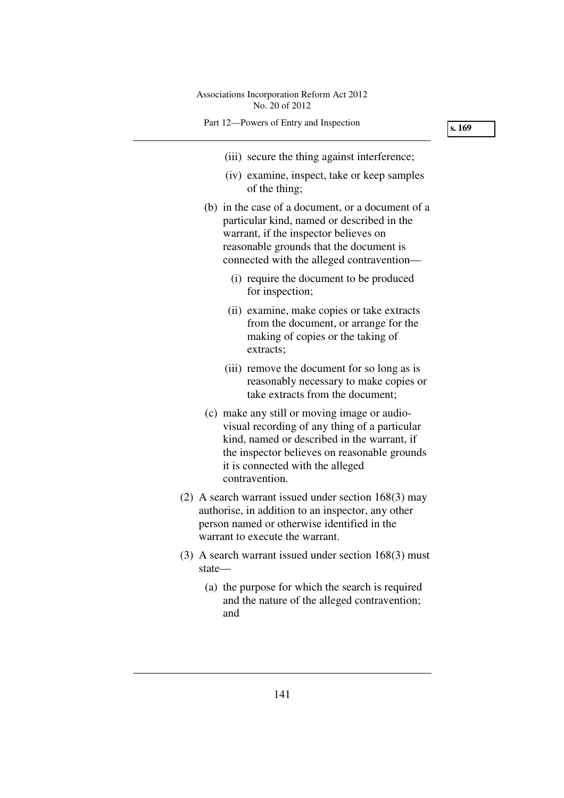- (iii) secure the thing against interference;
- (iv) examine, inspect, take or keep samples of the thing;
- (b) in the case of a document, or a document of a particular kind, named or described in the warrant, if the inspector believes on reasonable grounds that the document is connected with the alleged contravention—
	- (i) require the document to be produced for inspection;
	- (ii) examine, make copies or take extracts from the document, or arrange for the making of copies or the taking of extracts;
	- (iii) remove the document for so long as is reasonably necessary to make copies or take extracts from the document;
- (c) make any still or moving image or audiovisual recording of any thing of a particular kind, named or described in the warrant, if the inspector believes on reasonable grounds it is connected with the alleged contravention.
- (2) A search warrant issued under section 168(3) may authorise, in addition to an inspector, any other person named or otherwise identified in the warrant to execute the warrant.
- (3) A search warrant issued under section 168(3) must state—
	- (a) the purpose for which the search is required and the nature of the alleged contravention; and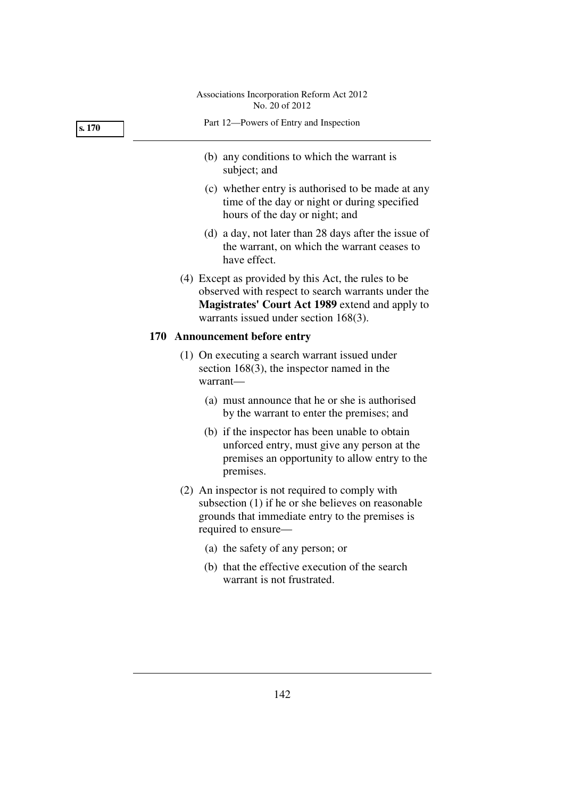| s. 170 | Part 12-Powers of Entry and Inspection                                                                                                                                                                   |
|--------|----------------------------------------------------------------------------------------------------------------------------------------------------------------------------------------------------------|
|        | (b) any conditions to which the warrant is<br>subject; and                                                                                                                                               |
|        | (c) whether entry is authorised to be made at any<br>time of the day or night or during specified<br>hours of the day or night; and                                                                      |
|        | (d) a day, not later than 28 days after the issue of<br>the warrant, on which the warrant ceases to<br>have effect.                                                                                      |
|        | (4) Except as provided by this Act, the rules to be<br>observed with respect to search warrants under the<br>Magistrates' Court Act 1989 extend and apply to<br>warrants issued under section $168(3)$ . |
|        | 170 Announcement before entry                                                                                                                                                                            |
|        | (1) On executing a search warrant issued under<br>section $168(3)$ , the inspector named in the<br>warrant-                                                                                              |
|        | (a) must announce that he or she is authorised<br>by the warrant to enter the premises; and                                                                                                              |
|        | (b) if the inspector has been unable to obtain                                                                                                                                                           |
|        | unforced entry, must give any person at the<br>premises an opportunity to allow entry to the<br>premises.                                                                                                |

- (a) the safety of any person; or
- (b) that the effective execution of the search warrant is not frustrated.

142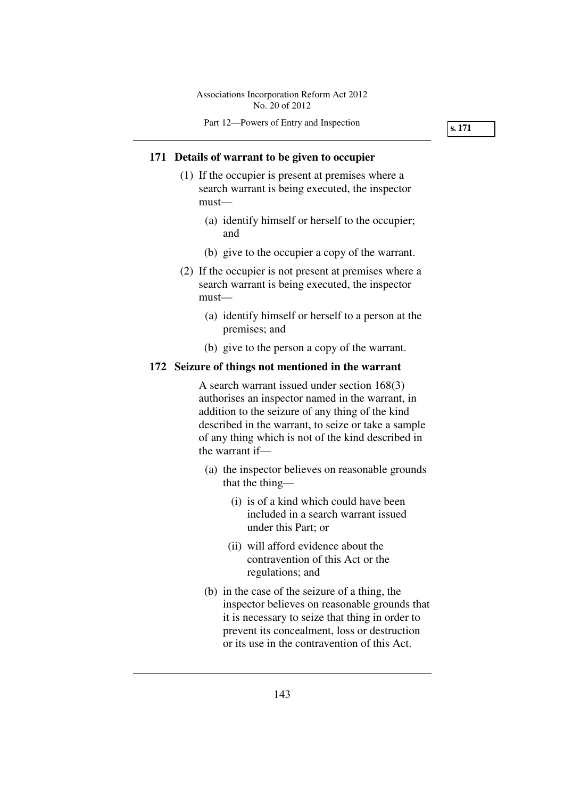# **171 Details of warrant to be given to occupier**

- (1) If the occupier is present at premises where a search warrant is being executed, the inspector must—
	- (a) identify himself or herself to the occupier; and
	- (b) give to the occupier a copy of the warrant.
- (2) If the occupier is not present at premises where a search warrant is being executed, the inspector must—
	- (a) identify himself or herself to a person at the premises; and
	- (b) give to the person a copy of the warrant.

#### **172 Seizure of things not mentioned in the warrant**

A search warrant issued under section 168(3) authorises an inspector named in the warrant, in addition to the seizure of any thing of the kind described in the warrant, to seize or take a sample of any thing which is not of the kind described in the warrant if—

- (a) the inspector believes on reasonable grounds that the thing—
	- (i) is of a kind which could have been included in a search warrant issued under this Part; or
	- (ii) will afford evidence about the contravention of this Act or the regulations; and
- (b) in the case of the seizure of a thing, the inspector believes on reasonable grounds that it is necessary to seize that thing in order to prevent its concealment, loss or destruction or its use in the contravention of this Act.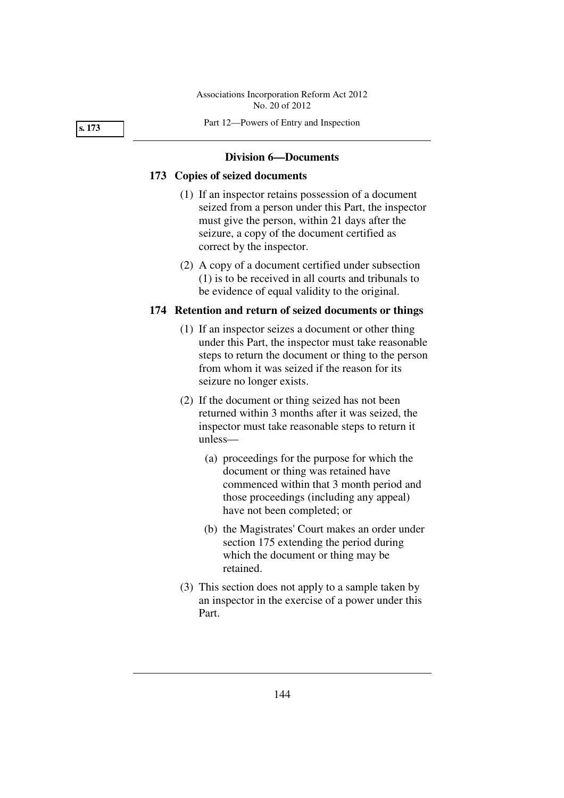Part 12—Powers of Entry and Inspection

#### **s. 173**

#### **Division 6—Documents**

# **173 Copies of seized documents**

- (1) If an inspector retains possession of a document seized from a person under this Part, the inspector must give the person, within 21 days after the seizure, a copy of the document certified as correct by the inspector.
- (2) A copy of a document certified under subsection (1) is to be received in all courts and tribunals to be evidence of equal validity to the original.

# **174 Retention and return of seized documents or things**

- (1) If an inspector seizes a document or other thing under this Part, the inspector must take reasonable steps to return the document or thing to the person from whom it was seized if the reason for its seizure no longer exists.
- (2) If the document or thing seized has not been returned within 3 months after it was seized, the inspector must take reasonable steps to return it unless—
	- (a) proceedings for the purpose for which the document or thing was retained have commenced within that 3 month period and those proceedings (including any appeal) have not been completed; or
	- (b) the Magistrates' Court makes an order under section 175 extending the period during which the document or thing may be retained.
- (3) This section does not apply to a sample taken by an inspector in the exercise of a power under this Part.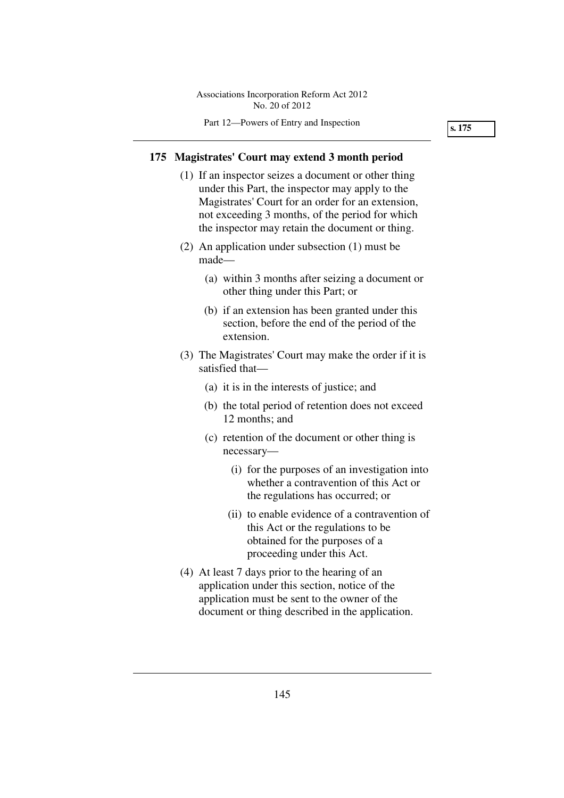# **175 Magistrates' Court may extend 3 month period**

- (1) If an inspector seizes a document or other thing under this Part, the inspector may apply to the Magistrates' Court for an order for an extension, not exceeding 3 months, of the period for which the inspector may retain the document or thing.
- (2) An application under subsection (1) must be made—
	- (a) within 3 months after seizing a document or other thing under this Part; or
	- (b) if an extension has been granted under this section, before the end of the period of the extension.
- (3) The Magistrates' Court may make the order if it is satisfied that—
	- (a) it is in the interests of justice; and
	- (b) the total period of retention does not exceed 12 months; and
	- (c) retention of the document or other thing is necessary—
		- (i) for the purposes of an investigation into whether a contravention of this Act or the regulations has occurred; or
		- (ii) to enable evidence of a contravention of this Act or the regulations to be obtained for the purposes of a proceeding under this Act.
- (4) At least 7 days prior to the hearing of an application under this section, notice of the application must be sent to the owner of the document or thing described in the application.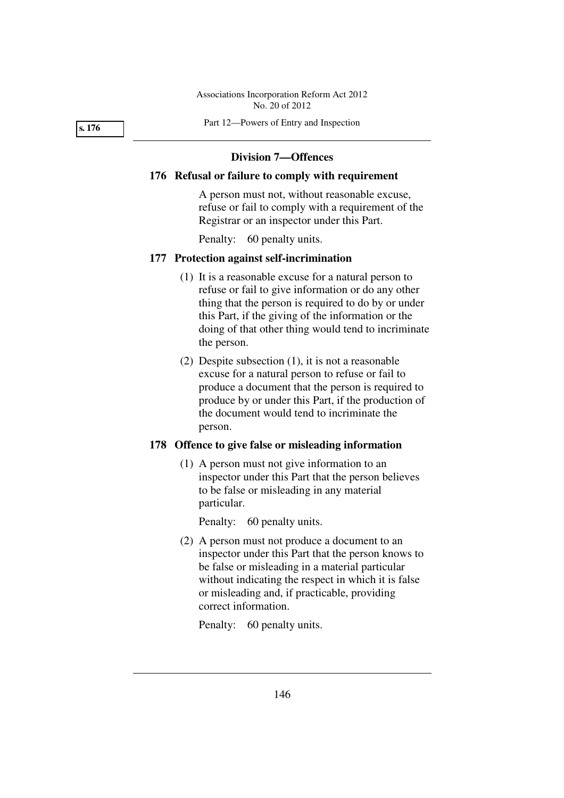Part 12—Powers of Entry and Inspection

#### **s. 176**

# **Division 7—Offences**

# **176 Refusal or failure to comply with requirement**

A person must not, without reasonable excuse, refuse or fail to comply with a requirement of the Registrar or an inspector under this Part.

Penalty: 60 penalty units.

#### **177 Protection against self-incrimination**

- (1) It is a reasonable excuse for a natural person to refuse or fail to give information or do any other thing that the person is required to do by or under this Part, if the giving of the information or the doing of that other thing would tend to incriminate the person.
- (2) Despite subsection (1), it is not a reasonable excuse for a natural person to refuse or fail to produce a document that the person is required to produce by or under this Part, if the production of the document would tend to incriminate the person.

# **178 Offence to give false or misleading information**

 (1) A person must not give information to an inspector under this Part that the person believes to be false or misleading in any material particular.

Penalty: 60 penalty units.

 (2) A person must not produce a document to an inspector under this Part that the person knows to be false or misleading in a material particular without indicating the respect in which it is false or misleading and, if practicable, providing correct information.

Penalty: 60 penalty units.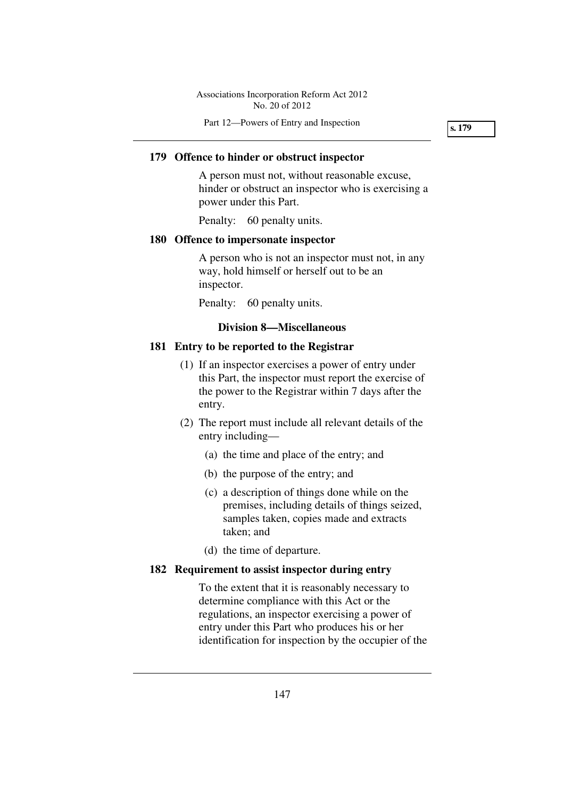Part 12—Powers of Entry and Inspection

**s. 179** 

# **179 Offence to hinder or obstruct inspector**

A person must not, without reasonable excuse, hinder or obstruct an inspector who is exercising a power under this Part.

Penalty: 60 penalty units.

# **180 Offence to impersonate inspector**

A person who is not an inspector must not, in any way, hold himself or herself out to be an inspector.

Penalty: 60 penalty units.

# **Division 8—Miscellaneous**

# **181 Entry to be reported to the Registrar**

- (1) If an inspector exercises a power of entry under this Part, the inspector must report the exercise of the power to the Registrar within 7 days after the entry.
- (2) The report must include all relevant details of the entry including—
	- (a) the time and place of the entry; and
	- (b) the purpose of the entry; and
	- (c) a description of things done while on the premises, including details of things seized, samples taken, copies made and extracts taken; and
	- (d) the time of departure.

# **182 Requirement to assist inspector during entry**

To the extent that it is reasonably necessary to determine compliance with this Act or the regulations, an inspector exercising a power of entry under this Part who produces his or her identification for inspection by the occupier of the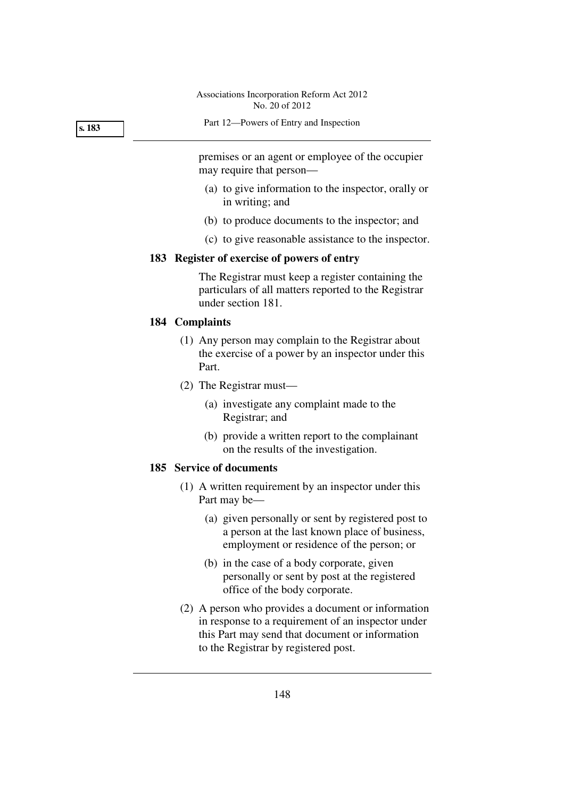Part 12—Powers of Entry and Inspection

premises or an agent or employee of the occupier may require that person—

- (a) to give information to the inspector, orally or in writing; and
- (b) to produce documents to the inspector; and
- (c) to give reasonable assistance to the inspector.

#### **183 Register of exercise of powers of entry**

The Registrar must keep a register containing the particulars of all matters reported to the Registrar under section 181.

#### **184 Complaints**

- (1) Any person may complain to the Registrar about the exercise of a power by an inspector under this Part.
- (2) The Registrar must—
	- (a) investigate any complaint made to the Registrar; and
	- (b) provide a written report to the complainant on the results of the investigation.

#### **185 Service of documents**

- (1) A written requirement by an inspector under this Part may be—
	- (a) given personally or sent by registered post to a person at the last known place of business, employment or residence of the person; or
	- (b) in the case of a body corporate, given personally or sent by post at the registered office of the body corporate.
- (2) A person who provides a document or information in response to a requirement of an inspector under this Part may send that document or information to the Registrar by registered post.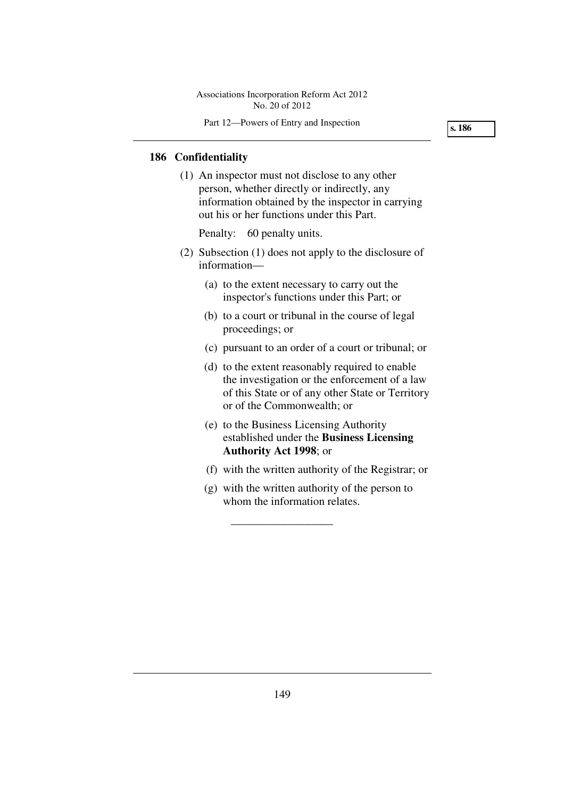Part 12—Powers of Entry and Inspection

**s. 186** 

# **186 Confidentiality**

 (1) An inspector must not disclose to any other person, whether directly or indirectly, any information obtained by the inspector in carrying out his or her functions under this Part.

Penalty: 60 penalty units.

- (2) Subsection (1) does not apply to the disclosure of information—
	- (a) to the extent necessary to carry out the inspector's functions under this Part; or
	- (b) to a court or tribunal in the course of legal proceedings; or
	- (c) pursuant to an order of a court or tribunal; or
	- (d) to the extent reasonably required to enable the investigation or the enforcement of a law of this State or of any other State or Territory or of the Commonwealth; or
	- (e) to the Business Licensing Authority established under the **Business Licensing Authority Act 1998**; or
	- (f) with the written authority of the Registrar; or
	- (g) with the written authority of the person to whom the information relates.

\_\_\_\_\_\_\_\_\_\_\_\_\_\_\_\_\_\_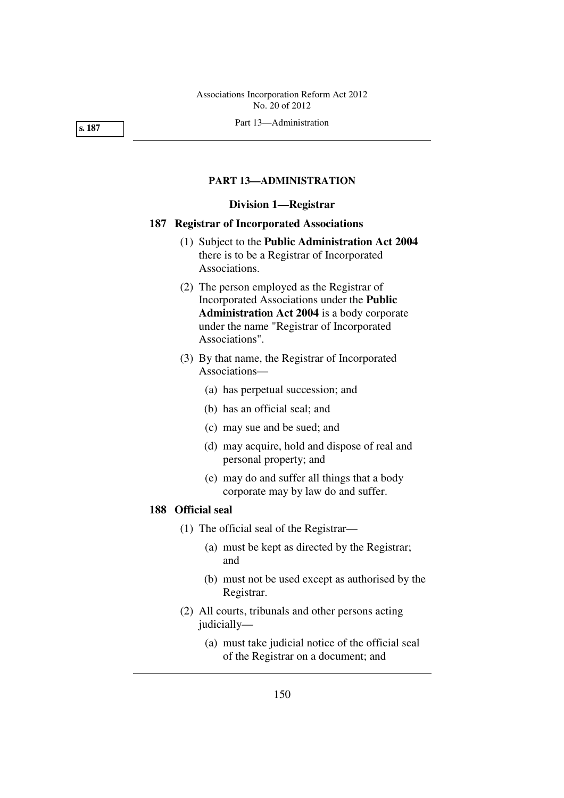Part 13—Administration

#### **s. 187**

#### **PART 13—ADMINISTRATION**

# **Division 1—Registrar**

# **187 Registrar of Incorporated Associations**

- (1) Subject to the **Public Administration Act 2004** there is to be a Registrar of Incorporated Associations.
- (2) The person employed as the Registrar of Incorporated Associations under the **Public Administration Act 2004** is a body corporate under the name "Registrar of Incorporated Associations".
- (3) By that name, the Registrar of Incorporated Associations—
	- (a) has perpetual succession; and
	- (b) has an official seal; and
	- (c) may sue and be sued; and
	- (d) may acquire, hold and dispose of real and personal property; and
	- (e) may do and suffer all things that a body corporate may by law do and suffer.

# **188 Official seal**

- (1) The official seal of the Registrar—
	- (a) must be kept as directed by the Registrar; and
	- (b) must not be used except as authorised by the Registrar.
- (2) All courts, tribunals and other persons acting judicially—
	- (a) must take judicial notice of the official seal of the Registrar on a document; and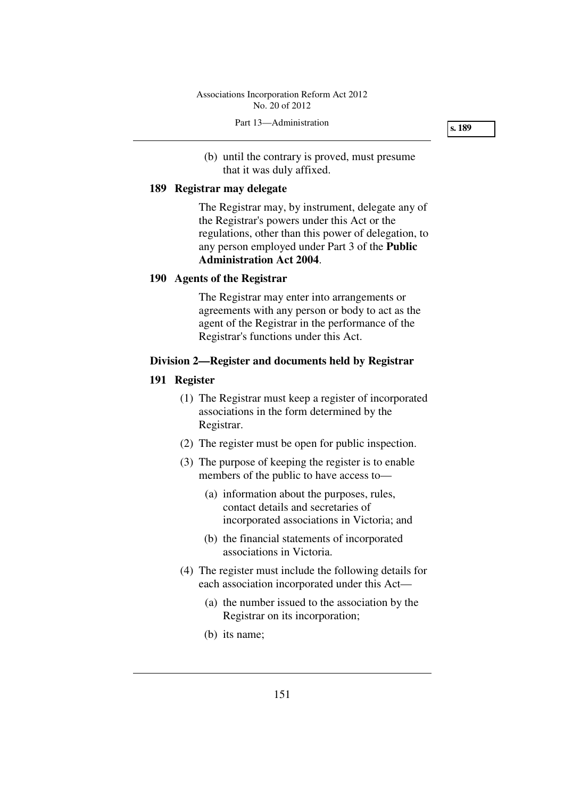#### Part 13—Administration

**s. 189** 

 (b) until the contrary is proved, must presume that it was duly affixed.

#### **189 Registrar may delegate**

The Registrar may, by instrument, delegate any of the Registrar's powers under this Act or the regulations, other than this power of delegation, to any person employed under Part 3 of the **Public Administration Act 2004**.

# **190 Agents of the Registrar**

The Registrar may enter into arrangements or agreements with any person or body to act as the agent of the Registrar in the performance of the Registrar's functions under this Act.

# **Division 2—Register and documents held by Registrar**

#### **191 Register**

- (1) The Registrar must keep a register of incorporated associations in the form determined by the Registrar.
- (2) The register must be open for public inspection.
- (3) The purpose of keeping the register is to enable members of the public to have access to—
	- (a) information about the purposes, rules, contact details and secretaries of incorporated associations in Victoria; and
	- (b) the financial statements of incorporated associations in Victoria.
- (4) The register must include the following details for each association incorporated under this Act—
	- (a) the number issued to the association by the Registrar on its incorporation;
	- (b) its name;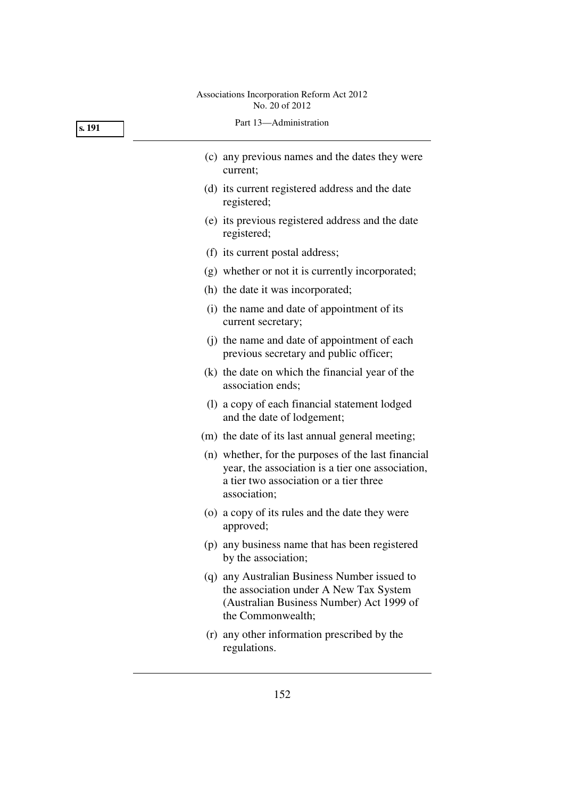| s. 191 | Part 13-Administration                                                                                                                                            |
|--------|-------------------------------------------------------------------------------------------------------------------------------------------------------------------|
|        | (c) any previous names and the dates they were<br>current;                                                                                                        |
|        | (d) its current registered address and the date<br>registered;                                                                                                    |
|        | (e) its previous registered address and the date<br>registered;                                                                                                   |
|        | (f) its current postal address;                                                                                                                                   |
|        | (g) whether or not it is currently incorporated;                                                                                                                  |
|        | (h) the date it was incorporated;                                                                                                                                 |
|        | (i) the name and date of appointment of its<br>current secretary;                                                                                                 |
|        | (j) the name and date of appointment of each<br>previous secretary and public officer;                                                                            |
|        | (k) the date on which the financial year of the<br>association ends;                                                                                              |
|        | (1) a copy of each financial statement lodged<br>and the date of lodgement;                                                                                       |
|        | (m) the date of its last annual general meeting;                                                                                                                  |
|        | (n) whether, for the purposes of the last financial<br>year, the association is a tier one association,<br>a tier two association or a tier three<br>association; |
|        | (o) a copy of its rules and the date they were<br>approved;                                                                                                       |
|        | (p) any business name that has been registered<br>by the association;                                                                                             |
|        | (q) any Australian Business Number issued to<br>the association under A New Tax System<br>(Australian Business Number) Act 1999 of<br>the Commonwealth;           |
|        | (r) any other information prescribed by the<br>regulations.                                                                                                       |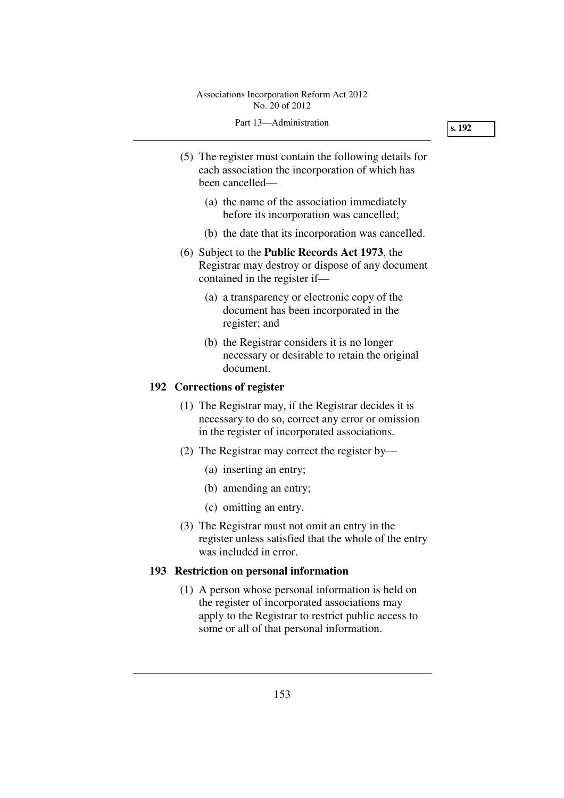#### Part 13—Administration

- (5) The register must contain the following details for each association the incorporation of which has been cancelled—
	- (a) the name of the association immediately before its incorporation was cancelled;
	- (b) the date that its incorporation was cancelled.
- (6) Subject to the **Public Records Act 1973**, the Registrar may destroy or dispose of any document contained in the register if—
	- (a) a transparency or electronic copy of the document has been incorporated in the register; and
	- (b) the Registrar considers it is no longer necessary or desirable to retain the original document.

#### **192 Corrections of register**

- (1) The Registrar may, if the Registrar decides it is necessary to do so, correct any error or omission in the register of incorporated associations.
- (2) The Registrar may correct the register by—
	- (a) inserting an entry;
	- (b) amending an entry;
	- (c) omitting an entry.
- (3) The Registrar must not omit an entry in the register unless satisfied that the whole of the entry was included in error.

#### **193 Restriction on personal information**

 (1) A person whose personal information is held on the register of incorporated associations may apply to the Registrar to restrict public access to some or all of that personal information.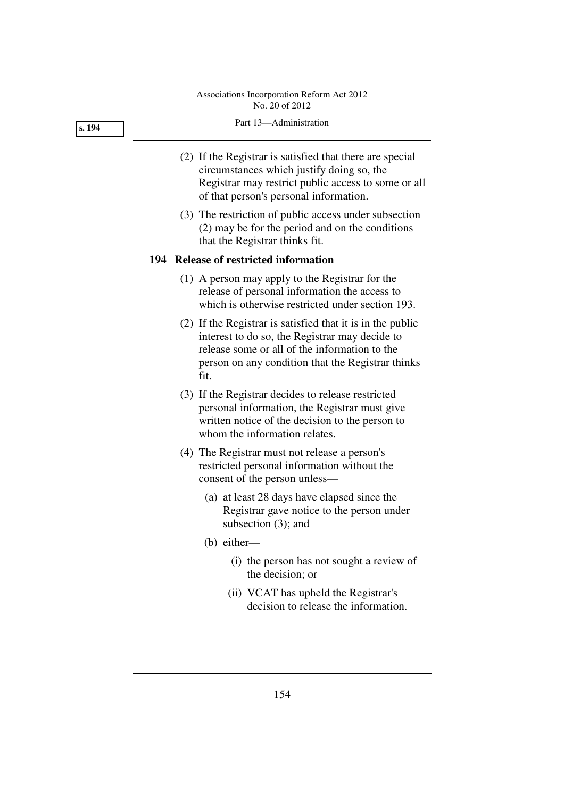#### **s. 194**

#### Part 13—Administration

- (2) If the Registrar is satisfied that there are special circumstances which justify doing so, the Registrar may restrict public access to some or all of that person's personal information.
- (3) The restriction of public access under subsection (2) may be for the period and on the conditions that the Registrar thinks fit.

# **194 Release of restricted information**

- (1) A person may apply to the Registrar for the release of personal information the access to which is otherwise restricted under section 193.
- (2) If the Registrar is satisfied that it is in the public interest to do so, the Registrar may decide to release some or all of the information to the person on any condition that the Registrar thinks fit.
- (3) If the Registrar decides to release restricted personal information, the Registrar must give written notice of the decision to the person to whom the information relates.
- (4) The Registrar must not release a person's restricted personal information without the consent of the person unless—
	- (a) at least 28 days have elapsed since the Registrar gave notice to the person under subsection (3); and
	- (b) either—
		- (i) the person has not sought a review of the decision; or
		- (ii) VCAT has upheld the Registrar's decision to release the information.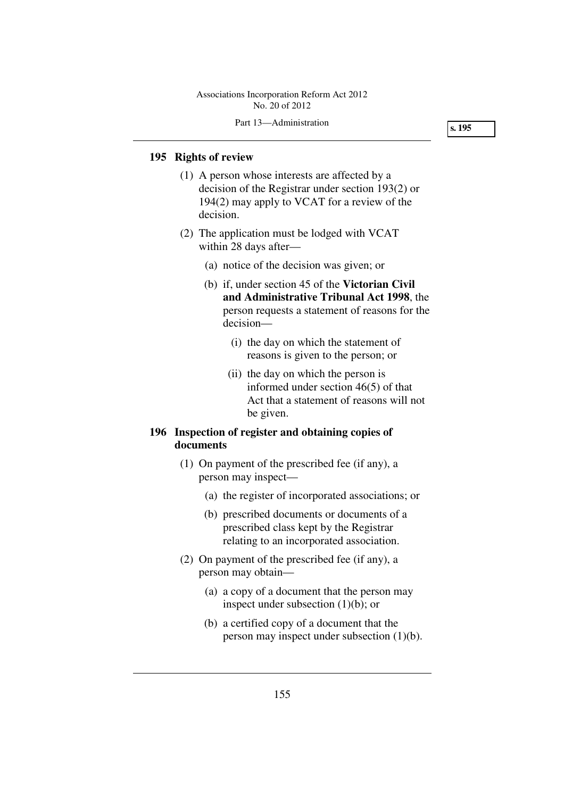#### Part 13—Administration

**s. 195** 

# **195 Rights of review**

- (1) A person whose interests are affected by a decision of the Registrar under section 193(2) or 194(2) may apply to VCAT for a review of the decision.
- (2) The application must be lodged with VCAT within 28 days after—
	- (a) notice of the decision was given; or
	- (b) if, under section 45 of the **Victorian Civil and Administrative Tribunal Act 1998**, the person requests a statement of reasons for the decision—
		- (i) the day on which the statement of reasons is given to the person; or
		- (ii) the day on which the person is informed under section 46(5) of that Act that a statement of reasons will not be given.

# **196 Inspection of register and obtaining copies of documents**

- (1) On payment of the prescribed fee (if any), a person may inspect—
	- (a) the register of incorporated associations; or
	- (b) prescribed documents or documents of a prescribed class kept by the Registrar relating to an incorporated association.
- (2) On payment of the prescribed fee (if any), a person may obtain—
	- (a) a copy of a document that the person may inspect under subsection (1)(b); or
	- (b) a certified copy of a document that the person may inspect under subsection (1)(b).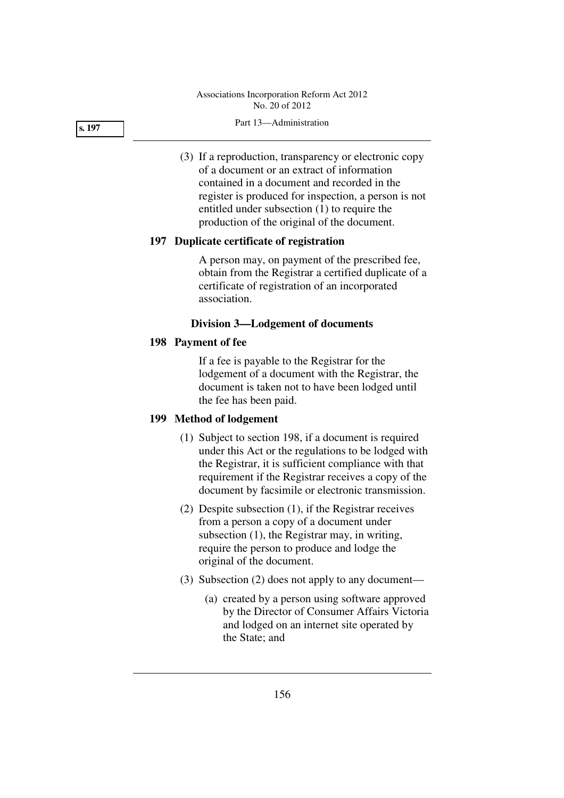#### Part 13—Administration

 (3) If a reproduction, transparency or electronic copy of a document or an extract of information contained in a document and recorded in the register is produced for inspection, a person is not entitled under subsection (1) to require the production of the original of the document.

# **197 Duplicate certificate of registration**

A person may, on payment of the prescribed fee, obtain from the Registrar a certified duplicate of a certificate of registration of an incorporated association.

# **Division 3—Lodgement of documents**

# **198 Payment of fee**

If a fee is payable to the Registrar for the lodgement of a document with the Registrar, the document is taken not to have been lodged until the fee has been paid.

# **199 Method of lodgement**

- (1) Subject to section 198, if a document is required under this Act or the regulations to be lodged with the Registrar, it is sufficient compliance with that requirement if the Registrar receives a copy of the document by facsimile or electronic transmission.
- (2) Despite subsection (1), if the Registrar receives from a person a copy of a document under subsection (1), the Registrar may, in writing, require the person to produce and lodge the original of the document.
- (3) Subsection (2) does not apply to any document—
	- (a) created by a person using software approved by the Director of Consumer Affairs Victoria and lodged on an internet site operated by the State; and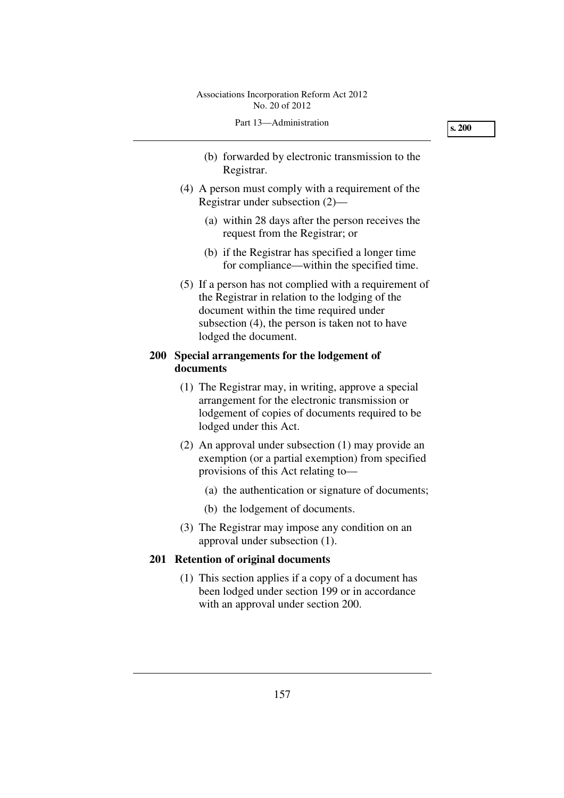- (b) forwarded by electronic transmission to the Registrar.
- (4) A person must comply with a requirement of the Registrar under subsection (2)—
	- (a) within 28 days after the person receives the request from the Registrar; or
	- (b) if the Registrar has specified a longer time for compliance—within the specified time.
- (5) If a person has not complied with a requirement of the Registrar in relation to the lodging of the document within the time required under subsection (4), the person is taken not to have lodged the document.

# **200 Special arrangements for the lodgement of documents**

- (1) The Registrar may, in writing, approve a special arrangement for the electronic transmission or lodgement of copies of documents required to be lodged under this Act.
- (2) An approval under subsection (1) may provide an exemption (or a partial exemption) from specified provisions of this Act relating to—
	- (a) the authentication or signature of documents;
	- (b) the lodgement of documents.
- (3) The Registrar may impose any condition on an approval under subsection (1).

# **201 Retention of original documents**

 (1) This section applies if a copy of a document has been lodged under section 199 or in accordance with an approval under section 200.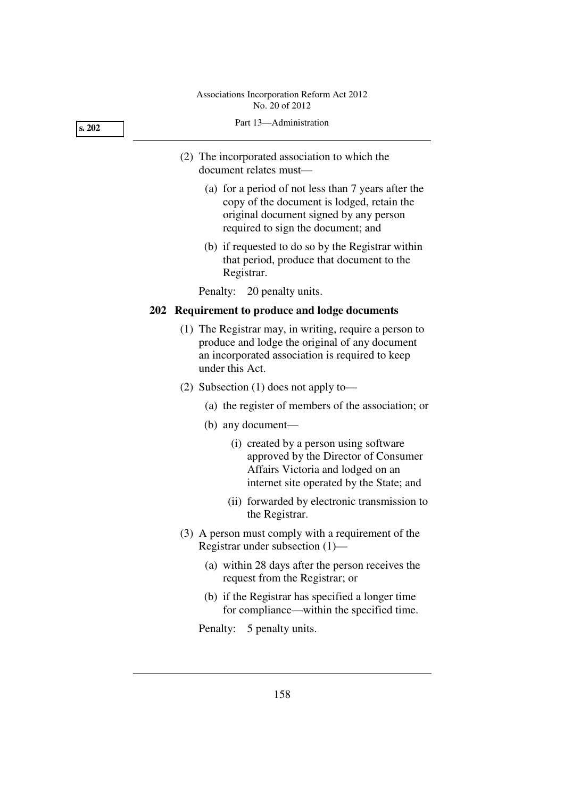# Part 13—Administration (2) The incorporated association to which the document relates must— (a) for a period of not less than 7 years after the copy of the document is lodged, retain the original document signed by any person

 (b) if requested to do so by the Registrar within that period, produce that document to the Registrar.

required to sign the document; and

Penalty: 20 penalty units.

# **202 Requirement to produce and lodge documents**

- (1) The Registrar may, in writing, require a person to produce and lodge the original of any document an incorporated association is required to keep under this Act.
- (2) Subsection (1) does not apply to—
	- (a) the register of members of the association; or
	- (b) any document—
		- (i) created by a person using software approved by the Director of Consumer Affairs Victoria and lodged on an internet site operated by the State; and
		- (ii) forwarded by electronic transmission to the Registrar.
- (3) A person must comply with a requirement of the Registrar under subsection (1)—
	- (a) within 28 days after the person receives the request from the Registrar; or
	- (b) if the Registrar has specified a longer time for compliance—within the specified time.

Penalty: 5 penalty units.

| ×<br>٠<br>٧<br>۰,<br>٠ |  |
|------------------------|--|
|------------------------|--|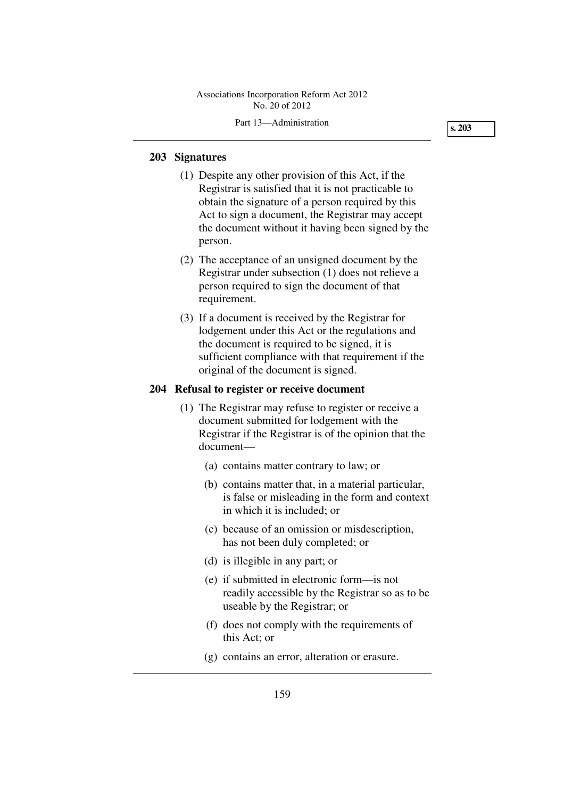### Part 13—Administration

**s. 203** 

# **203 Signatures**

- (1) Despite any other provision of this Act, if the Registrar is satisfied that it is not practicable to obtain the signature of a person required by this Act to sign a document, the Registrar may accept the document without it having been signed by the person.
- (2) The acceptance of an unsigned document by the Registrar under subsection (1) does not relieve a person required to sign the document of that requirement.
- (3) If a document is received by the Registrar for lodgement under this Act or the regulations and the document is required to be signed, it is sufficient compliance with that requirement if the original of the document is signed.

# **204 Refusal to register or receive document**

- (1) The Registrar may refuse to register or receive a document submitted for lodgement with the Registrar if the Registrar is of the opinion that the document—
	- (a) contains matter contrary to law; or
	- (b) contains matter that, in a material particular, is false or misleading in the form and context in which it is included; or
	- (c) because of an omission or misdescription, has not been duly completed; or
	- (d) is illegible in any part; or
	- (e) if submitted in electronic form—is not readily accessible by the Registrar so as to be useable by the Registrar; or
	- (f) does not comply with the requirements of this Act; or
	- (g) contains an error, alteration or erasure.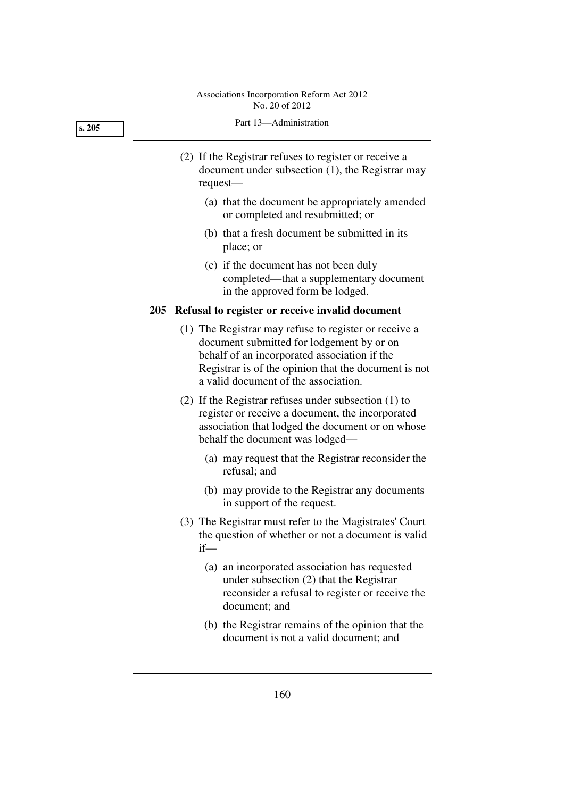# Part 13—Administration (2) If the Registrar refuses to register or receive a document under subsection (1), the Registrar may **s. 205**

request—

- (a) that the document be appropriately amended or completed and resubmitted; or
- (b) that a fresh document be submitted in its place; or
- (c) if the document has not been duly completed—that a supplementary document in the approved form be lodged.

# **205 Refusal to register or receive invalid document**

- (1) The Registrar may refuse to register or receive a document submitted for lodgement by or on behalf of an incorporated association if the Registrar is of the opinion that the document is not a valid document of the association.
- (2) If the Registrar refuses under subsection (1) to register or receive a document, the incorporated association that lodged the document or on whose behalf the document was lodged—
	- (a) may request that the Registrar reconsider the refusal; and
	- (b) may provide to the Registrar any documents in support of the request.
- (3) The Registrar must refer to the Magistrates' Court the question of whether or not a document is valid if—
	- (a) an incorporated association has requested under subsection (2) that the Registrar reconsider a refusal to register or receive the document; and
	- (b) the Registrar remains of the opinion that the document is not a valid document; and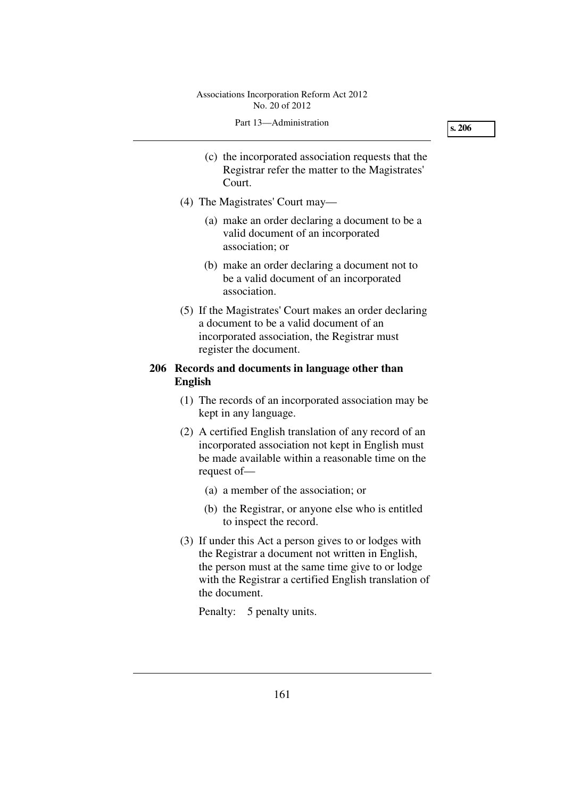#### Part 13—Administration

**s. 206** 

- (c) the incorporated association requests that the Registrar refer the matter to the Magistrates' Court.
- (4) The Magistrates' Court may—
	- (a) make an order declaring a document to be a valid document of an incorporated association; or
	- (b) make an order declaring a document not to be a valid document of an incorporated association.
- (5) If the Magistrates' Court makes an order declaring a document to be a valid document of an incorporated association, the Registrar must register the document.

# **206 Records and documents in language other than English**

- (1) The records of an incorporated association may be kept in any language.
- (2) A certified English translation of any record of an incorporated association not kept in English must be made available within a reasonable time on the request of—
	- (a) a member of the association; or
	- (b) the Registrar, or anyone else who is entitled to inspect the record.
- (3) If under this Act a person gives to or lodges with the Registrar a document not written in English, the person must at the same time give to or lodge with the Registrar a certified English translation of the document.

Penalty: 5 penalty units.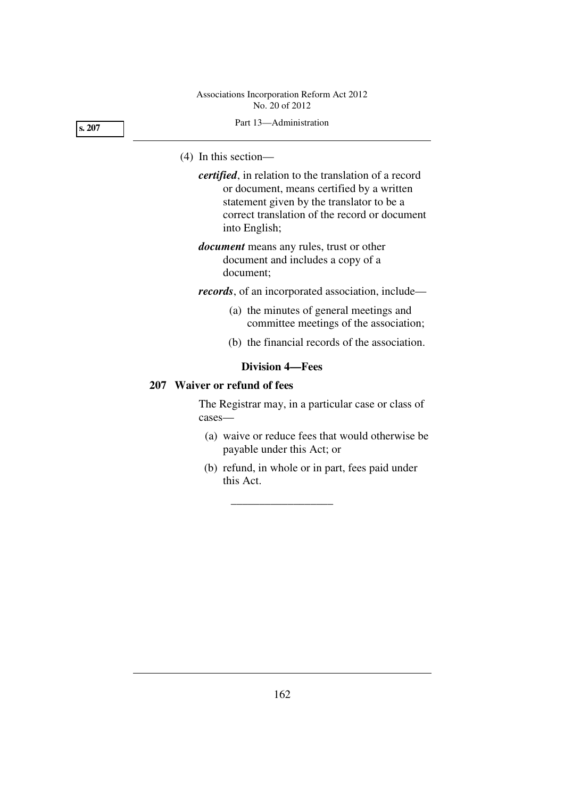Part 13—Administration

# (4) In this section—

*certified*, in relation to the translation of a record or document, means certified by a written statement given by the translator to be a correct translation of the record or document into English;

*document* means any rules, trust or other document and includes a copy of a document;

*records*, of an incorporated association, include—

- (a) the minutes of general meetings and committee meetings of the association;
- (b) the financial records of the association.

# **Division 4—Fees**

\_\_\_\_\_\_\_\_\_\_\_\_\_\_\_\_\_\_

# **207 Waiver or refund of fees**

The Registrar may, in a particular case or class of cases—

- (a) waive or reduce fees that would otherwise be payable under this Act; or
- (b) refund, in whole or in part, fees paid under this Act.

**s. 207**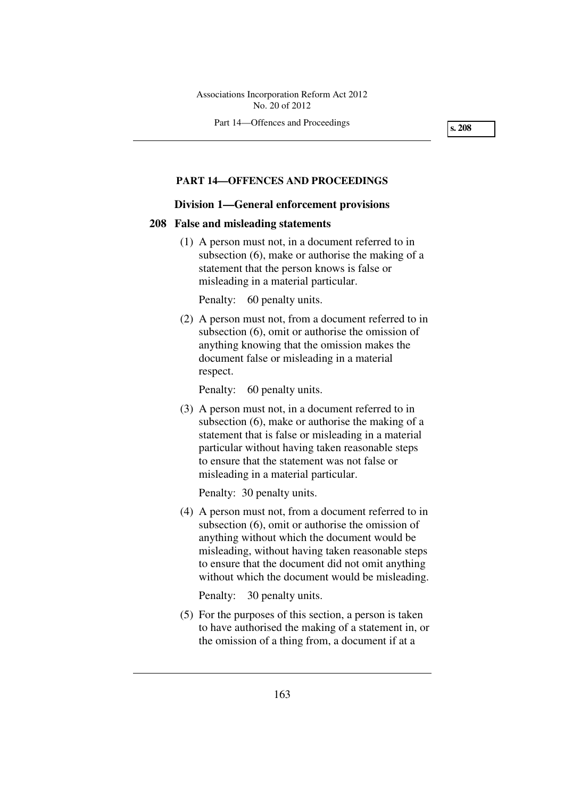Part 14—Offences and Proceedings

**s. 208** 

# **PART 14—OFFENCES AND PROCEEDINGS**

#### **Division 1—General enforcement provisions**

#### **208 False and misleading statements**

 (1) A person must not, in a document referred to in subsection (6), make or authorise the making of a statement that the person knows is false or misleading in a material particular.

Penalty: 60 penalty units.

 (2) A person must not, from a document referred to in subsection (6), omit or authorise the omission of anything knowing that the omission makes the document false or misleading in a material respect.

Penalty: 60 penalty units.

 (3) A person must not, in a document referred to in subsection (6), make or authorise the making of a statement that is false or misleading in a material particular without having taken reasonable steps to ensure that the statement was not false or misleading in a material particular.

Penalty: 30 penalty units.

 (4) A person must not, from a document referred to in subsection (6), omit or authorise the omission of anything without which the document would be misleading, without having taken reasonable steps to ensure that the document did not omit anything without which the document would be misleading.

Penalty: 30 penalty units.

 (5) For the purposes of this section, a person is taken to have authorised the making of a statement in, or the omission of a thing from, a document if at a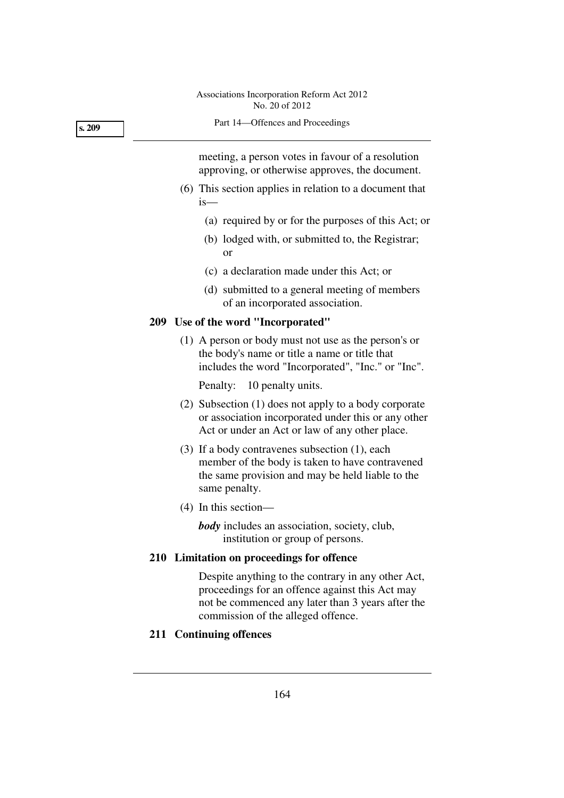Part 14—Offences and Proceedings

meeting, a person votes in favour of a resolution approving, or otherwise approves, the document.

- (6) This section applies in relation to a document that is—
	- (a) required by or for the purposes of this Act; or
	- (b) lodged with, or submitted to, the Registrar; or
	- (c) a declaration made under this Act; or
	- (d) submitted to a general meeting of members of an incorporated association.

# **209 Use of the word "Incorporated"**

 (1) A person or body must not use as the person's or the body's name or title a name or title that includes the word "Incorporated", "Inc." or "Inc".

Penalty: 10 penalty units.

- (2) Subsection (1) does not apply to a body corporate or association incorporated under this or any other Act or under an Act or law of any other place.
- (3) If a body contravenes subsection (1), each member of the body is taken to have contravened the same provision and may be held liable to the same penalty.
- (4) In this section—

*body* includes an association, society, club, institution or group of persons.

# **210 Limitation on proceedings for offence**

Despite anything to the contrary in any other Act, proceedings for an offence against this Act may not be commenced any later than 3 years after the commission of the alleged offence.

# **211 Continuing offences**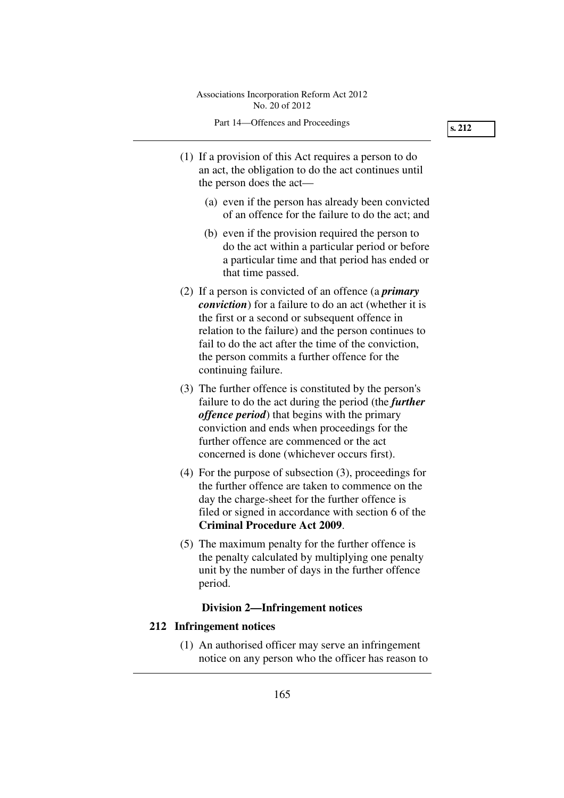- (1) If a provision of this Act requires a person to do an act, the obligation to do the act continues until the person does the act—
	- (a) even if the person has already been convicted of an offence for the failure to do the act; and
	- (b) even if the provision required the person to do the act within a particular period or before a particular time and that period has ended or that time passed.
- (2) If a person is convicted of an offence (a *primary conviction*) for a failure to do an act (whether it is the first or a second or subsequent offence in relation to the failure) and the person continues to fail to do the act after the time of the conviction, the person commits a further offence for the continuing failure.
- (3) The further offence is constituted by the person's failure to do the act during the period (the *further offence period*) that begins with the primary conviction and ends when proceedings for the further offence are commenced or the act concerned is done (whichever occurs first).
- (4) For the purpose of subsection (3), proceedings for the further offence are taken to commence on the day the charge-sheet for the further offence is filed or signed in accordance with section 6 of the **Criminal Procedure Act 2009**.
- (5) The maximum penalty for the further offence is the penalty calculated by multiplying one penalty unit by the number of days in the further offence period.

# **Division 2—Infringement notices**

# **212 Infringement notices**

 (1) An authorised officer may serve an infringement notice on any person who the officer has reason to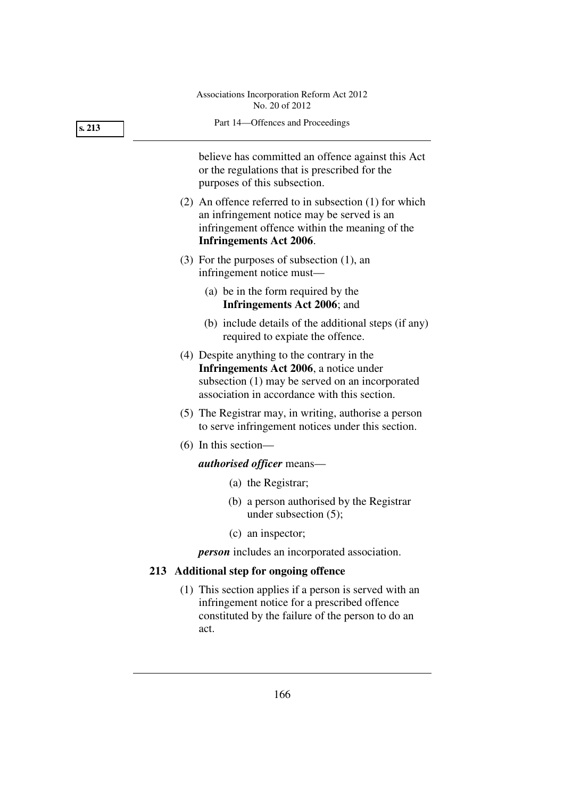| 213 | Part 14-Offences and Proceedings                                                                                                                                                                 |
|-----|--------------------------------------------------------------------------------------------------------------------------------------------------------------------------------------------------|
|     | believe has committed an offence against this Act<br>or the regulations that is prescribed for the<br>purposes of this subsection.                                                               |
|     | $(2)$ An offence referred to in subsection $(1)$ for which<br>an infringement notice may be served is an<br>infringement offence within the meaning of the<br><b>Infringements Act 2006.</b>     |
|     | $(3)$ For the purposes of subsection $(1)$ , an<br>infringement notice must—                                                                                                                     |
|     | (a) be in the form required by the<br>Infringements Act 2006; and                                                                                                                                |
|     | (b) include details of the additional steps (if any)<br>required to expiate the offence.                                                                                                         |
|     | (4) Despite anything to the contrary in the<br><b>Infringements Act 2006</b> , a notice under<br>subsection (1) may be served on an incorporated<br>association in accordance with this section. |
|     | (5) The Registrar may, in writing, authorise a person<br>to serve infringement notices under this section.                                                                                       |
|     | $(6)$ In this section-                                                                                                                                                                           |
|     | <i>authorised officer</i> means—                                                                                                                                                                 |
|     | (a) the Registrar;                                                                                                                                                                               |
|     | (b) a person authorised by the Registrar<br>under subsection $(5)$ ;                                                                                                                             |
|     | (c) an inspector;                                                                                                                                                                                |
|     | <i>person</i> includes an incorporated association.                                                                                                                                              |
|     | 213 Additional step for ongoing offence                                                                                                                                                          |
|     | (1) This section applies if a person is served with an<br>infringement notice for a prescribed offence<br>constituted by the failure of the person to do an<br>act.                              |
|     |                                                                                                                                                                                                  |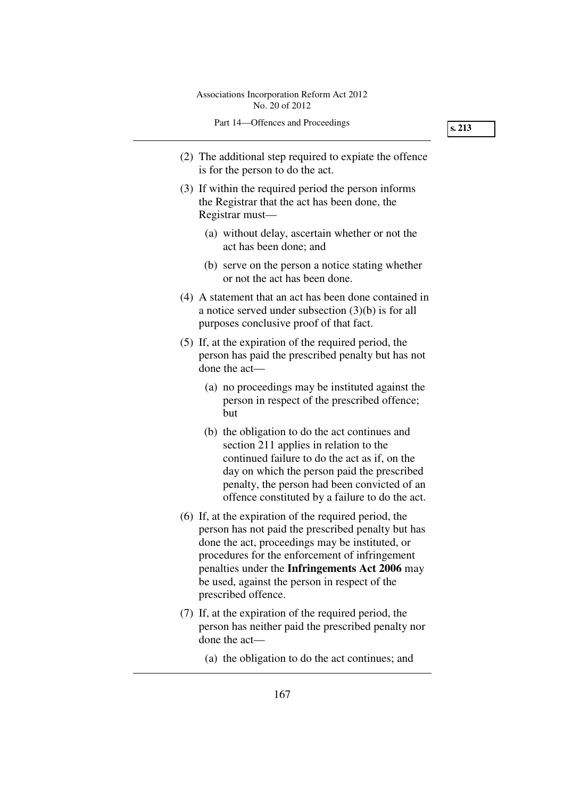- (2) The additional step required to expiate the offence is for the person to do the act.
- (3) If within the required period the person informs the Registrar that the act has been done, the Registrar must—
	- (a) without delay, ascertain whether or not the act has been done; and
	- (b) serve on the person a notice stating whether or not the act has been done.
- (4) A statement that an act has been done contained in a notice served under subsection (3)(b) is for all purposes conclusive proof of that fact.
- (5) If, at the expiration of the required period, the person has paid the prescribed penalty but has not done the act—
	- (a) no proceedings may be instituted against the person in respect of the prescribed offence; but
	- (b) the obligation to do the act continues and section 211 applies in relation to the continued failure to do the act as if, on the day on which the person paid the prescribed penalty, the person had been convicted of an offence constituted by a failure to do the act.
- (6) If, at the expiration of the required period, the person has not paid the prescribed penalty but has done the act, proceedings may be instituted, or procedures for the enforcement of infringement penalties under the **Infringements Act 2006** may be used, against the person in respect of the prescribed offence.
- (7) If, at the expiration of the required period, the person has neither paid the prescribed penalty nor done the act—
	- (a) the obligation to do the act continues; and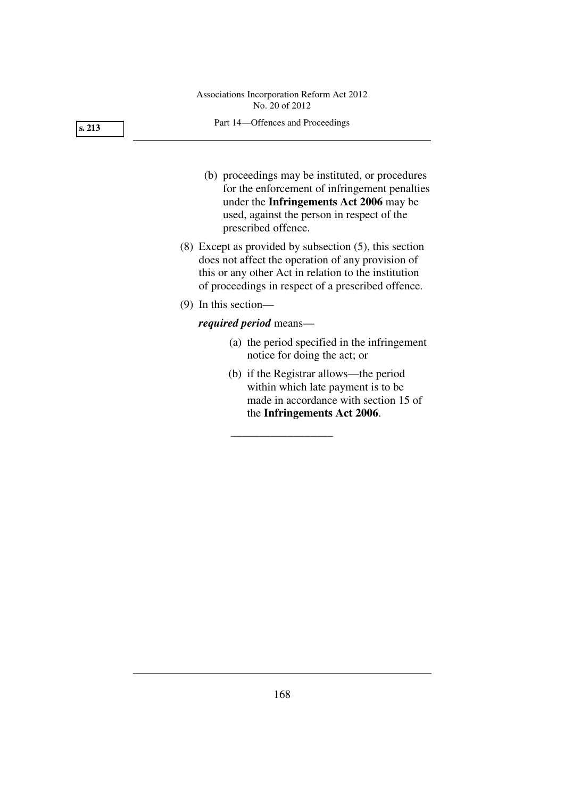#### Part 14—Offences and Proceedings

- (b) proceedings may be instituted, or procedures for the enforcement of infringement penalties under the **Infringements Act 2006** may be used, against the person in respect of the prescribed offence.
- (8) Except as provided by subsection (5), this section does not affect the operation of any provision of this or any other Act in relation to the institution of proceedings in respect of a prescribed offence.
- (9) In this section—

# *required period* means—

- (a) the period specified in the infringement notice for doing the act; or
- (b) if the Registrar allows—the period within which late payment is to be made in accordance with section 15 of the **Infringements Act 2006**.

\_\_\_\_\_\_\_\_\_\_\_\_\_\_\_\_\_\_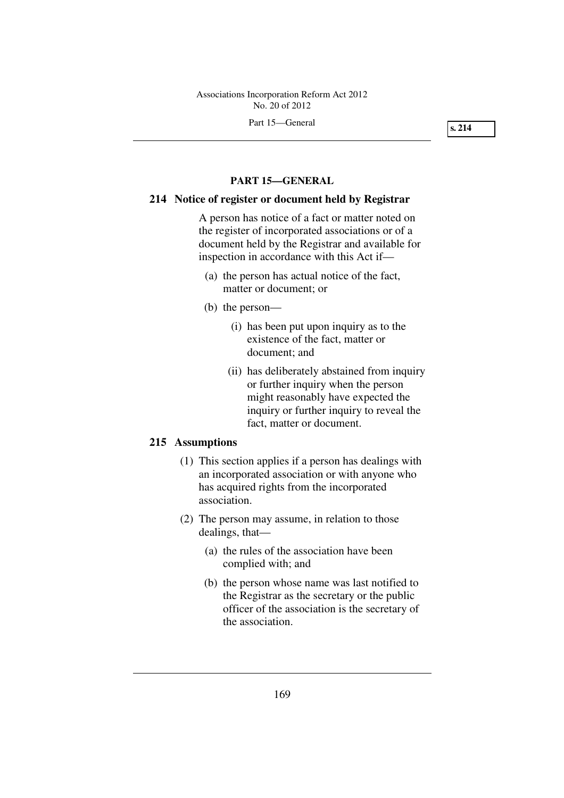Part 15—General

**s. 214** 

#### **PART 15—GENERAL**

# **214 Notice of register or document held by Registrar**

A person has notice of a fact or matter noted on the register of incorporated associations or of a document held by the Registrar and available for inspection in accordance with this Act if—

- (a) the person has actual notice of the fact, matter or document; or
- (b) the person—
	- (i) has been put upon inquiry as to the existence of the fact, matter or document; and
	- (ii) has deliberately abstained from inquiry or further inquiry when the person might reasonably have expected the inquiry or further inquiry to reveal the fact, matter or document.

# **215 Assumptions**

- (1) This section applies if a person has dealings with an incorporated association or with anyone who has acquired rights from the incorporated association.
- (2) The person may assume, in relation to those dealings, that—
	- (a) the rules of the association have been complied with; and
	- (b) the person whose name was last notified to the Registrar as the secretary or the public officer of the association is the secretary of the association.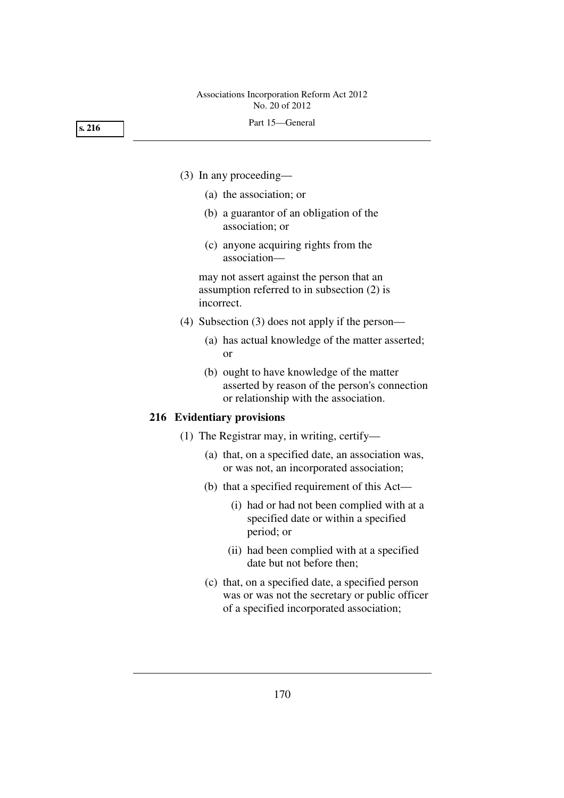**s. 216** 

- (3) In any proceeding—
	- (a) the association; or
	- (b) a guarantor of an obligation of the association; or
	- (c) anyone acquiring rights from the association—

may not assert against the person that an assumption referred to in subsection (2) is incorrect.

- (4) Subsection (3) does not apply if the person—
	- (a) has actual knowledge of the matter asserted; or
	- (b) ought to have knowledge of the matter asserted by reason of the person's connection or relationship with the association.

#### **216 Evidentiary provisions**

- (1) The Registrar may, in writing, certify—
	- (a) that, on a specified date, an association was, or was not, an incorporated association;
	- (b) that a specified requirement of this Act—
		- (i) had or had not been complied with at a specified date or within a specified period; or
		- (ii) had been complied with at a specified date but not before then;
	- (c) that, on a specified date, a specified person was or was not the secretary or public officer of a specified incorporated association;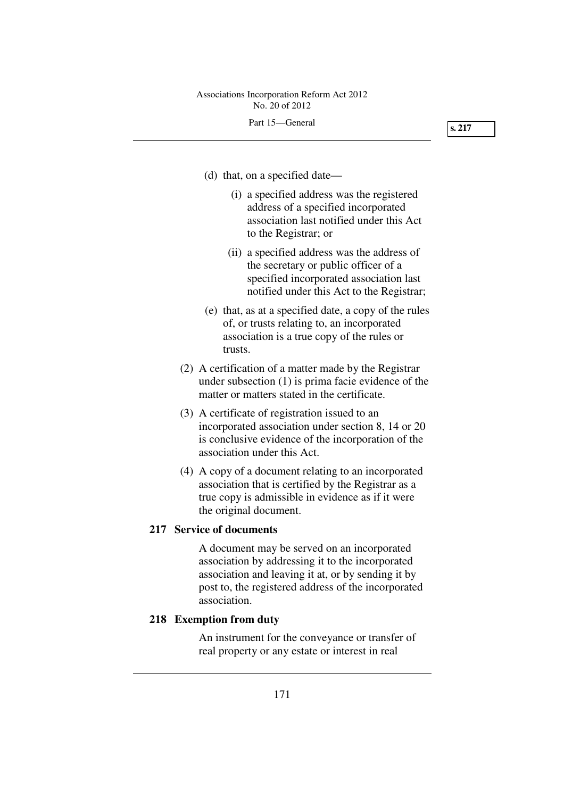- (d) that, on a specified date—
	- (i) a specified address was the registered address of a specified incorporated association last notified under this Act to the Registrar; or
	- (ii) a specified address was the address of the secretary or public officer of a specified incorporated association last notified under this Act to the Registrar;
- (e) that, as at a specified date, a copy of the rules of, or trusts relating to, an incorporated association is a true copy of the rules or trusts.
- (2) A certification of a matter made by the Registrar under subsection (1) is prima facie evidence of the matter or matters stated in the certificate.
- (3) A certificate of registration issued to an incorporated association under section 8, 14 or 20 is conclusive evidence of the incorporation of the association under this Act.
- (4) A copy of a document relating to an incorporated association that is certified by the Registrar as a true copy is admissible in evidence as if it were the original document.

## **217 Service of documents**

A document may be served on an incorporated association by addressing it to the incorporated association and leaving it at, or by sending it by post to, the registered address of the incorporated association.

## **218 Exemption from duty**

An instrument for the conveyance or transfer of real property or any estate or interest in real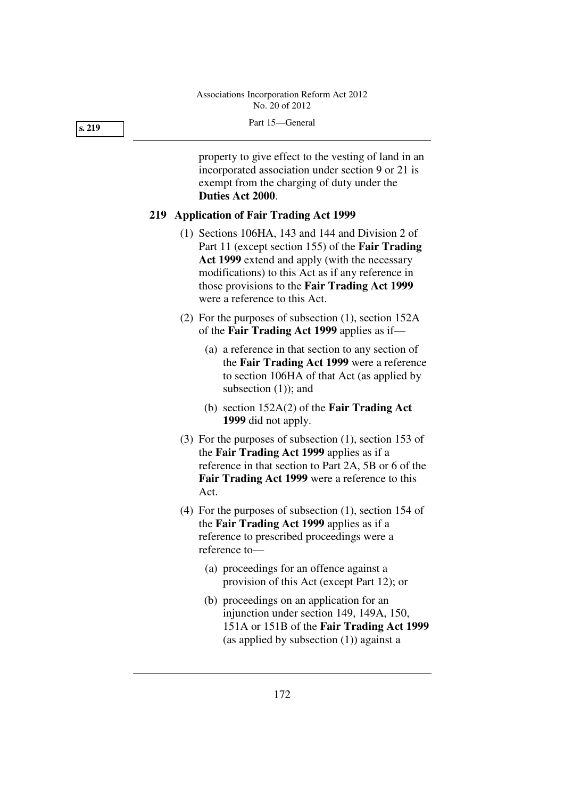property to give effect to the vesting of land in an incorporated association under section 9 or 21 is exempt from the charging of duty under the **Duties Act 2000**.

## **219 Application of Fair Trading Act 1999**

- (1) Sections 106HA, 143 and 144 and Division 2 of Part 11 (except section 155) of the **Fair Trading Act 1999** extend and apply (with the necessary modifications) to this Act as if any reference in those provisions to the **Fair Trading Act 1999** were a reference to this Act.
- (2) For the purposes of subsection (1), section 152A of the **Fair Trading Act 1999** applies as if—
	- (a) a reference in that section to any section of the **Fair Trading Act 1999** were a reference to section 106HA of that Act (as applied by subsection (1)); and
	- (b) section 152A(2) of the **Fair Trading Act 1999** did not apply.
- (3) For the purposes of subsection (1), section 153 of the **Fair Trading Act 1999** applies as if a reference in that section to Part 2A, 5B or 6 of the **Fair Trading Act 1999** were a reference to this Act.
- (4) For the purposes of subsection (1), section 154 of the **Fair Trading Act 1999** applies as if a reference to prescribed proceedings were a reference to—
	- (a) proceedings for an offence against a provision of this Act (except Part 12); or
	- (b) proceedings on an application for an injunction under section 149, 149A, 150, 151A or 151B of the **Fair Trading Act 1999** (as applied by subsection (1)) against a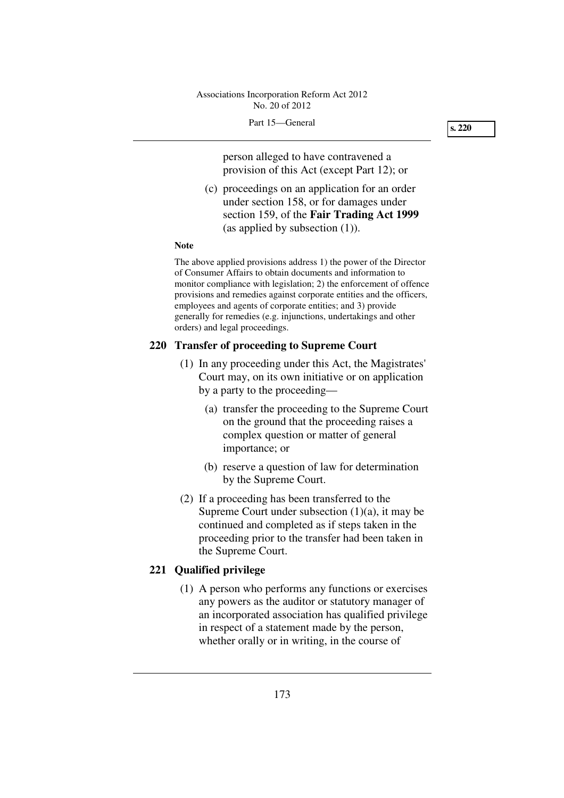**s. 220** 

person alleged to have contravened a provision of this Act (except Part 12); or

 (c) proceedings on an application for an order under section 158, or for damages under section 159, of the **Fair Trading Act 1999** (as applied by subsection (1)).

#### **Note**

The above applied provisions address 1) the power of the Director of Consumer Affairs to obtain documents and information to monitor compliance with legislation; 2) the enforcement of offence provisions and remedies against corporate entities and the officers, employees and agents of corporate entities; and 3) provide generally for remedies (e.g. injunctions, undertakings and other orders) and legal proceedings.

#### **220 Transfer of proceeding to Supreme Court**

- (1) In any proceeding under this Act, the Magistrates' Court may, on its own initiative or on application by a party to the proceeding—
	- (a) transfer the proceeding to the Supreme Court on the ground that the proceeding raises a complex question or matter of general importance; or
	- (b) reserve a question of law for determination by the Supreme Court.
- (2) If a proceeding has been transferred to the Supreme Court under subsection  $(1)(a)$ , it may be continued and completed as if steps taken in the proceeding prior to the transfer had been taken in the Supreme Court.

## **221 Qualified privilege**

 (1) A person who performs any functions or exercises any powers as the auditor or statutory manager of an incorporated association has qualified privilege in respect of a statement made by the person, whether orally or in writing, in the course of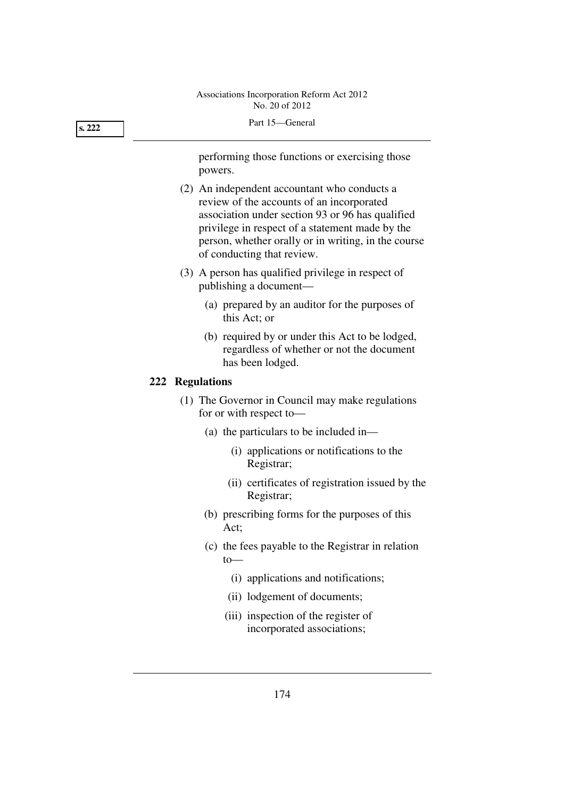#### **s. 222**

performing those functions or exercising those powers.

- (2) An independent accountant who conducts a review of the accounts of an incorporated association under section 93 or 96 has qualified privilege in respect of a statement made by the person, whether orally or in writing, in the course of conducting that review.
- (3) A person has qualified privilege in respect of publishing a document—
	- (a) prepared by an auditor for the purposes of this Act; or
	- (b) required by or under this Act to be lodged, regardless of whether or not the document has been lodged.

## **222 Regulations**

- (1) The Governor in Council may make regulations for or with respect to—
	- (a) the particulars to be included in—
		- (i) applications or notifications to the Registrar;
		- (ii) certificates of registration issued by the Registrar;
	- (b) prescribing forms for the purposes of this Act;
	- (c) the fees payable to the Registrar in relation to—
		- (i) applications and notifications;
		- (ii) lodgement of documents;
		- (iii) inspection of the register of incorporated associations;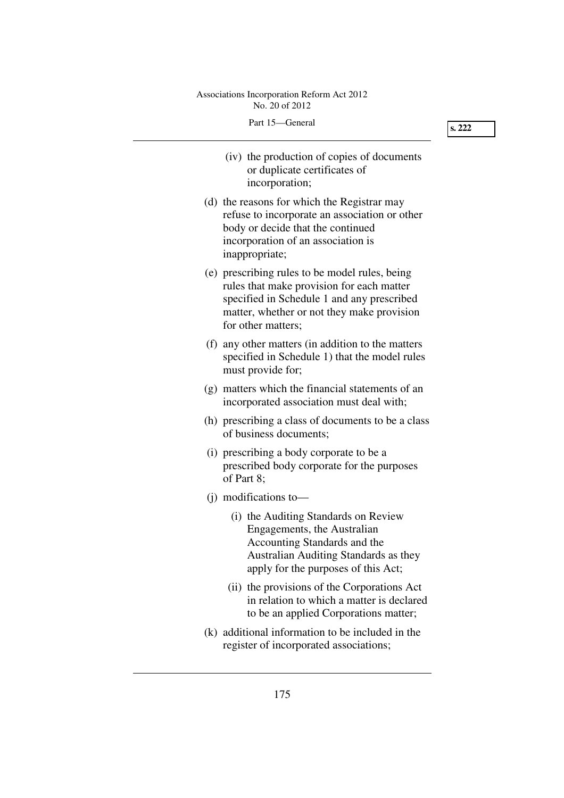|  | Part 15—General |
|--|-----------------|
|  |                 |

| (iv) the production of copies of documents<br>or duplicate certificates of<br>incorporation;                                                                                                                  |
|---------------------------------------------------------------------------------------------------------------------------------------------------------------------------------------------------------------|
| (d) the reasons for which the Registrar may<br>refuse to incorporate an association or other<br>body or decide that the continued<br>incorporation of an association is<br>inappropriate;                     |
| (e) prescribing rules to be model rules, being<br>rules that make provision for each matter<br>specified in Schedule 1 and any prescribed<br>matter, whether or not they make provision<br>for other matters; |
| (f) any other matters (in addition to the matters<br>specified in Schedule 1) that the model rules<br>must provide for;                                                                                       |
| (g) matters which the financial statements of an<br>incorporated association must deal with;                                                                                                                  |
| (h) prescribing a class of documents to be a class<br>of business documents;                                                                                                                                  |
| (i) prescribing a body corporate to be a<br>prescribed body corporate for the purposes<br>of Part 8;                                                                                                          |
| $(i)$ modifications to —                                                                                                                                                                                      |
| (i) the Auditing Standards on Review<br>Engagements, the Australian<br>Accounting Standards and the<br>Australian Auditing Standards as they<br>apply for the purposes of this Act;                           |
| (ii) the provisions of the Corporations Act<br>in relation to which a matter is declared<br>to be an applied Corporations matter;                                                                             |
| (k) additional information to be included in the<br>register of incorporated associations;                                                                                                                    |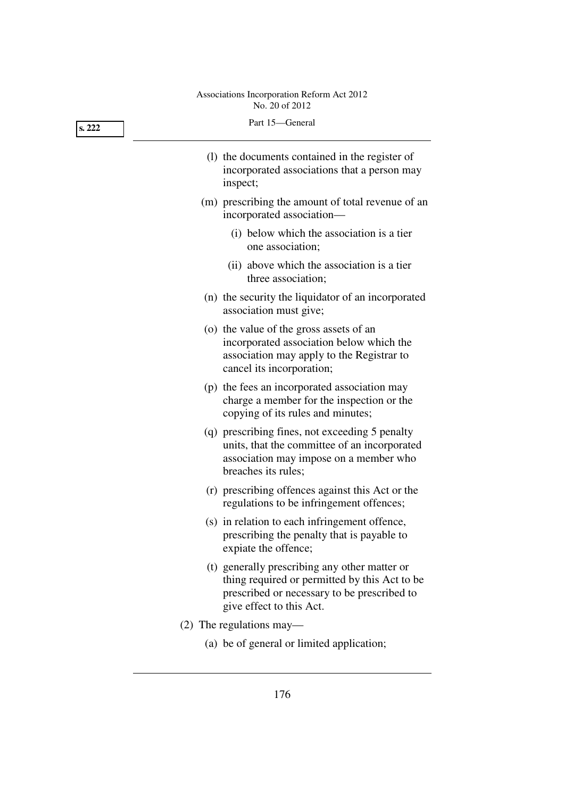| s. 222 | Part 15-General                                                                                                                                                           |
|--------|---------------------------------------------------------------------------------------------------------------------------------------------------------------------------|
|        | (1) the documents contained in the register of<br>incorporated associations that a person may<br>inspect;                                                                 |
|        | (m) prescribing the amount of total revenue of an<br>incorporated association-                                                                                            |
|        | (i) below which the association is a tier<br>one association;                                                                                                             |
|        | (ii) above which the association is a tier<br>three association;                                                                                                          |
|        | (n) the security the liquidator of an incorporated<br>association must give;                                                                                              |
|        | (o) the value of the gross assets of an<br>incorporated association below which the<br>association may apply to the Registrar to<br>cancel its incorporation;             |
|        | (p) the fees an incorporated association may<br>charge a member for the inspection or the<br>copying of its rules and minutes;                                            |
|        | (q) prescribing fines, not exceeding 5 penalty<br>units, that the committee of an incorporated<br>association may impose on a member who<br>breaches its rules;           |
|        | (r) prescribing offences against this Act or the<br>regulations to be infringement offences;                                                                              |
|        | (s) in relation to each infringement offence,<br>prescribing the penalty that is payable to<br>expiate the offence;                                                       |
|        | (t) generally prescribing any other matter or<br>thing required or permitted by this Act to be<br>prescribed or necessary to be prescribed to<br>give effect to this Act. |
|        | $(2)$ The regulations may—                                                                                                                                                |
|        | (a) be of general or limited application;                                                                                                                                 |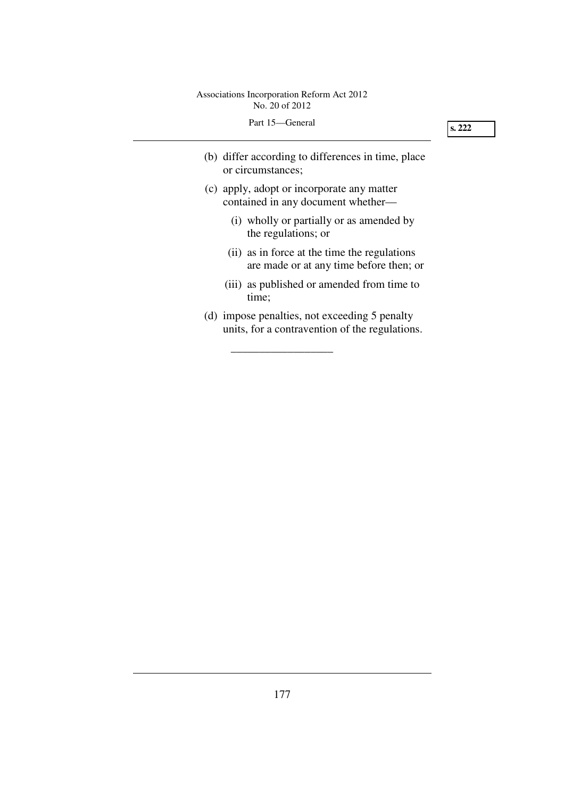| Part 15—General |                                                                                                 |  |
|-----------------|-------------------------------------------------------------------------------------------------|--|
|                 | (b) differ according to differences in time, place<br>or circumstances;                         |  |
|                 | (c) apply, adopt or incorporate any matter<br>contained in any document whether—                |  |
|                 | (i) wholly or partially or as amended by<br>the regulations; or                                 |  |
|                 | (ii) as in force at the time the regulations<br>are made or at any time before then; or         |  |
|                 | (iii) as published or amended from time to<br>time;                                             |  |
|                 | (d) impose penalties, not exceeding 5 penalty<br>units, for a contravention of the regulations. |  |

\_\_\_\_\_\_\_\_\_\_\_\_\_\_\_\_\_\_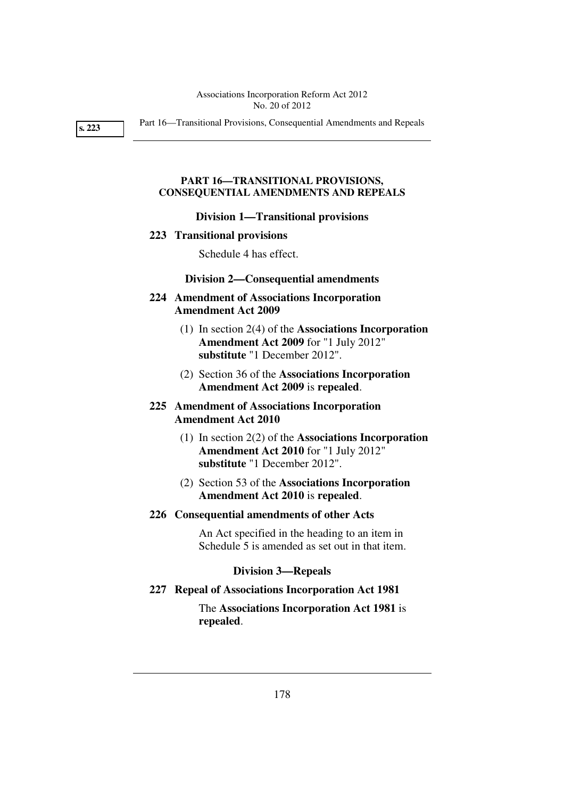**s. 223** 

Part 16—Transitional Provisions, Consequential Amendments and Repeals

## **PART 16—TRANSITIONAL PROVISIONS, CONSEQUENTIAL AMENDMENTS AND REPEALS**

#### **Division 1—Transitional provisions**

#### **223 Transitional provisions**

Schedule 4 has effect.

#### **Division 2—Consequential amendments**

## **224 Amendment of Associations Incorporation Amendment Act 2009**

- (1) In section 2(4) of the **Associations Incorporation Amendment Act 2009** for "1 July 2012" **substitute** "1 December 2012".
- (2) Section 36 of the **Associations Incorporation Amendment Act 2009** is **repealed**.

## **225 Amendment of Associations Incorporation Amendment Act 2010**

- (1) In section 2(2) of the **Associations Incorporation Amendment Act 2010** for "1 July 2012" **substitute** "1 December 2012".
- (2) Section 53 of the **Associations Incorporation Amendment Act 2010** is **repealed**.

## **226 Consequential amendments of other Acts**

An Act specified in the heading to an item in Schedule 5 is amended as set out in that item.

#### **Division 3—Repeals**

## **227 Repeal of Associations Incorporation Act 1981**

The **Associations Incorporation Act 1981** is **repealed**.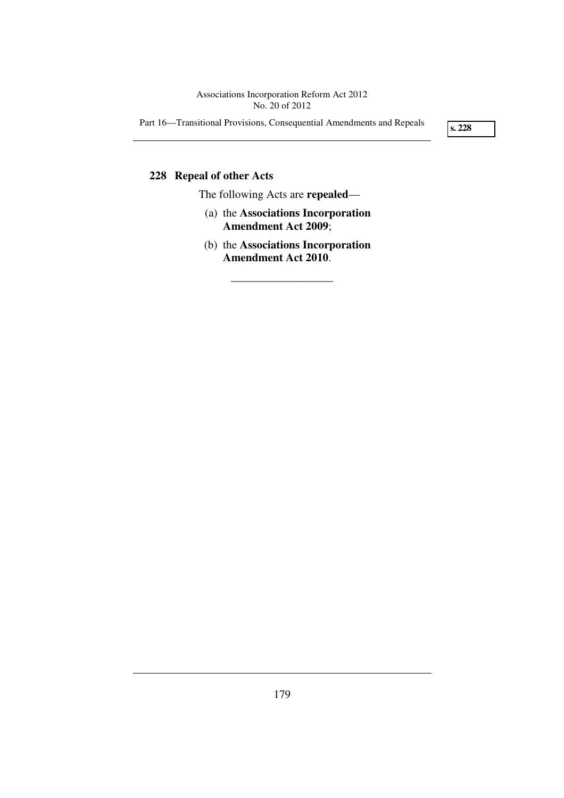Part 16—Transitional Provisions, Consequential Amendments and Repeals

**s. 228** 

## **228 Repeal of other Acts**

The following Acts are **repealed**—

- (a) the **Associations Incorporation Amendment Act 2009**;
- (b) the **Associations Incorporation Amendment Act 2010**.

\_\_\_\_\_\_\_\_\_\_\_\_\_\_\_\_\_\_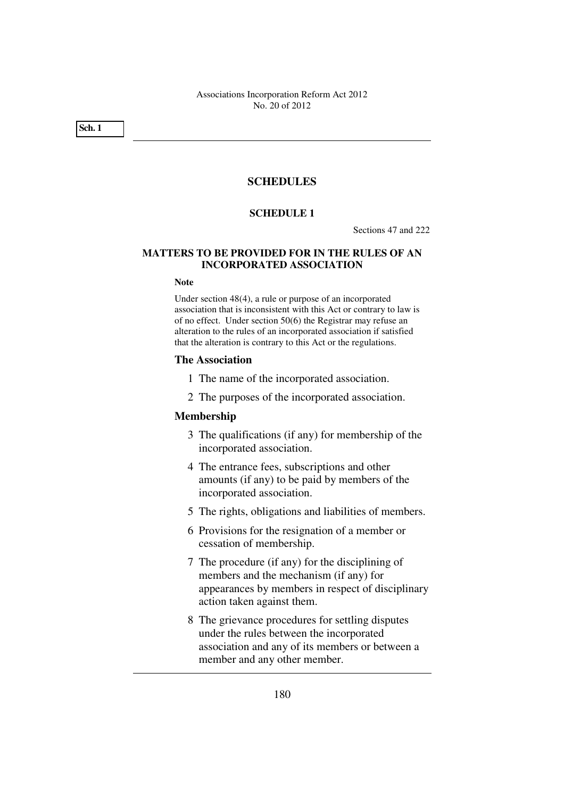**Sch. 1** 

## **SCHEDULES**

### **SCHEDULE 1**

Sections 47 and 222

#### **MATTERS TO BE PROVIDED FOR IN THE RULES OF AN INCORPORATED ASSOCIATION**

#### **Note**

Under section 48(4), a rule or purpose of an incorporated association that is inconsistent with this Act or contrary to law is of no effect. Under section 50(6) the Registrar may refuse an alteration to the rules of an incorporated association if satisfied that the alteration is contrary to this Act or the regulations.

#### **The Association**

- 1 The name of the incorporated association.
- 2 The purposes of the incorporated association.

#### **Membership**

- 3 The qualifications (if any) for membership of the incorporated association.
- 4 The entrance fees, subscriptions and other amounts (if any) to be paid by members of the incorporated association.
- 5 The rights, obligations and liabilities of members.
- 6 Provisions for the resignation of a member or cessation of membership.
- 7 The procedure (if any) for the disciplining of members and the mechanism (if any) for appearances by members in respect of disciplinary action taken against them.
- 8 The grievance procedures for settling disputes under the rules between the incorporated association and any of its members or between a member and any other member.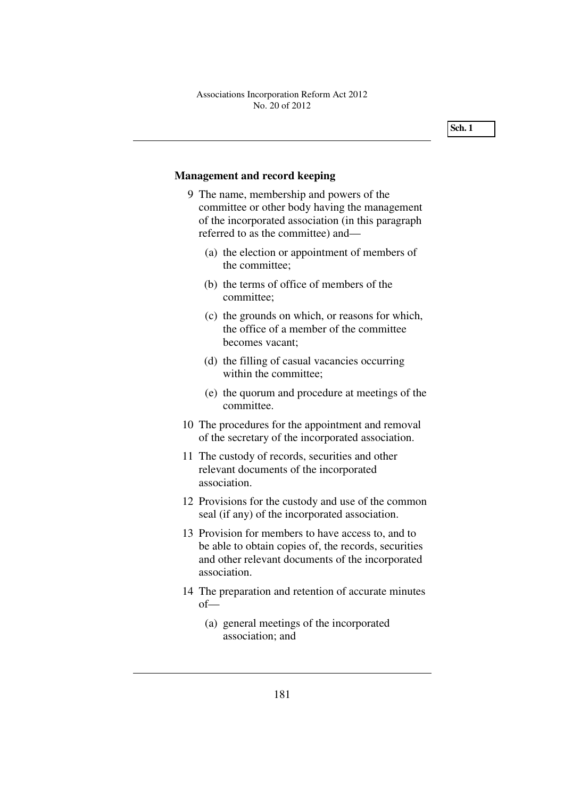## **Management and record keeping**

- 9 The name, membership and powers of the committee or other body having the management of the incorporated association (in this paragraph referred to as the committee) and—
	- (a) the election or appointment of members of the committee;
	- (b) the terms of office of members of the committee;
	- (c) the grounds on which, or reasons for which, the office of a member of the committee becomes vacant;
	- (d) the filling of casual vacancies occurring within the committee;
	- (e) the quorum and procedure at meetings of the committee.
- 10 The procedures for the appointment and removal of the secretary of the incorporated association.
- 11 The custody of records, securities and other relevant documents of the incorporated association.
- 12 Provisions for the custody and use of the common seal (if any) of the incorporated association.
- 13 Provision for members to have access to, and to be able to obtain copies of, the records, securities and other relevant documents of the incorporated association.
- 14 The preparation and retention of accurate minutes of—
	- (a) general meetings of the incorporated association; and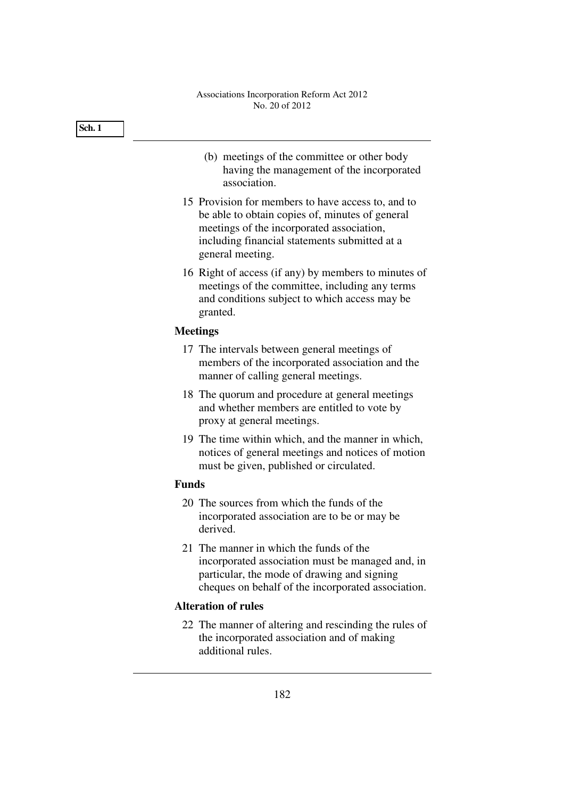|              | (b) meetings of the committee or other body<br>having the management of the incorporated<br>association.                                                                                                                |
|--------------|-------------------------------------------------------------------------------------------------------------------------------------------------------------------------------------------------------------------------|
|              | 15 Provision for members to have access to, and to<br>be able to obtain copies of, minutes of general<br>meetings of the incorporated association,<br>including financial statements submitted at a<br>general meeting. |
|              | 16 Right of access (if any) by members to minutes of<br>meetings of the committee, including any terms<br>and conditions subject to which access may be<br>granted.                                                     |
|              | <b>Meetings</b>                                                                                                                                                                                                         |
|              | 17 The intervals between general meetings of<br>members of the incorporated association and the<br>manner of calling general meetings.                                                                                  |
|              | 18 The quorum and procedure at general meetings<br>and whether members are entitled to vote by<br>proxy at general meetings.                                                                                            |
|              | 19 The time within which, and the manner in which,<br>notices of general meetings and notices of motion<br>must be given, published or circulated.                                                                      |
| <b>Funds</b> |                                                                                                                                                                                                                         |
|              | 20 The sources from which the funds of the<br>incorporated association are to be or may be<br>derived.                                                                                                                  |
|              | 21 The manner in which the funds of the<br>incorporated association must be managed and, in<br>particular, the mode of drawing and signing<br>cheques on behalf of the incorporated association.                        |
|              | <b>Alteration of rules</b>                                                                                                                                                                                              |
|              | 22 The manner of altering and rescinding the rules of<br>the incorporated association and of making<br>additional rules.                                                                                                |
|              | 182                                                                                                                                                                                                                     |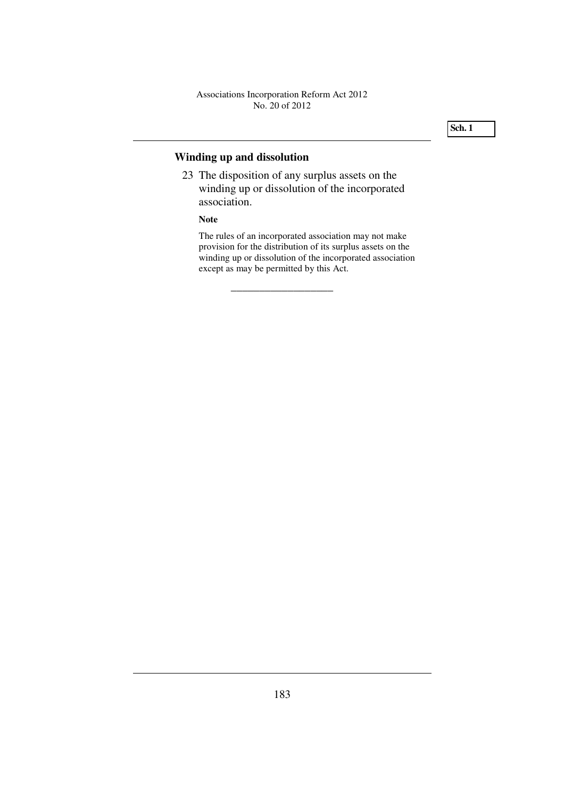# **Winding up and dissolution**

 23 The disposition of any surplus assets on the winding up or dissolution of the incorporated association.

\_\_\_\_\_\_\_\_\_\_\_\_\_\_\_\_\_\_

#### **Note**

The rules of an incorporated association may not make provision for the distribution of its surplus assets on the winding up or dissolution of the incorporated association except as may be permitted by this Act.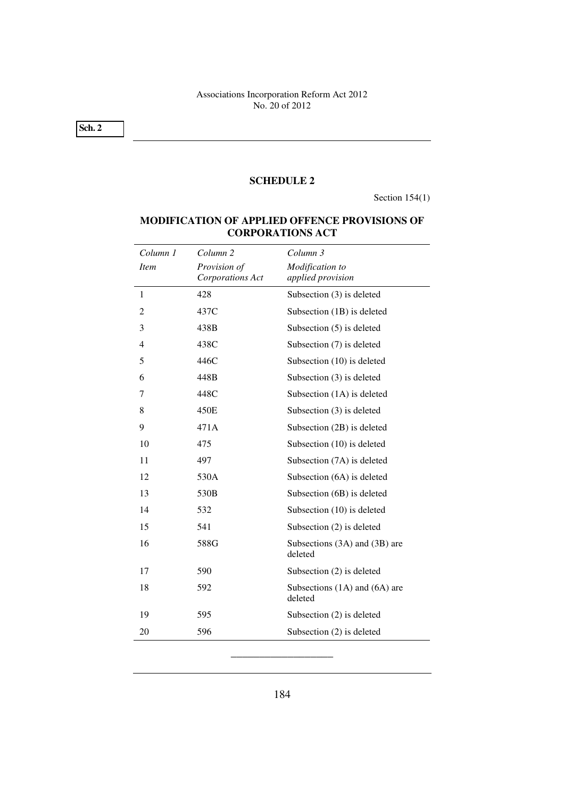**Sch. 2** 

#### **SCHEDULE 2**

Section 154(1)

## **MODIFICATION OF APPLIED OFFENCE PROVISIONS OF CORPORATIONS ACT**

| Column 1       | Column <sub>2</sub>              | Column 3                                 |
|----------------|----------------------------------|------------------------------------------|
| <i>Item</i>    | Provision of<br>Corporations Act | Modification to<br>applied provision     |
| $\mathbf{1}$   | 428                              | Subsection (3) is deleted                |
| 2              | 437C                             | Subsection (1B) is deleted               |
| 3              | 438B                             | Subsection $(5)$ is deleted              |
| $\overline{4}$ | 438C                             | Subsection (7) is deleted                |
| 5              | 446C                             | Subsection (10) is deleted               |
| 6              | 448B                             | Subsection (3) is deleted                |
| 7              | 448C                             | Subsection (1A) is deleted               |
| 8              | 450E                             | Subsection (3) is deleted                |
| 9              | 471A                             | Subsection (2B) is deleted               |
| 10             | 475                              | Subsection (10) is deleted               |
| 11             | 497                              | Subsection (7A) is deleted               |
| 12             | 530A                             | Subsection (6A) is deleted               |
| 13             | 530 <sub>B</sub>                 | Subsection (6B) is deleted               |
| 14             | 532                              | Subsection (10) is deleted               |
| 15             | 541                              | Subsection (2) is deleted                |
| 16             | 588G                             | Subsections (3A) and (3B) are<br>deleted |
| 17             | 590                              | Subsection $(2)$ is deleted              |
| 18             | 592                              | Subsections (1A) and (6A) are<br>deleted |
| 19             | 595                              | Subsection (2) is deleted                |
| 20             | 596                              | Subsection (2) is deleted                |

\_\_\_\_\_\_\_\_\_\_\_\_\_\_\_\_\_\_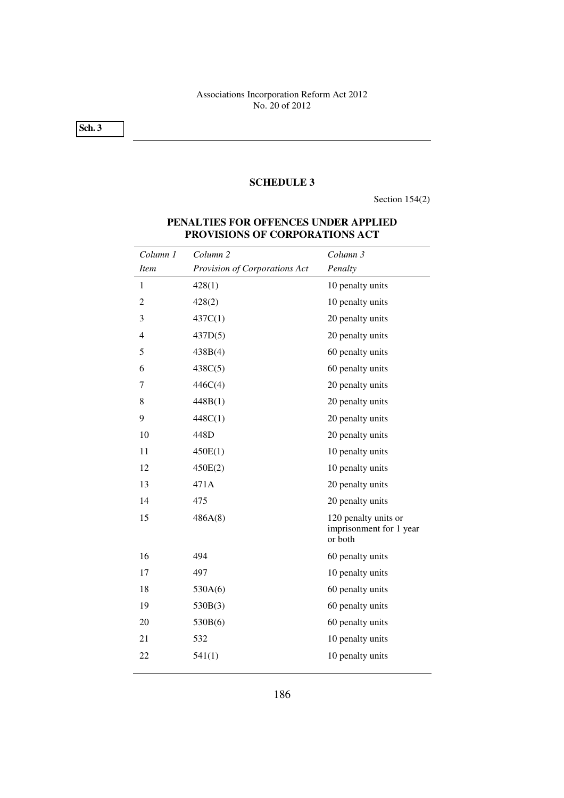**Sch. 3** 

## **SCHEDULE 3**

Section 154(2)

| Column 1       | Column <sub>2</sub>           | Column 3                                                   |
|----------------|-------------------------------|------------------------------------------------------------|
| <i>Item</i>    | Provision of Corporations Act | Penalty                                                    |
| 1              | 428(1)                        | 10 penalty units                                           |
| $\overline{2}$ | 428(2)                        | 10 penalty units                                           |
| 3              | 437C(1)                       | 20 penalty units                                           |
| $\overline{4}$ | 437D(5)                       | 20 penalty units                                           |
| 5              | 438B(4)                       | 60 penalty units                                           |
| 6              | 438C(5)                       | 60 penalty units                                           |
| 7              | 446C(4)                       | 20 penalty units                                           |
| 8              | 448B(1)                       | 20 penalty units                                           |
| 9              | 448C(1)                       | 20 penalty units                                           |
| 10             | 448D                          | 20 penalty units                                           |
| 11             | 450E(1)                       | 10 penalty units                                           |
| 12             | 450E(2)                       | 10 penalty units                                           |
| 13             | 471A                          | 20 penalty units                                           |
| 14             | 475                           | 20 penalty units                                           |
| 15             | 486A(8)                       | 120 penalty units or<br>imprisonment for 1 year<br>or both |
| 16             | 494                           | 60 penalty units                                           |
| 17             | 497                           | 10 penalty units                                           |
| 18             | 530A(6)                       | 60 penalty units                                           |
| 19             | 530B(3)                       | 60 penalty units                                           |
| 20             | 530B(6)                       | 60 penalty units                                           |
| 21             | 532                           | 10 penalty units                                           |
| 22             | 541(1)                        | 10 penalty units                                           |
|                |                               |                                                            |

## **PENALTIES FOR OFFENCES UNDER APPLIED PROVISIONS OF CORPORATIONS ACT**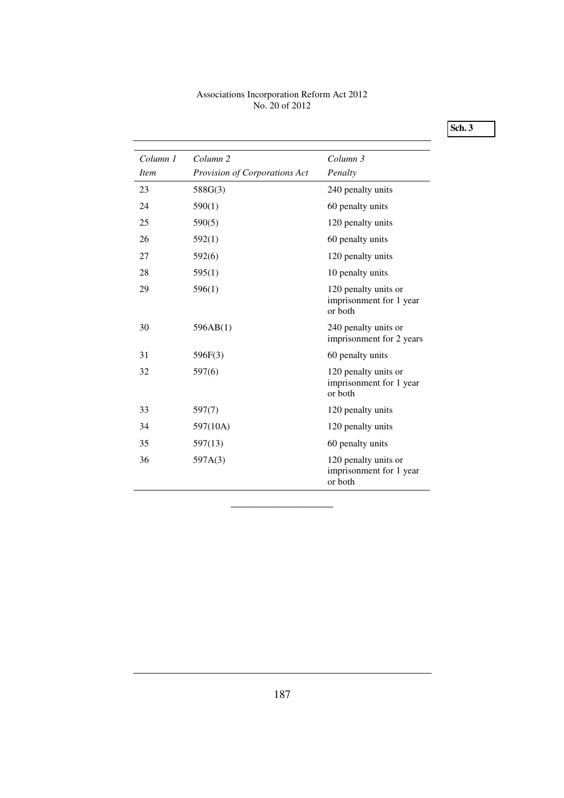**Sch. 3** 

| Column 1<br><i>Item</i> | Column <sub>2</sub>           | Column 3                                                   |
|-------------------------|-------------------------------|------------------------------------------------------------|
|                         | Provision of Corporations Act | Penalty                                                    |
| 23                      | 588G(3)                       | 240 penalty units                                          |
| 24                      | 590(1)                        | 60 penalty units                                           |
| 25                      | 590(5)                        | 120 penalty units                                          |
| 26                      | 592(1)                        | 60 penalty units                                           |
| 27                      | 592(6)                        | 120 penalty units                                          |
| 28                      | 595(1)                        | 10 penalty units                                           |
| 29                      | 596(1)                        | 120 penalty units or<br>imprisonment for 1 year<br>or both |
| 30                      | 596AB(1)                      | 240 penalty units or<br>imprisonment for 2 years           |
| 31                      | 596F(3)                       | 60 penalty units                                           |
| 32                      | 597(6)                        | 120 penalty units or<br>imprisonment for 1 year<br>or both |
| 33                      | 597(7)                        | 120 penalty units                                          |
| 34                      | 597(10A)                      | 120 penalty units                                          |
| 35                      | 597(13)                       | 60 penalty units                                           |
| 36                      | 597A(3)                       | 120 penalty units or<br>imprisonment for 1 year<br>or both |

\_\_\_\_\_\_\_\_\_\_\_\_\_\_\_\_\_\_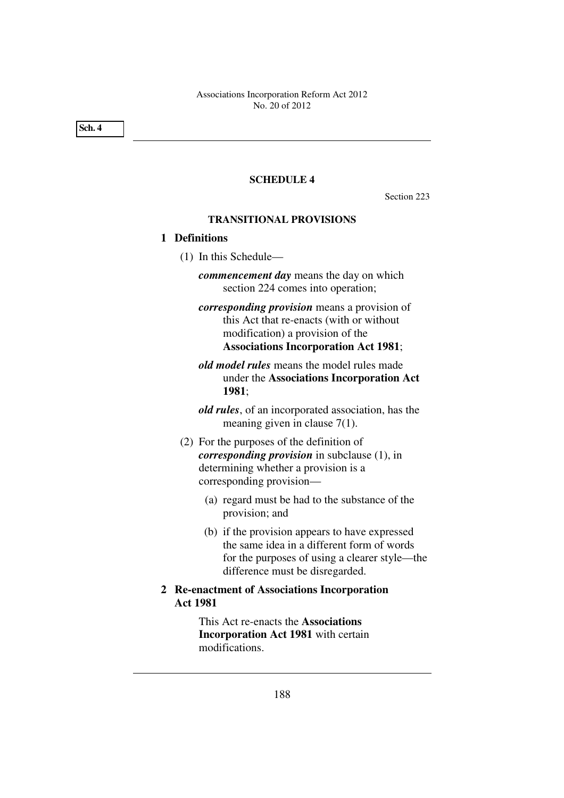**Sch. 4** 

#### **SCHEDULE 4**

Section 223

## **TRANSITIONAL PROVISIONS**

## **1 Definitions**

(1) In this Schedule—

*commencement day* means the day on which section 224 comes into operation;

- *corresponding provision* means a provision of this Act that re-enacts (with or without modification) a provision of the **Associations Incorporation Act 1981**;
- *old model rules* means the model rules made under the **Associations Incorporation Act 1981**;

*old rules*, of an incorporated association, has the meaning given in clause 7(1).

- (2) For the purposes of the definition of *corresponding provision* in subclause (1), in determining whether a provision is a corresponding provision—
	- (a) regard must be had to the substance of the provision; and
	- (b) if the provision appears to have expressed the same idea in a different form of words for the purposes of using a clearer style—the difference must be disregarded.
- **2 Re-enactment of Associations Incorporation Act 1981**

This Act re-enacts the **Associations Incorporation Act 1981** with certain modifications.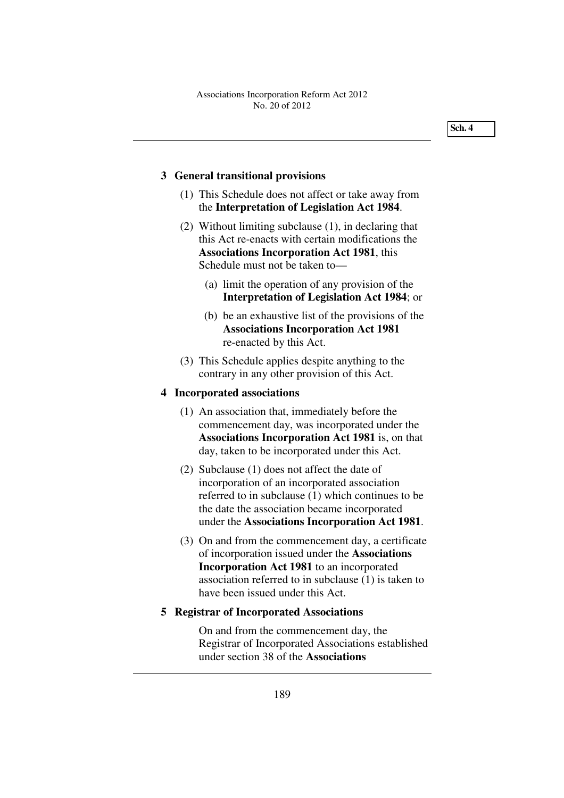## **3 General transitional provisions**

- (1) This Schedule does not affect or take away from the **Interpretation of Legislation Act 1984**.
- (2) Without limiting subclause (1), in declaring that this Act re-enacts with certain modifications the **Associations Incorporation Act 1981**, this Schedule must not be taken to—
	- (a) limit the operation of any provision of the **Interpretation of Legislation Act 1984**; or
	- (b) be an exhaustive list of the provisions of the **Associations Incorporation Act 1981** re-enacted by this Act.
- (3) This Schedule applies despite anything to the contrary in any other provision of this Act.

#### **4 Incorporated associations**

- (1) An association that, immediately before the commencement day, was incorporated under the **Associations Incorporation Act 1981** is, on that day, taken to be incorporated under this Act.
- (2) Subclause (1) does not affect the date of incorporation of an incorporated association referred to in subclause (1) which continues to be the date the association became incorporated under the **Associations Incorporation Act 1981**.
- (3) On and from the commencement day, a certificate of incorporation issued under the **Associations Incorporation Act 1981** to an incorporated association referred to in subclause (1) is taken to have been issued under this Act.

#### **5 Registrar of Incorporated Associations**

On and from the commencement day, the Registrar of Incorporated Associations established under section 38 of the **Associations**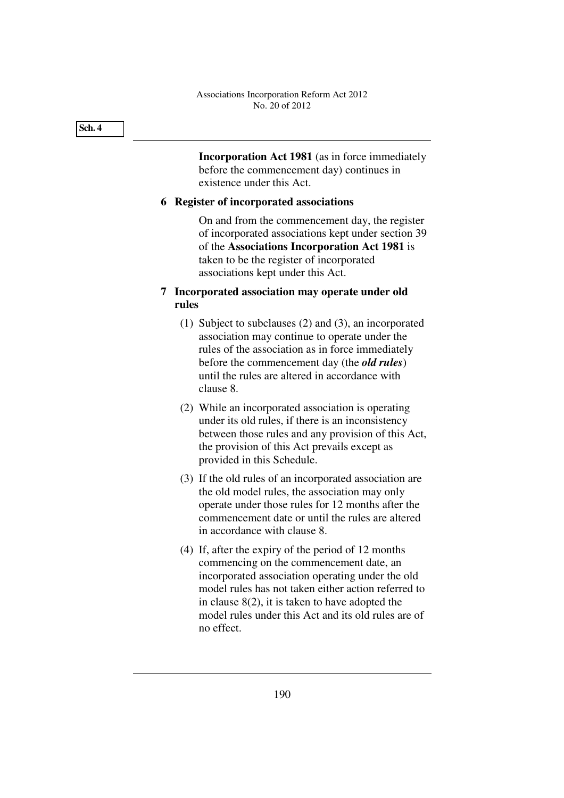**Incorporation Act 1981** (as in force immediately before the commencement day) continues in existence under this Act.

## **6 Register of incorporated associations**

On and from the commencement day, the register of incorporated associations kept under section 39 of the **Associations Incorporation Act 1981** is taken to be the register of incorporated associations kept under this Act.

# **7 Incorporated association may operate under old rules**

- (1) Subject to subclauses (2) and (3), an incorporated association may continue to operate under the rules of the association as in force immediately before the commencement day (the *old rules*) until the rules are altered in accordance with clause 8.
- (2) While an incorporated association is operating under its old rules, if there is an inconsistency between those rules and any provision of this Act, the provision of this Act prevails except as provided in this Schedule.
- (3) If the old rules of an incorporated association are the old model rules, the association may only operate under those rules for 12 months after the commencement date or until the rules are altered in accordance with clause 8.
- (4) If, after the expiry of the period of 12 months commencing on the commencement date, an incorporated association operating under the old model rules has not taken either action referred to in clause 8(2), it is taken to have adopted the model rules under this Act and its old rules are of no effect.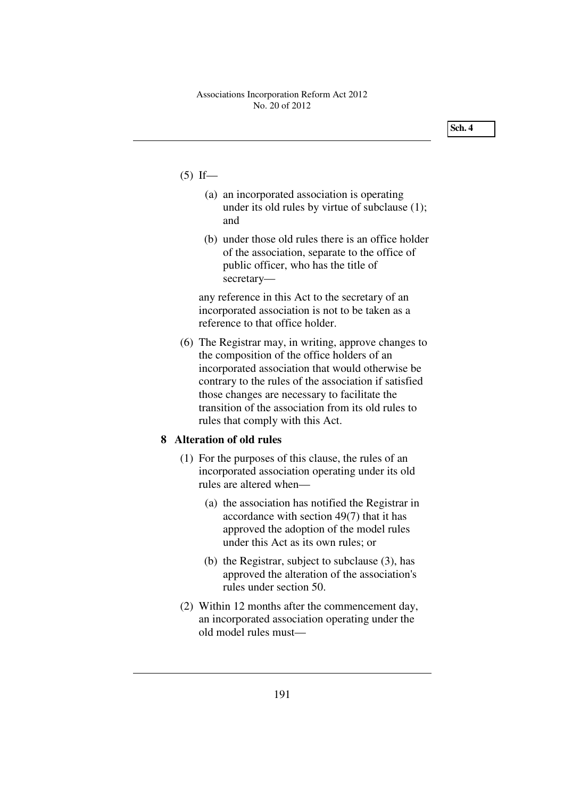- $(5)$  If—
	- (a) an incorporated association is operating under its old rules by virtue of subclause (1); and
	- (b) under those old rules there is an office holder of the association, separate to the office of public officer, who has the title of secretary—

any reference in this Act to the secretary of an incorporated association is not to be taken as a reference to that office holder.

 (6) The Registrar may, in writing, approve changes to the composition of the office holders of an incorporated association that would otherwise be contrary to the rules of the association if satisfied those changes are necessary to facilitate the transition of the association from its old rules to rules that comply with this Act.

## **8 Alteration of old rules**

- (1) For the purposes of this clause, the rules of an incorporated association operating under its old rules are altered when—
	- (a) the association has notified the Registrar in accordance with section 49(7) that it has approved the adoption of the model rules under this Act as its own rules; or
	- (b) the Registrar, subject to subclause (3), has approved the alteration of the association's rules under section 50.
- (2) Within 12 months after the commencement day, an incorporated association operating under the old model rules must—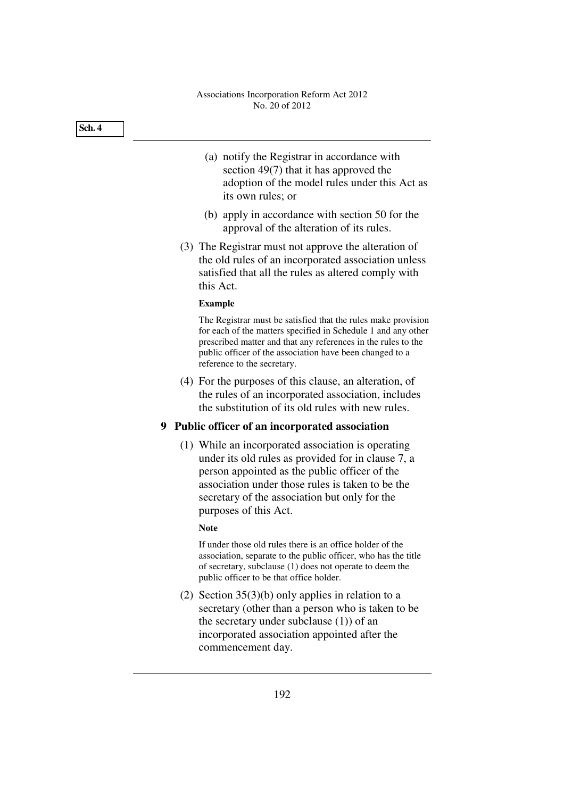# (a) notify the Registrar in accordance with section 49(7) that it has approved the **Sch. 4**

- adoption of the model rules under this Act as its own rules; or
- (b) apply in accordance with section 50 for the approval of the alteration of its rules.
- (3) The Registrar must not approve the alteration of the old rules of an incorporated association unless satisfied that all the rules as altered comply with this Act.

## **Example**

The Registrar must be satisfied that the rules make provision for each of the matters specified in Schedule 1 and any other prescribed matter and that any references in the rules to the public officer of the association have been changed to a reference to the secretary.

 (4) For the purposes of this clause, an alteration, of the rules of an incorporated association, includes the substitution of its old rules with new rules.

# **9 Public officer of an incorporated association**

 (1) While an incorporated association is operating under its old rules as provided for in clause 7, a person appointed as the public officer of the association under those rules is taken to be the secretary of the association but only for the purposes of this Act.

## **Note**

If under those old rules there is an office holder of the association, separate to the public officer, who has the title of secretary, subclause (1) does not operate to deem the public officer to be that office holder.

 (2) Section 35(3)(b) only applies in relation to a secretary (other than a person who is taken to be the secretary under subclause (1)) of an incorporated association appointed after the commencement day.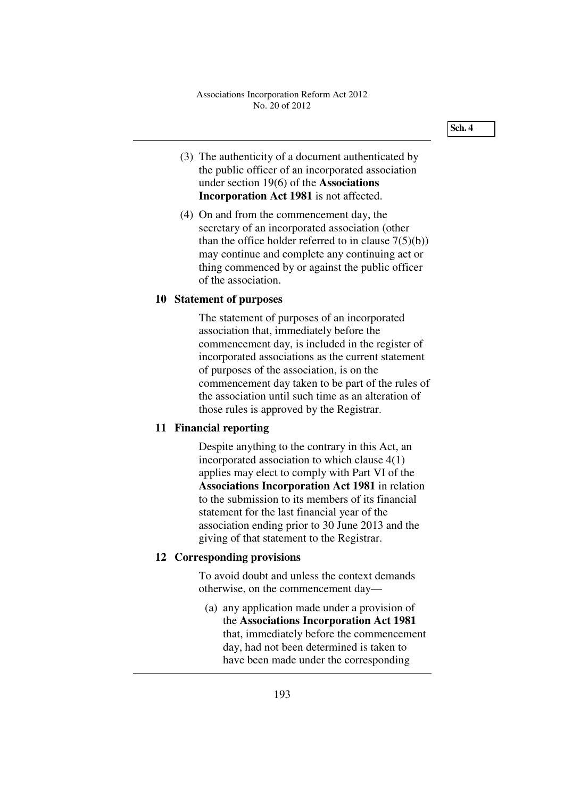- (3) The authenticity of a document authenticated by the public officer of an incorporated association under section 19(6) of the **Associations Incorporation Act 1981** is not affected.
- (4) On and from the commencement day, the secretary of an incorporated association (other than the office holder referred to in clause 7(5)(b)) may continue and complete any continuing act or thing commenced by or against the public officer of the association.

## **10 Statement of purposes**

The statement of purposes of an incorporated association that, immediately before the commencement day, is included in the register of incorporated associations as the current statement of purposes of the association, is on the commencement day taken to be part of the rules of the association until such time as an alteration of those rules is approved by the Registrar.

#### **11 Financial reporting**

Despite anything to the contrary in this Act, an incorporated association to which clause 4(1) applies may elect to comply with Part VI of the **Associations Incorporation Act 1981** in relation to the submission to its members of its financial statement for the last financial year of the association ending prior to 30 June 2013 and the giving of that statement to the Registrar.

## **12 Corresponding provisions**

To avoid doubt and unless the context demands otherwise, on the commencement day—

 (a) any application made under a provision of the **Associations Incorporation Act 1981** that, immediately before the commencement day, had not been determined is taken to have been made under the corresponding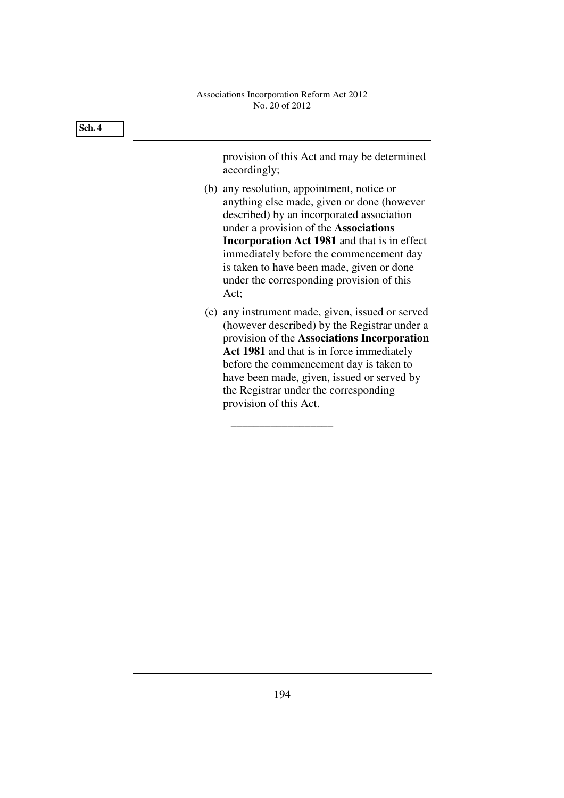| Sch. 4 |                                                                                                                                                                                                                                                                                                                                                                                    |
|--------|------------------------------------------------------------------------------------------------------------------------------------------------------------------------------------------------------------------------------------------------------------------------------------------------------------------------------------------------------------------------------------|
|        | provision of this Act and may be determined<br>accordingly;                                                                                                                                                                                                                                                                                                                        |
|        | (b) any resolution, appointment, notice or<br>anything else made, given or done (however<br>described) by an incorporated association<br>under a provision of the Associations<br><b>Incorporation Act 1981</b> and that is in effect<br>immediately before the commencement day<br>is taken to have been made, given or done<br>under the corresponding provision of this<br>Act; |
|        | (c) any instrument made, given, issued or served<br>(however described) by the Registrar under a<br>provision of the Associations Incorporation<br>Act 1981 and that is in force immediately<br>before the commencement day is taken to<br>have been made, given, issued or served by<br>the Registrar under the corresponding<br>provision of this Act.                           |

\_\_\_\_\_\_\_\_\_\_\_\_\_\_\_\_\_\_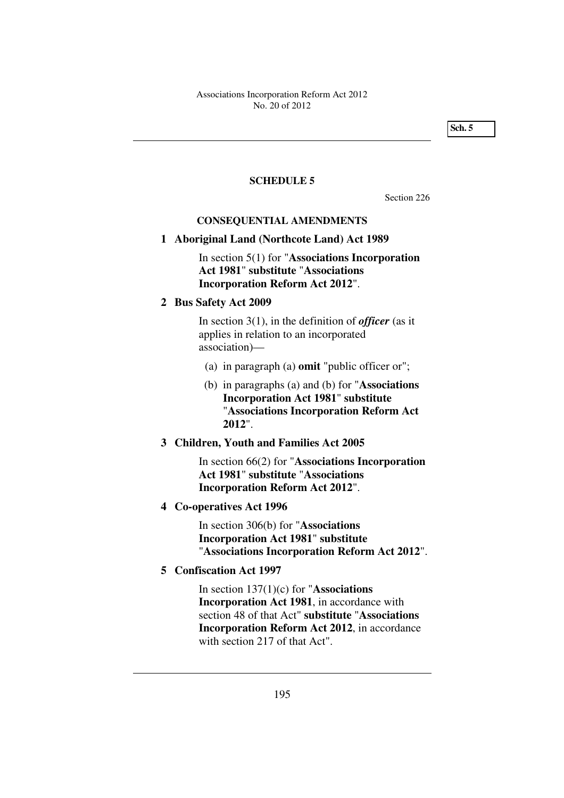**Sch. 5** 

#### **SCHEDULE 5**

Section 226

#### **CONSEQUENTIAL AMENDMENTS**

## **1 Aboriginal Land (Northcote Land) Act 1989**

In section 5(1) for "**Associations Incorporation Act 1981**" **substitute** "**Associations Incorporation Reform Act 2012**".

## **2 Bus Safety Act 2009**

In section 3(1), in the definition of *officer* (as it applies in relation to an incorporated association)—

- (a) in paragraph (a) **omit** "public officer or";
- (b) in paragraphs (a) and (b) for "**Associations Incorporation Act 1981**" **substitute** "**Associations Incorporation Reform Act 2012**".

#### **3 Children, Youth and Families Act 2005**

In section 66(2) for "**Associations Incorporation Act 1981**" **substitute** "**Associations Incorporation Reform Act 2012**".

#### **4 Co-operatives Act 1996**

In section 306(b) for "**Associations Incorporation Act 1981**" **substitute** "**Associations Incorporation Reform Act 2012**".

## **5 Confiscation Act 1997**

In section 137(1)(c) for "**Associations Incorporation Act 1981**, in accordance with section 48 of that Act" **substitute** "**Associations Incorporation Reform Act 2012**, in accordance with section 217 of that Act".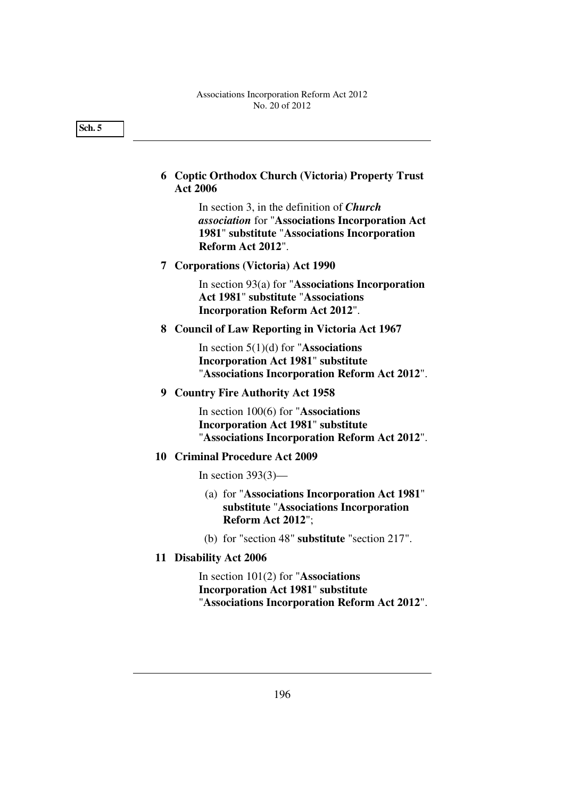**6 Coptic Orthodox Church (Victoria) Property Trust Act 2006** 

> In section 3, in the definition of *Church association* for "**Associations Incorporation Act 1981**" **substitute** "**Associations Incorporation Reform Act 2012**".

 **7 Corporations (Victoria) Act 1990** 

In section 93(a) for "**Associations Incorporation Act 1981**" **substitute** "**Associations Incorporation Reform Act 2012**".

## **8 Council of Law Reporting in Victoria Act 1967**

In section 5(1)(d) for "**Associations Incorporation Act 1981**" **substitute** "**Associations Incorporation Reform Act 2012**".

 **9 Country Fire Authority Act 1958** 

In section 100(6) for "**Associations Incorporation Act 1981**" **substitute** "**Associations Incorporation Reform Act 2012**".

#### **10 Criminal Procedure Act 2009**

In section  $393(3)$ —

- (a) for "**Associations Incorporation Act 1981**" **substitute** "**Associations Incorporation Reform Act 2012**";
- (b) for "section 48" **substitute** "section 217".
- **11 Disability Act 2006**

In section 101(2) for "**Associations Incorporation Act 1981**" **substitute** "**Associations Incorporation Reform Act 2012**".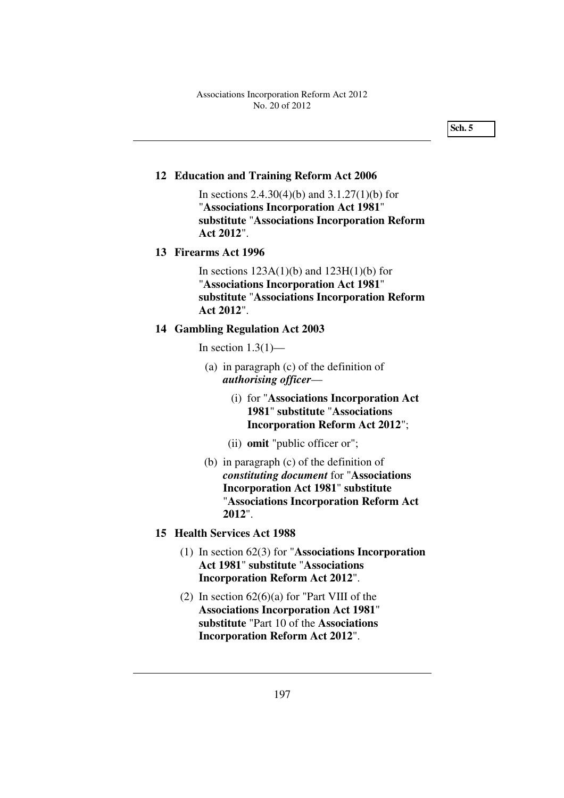## **12 Education and Training Reform Act 2006**

In sections  $2.4.30(4)(b)$  and  $3.1.27(1)(b)$  for "**Associations Incorporation Act 1981**" **substitute** "**Associations Incorporation Reform Act 2012**".

#### **13 Firearms Act 1996**

In sections  $123A(1)(b)$  and  $123H(1)(b)$  for "**Associations Incorporation Act 1981**" **substitute** "**Associations Incorporation Reform Act 2012**".

## **14 Gambling Regulation Act 2003**

In section  $1.3(1)$ —

- (a) in paragraph (c) of the definition of *authorising officer*—
	- (i) for "**Associations Incorporation Act 1981**" **substitute** "**Associations Incorporation Reform Act 2012**";
	- (ii) **omit** "public officer or";
- (b) in paragraph (c) of the definition of *constituting document* for "**Associations Incorporation Act 1981**" **substitute** "**Associations Incorporation Reform Act 2012**".

## **15 Health Services Act 1988**

- (1) In section 62(3) for "**Associations Incorporation Act 1981**" **substitute** "**Associations Incorporation Reform Act 2012**".
- (2) In section  $62(6)(a)$  for "Part VIII of the **Associations Incorporation Act 1981**" **substitute** "Part 10 of the **Associations Incorporation Reform Act 2012**".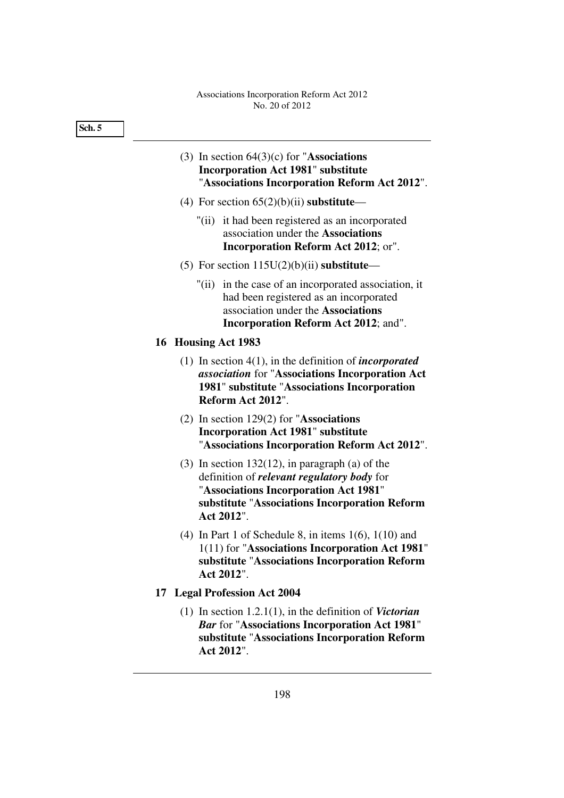- (3) In section 64(3)(c) for "**Associations Incorporation Act 1981**" **substitute** "**Associations Incorporation Reform Act 2012**".
- (4) For section 65(2)(b)(ii) **substitute**
	- "(ii) it had been registered as an incorporated association under the **Associations Incorporation Reform Act 2012**; or".
- (5) For section 115U(2)(b)(ii) **substitute**
	- "(ii) in the case of an incorporated association, it had been registered as an incorporated association under the **Associations Incorporation Reform Act 2012**; and".

## **16 Housing Act 1983**

- (1) In section 4(1), in the definition of *incorporated association* for "**Associations Incorporation Act 1981**" **substitute** "**Associations Incorporation Reform Act 2012**".
- (2) In section 129(2) for "**Associations Incorporation Act 1981**" **substitute** "**Associations Incorporation Reform Act 2012**".
- (3) In section  $132(12)$ , in paragraph (a) of the definition of *relevant regulatory body* for "**Associations Incorporation Act 1981**" **substitute** "**Associations Incorporation Reform Act 2012**".
- (4) In Part 1 of Schedule 8, in items 1(6), 1(10) and 1(11) for "**Associations Incorporation Act 1981**" **substitute** "**Associations Incorporation Reform Act 2012**".

#### **17 Legal Profession Act 2004**

 (1) In section 1.2.1(1), in the definition of *Victorian Bar* for "**Associations Incorporation Act 1981**" **substitute** "**Associations Incorporation Reform Act 2012**".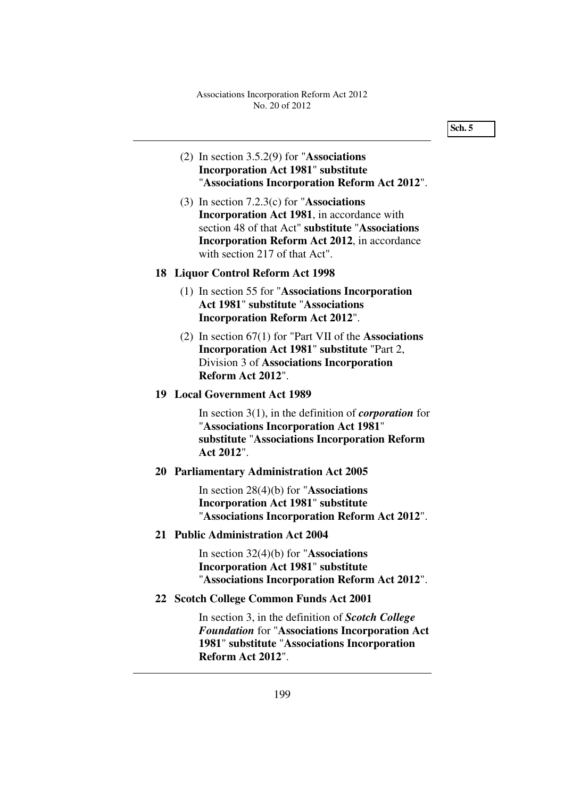## (2) In section 3.5.2(9) for "**Associations Incorporation Act 1981**" **substitute** "**Associations Incorporation Reform Act 2012**".

 (3) In section 7.2.3(c) for "**Associations Incorporation Act 1981**, in accordance with section 48 of that Act" **substitute** "**Associations Incorporation Reform Act 2012**, in accordance with section 217 of that Act".

## **18 Liquor Control Reform Act 1998**

- (1) In section 55 for "**Associations Incorporation Act 1981**" **substitute** "**Associations Incorporation Reform Act 2012**".
- (2) In section 67(1) for "Part VII of the **Associations Incorporation Act 1981**" **substitute** "Part 2, Division 3 of **Associations Incorporation Reform Act 2012**".

#### **19 Local Government Act 1989**

In section 3(1), in the definition of *corporation* for "**Associations Incorporation Act 1981**" **substitute** "**Associations Incorporation Reform Act 2012**".

# **20 Parliamentary Administration Act 2005**

In section 28(4)(b) for "**Associations Incorporation Act 1981**" **substitute** "**Associations Incorporation Reform Act 2012**".

#### **21 Public Administration Act 2004**

In section 32(4)(b) for "**Associations Incorporation Act 1981**" **substitute** "**Associations Incorporation Reform Act 2012**".

## **22 Scotch College Common Funds Act 2001**

In section 3, in the definition of *Scotch College Foundation* for "**Associations Incorporation Act 1981**" **substitute** "**Associations Incorporation Reform Act 2012**".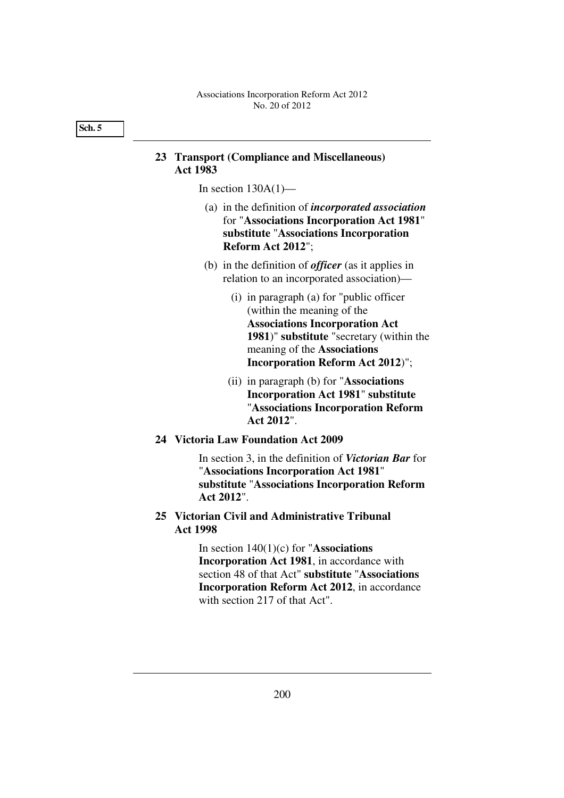## **23 Transport (Compliance and Miscellaneous) Act 1983**

In section  $130A(1)$ —

- (a) in the definition of *incorporated association* for "**Associations Incorporation Act 1981**" **substitute** "**Associations Incorporation Reform Act 2012**";
- (b) in the definition of *officer* (as it applies in relation to an incorporated association)—
	- (i) in paragraph (a) for "public officer (within the meaning of the **Associations Incorporation Act 1981**)" **substitute** "secretary (within the meaning of the **Associations Incorporation Reform Act 2012**)";
	- (ii) in paragraph (b) for "**Associations Incorporation Act 1981**" **substitute** "**Associations Incorporation Reform Act 2012**".

## **24 Victoria Law Foundation Act 2009**

In section 3, in the definition of *Victorian Bar* for "**Associations Incorporation Act 1981**" **substitute** "**Associations Incorporation Reform Act 2012**".

## **25 Victorian Civil and Administrative Tribunal Act 1998**

In section 140(1)(c) for "**Associations Incorporation Act 1981**, in accordance with section 48 of that Act" **substitute** "**Associations Incorporation Reform Act 2012**, in accordance with section 217 of that Act".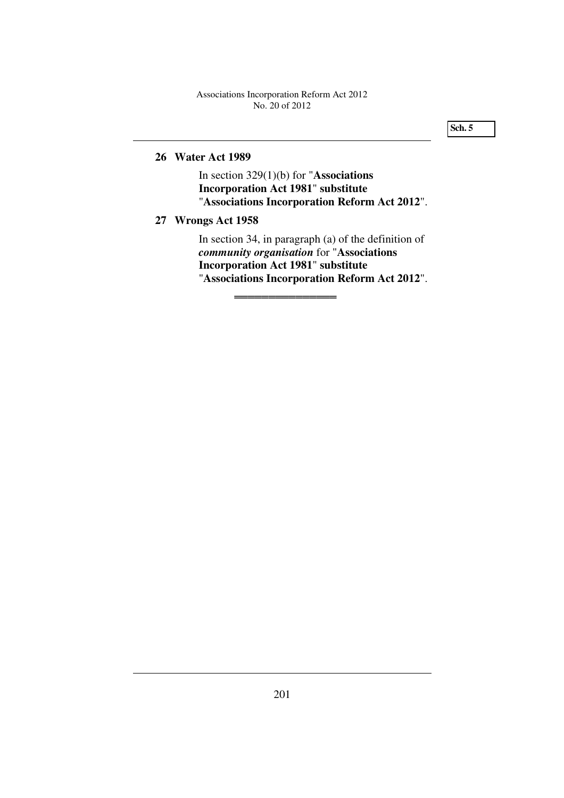**Sch. 5** 

# **26 Water Act 1989**

In section 329(1)(b) for "**Associations Incorporation Act 1981**" **substitute** "**Associations Incorporation Reform Act 2012**".

## **27 Wrongs Act 1958**

In section 34, in paragraph (a) of the definition of *community organisation* for "**Associations Incorporation Act 1981**" **substitute** "**Associations Incorporation Reform Act 2012**".

═════════════════════════════